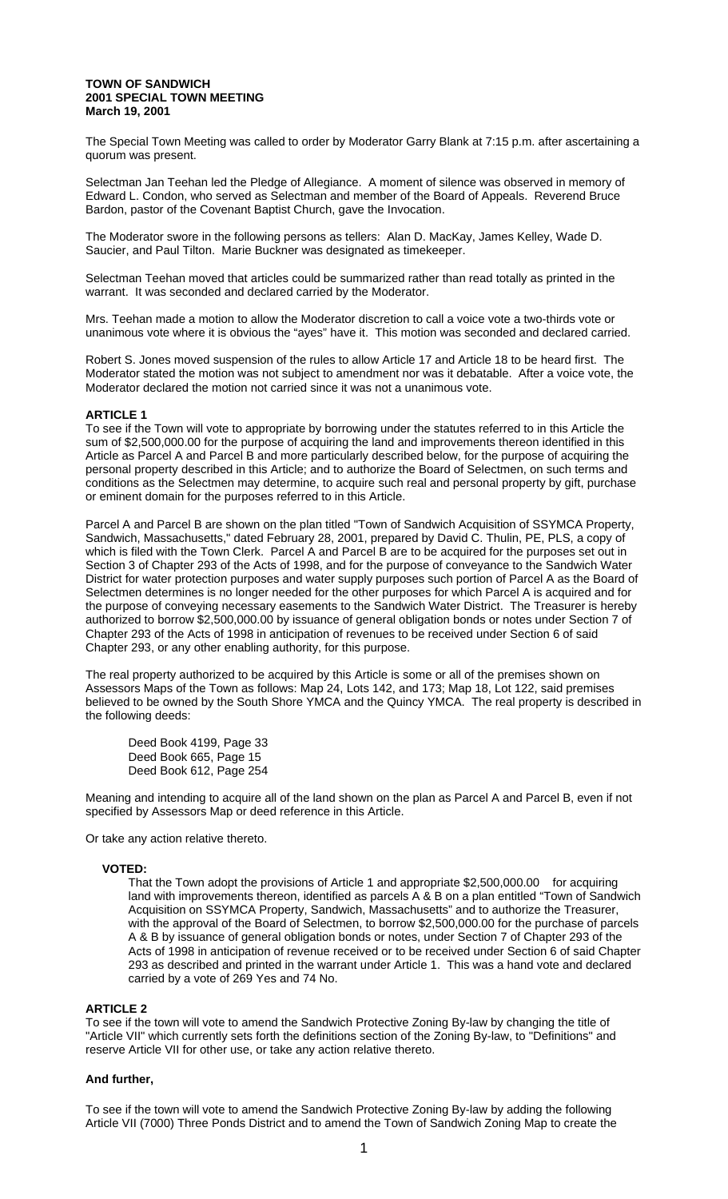#### **TOWN OF SANDWICH 2001 SPECIAL TOWN MEETING March 19, 2001**

The Special Town Meeting was called to order by Moderator Garry Blank at 7:15 p.m. after ascertaining a quorum was present.

Selectman Jan Teehan led the Pledge of Allegiance. A moment of silence was observed in memory of Edward L. Condon, who served as Selectman and member of the Board of Appeals. Reverend Bruce Bardon, pastor of the Covenant Baptist Church, gave the Invocation.

The Moderator swore in the following persons as tellers: Alan D. MacKay, James Kelley, Wade D. Saucier, and Paul Tilton. Marie Buckner was designated as timekeeper.

Selectman Teehan moved that articles could be summarized rather than read totally as printed in the warrant. It was seconded and declared carried by the Moderator.

Mrs. Teehan made a motion to allow the Moderator discretion to call a voice vote a two-thirds vote or unanimous vote where it is obvious the "ayes" have it. This motion was seconded and declared carried.

Robert S. Jones moved suspension of the rules to allow Article 17 and Article 18 to be heard first. The Moderator stated the motion was not subject to amendment nor was it debatable. After a voice vote, the Moderator declared the motion not carried since it was not a unanimous vote.

# **ARTICLE 1**

To see if the Town will vote to appropriate by borrowing under the statutes referred to in this Article the sum of \$2,500,000.00 for the purpose of acquiring the land and improvements thereon identified in this Article as Parcel A and Parcel B and more particularly described below, for the purpose of acquiring the personal property described in this Article; and to authorize the Board of Selectmen, on such terms and conditions as the Selectmen may determine, to acquire such real and personal property by gift, purchase or eminent domain for the purposes referred to in this Article.

Parcel A and Parcel B are shown on the plan titled "Town of Sandwich Acquisition of SSYMCA Property, Sandwich, Massachusetts," dated February 28, 2001, prepared by David C. Thulin, PE, PLS, a copy of which is filed with the Town Clerk. Parcel A and Parcel B are to be acquired for the purposes set out in Section 3 of Chapter 293 of the Acts of 1998, and for the purpose of conveyance to the Sandwich Water District for water protection purposes and water supply purposes such portion of Parcel A as the Board of Selectmen determines is no longer needed for the other purposes for which Parcel A is acquired and for the purpose of conveying necessary easements to the Sandwich Water District. The Treasurer is hereby authorized to borrow \$2,500,000.00 by issuance of general obligation bonds or notes under Section 7 of Chapter 293 of the Acts of 1998 in anticipation of revenues to be received under Section 6 of said Chapter 293, or any other enabling authority, for this purpose.

The real property authorized to be acquired by this Article is some or all of the premises shown on Assessors Maps of the Town as follows: Map 24, Lots 142, and 173; Map 18, Lot 122, said premises believed to be owned by the South Shore YMCA and the Quincy YMCA. The real property is described in the following deeds:

Deed Book 4199, Page 33 Deed Book 665, Page 15 Deed Book 612, Page 254

Meaning and intending to acquire all of the land shown on the plan as Parcel A and Parcel B, even if not specified by Assessors Map or deed reference in this Article.

Or take any action relative thereto.

### **VOTED:**

That the Town adopt the provisions of Article 1 and appropriate \$2,500,000.00 for acquiring land with improvements thereon, identified as parcels A & B on a plan entitled "Town of Sandwich Acquisition on SSYMCA Property, Sandwich, Massachusetts" and to authorize the Treasurer, with the approval of the Board of Selectmen, to borrow \$2,500,000.00 for the purchase of parcels A & B by issuance of general obligation bonds or notes, under Section 7 of Chapter 293 of the Acts of 1998 in anticipation of revenue received or to be received under Section 6 of said Chapter 293 as described and printed in the warrant under Article 1. This was a hand vote and declared carried by a vote of 269 Yes and 74 No.

### **ARTICLE 2**

To see if the town will vote to amend the Sandwich Protective Zoning By-law by changing the title of "Article VII" which currently sets forth the definitions section of the Zoning By-law, to "Definitions" and reserve Article VII for other use, or take any action relative thereto.

# **And further,**

To see if the town will vote to amend the Sandwich Protective Zoning By-law by adding the following Article VII (7000) Three Ponds District and to amend the Town of Sandwich Zoning Map to create the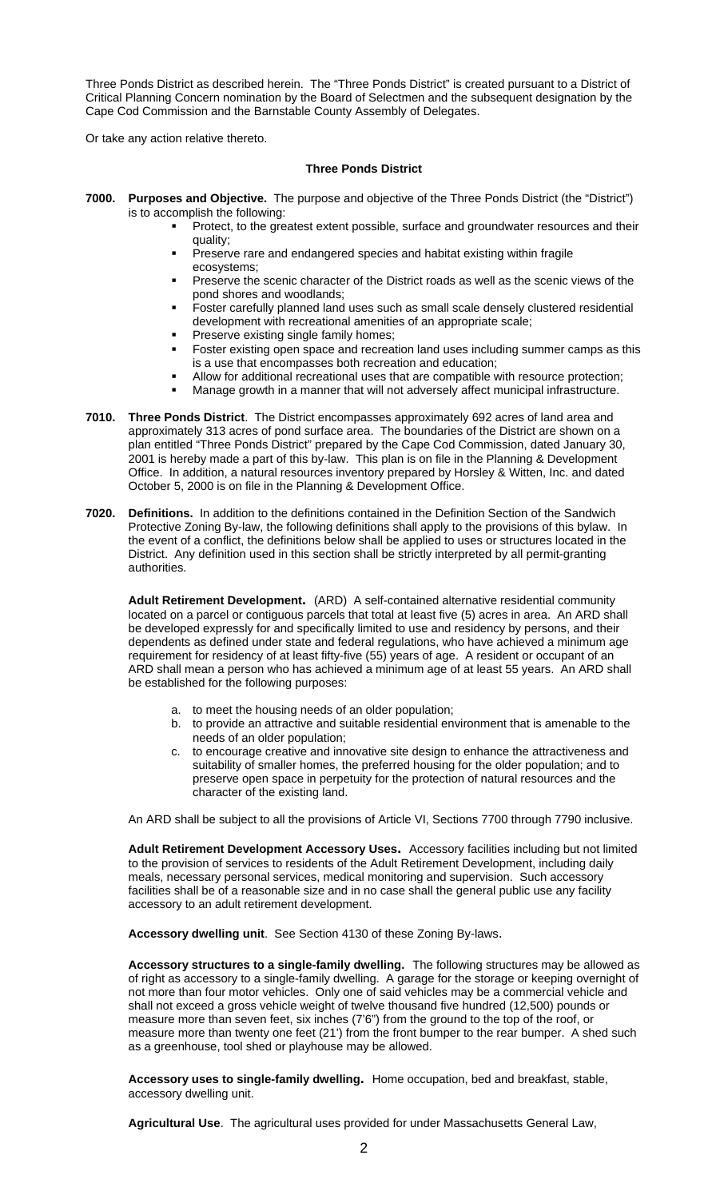Three Ponds District as described herein. The "Three Ponds District" is created pursuant to a District of Critical Planning Concern nomination by the Board of Selectmen and the subsequent designation by the Cape Cod Commission and the Barnstable County Assembly of Delegates.

Or take any action relative thereto.

# **Three Ponds District**

- **7000. Purposes and Objective.** The purpose and objective of the Three Ponds District (the "District") is to accomplish the following:
	- Protect, to the greatest extent possible, surface and groundwater resources and their quality;
	- Preserve rare and endangered species and habitat existing within fragile ecosystems;
	- Preserve the scenic character of the District roads as well as the scenic views of the pond shores and woodlands;
	- Foster carefully planned land uses such as small scale densely clustered residential development with recreational amenities of an appropriate scale;
	- Preserve existing single family homes;
	- Foster existing open space and recreation land uses including summer camps as this is a use that encompasses both recreation and education;
	- Allow for additional recreational uses that are compatible with resource protection;
	- Manage growth in a manner that will not adversely affect municipal infrastructure.
- **7010. Three Ponds District**. The District encompasses approximately 692 acres of land area and approximately 313 acres of pond surface area. The boundaries of the District are shown on a plan entitled "Three Ponds District" prepared by the Cape Cod Commission, dated January 30, 2001 is hereby made a part of this by-law. This plan is on file in the Planning & Development Office. In addition, a natural resources inventory prepared by Horsley & Witten, Inc. and dated October 5, 2000 is on file in the Planning & Development Office.
- **7020. Definitions.** In addition to the definitions contained in the Definition Section of the Sandwich Protective Zoning By-law, the following definitions shall apply to the provisions of this bylaw. In the event of a conflict, the definitions below shall be applied to uses or structures located in the District. Any definition used in this section shall be strictly interpreted by all permit-granting authorities.

**Adult Retirement Development.** (ARD) A self-contained alternative residential community located on a parcel or contiguous parcels that total at least five (5) acres in area. An ARD shall be developed expressly for and specifically limited to use and residency by persons, and their dependents as defined under state and federal regulations, who have achieved a minimum age requirement for residency of at least fifty-five (55) years of age. A resident or occupant of an ARD shall mean a person who has achieved a minimum age of at least 55 years. An ARD shall be established for the following purposes:

- a. to meet the housing needs of an older population;
- b. to provide an attractive and suitable residential environment that is amenable to the needs of an older population;
- c. to encourage creative and innovative site design to enhance the attractiveness and suitability of smaller homes, the preferred housing for the older population; and to preserve open space in perpetuity for the protection of natural resources and the character of the existing land.

An ARD shall be subject to all the provisions of Article VI, Sections 7700 through 7790 inclusive.

**Adult Retirement Development Accessory Uses.** Accessory facilities including but not limited to the provision of services to residents of the Adult Retirement Development, including daily meals, necessary personal services, medical monitoring and supervision. Such accessory facilities shall be of a reasonable size and in no case shall the general public use any facility accessory to an adult retirement development.

**Accessory dwelling unit**. See Section 4130 of these Zoning By-laws.

**Accessory structures to a single-family dwelling.** The following structures may be allowed as of right as accessory to a single-family dwelling. A garage for the storage or keeping overnight of not more than four motor vehicles. Only one of said vehicles may be a commercial vehicle and shall not exceed a gross vehicle weight of twelve thousand five hundred (12,500) pounds or measure more than seven feet, six inches (7'6") from the ground to the top of the roof, or measure more than twenty one feet (21') from the front bumper to the rear bumper. A shed such as a greenhouse, tool shed or playhouse may be allowed.

**Accessory uses to single-family dwelling.** Home occupation, bed and breakfast, stable, accessory dwelling unit.

**Agricultural Use**. The agricultural uses provided for under Massachusetts General Law,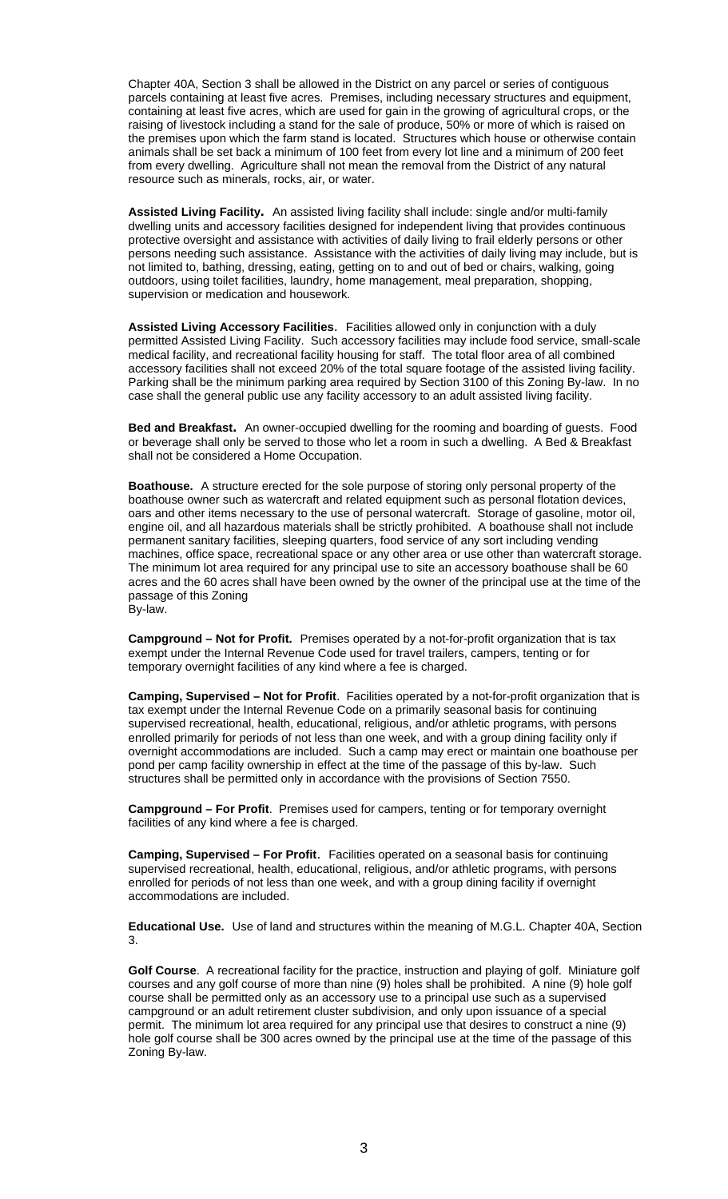Chapter 40A, Section 3 shall be allowed in the District on any parcel or series of contiguous parcels containing at least five acres. Premises, including necessary structures and equipment, containing at least five acres, which are used for gain in the growing of agricultural crops, or the raising of livestock including a stand for the sale of produce, 50% or more of which is raised on the premises upon which the farm stand is located. Structures which house or otherwise contain animals shall be set back a minimum of 100 feet from every lot line and a minimum of 200 feet from every dwelling. Agriculture shall not mean the removal from the District of any natural resource such as minerals, rocks, air, or water.

**Assisted Living Facility.** An assisted living facility shall include: single and/or multi-family dwelling units and accessory facilities designed for independent living that provides continuous protective oversight and assistance with activities of daily living to frail elderly persons or other persons needing such assistance. Assistance with the activities of daily living may include, but is not limited to, bathing, dressing, eating, getting on to and out of bed or chairs, walking, going outdoors, using toilet facilities, laundry, home management, meal preparation, shopping, supervision or medication and housework.

**Assisted Living Accessory Facilities**. Facilities allowed only in conjunction with a duly permitted Assisted Living Facility. Such accessory facilities may include food service, small-scale medical facility, and recreational facility housing for staff. The total floor area of all combined accessory facilities shall not exceed 20% of the total square footage of the assisted living facility. Parking shall be the minimum parking area required by Section 3100 of this Zoning By-law. In no case shall the general public use any facility accessory to an adult assisted living facility.

**Bed and Breakfast.** An owner-occupied dwelling for the rooming and boarding of guests. Food or beverage shall only be served to those who let a room in such a dwelling. A Bed & Breakfast shall not be considered a Home Occupation.

**Boathouse.** A structure erected for the sole purpose of storing only personal property of the boathouse owner such as watercraft and related equipment such as personal flotation devices, oars and other items necessary to the use of personal watercraft. Storage of gasoline, motor oil, engine oil, and all hazardous materials shall be strictly prohibited. A boathouse shall not include permanent sanitary facilities, sleeping quarters, food service of any sort including vending machines, office space, recreational space or any other area or use other than watercraft storage. The minimum lot area required for any principal use to site an accessory boathouse shall be 60 acres and the 60 acres shall have been owned by the owner of the principal use at the time of the passage of this Zoning By-law.

**Campground – Not for Profit.** Premises operated by a not-for-profit organization that is tax exempt under the Internal Revenue Code used for travel trailers, campers, tenting or for temporary overnight facilities of any kind where a fee is charged.

**Camping, Supervised – Not for Profit**. Facilities operated by a not-for-profit organization that is tax exempt under the Internal Revenue Code on a primarily seasonal basis for continuing supervised recreational, health, educational, religious, and/or athletic programs, with persons enrolled primarily for periods of not less than one week, and with a group dining facility only if overnight accommodations are included. Such a camp may erect or maintain one boathouse per pond per camp facility ownership in effect at the time of the passage of this by-law. Such structures shall be permitted only in accordance with the provisions of Section 7550.

**Campground – For Profit**. Premises used for campers, tenting or for temporary overnight facilities of any kind where a fee is charged.

**Camping, Supervised – For Profit**. Facilities operated on a seasonal basis for continuing supervised recreational, health, educational, religious, and/or athletic programs, with persons enrolled for periods of not less than one week, and with a group dining facility if overnight accommodations are included.

**Educational Use.** Use of land and structures within the meaning of M.G.L. Chapter 40A, Section 3.

**Golf Course**. A recreational facility for the practice, instruction and playing of golf. Miniature golf courses and any golf course of more than nine (9) holes shall be prohibited. A nine (9) hole golf course shall be permitted only as an accessory use to a principal use such as a supervised campground or an adult retirement cluster subdivision, and only upon issuance of a special permit. The minimum lot area required for any principal use that desires to construct a nine (9) hole golf course shall be 300 acres owned by the principal use at the time of the passage of this Zoning By-law.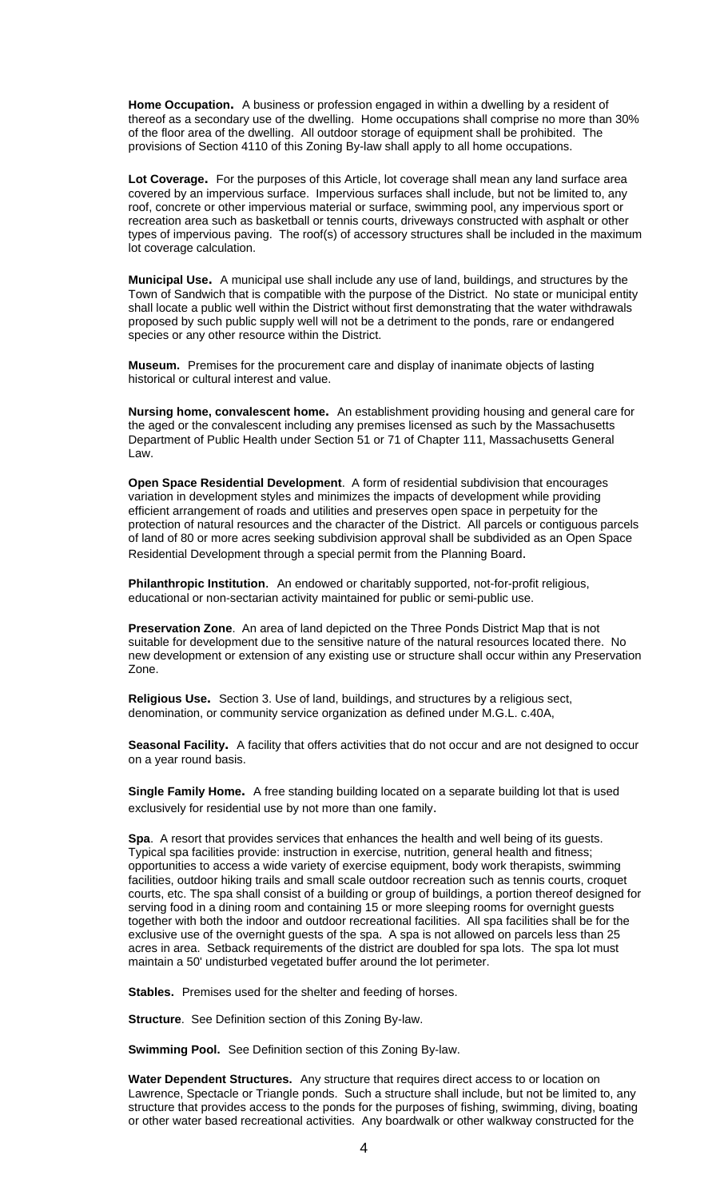**Home Occupation.** A business or profession engaged in within a dwelling by a resident of thereof as a secondary use of the dwelling. Home occupations shall comprise no more than 30% of the floor area of the dwelling. All outdoor storage of equipment shall be prohibited. The provisions of Section 4110 of this Zoning By-law shall apply to all home occupations.

Lot Coverage. For the purposes of this Article, lot coverage shall mean any land surface area covered by an impervious surface. Impervious surfaces shall include, but not be limited to, any roof, concrete or other impervious material or surface, swimming pool, any impervious sport or recreation area such as basketball or tennis courts, driveways constructed with asphalt or other types of impervious paving. The roof(s) of accessory structures shall be included in the maximum lot coverage calculation.

**Municipal Use.** A municipal use shall include any use of land, buildings, and structures by the Town of Sandwich that is compatible with the purpose of the District. No state or municipal entity shall locate a public well within the District without first demonstrating that the water withdrawals proposed by such public supply well will not be a detriment to the ponds, rare or endangered species or any other resource within the District.

**Museum.** Premises for the procurement care and display of inanimate objects of lasting historical or cultural interest and value.

**Nursing home, convalescent home.** An establishment providing housing and general care for the aged or the convalescent including any premises licensed as such by the Massachusetts Department of Public Health under Section 51 or 71 of Chapter 111, Massachusetts General Law.

**Open Space Residential Development**. A form of residential subdivision that encourages variation in development styles and minimizes the impacts of development while providing efficient arrangement of roads and utilities and preserves open space in perpetuity for the protection of natural resources and the character of the District. All parcels or contiguous parcels of land of 80 or more acres seeking subdivision approval shall be subdivided as an Open Space Residential Development through a special permit from the Planning Board.

**Philanthropic Institution**. An endowed or charitably supported, not-for-profit religious, educational or non-sectarian activity maintained for public or semi-public use.

**Preservation Zone**. An area of land depicted on the Three Ponds District Map that is not suitable for development due to the sensitive nature of the natural resources located there. No new development or extension of any existing use or structure shall occur within any Preservation Zone.

**Religious Use.** Section 3. Use of land, buildings, and structures by a religious sect, denomination, or community service organization as defined under M.G.L. c.40A,

**Seasonal Facility.** A facility that offers activities that do not occur and are not designed to occur on a year round basis.

**Single Family Home.** A free standing building located on a separate building lot that is used exclusively for residential use by not more than one family.

**Spa**. A resort that provides services that enhances the health and well being of its guests. Typical spa facilities provide: instruction in exercise, nutrition, general health and fitness; opportunities to access a wide variety of exercise equipment, body work therapists, swimming facilities, outdoor hiking trails and small scale outdoor recreation such as tennis courts, croquet courts, etc. The spa shall consist of a building or group of buildings, a portion thereof designed for serving food in a dining room and containing 15 or more sleeping rooms for overnight guests together with both the indoor and outdoor recreational facilities. All spa facilities shall be for the exclusive use of the overnight guests of the spa. A spa is not allowed on parcels less than 25 acres in area. Setback requirements of the district are doubled for spa lots. The spa lot must maintain a 50' undisturbed vegetated buffer around the lot perimeter.

**Stables.** Premises used for the shelter and feeding of horses.

**Structure**. See Definition section of this Zoning By-law.

**Swimming Pool.** See Definition section of this Zoning By-law.

**Water Dependent Structures.** Any structure that requires direct access to or location on Lawrence, Spectacle or Triangle ponds. Such a structure shall include, but not be limited to, any structure that provides access to the ponds for the purposes of fishing, swimming, diving, boating or other water based recreational activities. Any boardwalk or other walkway constructed for the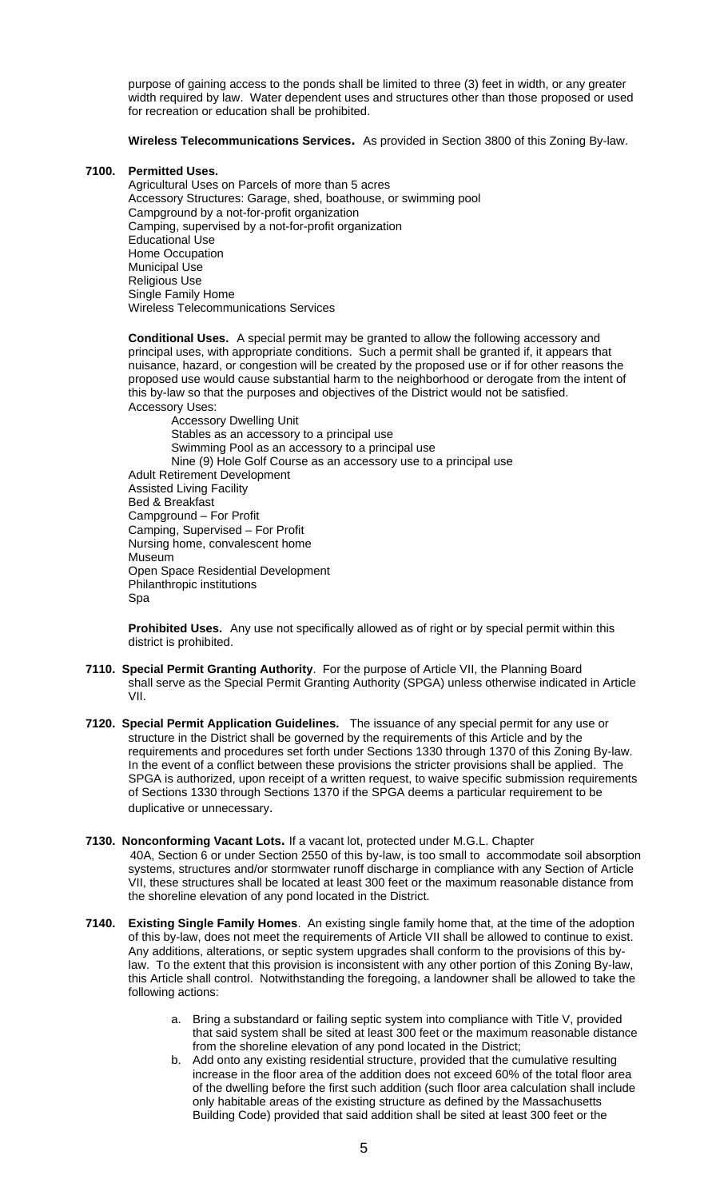purpose of gaining access to the ponds shall be limited to three (3) feet in width, or any greater width required by law. Water dependent uses and structures other than those proposed or used for recreation or education shall be prohibited.

**Wireless Telecommunications Services.** As provided in Section 3800 of this Zoning By-law.

# **7100. Permitted Uses.**

Agricultural Uses on Parcels of more than 5 acres Accessory Structures: Garage, shed, boathouse, or swimming pool Campground by a not-for-profit organization Camping, supervised by a not-for-profit organization Educational Use Home Occupation Municipal Use Religious Use Single Family Home Wireless Telecommunications Services

**Conditional Uses.** A special permit may be granted to allow the following accessory and principal uses, with appropriate conditions. Such a permit shall be granted if, it appears that nuisance, hazard, or congestion will be created by the proposed use or if for other reasons the proposed use would cause substantial harm to the neighborhood or derogate from the intent of this by-law so that the purposes and objectives of the District would not be satisfied. Accessory Uses:

Accessory Dwelling Unit Stables as an accessory to a principal use Swimming Pool as an accessory to a principal use Nine (9) Hole Golf Course as an accessory use to a principal use Adult Retirement Development Assisted Living Facility Bed & Breakfast Campground – For Profit Camping, Supervised – For Profit Nursing home, convalescent home Museum Open Space Residential Development Philanthropic institutions Spa

**Prohibited Uses.** Any use not specifically allowed as of right or by special permit within this district is prohibited.

- **7110. Special Permit Granting Authority**. For the purpose of Article VII, the Planning Board shall serve as the Special Permit Granting Authority (SPGA) unless otherwise indicated in Article VII.
- **7120. Special Permit Application Guidelines.** The issuance of any special permit for any use or structure in the District shall be governed by the requirements of this Article and by the requirements and procedures set forth under Sections 1330 through 1370 of this Zoning By-law. In the event of a conflict between these provisions the stricter provisions shall be applied. The SPGA is authorized, upon receipt of a written request, to waive specific submission requirements of Sections 1330 through Sections 1370 if the SPGA deems a particular requirement to be duplicative or unnecessary.
- **7130. Nonconforming Vacant Lots.** If a vacant lot, protected under M.G.L. Chapter 40A, Section 6 or under Section 2550 of this by-law, is too small to accommodate soil absorption systems, structures and/or stormwater runoff discharge in compliance with any Section of Article VII, these structures shall be located at least 300 feet or the maximum reasonable distance from the shoreline elevation of any pond located in the District.
- **7140. Existing Single Family Homes**. An existing single family home that, at the time of the adoption of this by-law, does not meet the requirements of Article VII shall be allowed to continue to exist. Any additions, alterations, or septic system upgrades shall conform to the provisions of this bylaw. To the extent that this provision is inconsistent with any other portion of this Zoning By-law, this Article shall control. Notwithstanding the foregoing, a landowner shall be allowed to take the following actions:
	- Bring a substandard or failing septic system into compliance with Title V, provided that said system shall be sited at least 300 feet or the maximum reasonable distance from the shoreline elevation of any pond located in the District;
	- b. Add onto any existing residential structure, provided that the cumulative resulting increase in the floor area of the addition does not exceed 60% of the total floor area of the dwelling before the first such addition (such floor area calculation shall include only habitable areas of the existing structure as defined by the Massachusetts Building Code) provided that said addition shall be sited at least 300 feet or the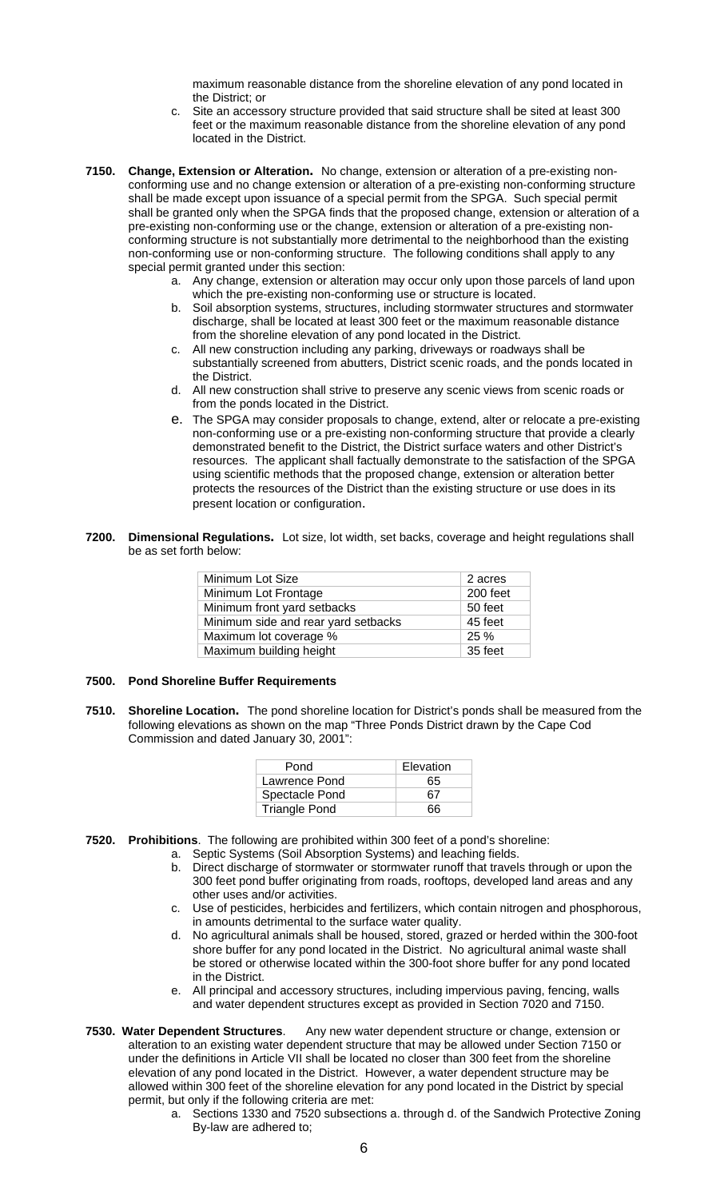maximum reasonable distance from the shoreline elevation of any pond located in the District; or

- c. Site an accessory structure provided that said structure shall be sited at least 300 feet or the maximum reasonable distance from the shoreline elevation of any pond located in the District.
- **7150. Change, Extension or Alteration.** No change, extension or alteration of a pre-existing nonconforming use and no change extension or alteration of a pre-existing non-conforming structure shall be made except upon issuance of a special permit from the SPGA. Such special permit shall be granted only when the SPGA finds that the proposed change, extension or alteration of a pre-existing non-conforming use or the change, extension or alteration of a pre-existing nonconforming structure is not substantially more detrimental to the neighborhood than the existing non-conforming use or non-conforming structure. The following conditions shall apply to any special permit granted under this section:
	- a. Any change, extension or alteration may occur only upon those parcels of land upon which the pre-existing non-conforming use or structure is located.
	- b. Soil absorption systems, structures, including stormwater structures and stormwater discharge, shall be located at least 300 feet or the maximum reasonable distance from the shoreline elevation of any pond located in the District.
	- c. All new construction including any parking, driveways or roadways shall be substantially screened from abutters, District scenic roads, and the ponds located in the District.
	- d. All new construction shall strive to preserve any scenic views from scenic roads or from the ponds located in the District.
	- e. The SPGA may consider proposals to change, extend, alter or relocate a pre-existing non-conforming use or a pre-existing non-conforming structure that provide a clearly demonstrated benefit to the District, the District surface waters and other District's resources. The applicant shall factually demonstrate to the satisfaction of the SPGA using scientific methods that the proposed change, extension or alteration better protects the resources of the District than the existing structure or use does in its present location or configuration.
- **7200. Dimensional Regulations.** Lot size, lot width, set backs, coverage and height regulations shall be as set forth below:

| Minimum Lot Size                    | 2 acres  |
|-------------------------------------|----------|
| Minimum Lot Frontage                | 200 feet |
| Minimum front yard setbacks         | 50 feet  |
| Minimum side and rear yard setbacks | 45 feet  |
| Maximum lot coverage %              | 25%      |
| Maximum building height             | 35 feet  |
|                                     |          |

# **7500. Pond Shoreline Buffer Requirements**

**7510. Shoreline Location.** The pond shoreline location for District's ponds shall be measured from the following elevations as shown on the map "Three Ponds District drawn by the Cape Cod Commission and dated January 30, 2001":

| Pond                 | Elevation |
|----------------------|-----------|
| Lawrence Pond        | 65        |
| Spectacle Pond       | 67        |
| <b>Triangle Pond</b> | ิคค       |

- **7520. Prohibitions**. The following are prohibited within 300 feet of a pond's shoreline:
	- a. Septic Systems (Soil Absorption Systems) and leaching fields.
	- b. Direct discharge of stormwater or stormwater runoff that travels through or upon the 300 feet pond buffer originating from roads, rooftops, developed land areas and any other uses and/or activities.
	- c. Use of pesticides, herbicides and fertilizers, which contain nitrogen and phosphorous, in amounts detrimental to the surface water quality.
	- d. No agricultural animals shall be housed, stored, grazed or herded within the 300-foot shore buffer for any pond located in the District. No agricultural animal waste shall be stored or otherwise located within the 300-foot shore buffer for any pond located in the District.
	- e. All principal and accessory structures, including impervious paving, fencing, walls and water dependent structures except as provided in Section 7020 and 7150.
- **7530. Water Dependent Structures**. Any new water dependent structure or change, extension or alteration to an existing water dependent structure that may be allowed under Section 7150 or under the definitions in Article VII shall be located no closer than 300 feet from the shoreline elevation of any pond located in the District. However, a water dependent structure may be allowed within 300 feet of the shoreline elevation for any pond located in the District by special permit, but only if the following criteria are met:
	- a. Sections 1330 and 7520 subsections a. through d. of the Sandwich Protective Zoning By-law are adhered to;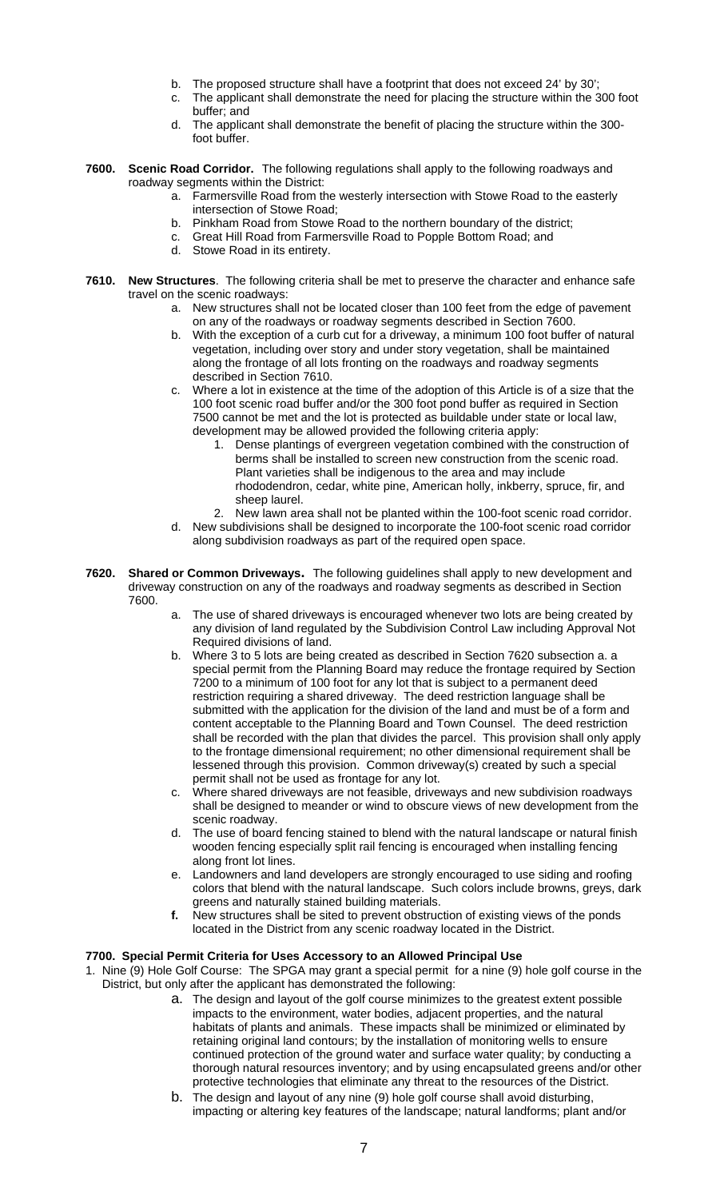- b. The proposed structure shall have a footprint that does not exceed 24' by 30';
- c. The applicant shall demonstrate the need for placing the structure within the 300 foot buffer; and
- d. The applicant shall demonstrate the benefit of placing the structure within the 300 foot buffer.
- **7600. Scenic Road Corridor.** The following regulations shall apply to the following roadways and roadway segments within the District:
	- a. Farmersville Road from the westerly intersection with Stowe Road to the easterly intersection of Stowe Road;
	- b. Pinkham Road from Stowe Road to the northern boundary of the district;
	- c. Great Hill Road from Farmersville Road to Popple Bottom Road; and
	- d. Stowe Road in its entirety.
- **7610. New Structures**. The following criteria shall be met to preserve the character and enhance safe travel on the scenic roadways:
	- a. New structures shall not be located closer than 100 feet from the edge of pavement on any of the roadways or roadway segments described in Section 7600.
	- With the exception of a curb cut for a driveway, a minimum 100 foot buffer of natural vegetation, including over story and under story vegetation, shall be maintained along the frontage of all lots fronting on the roadways and roadway segments described in Section 7610.
	- c. Where a lot in existence at the time of the adoption of this Article is of a size that the 100 foot scenic road buffer and/or the 300 foot pond buffer as required in Section 7500 cannot be met and the lot is protected as buildable under state or local law, development may be allowed provided the following criteria apply:
		- 1. Dense plantings of evergreen vegetation combined with the construction of berms shall be installed to screen new construction from the scenic road. Plant varieties shall be indigenous to the area and may include rhododendron, cedar, white pine, American holly, inkberry, spruce, fir, and sheep laurel.
		- 2. New lawn area shall not be planted within the 100-foot scenic road corridor.
	- d. New subdivisions shall be designed to incorporate the 100-foot scenic road corridor along subdivision roadways as part of the required open space.
- **7620. Shared or Common Driveways.** The following guidelines shall apply to new development and driveway construction on any of the roadways and roadway segments as described in Section 7600.
	- The use of shared driveways is encouraged whenever two lots are being created by any division of land regulated by the Subdivision Control Law including Approval Not Required divisions of land.
	- b. Where 3 to 5 lots are being created as described in Section 7620 subsection a. a special permit from the Planning Board may reduce the frontage required by Section 7200 to a minimum of 100 foot for any lot that is subject to a permanent deed restriction requiring a shared driveway. The deed restriction language shall be submitted with the application for the division of the land and must be of a form and content acceptable to the Planning Board and Town Counsel. The deed restriction shall be recorded with the plan that divides the parcel. This provision shall only apply to the frontage dimensional requirement; no other dimensional requirement shall be lessened through this provision. Common driveway(s) created by such a special permit shall not be used as frontage for any lot.
	- c. Where shared driveways are not feasible, driveways and new subdivision roadways shall be designed to meander or wind to obscure views of new development from the scenic roadway.
	- d. The use of board fencing stained to blend with the natural landscape or natural finish wooden fencing especially split rail fencing is encouraged when installing fencing along front lot lines.
	- e. Landowners and land developers are strongly encouraged to use siding and roofing colors that blend with the natural landscape. Such colors include browns, greys, dark greens and naturally stained building materials.
	- **f.** New structures shall be sited to prevent obstruction of existing views of the ponds located in the District from any scenic roadway located in the District.

# **7700. Special Permit Criteria for Uses Accessory to an Allowed Principal Use**

- 1. Nine (9) Hole Golf Course: The SPGA may grant a special permit for a nine (9) hole golf course in the District, but only after the applicant has demonstrated the following:
	- a. The design and layout of the golf course minimizes to the greatest extent possible impacts to the environment, water bodies, adjacent properties, and the natural habitats of plants and animals. These impacts shall be minimized or eliminated by retaining original land contours; by the installation of monitoring wells to ensure continued protection of the ground water and surface water quality; by conducting a thorough natural resources inventory; and by using encapsulated greens and/or other protective technologies that eliminate any threat to the resources of the District.
	- b. The design and layout of any nine (9) hole golf course shall avoid disturbing, impacting or altering key features of the landscape; natural landforms; plant and/or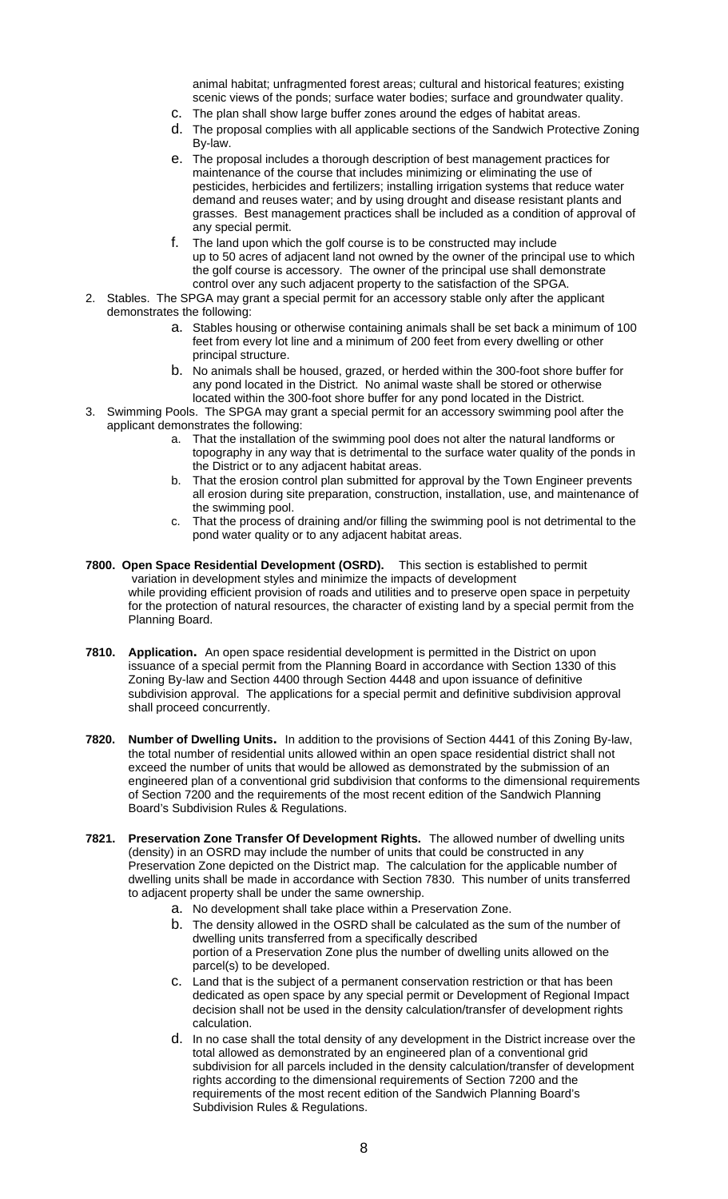animal habitat; unfragmented forest areas; cultural and historical features; existing scenic views of the ponds; surface water bodies; surface and groundwater quality.

- c. The plan shall show large buffer zones around the edges of habitat areas.
- d. The proposal complies with all applicable sections of the Sandwich Protective Zoning By-law.
- e. The proposal includes a thorough description of best management practices for maintenance of the course that includes minimizing or eliminating the use of pesticides, herbicides and fertilizers; installing irrigation systems that reduce water demand and reuses water; and by using drought and disease resistant plants and grasses. Best management practices shall be included as a condition of approval of any special permit.
- f. The land upon which the golf course is to be constructed may include up to 50 acres of adjacent land not owned by the owner of the principal use to which the golf course is accessory. The owner of the principal use shall demonstrate control over any such adjacent property to the satisfaction of the SPGA.
- 2. Stables. The SPGA may grant a special permit for an accessory stable only after the applicant demonstrates the following:
	- a. Stables housing or otherwise containing animals shall be set back a minimum of 100 feet from every lot line and a minimum of 200 feet from every dwelling or other principal structure.
	- b. No animals shall be housed, grazed, or herded within the 300-foot shore buffer for any pond located in the District. No animal waste shall be stored or otherwise located within the 300-foot shore buffer for any pond located in the District.
- 3. Swimming Pools. The SPGA may grant a special permit for an accessory swimming pool after the applicant demonstrates the following:
	- That the installation of the swimming pool does not alter the natural landforms or topography in any way that is detrimental to the surface water quality of the ponds in the District or to any adjacent habitat areas.
	- b. That the erosion control plan submitted for approval by the Town Engineer prevents all erosion during site preparation, construction, installation, use, and maintenance of the swimming pool.
	- c. That the process of draining and/or filling the swimming pool is not detrimental to the pond water quality or to any adjacent habitat areas.
- **7800. Open Space Residential Development (OSRD).** This section is established to permit variation in development styles and minimize the impacts of development while providing efficient provision of roads and utilities and to preserve open space in perpetuity for the protection of natural resources, the character of existing land by a special permit from the Planning Board.
- **7810. Application.** An open space residential development is permitted in the District on upon issuance of a special permit from the Planning Board in accordance with Section 1330 of this Zoning By-law and Section 4400 through Section 4448 and upon issuance of definitive subdivision approval. The applications for a special permit and definitive subdivision approval shall proceed concurrently.
- **7820. Number of Dwelling Units.** In addition to the provisions of Section 4441 of this Zoning By-law, the total number of residential units allowed within an open space residential district shall not exceed the number of units that would be allowed as demonstrated by the submission of an engineered plan of a conventional grid subdivision that conforms to the dimensional requirements of Section 7200 and the requirements of the most recent edition of the Sandwich Planning Board's Subdivision Rules & Regulations.
- **7821. Preservation Zone Transfer Of Development Rights.** The allowed number of dwelling units (density) in an OSRD may include the number of units that could be constructed in any Preservation Zone depicted on the District map. The calculation for the applicable number of dwelling units shall be made in accordance with Section 7830. This number of units transferred to adjacent property shall be under the same ownership.
	- a. No development shall take place within a Preservation Zone.
	- b. The density allowed in the OSRD shall be calculated as the sum of the number of dwelling units transferred from a specifically described portion of a Preservation Zone plus the number of dwelling units allowed on the parcel(s) to be developed.
	- c. Land that is the subject of a permanent conservation restriction or that has been dedicated as open space by any special permit or Development of Regional Impact decision shall not be used in the density calculation/transfer of development rights calculation.
	- d. In no case shall the total density of any development in the District increase over the total allowed as demonstrated by an engineered plan of a conventional grid subdivision for all parcels included in the density calculation/transfer of development rights according to the dimensional requirements of Section 7200 and the requirements of the most recent edition of the Sandwich Planning Board's Subdivision Rules & Regulations.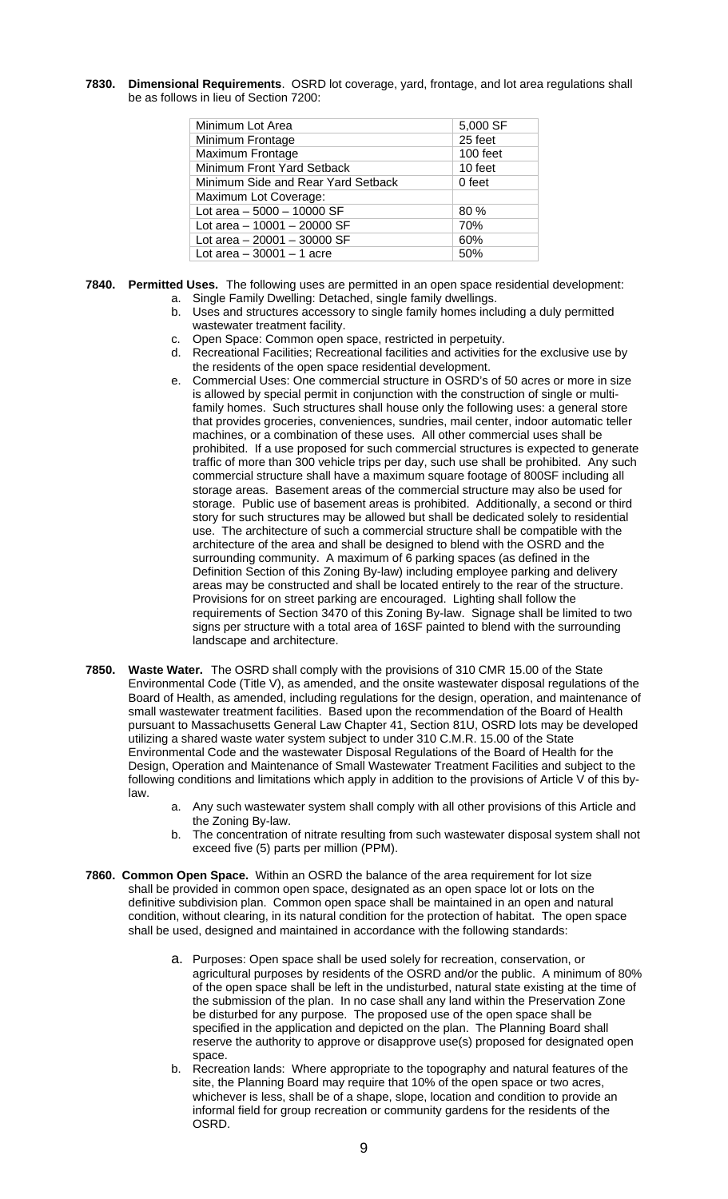**7830. Dimensional Requirements**. OSRD lot coverage, yard, frontage, and lot area regulations shall be as follows in lieu of Section 7200:

| Minimum Lot Area                   | 5,000 SF |
|------------------------------------|----------|
| Minimum Frontage                   | 25 feet  |
| <b>Maximum Frontage</b>            | 100 feet |
| Minimum Front Yard Setback         | 10 feet  |
| Minimum Side and Rear Yard Setback | 0 feet   |
| Maximum Lot Coverage:              |          |
| Lot area $-5000 - 10000$ SF        | 80%      |
| Lot area $-10001 - 20000$ SF       | 70%      |
| Lot area $-20001 - 30000$ SF       | 60%      |
| Lot area $-30001 - 1$ acre         | 50%      |

- **7840. Permitted Uses.** The following uses are permitted in an open space residential development: a. Single Family Dwelling: Detached, single family dwellings.
	- b. Uses and structures accessory to single family homes including a duly permitted wastewater treatment facility.
	- c. Open Space: Common open space, restricted in perpetuity.
	- d. Recreational Facilities; Recreational facilities and activities for the exclusive use by the residents of the open space residential development.
	- e. Commercial Uses: One commercial structure in OSRD's of 50 acres or more in size is allowed by special permit in conjunction with the construction of single or multifamily homes. Such structures shall house only the following uses: a general store that provides groceries, conveniences, sundries, mail center, indoor automatic teller machines, or a combination of these uses. All other commercial uses shall be prohibited. If a use proposed for such commercial structures is expected to generate traffic of more than 300 vehicle trips per day, such use shall be prohibited. Any such commercial structure shall have a maximum square footage of 800SF including all storage areas. Basement areas of the commercial structure may also be used for storage. Public use of basement areas is prohibited. Additionally, a second or third story for such structures may be allowed but shall be dedicated solely to residential use. The architecture of such a commercial structure shall be compatible with the architecture of the area and shall be designed to blend with the OSRD and the surrounding community. A maximum of 6 parking spaces (as defined in the Definition Section of this Zoning By-law) including employee parking and delivery areas may be constructed and shall be located entirely to the rear of the structure. Provisions for on street parking are encouraged. Lighting shall follow the requirements of Section 3470 of this Zoning By-law. Signage shall be limited to two signs per structure with a total area of 16SF painted to blend with the surrounding landscape and architecture.
- **7850. Waste Water.** The OSRD shall comply with the provisions of 310 CMR 15.00 of the State Environmental Code (Title V), as amended, and the onsite wastewater disposal regulations of the Board of Health, as amended, including regulations for the design, operation, and maintenance of small wastewater treatment facilities. Based upon the recommendation of the Board of Health pursuant to Massachusetts General Law Chapter 41, Section 81U, OSRD lots may be developed utilizing a shared waste water system subject to under 310 C.M.R. 15.00 of the State Environmental Code and the wastewater Disposal Regulations of the Board of Health for the Design, Operation and Maintenance of Small Wastewater Treatment Facilities and subject to the following conditions and limitations which apply in addition to the provisions of Article V of this bylaw.
	- a. Any such wastewater system shall comply with all other provisions of this Article and the Zoning By-law.
	- b. The concentration of nitrate resulting from such wastewater disposal system shall not exceed five (5) parts per million (PPM).
- **7860. Common Open Space.** Within an OSRD the balance of the area requirement for lot size shall be provided in common open space, designated as an open space lot or lots on the definitive subdivision plan. Common open space shall be maintained in an open and natural condition, without clearing, in its natural condition for the protection of habitat. The open space shall be used, designed and maintained in accordance with the following standards:
	- a. Purposes: Open space shall be used solely for recreation, conservation, or agricultural purposes by residents of the OSRD and/or the public. A minimum of 80% of the open space shall be left in the undisturbed, natural state existing at the time of the submission of the plan. In no case shall any land within the Preservation Zone be disturbed for any purpose. The proposed use of the open space shall be specified in the application and depicted on the plan. The Planning Board shall reserve the authority to approve or disapprove use(s) proposed for designated open space.
	- b. Recreation lands: Where appropriate to the topography and natural features of the site, the Planning Board may require that 10% of the open space or two acres, whichever is less, shall be of a shape, slope, location and condition to provide an informal field for group recreation or community gardens for the residents of the OSRD.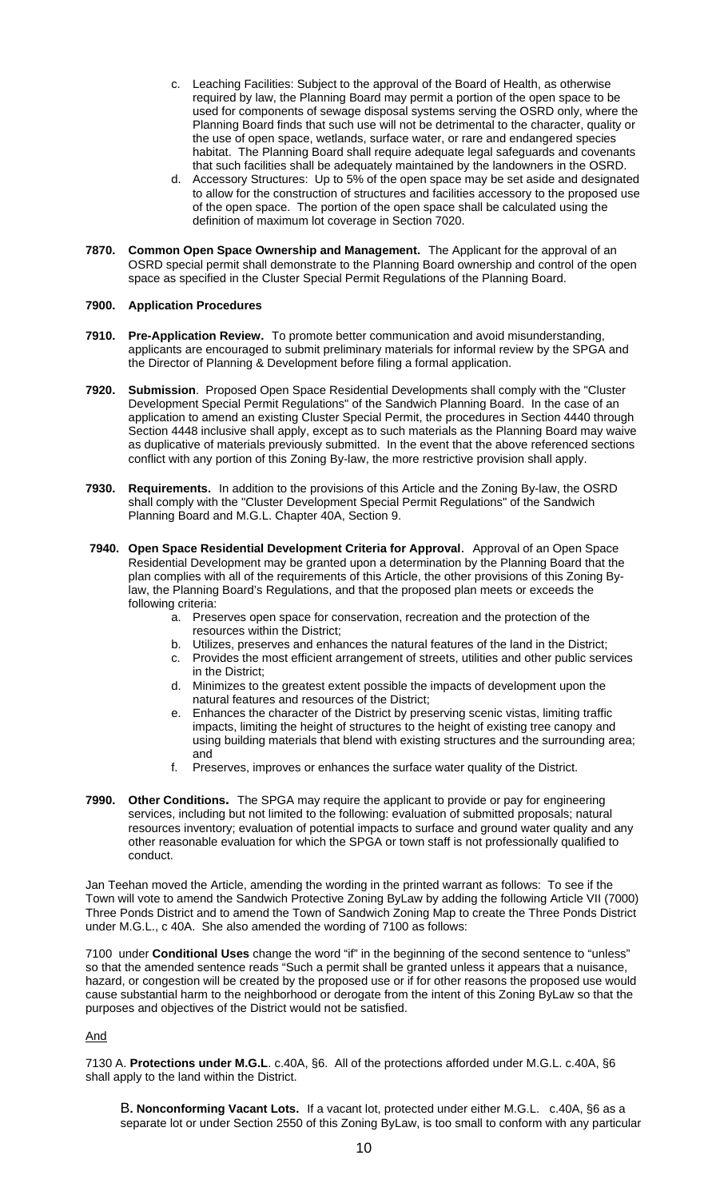- c. Leaching Facilities: Subject to the approval of the Board of Health, as otherwise required by law, the Planning Board may permit a portion of the open space to be used for components of sewage disposal systems serving the OSRD only, where the Planning Board finds that such use will not be detrimental to the character, quality or the use of open space, wetlands, surface water, or rare and endangered species habitat. The Planning Board shall require adequate legal safeguards and covenants that such facilities shall be adequately maintained by the landowners in the OSRD.
- d. Accessory Structures: Up to 5% of the open space may be set aside and designated to allow for the construction of structures and facilities accessory to the proposed use of the open space. The portion of the open space shall be calculated using the definition of maximum lot coverage in Section 7020.
- **7870. Common Open Space Ownership and Management.** The Applicant for the approval of an OSRD special permit shall demonstrate to the Planning Board ownership and control of the open space as specified in the Cluster Special Permit Regulations of the Planning Board.

# **7900. Application Procedures**

- **7910. Pre-Application Review.** To promote better communication and avoid misunderstanding, applicants are encouraged to submit preliminary materials for informal review by the SPGA and the Director of Planning & Development before filing a formal application.
- **7920. Submission**. Proposed Open Space Residential Developments shall comply with the "Cluster Development Special Permit Regulations" of the Sandwich Planning Board. In the case of an application to amend an existing Cluster Special Permit, the procedures in Section 4440 through Section 4448 inclusive shall apply, except as to such materials as the Planning Board may waive as duplicative of materials previously submitted. In the event that the above referenced sections conflict with any portion of this Zoning By-law, the more restrictive provision shall apply.
- **7930. Requirements.** In addition to the provisions of this Article and the Zoning By-law, the OSRD shall comply with the "Cluster Development Special Permit Regulations" of the Sandwich Planning Board and M.G.L. Chapter 40A, Section 9.
- **7940. Open Space Residential Development Criteria for Approval**. Approval of an Open Space Residential Development may be granted upon a determination by the Planning Board that the plan complies with all of the requirements of this Article, the other provisions of this Zoning Bylaw, the Planning Board's Regulations, and that the proposed plan meets or exceeds the following criteria:
	- a. Preserves open space for conservation, recreation and the protection of the resources within the District;
	- b. Utilizes, preserves and enhances the natural features of the land in the District;
	- c. Provides the most efficient arrangement of streets, utilities and other public services in the District;
	- d. Minimizes to the greatest extent possible the impacts of development upon the natural features and resources of the District;
	- e. Enhances the character of the District by preserving scenic vistas, limiting traffic impacts, limiting the height of structures to the height of existing tree canopy and using building materials that blend with existing structures and the surrounding area; and
	- f. Preserves, improves or enhances the surface water quality of the District.
- **7990. Other Conditions.** The SPGA may require the applicant to provide or pay for engineering services, including but not limited to the following: evaluation of submitted proposals; natural resources inventory; evaluation of potential impacts to surface and ground water quality and any other reasonable evaluation for which the SPGA or town staff is not professionally qualified to conduct.

Jan Teehan moved the Article, amending the wording in the printed warrant as follows: To see if the Town will vote to amend the Sandwich Protective Zoning ByLaw by adding the following Article VII (7000) Three Ponds District and to amend the Town of Sandwich Zoning Map to create the Three Ponds District under M.G.L., c 40A. She also amended the wording of 7100 as follows:

7100 under **Conditional Uses** change the word "if" in the beginning of the second sentence to "unless" so that the amended sentence reads "Such a permit shall be granted unless it appears that a nuisance, hazard, or congestion will be created by the proposed use or if for other reasons the proposed use would cause substantial harm to the neighborhood or derogate from the intent of this Zoning ByLaw so that the purposes and objectives of the District would not be satisfied.

# And

7130 A. **Protections under M.G.L**. c.40A, §6. All of the protections afforded under M.G.L. c.40A, §6 shall apply to the land within the District.

B**. Nonconforming Vacant Lots.** If a vacant lot, protected under either M.G.L. c.40A, §6 as a separate lot or under Section 2550 of this Zoning ByLaw, is too small to conform with any particular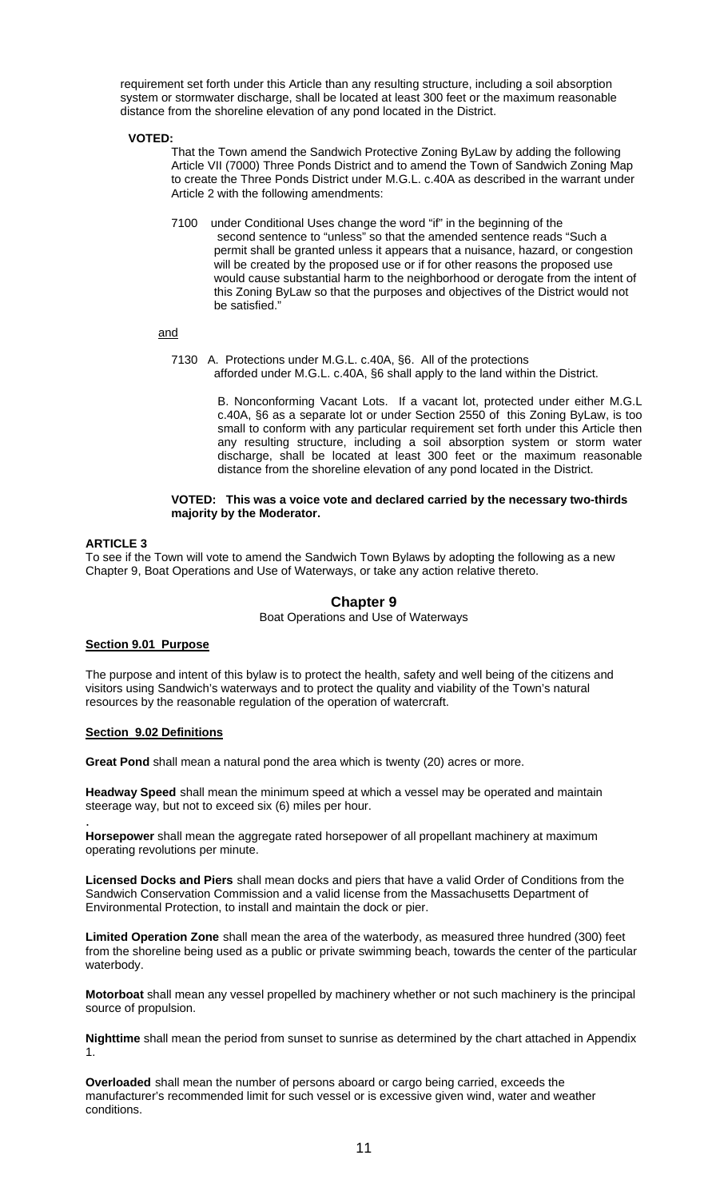requirement set forth under this Article than any resulting structure, including a soil absorption system or stormwater discharge, shall be located at least 300 feet or the maximum reasonable distance from the shoreline elevation of any pond located in the District.

# **VOTED:**

That the Town amend the Sandwich Protective Zoning ByLaw by adding the following Article VII (7000) Three Ponds District and to amend the Town of Sandwich Zoning Map to create the Three Ponds District under M.G.L. c.40A as described in the warrant under Article 2 with the following amendments:

7100 under Conditional Uses change the word "if" in the beginning of the second sentence to "unless" so that the amended sentence reads "Such a permit shall be granted unless it appears that a nuisance, hazard, or congestion will be created by the proposed use or if for other reasons the proposed use would cause substantial harm to the neighborhood or derogate from the intent of this Zoning ByLaw so that the purposes and objectives of the District would not be satisfied."

and

7130 A. Protections under M.G.L. c.40A, §6. All of the protections afforded under M.G.L. c.40A, §6 shall apply to the land within the District.

> B. Nonconforming Vacant Lots. If a vacant lot, protected under either M.G.L c.40A, §6 as a separate lot or under Section 2550 of this Zoning ByLaw, is too small to conform with any particular requirement set forth under this Article then any resulting structure, including a soil absorption system or storm water discharge, shall be located at least 300 feet or the maximum reasonable distance from the shoreline elevation of any pond located in the District.

### **VOTED: This was a voice vote and declared carried by the necessary two-thirds majority by the Moderator.**

# **ARTICLE 3**

To see if the Town will vote to amend the Sandwich Town Bylaws by adopting the following as a new Chapter 9, Boat Operations and Use of Waterways, or take any action relative thereto.

# **Chapter 9**

# Boat Operations and Use of Waterways

# **Section 9.01 Purpose**

The purpose and intent of this bylaw is to protect the health, safety and well being of the citizens and visitors using Sandwich's waterways and to protect the quality and viability of the Town's natural resources by the reasonable regulation of the operation of watercraft.

# **Section 9.02 Definitions**

**Great Pond** shall mean a natural pond the area which is twenty (20) acres or more.

**Headway Speed** shall mean the minimum speed at which a vessel may be operated and maintain steerage way, but not to exceed six (6) miles per hour.

. **Horsepower** shall mean the aggregate rated horsepower of all propellant machinery at maximum operating revolutions per minute.

**Licensed Docks and Piers** shall mean docks and piers that have a valid Order of Conditions from the Sandwich Conservation Commission and a valid license from the Massachusetts Department of Environmental Protection, to install and maintain the dock or pier.

**Limited Operation Zone** shall mean the area of the waterbody, as measured three hundred (300) feet from the shoreline being used as a public or private swimming beach, towards the center of the particular waterbody.

**Motorboat** shall mean any vessel propelled by machinery whether or not such machinery is the principal source of propulsion.

**Nighttime** shall mean the period from sunset to sunrise as determined by the chart attached in Appendix 1.

**Overloaded** shall mean the number of persons aboard or cargo being carried, exceeds the manufacturer's recommended limit for such vessel or is excessive given wind, water and weather conditions.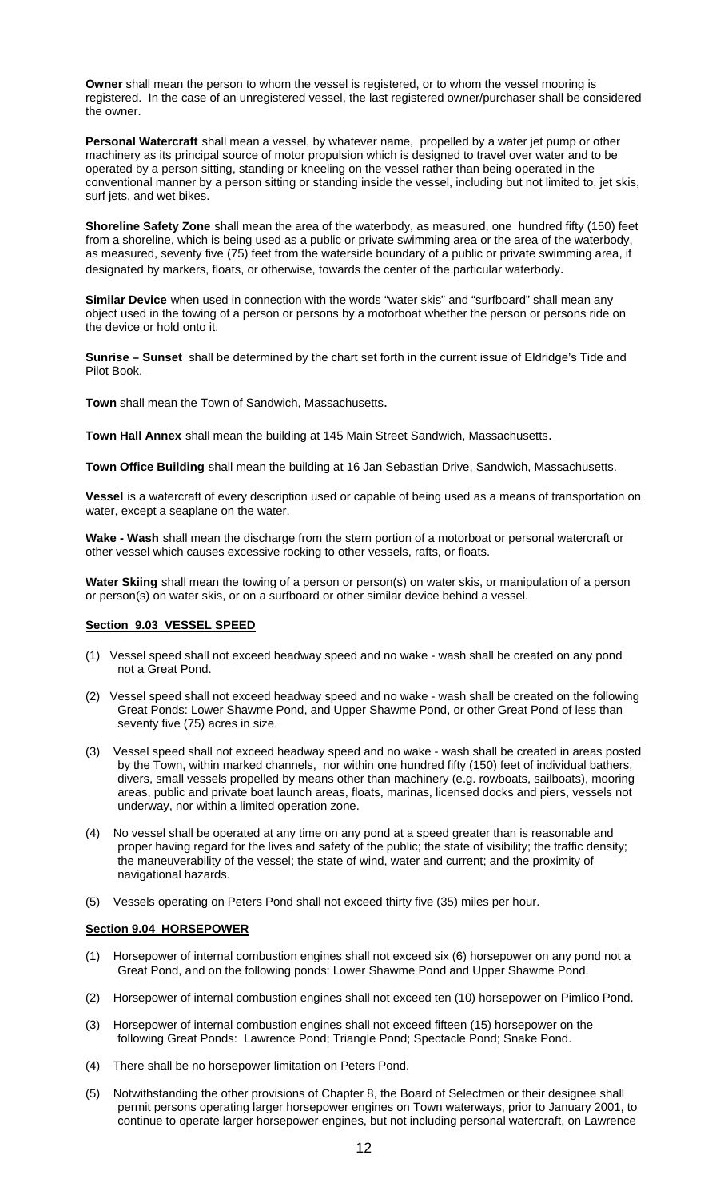**Owner** shall mean the person to whom the vessel is registered, or to whom the vessel mooring is registered. In the case of an unregistered vessel, the last registered owner/purchaser shall be considered the owner.

**Personal Watercraft** shall mean a vessel, by whatever name, propelled by a water jet pump or other machinery as its principal source of motor propulsion which is designed to travel over water and to be operated by a person sitting, standing or kneeling on the vessel rather than being operated in the conventional manner by a person sitting or standing inside the vessel, including but not limited to, jet skis, surf jets, and wet bikes.

**Shoreline Safety Zone** shall mean the area of the waterbody, as measured, one hundred fifty (150) feet from a shoreline, which is being used as a public or private swimming area or the area of the waterbody, as measured, seventy five (75) feet from the waterside boundary of a public or private swimming area, if designated by markers, floats, or otherwise, towards the center of the particular waterbody.

**Similar Device** when used in connection with the words "water skis" and "surfboard" shall mean any object used in the towing of a person or persons by a motorboat whether the person or persons ride on the device or hold onto it.

**Sunrise – Sunset** shall be determined by the chart set forth in the current issue of Eldridge's Tide and Pilot Book.

**Town** shall mean the Town of Sandwich, Massachusetts.

**Town Hall Annex** shall mean the building at 145 Main Street Sandwich, Massachusetts.

**Town Office Building** shall mean the building at 16 Jan Sebastian Drive, Sandwich, Massachusetts.

**Vessel** is a watercraft of every description used or capable of being used as a means of transportation on water, except a seaplane on the water.

**Wake - Wash** shall mean the discharge from the stern portion of a motorboat or personal watercraft or other vessel which causes excessive rocking to other vessels, rafts, or floats.

**Water Skiing** shall mean the towing of a person or person(s) on water skis, or manipulation of a person or person(s) on water skis, or on a surfboard or other similar device behind a vessel.

### **Section 9.03 VESSEL SPEED**

- (1) Vessel speed shall not exceed headway speed and no wake wash shall be created on any pond not a Great Pond.
- (2) Vessel speed shall not exceed headway speed and no wake wash shall be created on the following Great Ponds: Lower Shawme Pond, and Upper Shawme Pond, or other Great Pond of less than seventy five (75) acres in size.
- (3) Vessel speed shall not exceed headway speed and no wake wash shall be created in areas posted by the Town, within marked channels, nor within one hundred fifty (150) feet of individual bathers, divers, small vessels propelled by means other than machinery (e.g. rowboats, sailboats), mooring areas, public and private boat launch areas, floats, marinas, licensed docks and piers, vessels not underway, nor within a limited operation zone.
- (4) No vessel shall be operated at any time on any pond at a speed greater than is reasonable and proper having regard for the lives and safety of the public; the state of visibility; the traffic density; the maneuverability of the vessel; the state of wind, water and current; and the proximity of navigational hazards.
- (5) Vessels operating on Peters Pond shall not exceed thirty five (35) miles per hour.

# **Section 9.04 HORSEPOWER**

- (1) Horsepower of internal combustion engines shall not exceed six (6) horsepower on any pond not a Great Pond, and on the following ponds: Lower Shawme Pond and Upper Shawme Pond.
- (2) Horsepower of internal combustion engines shall not exceed ten (10) horsepower on Pimlico Pond.
- (3) Horsepower of internal combustion engines shall not exceed fifteen (15) horsepower on the following Great Ponds: Lawrence Pond; Triangle Pond; Spectacle Pond; Snake Pond.
- (4) There shall be no horsepower limitation on Peters Pond.
- (5) Notwithstanding the other provisions of Chapter 8, the Board of Selectmen or their designee shall permit persons operating larger horsepower engines on Town waterways, prior to January 2001, to continue to operate larger horsepower engines, but not including personal watercraft, on Lawrence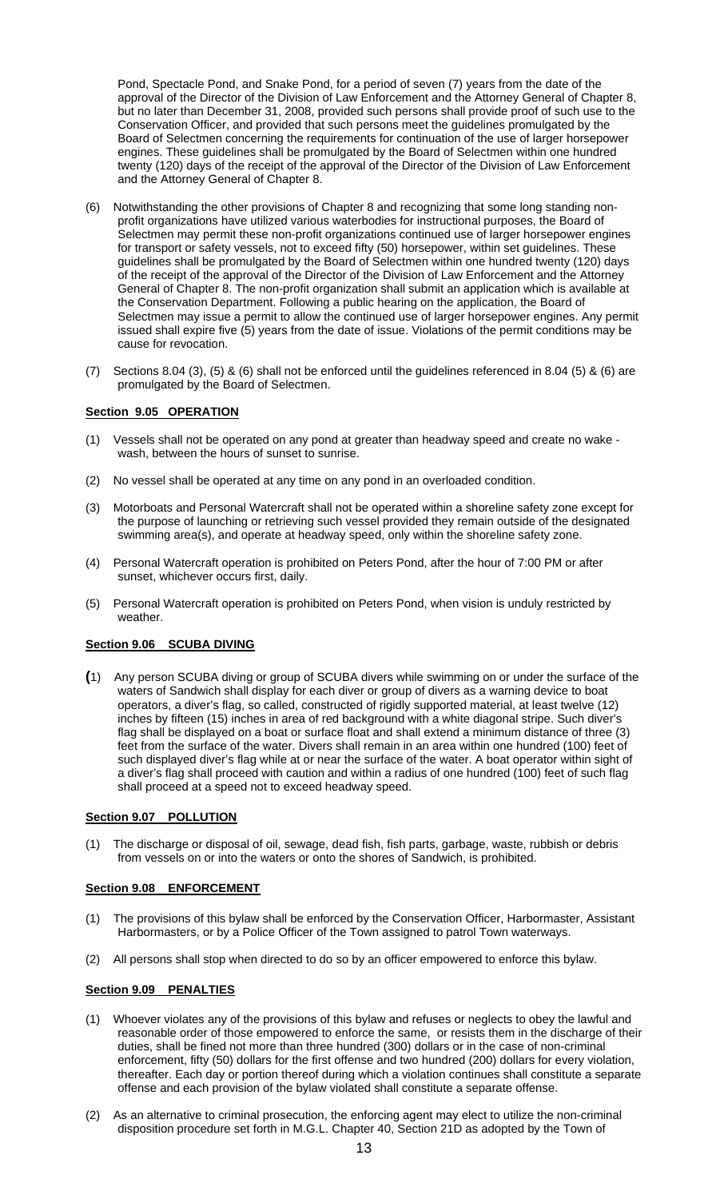Pond, Spectacle Pond, and Snake Pond, for a period of seven (7) years from the date of the approval of the Director of the Division of Law Enforcement and the Attorney General of Chapter 8, but no later than December 31, 2008, provided such persons shall provide proof of such use to the Conservation Officer, and provided that such persons meet the guidelines promulgated by the Board of Selectmen concerning the requirements for continuation of the use of larger horsepower engines. These guidelines shall be promulgated by the Board of Selectmen within one hundred twenty (120) days of the receipt of the approval of the Director of the Division of Law Enforcement and the Attorney General of Chapter 8.

- (6) Notwithstanding the other provisions of Chapter 8 and recognizing that some long standing nonprofit organizations have utilized various waterbodies for instructional purposes, the Board of Selectmen may permit these non-profit organizations continued use of larger horsepower engines for transport or safety vessels, not to exceed fifty (50) horsepower, within set guidelines. These guidelines shall be promulgated by the Board of Selectmen within one hundred twenty (120) days of the receipt of the approval of the Director of the Division of Law Enforcement and the Attorney General of Chapter 8. The non-profit organization shall submit an application which is available at the Conservation Department. Following a public hearing on the application, the Board of Selectmen may issue a permit to allow the continued use of larger horsepower engines. Any permit issued shall expire five (5) years from the date of issue. Violations of the permit conditions may be cause for revocation.
- (7) Sections 8.04 (3), (5) & (6) shall not be enforced until the guidelines referenced in 8.04 (5) & (6) are promulgated by the Board of Selectmen.

# **Section 9.05 OPERATION**

- (1) Vessels shall not be operated on any pond at greater than headway speed and create no wake wash, between the hours of sunset to sunrise.
- (2) No vessel shall be operated at any time on any pond in an overloaded condition.
- (3) Motorboats and Personal Watercraft shall not be operated within a shoreline safety zone except for the purpose of launching or retrieving such vessel provided they remain outside of the designated swimming area(s), and operate at headway speed, only within the shoreline safety zone.
- (4) Personal Watercraft operation is prohibited on Peters Pond, after the hour of 7:00 PM or after sunset, whichever occurs first, daily.
- (5) Personal Watercraft operation is prohibited on Peters Pond, when vision is unduly restricted by weather.

# **Section 9.06 SCUBA DIVING**

**(**1) Any person SCUBA diving or group of SCUBA divers while swimming on or under the surface of the waters of Sandwich shall display for each diver or group of divers as a warning device to boat operators, a diver's flag, so called, constructed of rigidly supported material, at least twelve (12) inches by fifteen (15) inches in area of red background with a white diagonal stripe. Such diver's flag shall be displayed on a boat or surface float and shall extend a minimum distance of three (3) feet from the surface of the water. Divers shall remain in an area within one hundred (100) feet of such displayed diver's flag while at or near the surface of the water. A boat operator within sight of a diver's flag shall proceed with caution and within a radius of one hundred (100) feet of such flag shall proceed at a speed not to exceed headway speed.

### **Section 9.07 POLLUTION**

(1) The discharge or disposal of oil, sewage, dead fish, fish parts, garbage, waste, rubbish or debris from vessels on or into the waters or onto the shores of Sandwich, is prohibited.

### **Section 9.08 ENFORCEMENT**

- (1) The provisions of this bylaw shall be enforced by the Conservation Officer, Harbormaster, Assistant Harbormasters, or by a Police Officer of the Town assigned to patrol Town waterways.
- (2) All persons shall stop when directed to do so by an officer empowered to enforce this bylaw.

### **Section 9.09 PENALTIES**

- (1) Whoever violates any of the provisions of this bylaw and refuses or neglects to obey the lawful and reasonable order of those empowered to enforce the same, or resists them in the discharge of their duties, shall be fined not more than three hundred (300) dollars or in the case of non-criminal enforcement, fifty (50) dollars for the first offense and two hundred (200) dollars for every violation, thereafter. Each day or portion thereof during which a violation continues shall constitute a separate offense and each provision of the bylaw violated shall constitute a separate offense.
- (2) As an alternative to criminal prosecution, the enforcing agent may elect to utilize the non-criminal disposition procedure set forth in M.G.L. Chapter 40, Section 21D as adopted by the Town of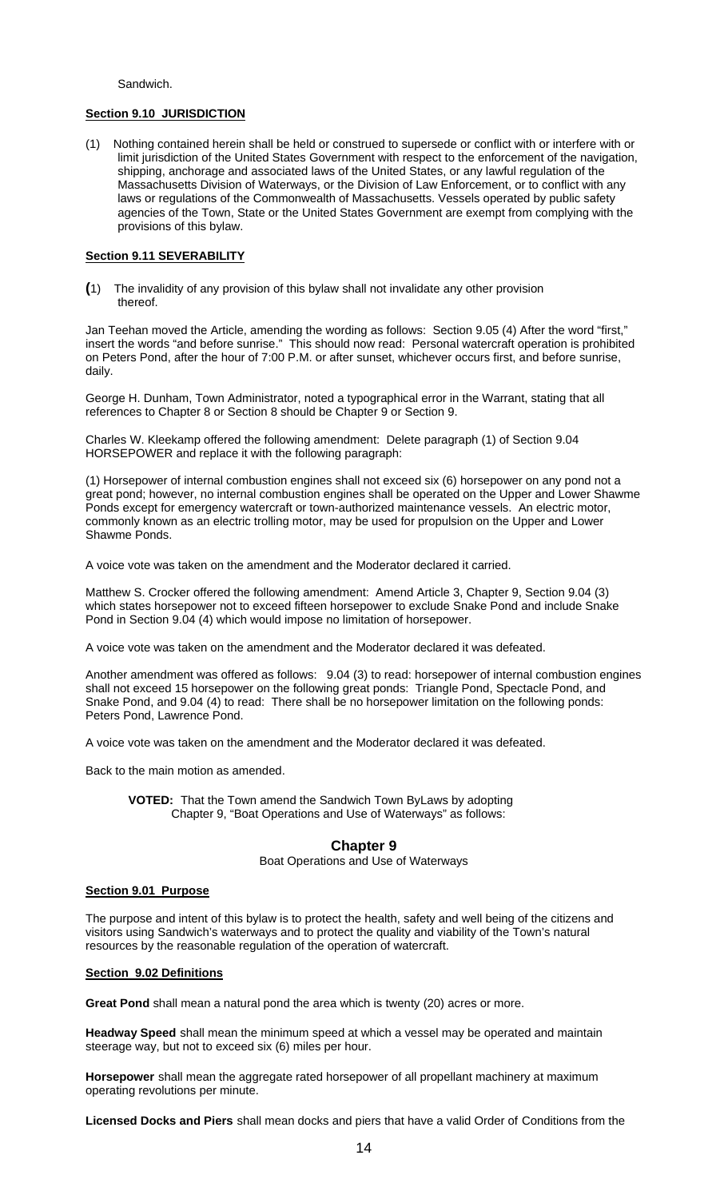Sandwich.

# **Section 9.10 JURISDICTION**

(1) Nothing contained herein shall be held or construed to supersede or conflict with or interfere with or limit jurisdiction of the United States Government with respect to the enforcement of the navigation, shipping, anchorage and associated laws of the United States, or any lawful regulation of the Massachusetts Division of Waterways, or the Division of Law Enforcement, or to conflict with any laws or regulations of the Commonwealth of Massachusetts. Vessels operated by public safety agencies of the Town, State or the United States Government are exempt from complying with the provisions of this bylaw.

# **Section 9.11 SEVERABILITY**

**(**1) The invalidity of any provision of this bylaw shall not invalidate any other provision thereof.

Jan Teehan moved the Article, amending the wording as follows: Section 9.05 (4) After the word "first," insert the words "and before sunrise." This should now read: Personal watercraft operation is prohibited on Peters Pond, after the hour of 7:00 P.M. or after sunset, whichever occurs first, and before sunrise, daily.

George H. Dunham, Town Administrator, noted a typographical error in the Warrant, stating that all references to Chapter 8 or Section 8 should be Chapter 9 or Section 9.

Charles W. Kleekamp offered the following amendment: Delete paragraph (1) of Section 9.04 HORSEPOWER and replace it with the following paragraph:

(1) Horsepower of internal combustion engines shall not exceed six (6) horsepower on any pond not a great pond; however, no internal combustion engines shall be operated on the Upper and Lower Shawme Ponds except for emergency watercraft or town-authorized maintenance vessels. An electric motor, commonly known as an electric trolling motor, may be used for propulsion on the Upper and Lower Shawme Ponds.

A voice vote was taken on the amendment and the Moderator declared it carried.

Matthew S. Crocker offered the following amendment: Amend Article 3, Chapter 9, Section 9.04 (3) which states horsepower not to exceed fifteen horsepower to exclude Snake Pond and include Snake Pond in Section 9.04 (4) which would impose no limitation of horsepower.

A voice vote was taken on the amendment and the Moderator declared it was defeated.

Another amendment was offered as follows: 9.04 (3) to read: horsepower of internal combustion engines shall not exceed 15 horsepower on the following great ponds: Triangle Pond, Spectacle Pond, and Snake Pond, and 9.04 (4) to read: There shall be no horsepower limitation on the following ponds: Peters Pond, Lawrence Pond.

A voice vote was taken on the amendment and the Moderator declared it was defeated.

Back to the main motion as amended.

**VOTED:** That the Town amend the Sandwich Town ByLaws by adopting Chapter 9, "Boat Operations and Use of Waterways" as follows:

# **Chapter 9**

Boat Operations and Use of Waterways

### **Section 9.01 Purpose**

The purpose and intent of this bylaw is to protect the health, safety and well being of the citizens and visitors using Sandwich's waterways and to protect the quality and viability of the Town's natural resources by the reasonable regulation of the operation of watercraft.

### **Section 9.02 Definitions**

**Great Pond** shall mean a natural pond the area which is twenty (20) acres or more.

**Headway Speed** shall mean the minimum speed at which a vessel may be operated and maintain steerage way, but not to exceed six (6) miles per hour.

**Horsepower** shall mean the aggregate rated horsepower of all propellant machinery at maximum operating revolutions per minute.

**Licensed Docks and Piers** shall mean docks and piers that have a valid Order of Conditions from the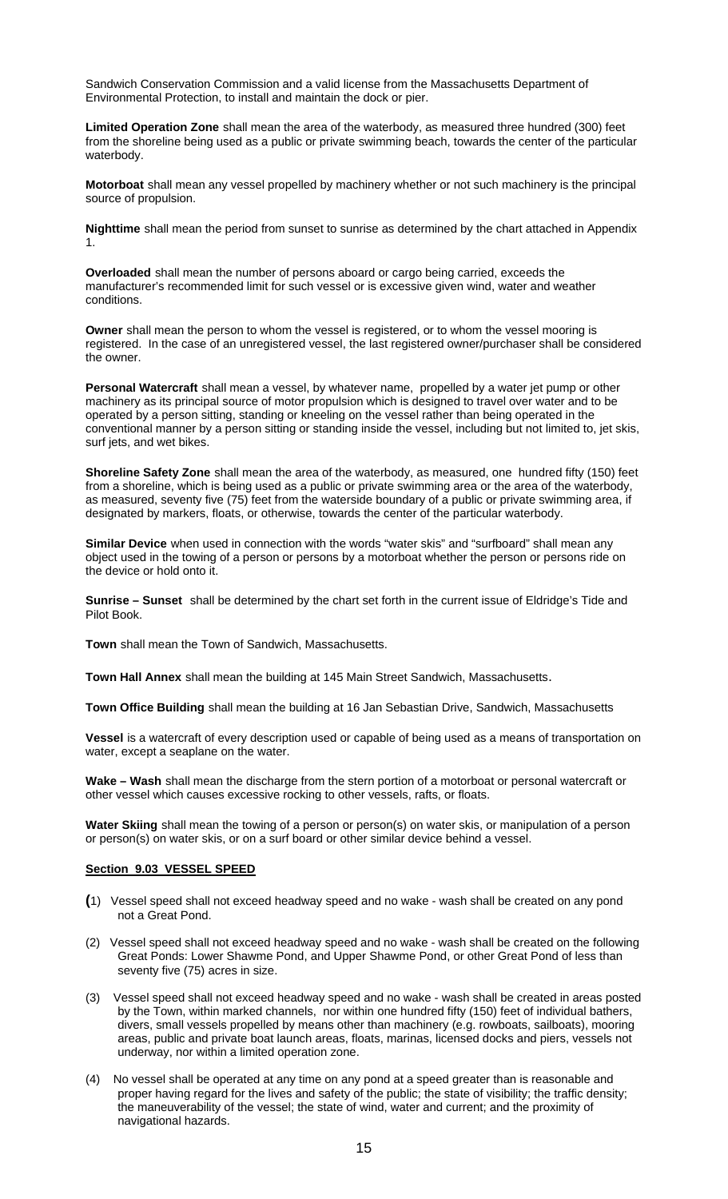Sandwich Conservation Commission and a valid license from the Massachusetts Department of Environmental Protection, to install and maintain the dock or pier.

**Limited Operation Zone** shall mean the area of the waterbody, as measured three hundred (300) feet from the shoreline being used as a public or private swimming beach, towards the center of the particular waterbody.

**Motorboat** shall mean any vessel propelled by machinery whether or not such machinery is the principal source of propulsion.

**Nighttime** shall mean the period from sunset to sunrise as determined by the chart attached in Appendix 1.

**Overloaded** shall mean the number of persons aboard or cargo being carried, exceeds the manufacturer's recommended limit for such vessel or is excessive given wind, water and weather conditions.

**Owner** shall mean the person to whom the vessel is registered, or to whom the vessel mooring is registered. In the case of an unregistered vessel, the last registered owner/purchaser shall be considered the owner.

**Personal Watercraft** shall mean a vessel, by whatever name, propelled by a water jet pump or other machinery as its principal source of motor propulsion which is designed to travel over water and to be operated by a person sitting, standing or kneeling on the vessel rather than being operated in the conventional manner by a person sitting or standing inside the vessel, including but not limited to, jet skis, surf jets, and wet bikes.

**Shoreline Safety Zone** shall mean the area of the waterbody, as measured, one hundred fifty (150) feet from a shoreline, which is being used as a public or private swimming area or the area of the waterbody, as measured, seventy five (75) feet from the waterside boundary of a public or private swimming area, if designated by markers, floats, or otherwise, towards the center of the particular waterbody.

**Similar Device** when used in connection with the words "water skis" and "surfboard" shall mean any object used in the towing of a person or persons by a motorboat whether the person or persons ride on the device or hold onto it.

**Sunrise – Sunset** shall be determined by the chart set forth in the current issue of Eldridge's Tide and Pilot Book.

**Town** shall mean the Town of Sandwich, Massachusetts.

**Town Hall Annex** shall mean the building at 145 Main Street Sandwich, Massachusetts.

**Town Office Building** shall mean the building at 16 Jan Sebastian Drive, Sandwich, Massachusetts

**Vessel** is a watercraft of every description used or capable of being used as a means of transportation on water, except a seaplane on the water.

**Wake – Wash** shall mean the discharge from the stern portion of a motorboat or personal watercraft or other vessel which causes excessive rocking to other vessels, rafts, or floats.

**Water Skiing** shall mean the towing of a person or person(s) on water skis, or manipulation of a person or person(s) on water skis, or on a surf board or other similar device behind a vessel.

# **Section 9.03 VESSEL SPEED**

- **(**1) Vessel speed shall not exceed headway speed and no wake wash shall be created on any pond not a Great Pond.
- (2) Vessel speed shall not exceed headway speed and no wake wash shall be created on the following Great Ponds: Lower Shawme Pond, and Upper Shawme Pond, or other Great Pond of less than seventy five (75) acres in size.
- (3) Vessel speed shall not exceed headway speed and no wake wash shall be created in areas posted by the Town, within marked channels, nor within one hundred fifty (150) feet of individual bathers, divers, small vessels propelled by means other than machinery (e.g. rowboats, sailboats), mooring areas, public and private boat launch areas, floats, marinas, licensed docks and piers, vessels not underway, nor within a limited operation zone.
- (4) No vessel shall be operated at any time on any pond at a speed greater than is reasonable and proper having regard for the lives and safety of the public; the state of visibility; the traffic density; the maneuverability of the vessel; the state of wind, water and current; and the proximity of navigational hazards.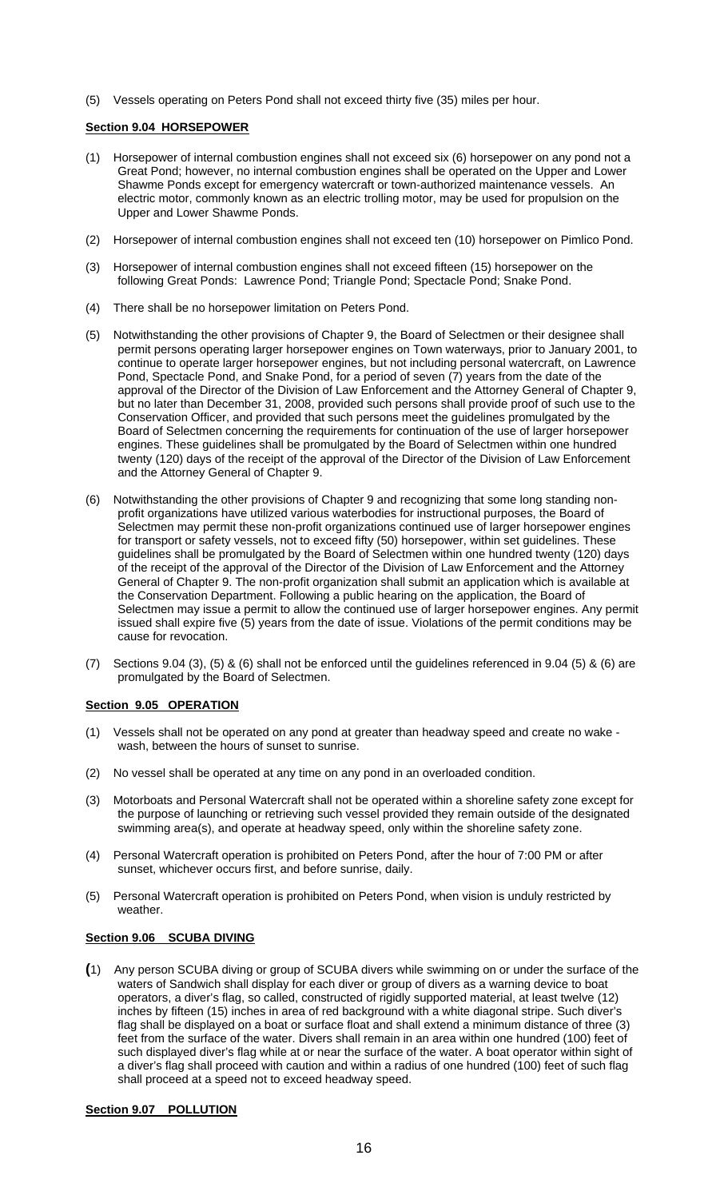(5) Vessels operating on Peters Pond shall not exceed thirty five (35) miles per hour.

# **Section 9.04 HORSEPOWER**

- (1) Horsepower of internal combustion engines shall not exceed six (6) horsepower on any pond not a Great Pond; however, no internal combustion engines shall be operated on the Upper and Lower Shawme Ponds except for emergency watercraft or town-authorized maintenance vessels. An electric motor, commonly known as an electric trolling motor, may be used for propulsion on the Upper and Lower Shawme Ponds.
- (2) Horsepower of internal combustion engines shall not exceed ten (10) horsepower on Pimlico Pond.
- (3) Horsepower of internal combustion engines shall not exceed fifteen (15) horsepower on the following Great Ponds: Lawrence Pond; Triangle Pond; Spectacle Pond; Snake Pond.
- (4) There shall be no horsepower limitation on Peters Pond.
- (5) Notwithstanding the other provisions of Chapter 9, the Board of Selectmen or their designee shall permit persons operating larger horsepower engines on Town waterways, prior to January 2001, to continue to operate larger horsepower engines, but not including personal watercraft, on Lawrence Pond, Spectacle Pond, and Snake Pond, for a period of seven (7) years from the date of the approval of the Director of the Division of Law Enforcement and the Attorney General of Chapter 9, but no later than December 31, 2008, provided such persons shall provide proof of such use to the Conservation Officer, and provided that such persons meet the guidelines promulgated by the Board of Selectmen concerning the requirements for continuation of the use of larger horsepower engines. These guidelines shall be promulgated by the Board of Selectmen within one hundred twenty (120) days of the receipt of the approval of the Director of the Division of Law Enforcement and the Attorney General of Chapter 9.
- (6) Notwithstanding the other provisions of Chapter 9 and recognizing that some long standing nonprofit organizations have utilized various waterbodies for instructional purposes, the Board of Selectmen may permit these non-profit organizations continued use of larger horsepower engines for transport or safety vessels, not to exceed fifty (50) horsepower, within set guidelines. These guidelines shall be promulgated by the Board of Selectmen within one hundred twenty (120) days of the receipt of the approval of the Director of the Division of Law Enforcement and the Attorney General of Chapter 9. The non-profit organization shall submit an application which is available at the Conservation Department. Following a public hearing on the application, the Board of Selectmen may issue a permit to allow the continued use of larger horsepower engines. Any permit issued shall expire five (5) years from the date of issue. Violations of the permit conditions may be cause for revocation.
- (7) Sections 9.04 (3), (5) & (6) shall not be enforced until the guidelines referenced in 9.04 (5) & (6) are promulgated by the Board of Selectmen.

# **Section 9.05 OPERATION**

- (1) Vessels shall not be operated on any pond at greater than headway speed and create no wake wash, between the hours of sunset to sunrise.
- (2) No vessel shall be operated at any time on any pond in an overloaded condition.
- (3) Motorboats and Personal Watercraft shall not be operated within a shoreline safety zone except for the purpose of launching or retrieving such vessel provided they remain outside of the designated swimming area(s), and operate at headway speed, only within the shoreline safety zone.
- (4) Personal Watercraft operation is prohibited on Peters Pond, after the hour of 7:00 PM or after sunset, whichever occurs first, and before sunrise, daily.
- (5) Personal Watercraft operation is prohibited on Peters Pond, when vision is unduly restricted by weather.

# **Section 9.06 SCUBA DIVING**

**(**1) Any person SCUBA diving or group of SCUBA divers while swimming on or under the surface of the waters of Sandwich shall display for each diver or group of divers as a warning device to boat operators, a diver's flag, so called, constructed of rigidly supported material, at least twelve (12) inches by fifteen (15) inches in area of red background with a white diagonal stripe. Such diver's flag shall be displayed on a boat or surface float and shall extend a minimum distance of three (3) feet from the surface of the water. Divers shall remain in an area within one hundred (100) feet of such displayed diver's flag while at or near the surface of the water. A boat operator within sight of a diver's flag shall proceed with caution and within a radius of one hundred (100) feet of such flag shall proceed at a speed not to exceed headway speed.

# **Section 9.07 POLLUTION**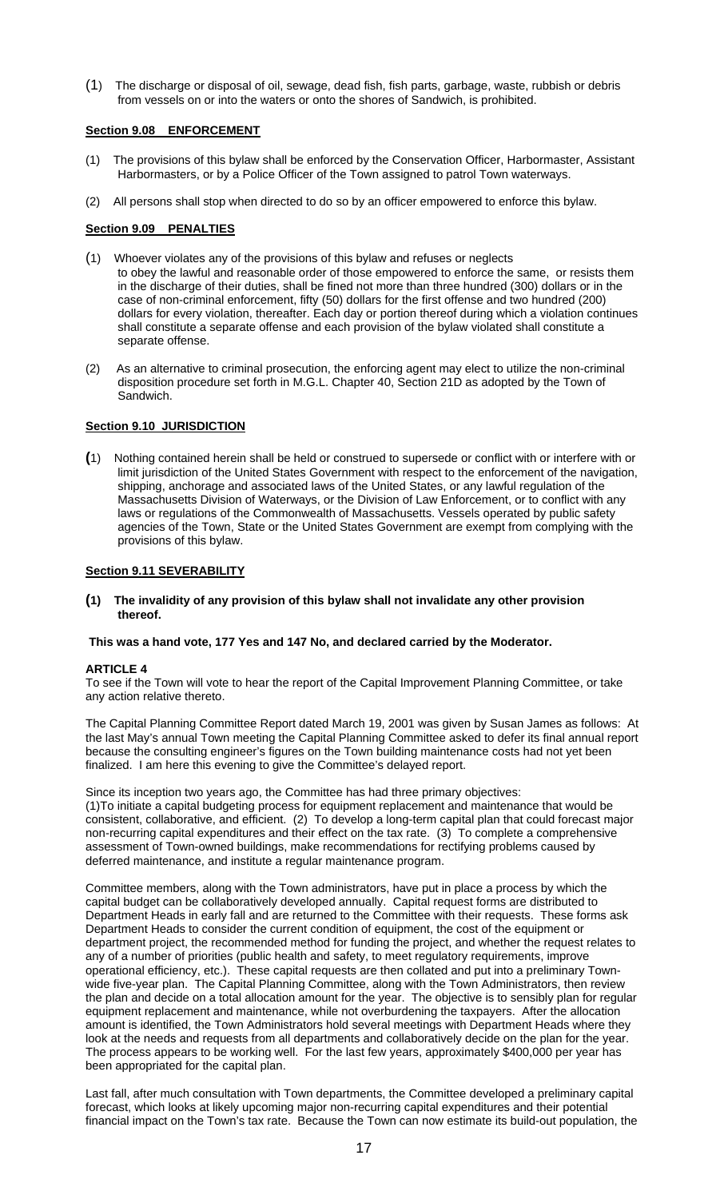(1) The discharge or disposal of oil, sewage, dead fish, fish parts, garbage, waste, rubbish or debris from vessels on or into the waters or onto the shores of Sandwich, is prohibited.

# **Section 9.08 ENFORCEMENT**

- (1) The provisions of this bylaw shall be enforced by the Conservation Officer, Harbormaster, Assistant Harbormasters, or by a Police Officer of the Town assigned to patrol Town waterways.
- (2) All persons shall stop when directed to do so by an officer empowered to enforce this bylaw.

# **Section 9.09 PENALTIES**

- (1) Whoever violates any of the provisions of this bylaw and refuses or neglects to obey the lawful and reasonable order of those empowered to enforce the same, or resists them in the discharge of their duties, shall be fined not more than three hundred (300) dollars or in the case of non-criminal enforcement, fifty (50) dollars for the first offense and two hundred (200) dollars for every violation, thereafter. Each day or portion thereof during which a violation continues shall constitute a separate offense and each provision of the bylaw violated shall constitute a separate offense.
- (2) As an alternative to criminal prosecution, the enforcing agent may elect to utilize the non-criminal disposition procedure set forth in M.G.L. Chapter 40, Section 21D as adopted by the Town of Sandwich.

# **Section 9.10 JURISDICTION**

**(**1) Nothing contained herein shall be held or construed to supersede or conflict with or interfere with or limit jurisdiction of the United States Government with respect to the enforcement of the navigation, shipping, anchorage and associated laws of the United States, or any lawful regulation of the Massachusetts Division of Waterways, or the Division of Law Enforcement, or to conflict with any laws or regulations of the Commonwealth of Massachusetts. Vessels operated by public safety agencies of the Town, State or the United States Government are exempt from complying with the provisions of this bylaw.

# **Section 9.11 SEVERABILITY**

**(1) The invalidity of any provision of this bylaw shall not invalidate any other provision thereof.** 

### **This was a hand vote, 177 Yes and 147 No, and declared carried by the Moderator.**

### **ARTICLE 4**

To see if the Town will vote to hear the report of the Capital Improvement Planning Committee, or take any action relative thereto.

The Capital Planning Committee Report dated March 19, 2001 was given by Susan James as follows: At the last May's annual Town meeting the Capital Planning Committee asked to defer its final annual report because the consulting engineer's figures on the Town building maintenance costs had not yet been finalized. I am here this evening to give the Committee's delayed report.

Since its inception two years ago, the Committee has had three primary objectives: (1)To initiate a capital budgeting process for equipment replacement and maintenance that would be consistent, collaborative, and efficient. (2) To develop a long-term capital plan that could forecast major non-recurring capital expenditures and their effect on the tax rate. (3) To complete a comprehensive assessment of Town-owned buildings, make recommendations for rectifying problems caused by deferred maintenance, and institute a regular maintenance program.

Committee members, along with the Town administrators, have put in place a process by which the capital budget can be collaboratively developed annually. Capital request forms are distributed to Department Heads in early fall and are returned to the Committee with their requests. These forms ask Department Heads to consider the current condition of equipment, the cost of the equipment or department project, the recommended method for funding the project, and whether the request relates to any of a number of priorities (public health and safety, to meet regulatory requirements, improve operational efficiency, etc.). These capital requests are then collated and put into a preliminary Townwide five-year plan. The Capital Planning Committee, along with the Town Administrators, then review the plan and decide on a total allocation amount for the year. The objective is to sensibly plan for regular equipment replacement and maintenance, while not overburdening the taxpayers. After the allocation amount is identified, the Town Administrators hold several meetings with Department Heads where they look at the needs and requests from all departments and collaboratively decide on the plan for the year. The process appears to be working well. For the last few years, approximately \$400,000 per year has been appropriated for the capital plan.

Last fall, after much consultation with Town departments, the Committee developed a preliminary capital forecast, which looks at likely upcoming major non-recurring capital expenditures and their potential financial impact on the Town's tax rate. Because the Town can now estimate its build-out population, the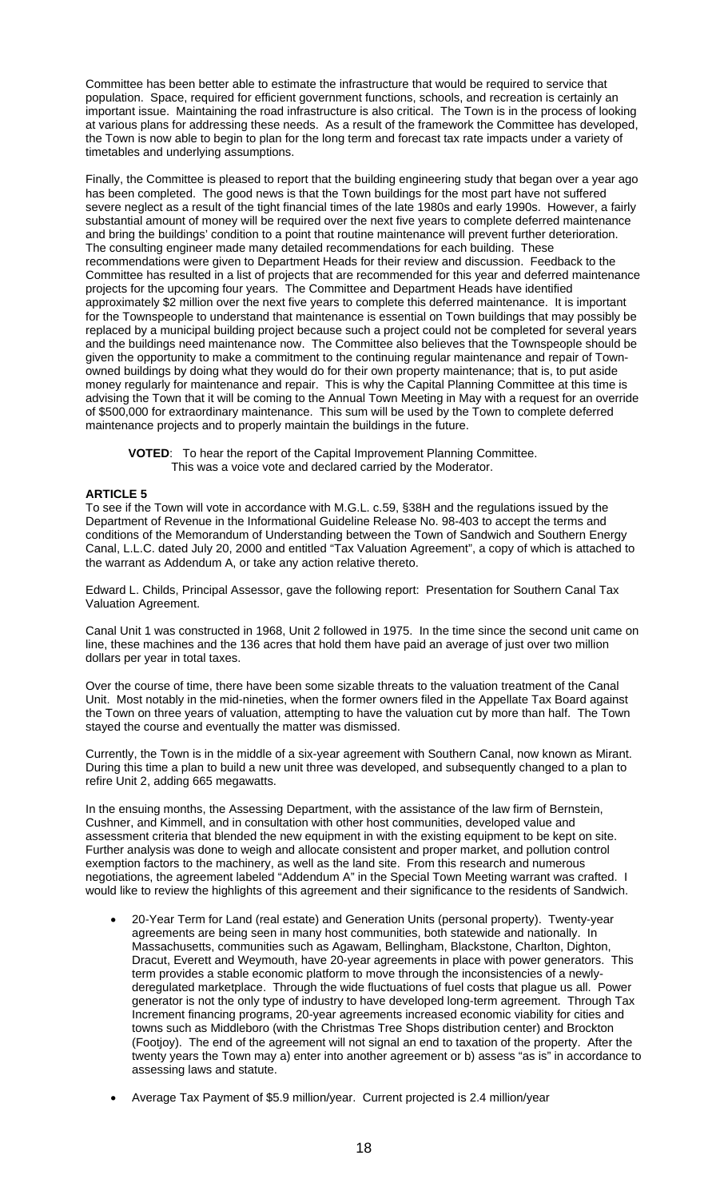Committee has been better able to estimate the infrastructure that would be required to service that population. Space, required for efficient government functions, schools, and recreation is certainly an important issue. Maintaining the road infrastructure is also critical. The Town is in the process of looking at various plans for addressing these needs. As a result of the framework the Committee has developed, the Town is now able to begin to plan for the long term and forecast tax rate impacts under a variety of timetables and underlying assumptions.

Finally, the Committee is pleased to report that the building engineering study that began over a year ago has been completed. The good news is that the Town buildings for the most part have not suffered severe neglect as a result of the tight financial times of the late 1980s and early 1990s. However, a fairly substantial amount of money will be required over the next five years to complete deferred maintenance and bring the buildings' condition to a point that routine maintenance will prevent further deterioration. The consulting engineer made many detailed recommendations for each building. These recommendations were given to Department Heads for their review and discussion. Feedback to the Committee has resulted in a list of projects that are recommended for this year and deferred maintenance projects for the upcoming four years. The Committee and Department Heads have identified approximately \$2 million over the next five years to complete this deferred maintenance. It is important for the Townspeople to understand that maintenance is essential on Town buildings that may possibly be replaced by a municipal building project because such a project could not be completed for several years and the buildings need maintenance now. The Committee also believes that the Townspeople should be given the opportunity to make a commitment to the continuing regular maintenance and repair of Townowned buildings by doing what they would do for their own property maintenance; that is, to put aside money regularly for maintenance and repair. This is why the Capital Planning Committee at this time is advising the Town that it will be coming to the Annual Town Meeting in May with a request for an override of \$500,000 for extraordinary maintenance. This sum will be used by the Town to complete deferred maintenance projects and to properly maintain the buildings in the future.

**VOTED**: To hear the report of the Capital Improvement Planning Committee. This was a voice vote and declared carried by the Moderator.

# **ARTICLE 5**

To see if the Town will vote in accordance with M.G.L. c.59, §38H and the regulations issued by the Department of Revenue in the Informational Guideline Release No. 98-403 to accept the terms and conditions of the Memorandum of Understanding between the Town of Sandwich and Southern Energy Canal, L.L.C. dated July 20, 2000 and entitled "Tax Valuation Agreement", a copy of which is attached to the warrant as Addendum A, or take any action relative thereto.

Edward L. Childs, Principal Assessor, gave the following report: Presentation for Southern Canal Tax Valuation Agreement.

Canal Unit 1 was constructed in 1968, Unit 2 followed in 1975. In the time since the second unit came on line, these machines and the 136 acres that hold them have paid an average of just over two million dollars per year in total taxes.

Over the course of time, there have been some sizable threats to the valuation treatment of the Canal Unit. Most notably in the mid-nineties, when the former owners filed in the Appellate Tax Board against the Town on three years of valuation, attempting to have the valuation cut by more than half. The Town stayed the course and eventually the matter was dismissed.

Currently, the Town is in the middle of a six-year agreement with Southern Canal, now known as Mirant. During this time a plan to build a new unit three was developed, and subsequently changed to a plan to refire Unit 2, adding 665 megawatts.

In the ensuing months, the Assessing Department, with the assistance of the law firm of Bernstein, Cushner, and Kimmell, and in consultation with other host communities, developed value and assessment criteria that blended the new equipment in with the existing equipment to be kept on site. Further analysis was done to weigh and allocate consistent and proper market, and pollution control exemption factors to the machinery, as well as the land site. From this research and numerous negotiations, the agreement labeled "Addendum A" in the Special Town Meeting warrant was crafted. I would like to review the highlights of this agreement and their significance to the residents of Sandwich.

- 20-Year Term for Land (real estate) and Generation Units (personal property). Twenty-year agreements are being seen in many host communities, both statewide and nationally. In Massachusetts, communities such as Agawam, Bellingham, Blackstone, Charlton, Dighton, Dracut, Everett and Weymouth, have 20-year agreements in place with power generators. This term provides a stable economic platform to move through the inconsistencies of a newlyderegulated marketplace. Through the wide fluctuations of fuel costs that plague us all. Power generator is not the only type of industry to have developed long-term agreement. Through Tax Increment financing programs, 20-year agreements increased economic viability for cities and towns such as Middleboro (with the Christmas Tree Shops distribution center) and Brockton (Footjoy). The end of the agreement will not signal an end to taxation of the property. After the twenty years the Town may a) enter into another agreement or b) assess "as is" in accordance to assessing laws and statute.
- Average Tax Payment of \$5.9 million/year. Current projected is 2.4 million/year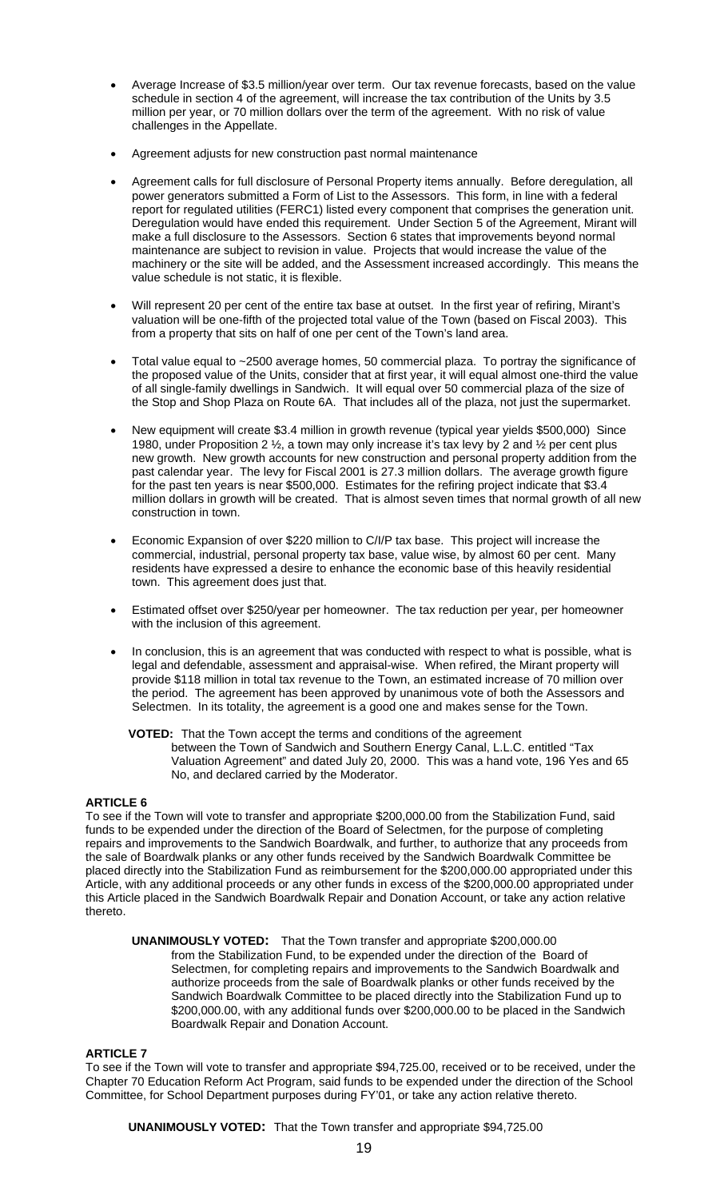- Average Increase of \$3.5 million/year over term. Our tax revenue forecasts, based on the value schedule in section 4 of the agreement, will increase the tax contribution of the Units by 3.5 million per year, or 70 million dollars over the term of the agreement. With no risk of value challenges in the Appellate.
- Agreement adjusts for new construction past normal maintenance
- Agreement calls for full disclosure of Personal Property items annually. Before deregulation, all power generators submitted a Form of List to the Assessors. This form, in line with a federal report for regulated utilities (FERC1) listed every component that comprises the generation unit. Deregulation would have ended this requirement. Under Section 5 of the Agreement, Mirant will make a full disclosure to the Assessors. Section 6 states that improvements beyond normal maintenance are subject to revision in value. Projects that would increase the value of the machinery or the site will be added, and the Assessment increased accordingly. This means the value schedule is not static, it is flexible.
- Will represent 20 per cent of the entire tax base at outset. In the first year of refiring, Mirant's valuation will be one-fifth of the projected total value of the Town (based on Fiscal 2003). This from a property that sits on half of one per cent of the Town's land area.
- Total value equal to ~2500 average homes, 50 commercial plaza. To portray the significance of the proposed value of the Units, consider that at first year, it will equal almost one-third the value of all single-family dwellings in Sandwich. It will equal over 50 commercial plaza of the size of the Stop and Shop Plaza on Route 6A. That includes all of the plaza, not just the supermarket.
- New equipment will create \$3.4 million in growth revenue (typical year yields \$500,000) Since 1980, under Proposition 2 ½, a town may only increase it's tax levy by 2 and ½ per cent plus new growth. New growth accounts for new construction and personal property addition from the past calendar year. The levy for Fiscal 2001 is 27.3 million dollars. The average growth figure for the past ten years is near \$500,000. Estimates for the refiring project indicate that \$3.4 million dollars in growth will be created. That is almost seven times that normal growth of all new construction in town.
- Economic Expansion of over \$220 million to C/I/P tax base. This project will increase the commercial, industrial, personal property tax base, value wise, by almost 60 per cent. Many residents have expressed a desire to enhance the economic base of this heavily residential town. This agreement does just that.
- Estimated offset over \$250/year per homeowner. The tax reduction per year, per homeowner with the inclusion of this agreement.
- In conclusion, this is an agreement that was conducted with respect to what is possible, what is legal and defendable, assessment and appraisal-wise. When refired, the Mirant property will provide \$118 million in total tax revenue to the Town, an estimated increase of 70 million over the period. The agreement has been approved by unanimous vote of both the Assessors and Selectmen. In its totality, the agreement is a good one and makes sense for the Town.
	- **VOTED:** That the Town accept the terms and conditions of the agreement between the Town of Sandwich and Southern Energy Canal, L.L.C. entitled "Tax Valuation Agreement" and dated July 20, 2000. This was a hand vote, 196 Yes and 65 No, and declared carried by the Moderator.

# **ARTICLE 6**

To see if the Town will vote to transfer and appropriate \$200,000.00 from the Stabilization Fund, said funds to be expended under the direction of the Board of Selectmen, for the purpose of completing repairs and improvements to the Sandwich Boardwalk, and further, to authorize that any proceeds from the sale of Boardwalk planks or any other funds received by the Sandwich Boardwalk Committee be placed directly into the Stabilization Fund as reimbursement for the \$200,000.00 appropriated under this Article, with any additional proceeds or any other funds in excess of the \$200,000.00 appropriated under this Article placed in the Sandwich Boardwalk Repair and Donation Account, or take any action relative thereto.

 **UNANIMOUSLY VOTED:** That the Town transfer and appropriate \$200,000.00 from the Stabilization Fund, to be expended under the direction of the Board of Selectmen, for completing repairs and improvements to the Sandwich Boardwalk and authorize proceeds from the sale of Boardwalk planks or other funds received by the Sandwich Boardwalk Committee to be placed directly into the Stabilization Fund up to \$200,000.00, with any additional funds over \$200,000.00 to be placed in the Sandwich Boardwalk Repair and Donation Account.

### **ARTICLE 7**

To see if the Town will vote to transfer and appropriate \$94,725.00, received or to be received, under the Chapter 70 Education Reform Act Program, said funds to be expended under the direction of the School Committee, for School Department purposes during FY'01, or take any action relative thereto.

**UNANIMOUSLY VOTED:** That the Town transfer and appropriate \$94,725.00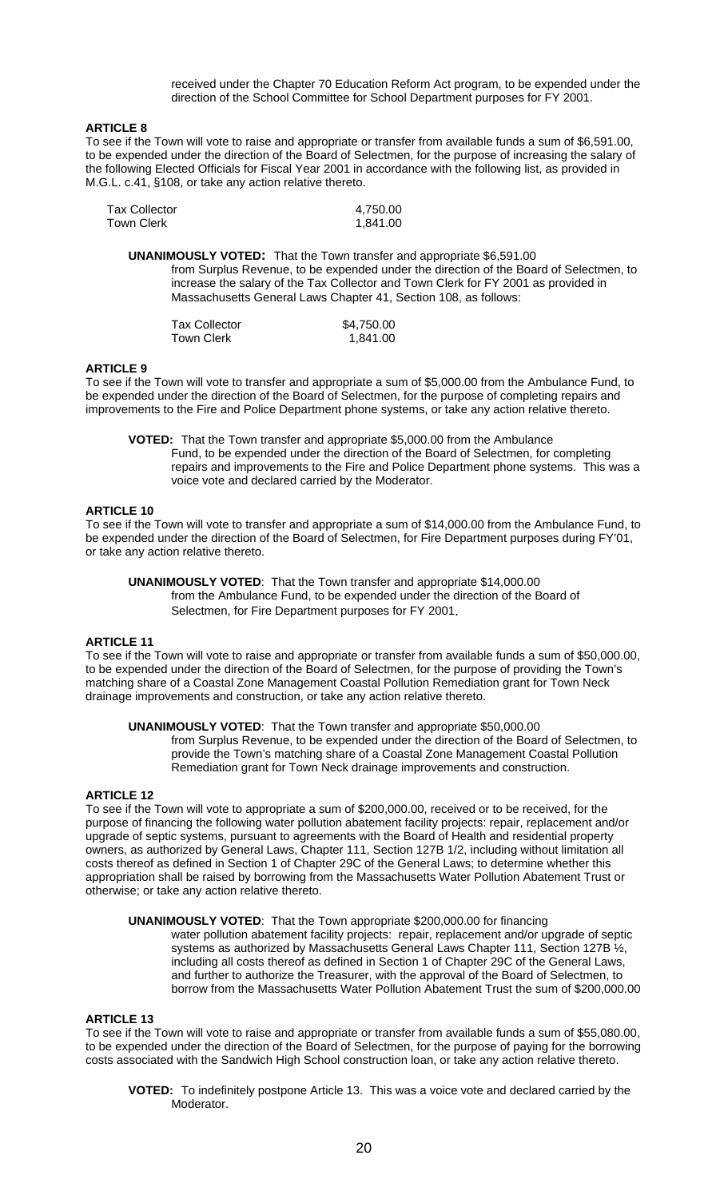received under the Chapter 70 Education Reform Act program, to be expended under the direction of the School Committee for School Department purposes for FY 2001.

# **ARTICLE 8**

To see if the Town will vote to raise and appropriate or transfer from available funds a sum of \$6,591.00, to be expended under the direction of the Board of Selectmen, for the purpose of increasing the salary of the following Elected Officials for Fiscal Year 2001 in accordance with the following list, as provided in M.G.L. c.41, §108, or take any action relative thereto.

| <b>Tax Collector</b> | 4,750.00 |
|----------------------|----------|
| Town Clerk           | 1,841.00 |

**UNANIMOUSLY VOTED:** That the Town transfer and appropriate \$6,591.00 from Surplus Revenue, to be expended under the direction of the Board of Selectmen, to increase the salary of the Tax Collector and Town Clerk for FY 2001 as provided in Massachusetts General Laws Chapter 41, Section 108, as follows:

| <b>Tax Collector</b> | \$4,750.00 |
|----------------------|------------|
| Town Clerk           | 1,841.00   |

# **ARTICLE 9**

To see if the Town will vote to transfer and appropriate a sum of \$5,000.00 from the Ambulance Fund, to be expended under the direction of the Board of Selectmen, for the purpose of completing repairs and improvements to the Fire and Police Department phone systems, or take any action relative thereto.

**VOTED:** That the Town transfer and appropriate \$5,000.00 from the Ambulance Fund, to be expended under the direction of the Board of Selectmen, for completing repairs and improvements to the Fire and Police Department phone systems. This was a voice vote and declared carried by the Moderator.

# **ARTICLE 10**

To see if the Town will vote to transfer and appropriate a sum of \$14,000.00 from the Ambulance Fund, to be expended under the direction of the Board of Selectmen, for Fire Department purposes during FY'01, or take any action relative thereto.

**UNANIMOUSLY VOTED**: That the Town transfer and appropriate \$14,000.00 from the Ambulance Fund, to be expended under the direction of the Board of Selectmen, for Fire Department purposes for FY 2001.

### **ARTICLE 11**

To see if the Town will vote to raise and appropriate or transfer from available funds a sum of \$50,000.00, to be expended under the direction of the Board of Selectmen, for the purpose of providing the Town's matching share of a Coastal Zone Management Coastal Pollution Remediation grant for Town Neck drainage improvements and construction, or take any action relative thereto.

**UNANIMOUSLY VOTED**: That the Town transfer and appropriate \$50,000.00 from Surplus Revenue, to be expended under the direction of the Board of Selectmen, to provide the Town's matching share of a Coastal Zone Management Coastal Pollution Remediation grant for Town Neck drainage improvements and construction.

# **ARTICLE 12**

To see if the Town will vote to appropriate a sum of \$200,000.00, received or to be received, for the purpose of financing the following water pollution abatement facility projects: repair, replacement and/or upgrade of septic systems, pursuant to agreements with the Board of Health and residential property owners, as authorized by General Laws, Chapter 111, Section 127B 1/2, including without limitation all costs thereof as defined in Section 1 of Chapter 29C of the General Laws; to determine whether this appropriation shall be raised by borrowing from the Massachusetts Water Pollution Abatement Trust or otherwise; or take any action relative thereto.

**UNANIMOUSLY VOTED**: That the Town appropriate \$200,000.00 for financing

water pollution abatement facility projects: repair, replacement and/or upgrade of septic systems as authorized by Massachusetts General Laws Chapter 111, Section 127B ½, including all costs thereof as defined in Section 1 of Chapter 29C of the General Laws, and further to authorize the Treasurer, with the approval of the Board of Selectmen, to borrow from the Massachusetts Water Pollution Abatement Trust the sum of \$200,000.00

### **ARTICLE 13**

To see if the Town will vote to raise and appropriate or transfer from available funds a sum of \$55,080.00, to be expended under the direction of the Board of Selectmen, for the purpose of paying for the borrowing costs associated with the Sandwich High School construction loan, or take any action relative thereto.

**VOTED:** To indefinitely postpone Article 13. This was a voice vote and declared carried by the Moderator.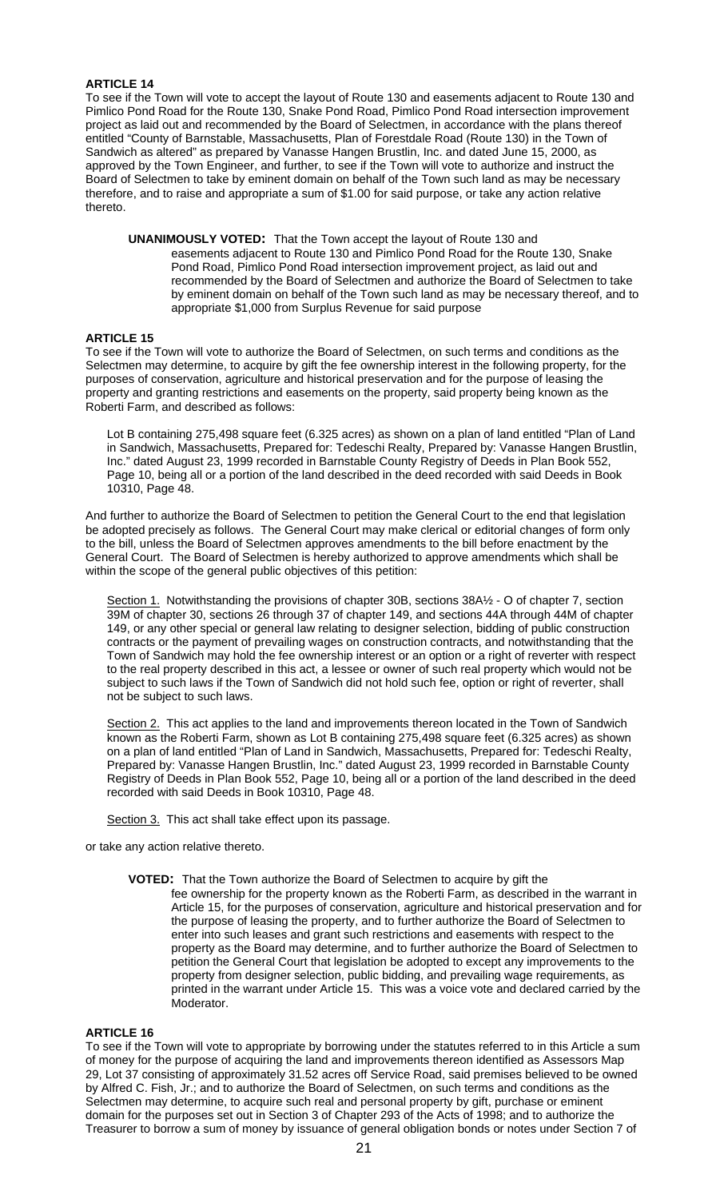# **ARTICLE 14**

To see if the Town will vote to accept the layout of Route 130 and easements adjacent to Route 130 and Pimlico Pond Road for the Route 130, Snake Pond Road, Pimlico Pond Road intersection improvement project as laid out and recommended by the Board of Selectmen, in accordance with the plans thereof entitled "County of Barnstable, Massachusetts, Plan of Forestdale Road (Route 130) in the Town of Sandwich as altered" as prepared by Vanasse Hangen Brustlin, Inc. and dated June 15, 2000, as approved by the Town Engineer, and further, to see if the Town will vote to authorize and instruct the Board of Selectmen to take by eminent domain on behalf of the Town such land as may be necessary therefore, and to raise and appropriate a sum of \$1.00 for said purpose, or take any action relative thereto.

**UNANIMOUSLY VOTED:** That the Town accept the layout of Route 130 and easements adjacent to Route 130 and Pimlico Pond Road for the Route 130, Snake Pond Road, Pimlico Pond Road intersection improvement project, as laid out and recommended by the Board of Selectmen and authorize the Board of Selectmen to take by eminent domain on behalf of the Town such land as may be necessary thereof, and to appropriate \$1,000 from Surplus Revenue for said purpose

# **ARTICLE 15**

To see if the Town will vote to authorize the Board of Selectmen, on such terms and conditions as the Selectmen may determine, to acquire by gift the fee ownership interest in the following property, for the purposes of conservation, agriculture and historical preservation and for the purpose of leasing the property and granting restrictions and easements on the property, said property being known as the Roberti Farm, and described as follows:

Lot B containing 275,498 square feet (6.325 acres) as shown on a plan of land entitled "Plan of Land in Sandwich, Massachusetts, Prepared for: Tedeschi Realty, Prepared by: Vanasse Hangen Brustlin, In Bahawich, Massachusette, Prepared Information Power Present Present Plan Book 552, Page 10, being all or a portion of the land described in the deed recorded with said Deeds in Book 10310, Page 48.

And further to authorize the Board of Selectmen to petition the General Court to the end that legislation be adopted precisely as follows. The General Court may make clerical or editorial changes of form only to the bill, unless the Board of Selectmen approves amendments to the bill before enactment by the General Court. The Board of Selectmen is hereby authorized to approve amendments which shall be within the scope of the general public objectives of this petition:

Section 1. Notwithstanding the provisions of chapter 30B, sections 38A½ - O of chapter 7, section 39M of chapter 30, sections 26 through 37 of chapter 149, and sections 44A through 44M of chapter 149, or any other special or general law relating to designer selection, bidding of public construction contracts or the payment of prevailing wages on construction contracts, and notwithstanding that the Town of Sandwich may hold the fee ownership interest or an option or a right of reverter with respect to the real property described in this act, a lessee or owner of such real property which would not be subject to such laws if the Town of Sandwich did not hold such fee, option or right of reverter, shall not be subject to such laws.

Section 2. This act applies to the land and improvements thereon located in the Town of Sandwich known as the Roberti Farm, shown as Lot B containing 275,498 square feet (6.325 acres) as shown on a plan of land entitled "Plan of Land in Sandwich, Massachusetts, Prepared for: Tedeschi Realty, Prepared by: Vanasse Hangen Brustlin, Inc." dated August 23, 1999 recorded in Barnstable County Registry of Deeds in Plan Book 552, Page 10, being all or a portion of the land described in the deed recorded with said Deeds in Book 10310, Page 48.

Section 3. This act shall take effect upon its passage.

or take any action relative thereto.

**VOTED:** That the Town authorize the Board of Selectmen to acquire by gift the fee ownership for the property known as the Roberti Farm, as described in the warrant in Article 15, for the purposes of conservation, agriculture and historical preservation and for the purpose of leasing the property, and to further authorize the Board of Selectmen to enter into such leases and grant such restrictions and easements with respect to the property as the Board may determine, and to further authorize the Board of Selectmen to petition the General Court that legislation be adopted to except any improvements to the property from designer selection, public bidding, and prevailing wage requirements, as printed in the warrant under Article 15. This was a voice vote and declared carried by the Moderator.

### **ARTICLE 16**

To see if the Town will vote to appropriate by borrowing under the statutes referred to in this Article a sum of money for the purpose of acquiring the land and improvements thereon identified as Assessors Map 29, Lot 37 consisting of approximately 31.52 acres off Service Road, said premises believed to be owned by Alfred C. Fish, Jr.; and to authorize the Board of Selectmen, on such terms and conditions as the Selectmen may determine, to acquire such real and personal property by gift, purchase or eminent domain for the purposes set out in Section 3 of Chapter 293 of the Acts of 1998; and to authorize the Treasurer to borrow a sum of money by issuance of general obligation bonds or notes under Section 7 of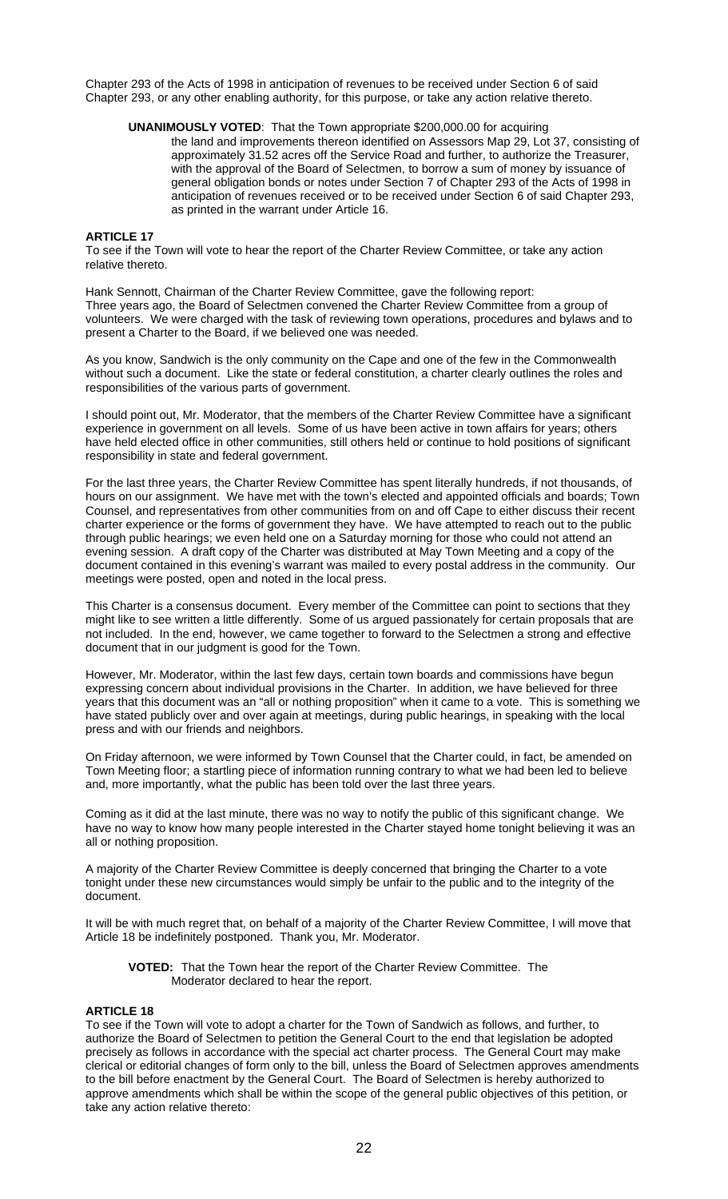Chapter 293 of the Acts of 1998 in anticipation of revenues to be received under Section 6 of said Chapter 293, or any other enabling authority, for this purpose, or take any action relative thereto.

# **UNANIMOUSLY VOTED**: That the Town appropriate \$200,000.00 for acquiring

the land and improvements thereon identified on Assessors Map 29, Lot 37, consisting of approximately 31.52 acres off the Service Road and further, to authorize the Treasurer, with the approval of the Board of Selectmen, to borrow a sum of money by issuance of general obligation bonds or notes under Section 7 of Chapter 293 of the Acts of 1998 in anticipation of revenues received or to be received under Section 6 of said Chapter 293, as printed in the warrant under Article 16.

### **ARTICLE 17**

To see if the Town will vote to hear the report of the Charter Review Committee, or take any action relative thereto.

Hank Sennott, Chairman of the Charter Review Committee, gave the following report: Three years ago, the Board of Selectmen convened the Charter Review Committee from a group of volunteers. We were charged with the task of reviewing town operations, procedures and bylaws and to present a Charter to the Board, if we believed one was needed.

As you know, Sandwich is the only community on the Cape and one of the few in the Commonwealth without such a document. Like the state or federal constitution, a charter clearly outlines the roles and responsibilities of the various parts of government.

I should point out, Mr. Moderator, that the members of the Charter Review Committee have a significant experience in government on all levels. Some of us have been active in town affairs for years; others have held elected office in other communities, still others held or continue to hold positions of significant responsibility in state and federal government.

For the last three years, the Charter Review Committee has spent literally hundreds, if not thousands, of hours on our assignment. We have met with the town's elected and appointed officials and boards; Town Counsel, and representatives from other communities from on and off Cape to either discuss their recent charter experience or the forms of government they have. We have attempted to reach out to the public through public hearings; we even held one on a Saturday morning for those who could not attend an evening session. A draft copy of the Charter was distributed at May Town Meeting and a copy of the document contained in this evening's warrant was mailed to every postal address in the community. Our meetings were posted, open and noted in the local press.

This Charter is a consensus document. Every member of the Committee can point to sections that they might like to see written a little differently. Some of us argued passionately for certain proposals that are not included. In the end, however, we came together to forward to the Selectmen a strong and effective document that in our judgment is good for the Town.

However, Mr. Moderator, within the last few days, certain town boards and commissions have begun expressing concern about individual provisions in the Charter. In addition, we have believed for three years that this document was an "all or nothing proposition" when it came to a vote. This is something we have stated publicly over and over again at meetings, during public hearings, in speaking with the local press and with our friends and neighbors.

On Friday afternoon, we were informed by Town Counsel that the Charter could, in fact, be amended on Town Meeting floor; a startling piece of information running contrary to what we had been led to believe and, more importantly, what the public has been told over the last three years.

Coming as it did at the last minute, there was no way to notify the public of this significant change. We have no way to know how many people interested in the Charter stayed home tonight believing it was an all or nothing proposition.

A majority of the Charter Review Committee is deeply concerned that bringing the Charter to a vote tonight under these new circumstances would simply be unfair to the public and to the integrity of the document.

It will be with much regret that, on behalf of a majority of the Charter Review Committee, I will move that Article 18 be indefinitely postponed. Thank you, Mr. Moderator.

**VOTED:** That the Town hear the report of the Charter Review Committee. The Moderator declared to hear the report.

### **ARTICLE 18**

To see if the Town will vote to adopt a charter for the Town of Sandwich as follows, and further, to authorize the Board of Selectmen to petition the General Court to the end that legislation be adopted precisely as follows in accordance with the special act charter process. The General Court may make clerical or editorial changes of form only to the bill, unless the Board of Selectmen approves amendments to the bill before enactment by the General Court. The Board of Selectmen is hereby authorized to approve amendments which shall be within the scope of the general public objectives of this petition, or take any action relative thereto: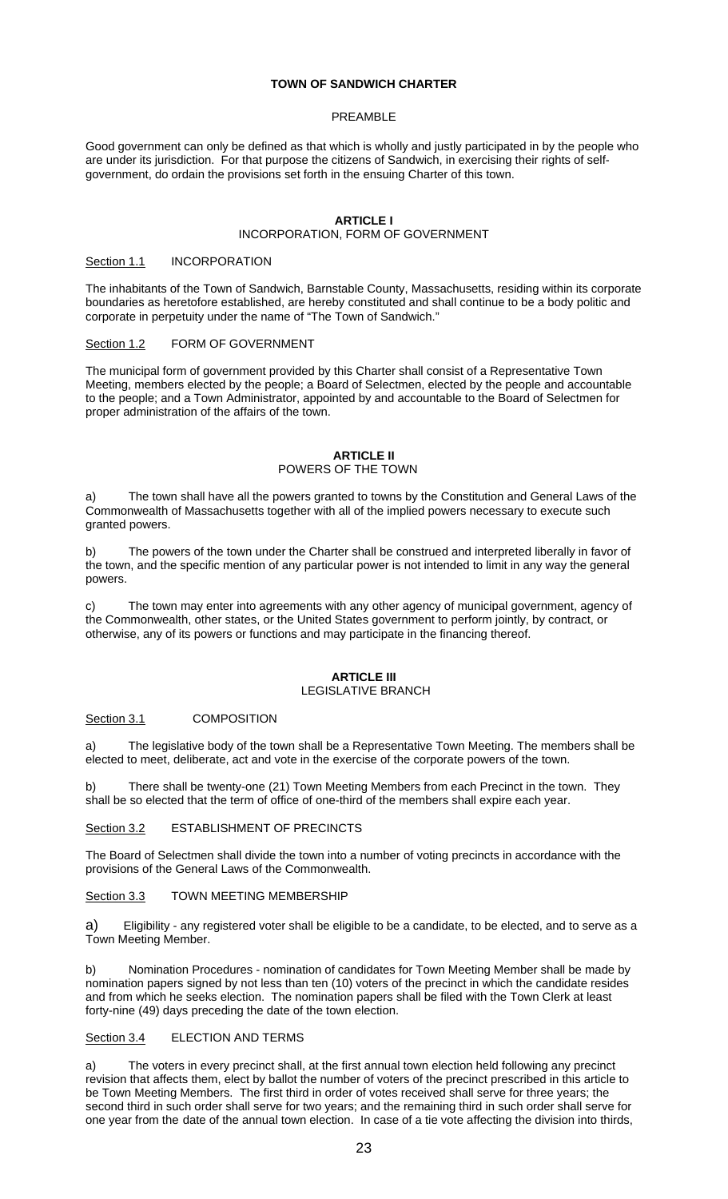## **TOWN OF SANDWICH CHARTER**

### PREAMBLE

Good government can only be defined as that which is wholly and justly participated in by the people who are under its jurisdiction. For that purpose the citizens of Sandwich, in exercising their rights of selfgovernment, do ordain the provisions set forth in the ensuing Charter of this town.

# **ARTICLE I**

# INCORPORATION, FORM OF GOVERNMENT

#### Section 1.1 **INCORPORATION**

The inhabitants of the Town of Sandwich, Barnstable County, Massachusetts, residing within its corporate boundaries as heretofore established, are hereby constituted and shall continue to be a body politic and corporate in perpetuity under the name of "The Town of Sandwich."

# Section 1.2 FORM OF GOVERNMENT

The municipal form of government provided by this Charter shall consist of a Representative Town Meeting, members elected by the people; a Board of Selectmen, elected by the people and accountable to the people; and a Town Administrator, appointed by and accountable to the Board of Selectmen for proper administration of the affairs of the town.

# **ARTICLE II**

# POWERS OF THE TOWN

a) The town shall have all the powers granted to towns by the Constitution and General Laws of the Commonwealth of Massachusetts together with all of the implied powers necessary to execute such granted powers.

b) The powers of the town under the Charter shall be construed and interpreted liberally in favor of the town, and the specific mention of any particular power is not intended to limit in any way the general powers.

The town may enter into agreements with any other agency of municipal government, agency of the Commonwealth, other states, or the United States government to perform jointly, by contract, or otherwise, any of its powers or functions and may participate in the financing thereof.

# **ARTICLE III**

# LEGISLATIVE BRANCH

### Section 3.1 COMPOSITION

a) The legislative body of the town shall be a Representative Town Meeting. The members shall be elected to meet, deliberate, act and vote in the exercise of the corporate powers of the town.

There shall be twenty-one (21) Town Meeting Members from each Precinct in the town. They shall be so elected that the term of office of one-third of the members shall expire each year.

Section 3.2 ESTABLISHMENT OF PRECINCTS

The Board of Selectmen shall divide the town into a number of voting precincts in accordance with the provisions of the General Laws of the Commonwealth.

Section 3.3 TOWN MEETING MEMBERSHIP

Eligibility - any registered voter shall be eligible to be a candidate, to be elected, and to serve as a Town Meeting Member.

b) Nomination Procedures - nomination of candidates for Town Meeting Member shall be made by nomination papers signed by not less than ten (10) voters of the precinct in which the candidate resides and from which he seeks election. The nomination papers shall be filed with the Town Clerk at least forty-nine (49) days preceding the date of the town election.

### Section 3.4 ELECTION AND TERMS

a) The voters in every precinct shall, at the first annual town election held following any precinct revision that affects them, elect by ballot the number of voters of the precinct prescribed in this article to be Town Meeting Members. The first third in order of votes received shall serve for three years; the second third in such order shall serve for two years; and the remaining third in such order shall serve for one year from the date of the annual town election. In case of a tie vote affecting the division into thirds,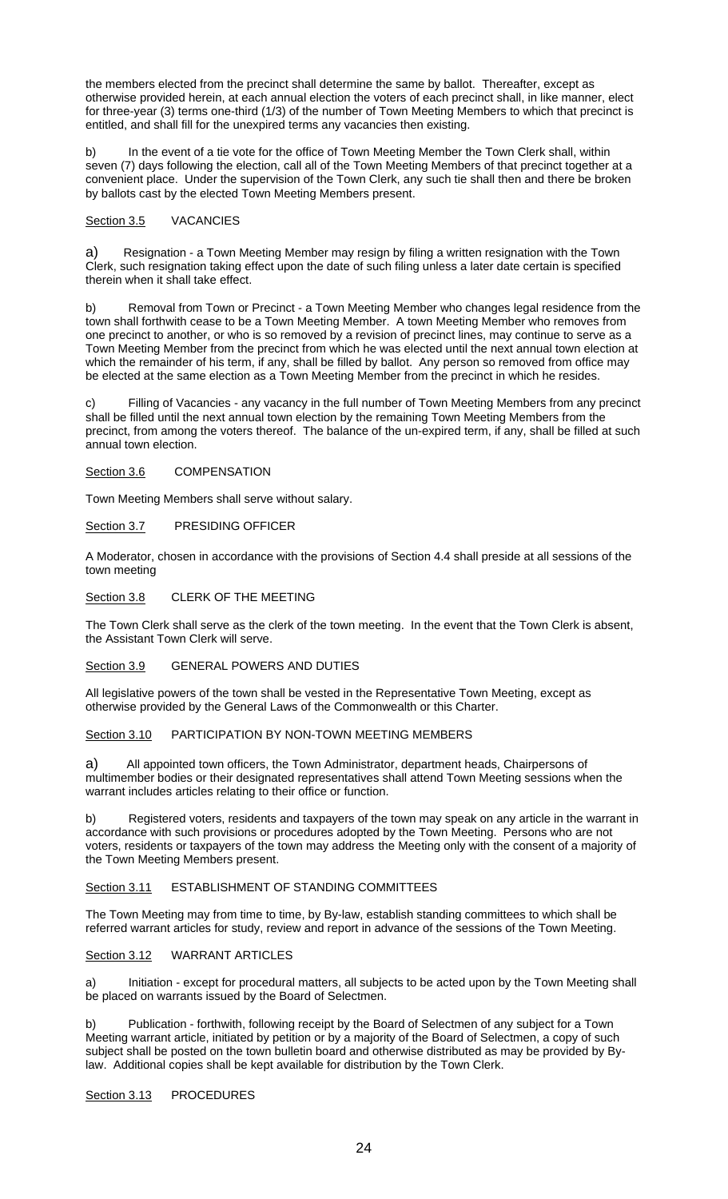the members elected from the precinct shall determine the same by ballot. Thereafter, except as otherwise provided herein, at each annual election the voters of each precinct shall, in like manner, elect for three-year (3) terms one-third (1/3) of the number of Town Meeting Members to which that precinct is entitled, and shall fill for the unexpired terms any vacancies then existing.

b) In the event of a tie vote for the office of Town Meeting Member the Town Clerk shall, within seven (7) days following the election, call all of the Town Meeting Members of that precinct together at a convenient place. Under the supervision of the Town Clerk, any such tie shall then and there be broken by ballots cast by the elected Town Meeting Members present.

### Section 3.5 VACANCIES

a) Resignation - a Town Meeting Member may resign by filing a written resignation with the Town Clerk, such resignation taking effect upon the date of such filing unless a later date certain is specified therein when it shall take effect.

b) Removal from Town or Precinct - a Town Meeting Member who changes legal residence from the town shall forthwith cease to be a Town Meeting Member. A town Meeting Member who removes from one precinct to another, or who is so removed by a revision of precinct lines, may continue to serve as a Town Meeting Member from the precinct from which he was elected until the next annual town election at which the remainder of his term, if any, shall be filled by ballot. Any person so removed from office may be elected at the same election as a Town Meeting Member from the precinct in which he resides.

c) Filling of Vacancies - any vacancy in the full number of Town Meeting Members from any precinct shall be filled until the next annual town election by the remaining Town Meeting Members from the precinct, from among the voters thereof. The balance of the un-expired term, if any, shall be filled at such annual town election.

Section 3.6 COMPENSATION

Town Meeting Members shall serve without salary.

Section 3.7 PRESIDING OFFICER

A Moderator, chosen in accordance with the provisions of Section 4.4 shall preside at all sessions of the town meeting

Section 3.8 CLERK OF THE MEETING

The Town Clerk shall serve as the clerk of the town meeting. In the event that the Town Clerk is absent, the Assistant Town Clerk will serve.

# Section 3.9 GENERAL POWERS AND DUTIES

All legislative powers of the town shall be vested in the Representative Town Meeting, except as otherwise provided by the General Laws of the Commonwealth or this Charter.

Section 3.10 PARTICIPATION BY NON-TOWN MEETING MEMBERS

a) All appointed town officers, the Town Administrator, department heads, Chairpersons of multimember bodies or their designated representatives shall attend Town Meeting sessions when the warrant includes articles relating to their office or function.

b) Registered voters, residents and taxpayers of the town may speak on any article in the warrant in accordance with such provisions or procedures adopted by the Town Meeting. Persons who are not voters, residents or taxpayers of the town may address the Meeting only with the consent of a majority of the Town Meeting Members present.

# Section 3.11 ESTABLISHMENT OF STANDING COMMITTEES

The Town Meeting may from time to time, by By-law, establish standing committees to which shall be referred warrant articles for study, review and report in advance of the sessions of the Town Meeting.

# Section 3.12 WARRANT ARTICLES

a) Initiation - except for procedural matters, all subjects to be acted upon by the Town Meeting shall be placed on warrants issued by the Board of Selectmen.

b) Publication - forthwith, following receipt by the Board of Selectmen of any subject for a Town Meeting warrant article, initiated by petition or by a majority of the Board of Selectmen, a copy of such subject shall be posted on the town bulletin board and otherwise distributed as may be provided by Bylaw. Additional copies shall be kept available for distribution by the Town Clerk.

### Section 3.13 PROCEDURES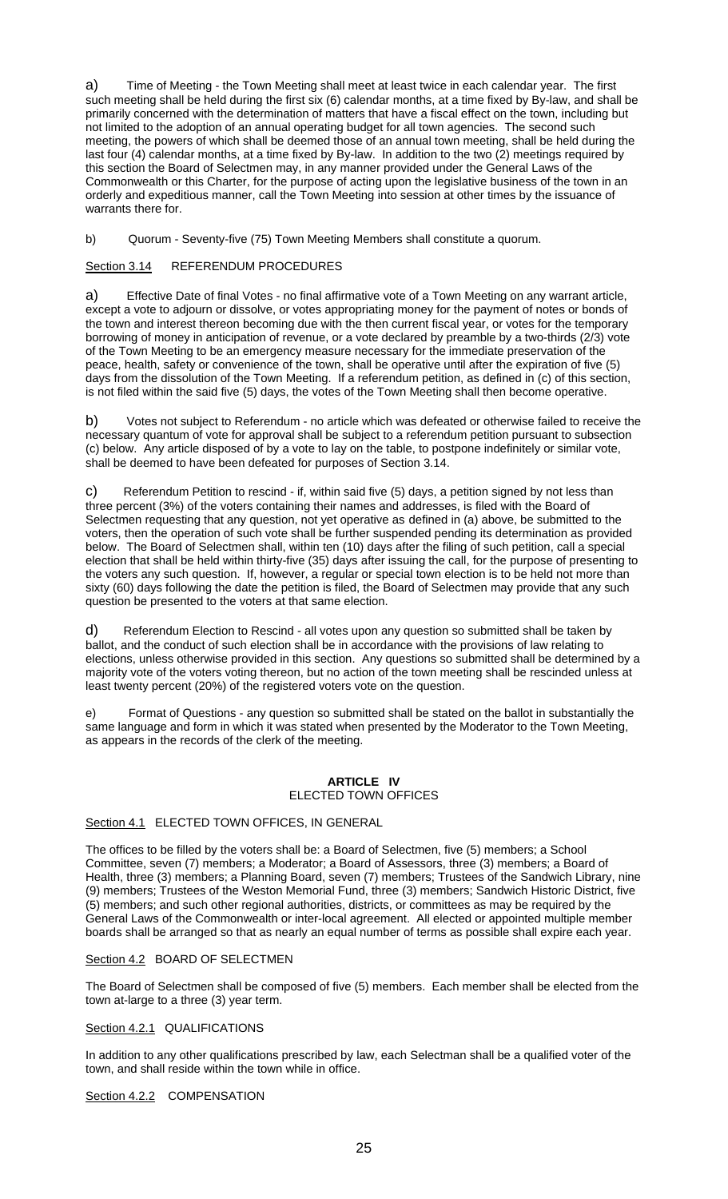a) Time of Meeting - the Town Meeting shall meet at least twice in each calendar year. The first such meeting shall be held during the first six (6) calendar months, at a time fixed by By-law, and shall be primarily concerned with the determination of matters that have a fiscal effect on the town, including but not limited to the adoption of an annual operating budget for all town agencies. The second such meeting, the powers of which shall be deemed those of an annual town meeting, shall be held during the last four (4) calendar months, at a time fixed by By-law. In addition to the two (2) meetings required by this section the Board of Selectmen may, in any manner provided under the General Laws of the Commonwealth or this Charter, for the purpose of acting upon the legislative business of the town in an orderly and expeditious manner, call the Town Meeting into session at other times by the issuance of warrants there for.

b) Quorum - Seventy-five (75) Town Meeting Members shall constitute a quorum.

Section 3.14 REFERENDUM PROCEDURES

a) Effective Date of final Votes - no final affirmative vote of a Town Meeting on any warrant article, except a vote to adjourn or dissolve, or votes appropriating money for the payment of notes or bonds of the town and interest thereon becoming due with the then current fiscal year, or votes for the temporary borrowing of money in anticipation of revenue, or a vote declared by preamble by a two-thirds (2/3) vote of the Town Meeting to be an emergency measure necessary for the immediate preservation of the peace, health, safety or convenience of the town, shall be operative until after the expiration of five (5) days from the dissolution of the Town Meeting. If a referendum petition, as defined in (c) of this section, is not filed within the said five (5) days, the votes of the Town Meeting shall then become operative.

b) Votes not subject to Referendum - no article which was defeated or otherwise failed to receive the necessary quantum of vote for approval shall be subject to a referendum petition pursuant to subsection (c) below. Any article disposed of by a vote to lay on the table, to postpone indefinitely or similar vote, shall be deemed to have been defeated for purposes of Section 3.14.

c) Referendum Petition to rescind - if, within said five (5) days, a petition signed by not less than three percent (3%) of the voters containing their names and addresses, is filed with the Board of Selectmen requesting that any question, not yet operative as defined in (a) above, be submitted to the voters, then the operation of such vote shall be further suspended pending its determination as provided below. The Board of Selectmen shall, within ten (10) days after the filing of such petition, call a special election that shall be held within thirty-five (35) days after issuing the call, for the purpose of presenting to the voters any such question. If, however, a regular or special town election is to be held not more than sixty (60) days following the date the petition is filed, the Board of Selectmen may provide that any such question be presented to the voters at that same election.

d) Referendum Election to Rescind - all votes upon any question so submitted shall be taken by ballot, and the conduct of such election shall be in accordance with the provisions of law relating to elections, unless otherwise provided in this section. Any questions so submitted shall be determined by a majority vote of the voters voting thereon, but no action of the town meeting shall be rescinded unless at least twenty percent (20%) of the registered voters vote on the question.

e) Format of Questions - any question so submitted shall be stated on the ballot in substantially the same language and form in which it was stated when presented by the Moderator to the Town Meeting, as appears in the records of the clerk of the meeting.

# **ARTICLE IV**  ELECTED TOWN OFFICES

### Section 4.1 ELECTED TOWN OFFICES, IN GENERAL

The offices to be filled by the voters shall be: a Board of Selectmen, five (5) members; a School Committee, seven (7) members; a Moderator; a Board of Assessors, three (3) members; a Board of Health, three (3) members; a Planning Board, seven (7) members; Trustees of the Sandwich Library, nine (9) members; Trustees of the Weston Memorial Fund, three (3) members; Sandwich Historic District, five (5) members; and such other regional authorities, districts, or committees as may be required by the General Laws of the Commonwealth or inter-local agreement. All elected or appointed multiple member boards shall be arranged so that as nearly an equal number of terms as possible shall expire each year.

### Section 4.2 BOARD OF SELECTMEN

The Board of Selectmen shall be composed of five (5) members. Each member shall be elected from the town at-large to a three (3) year term.

## Section 4.2.1 QUALIFICATIONS

In addition to any other qualifications prescribed by law, each Selectman shall be a qualified voter of the town, and shall reside within the town while in office.

Section 4.2.2 COMPENSATION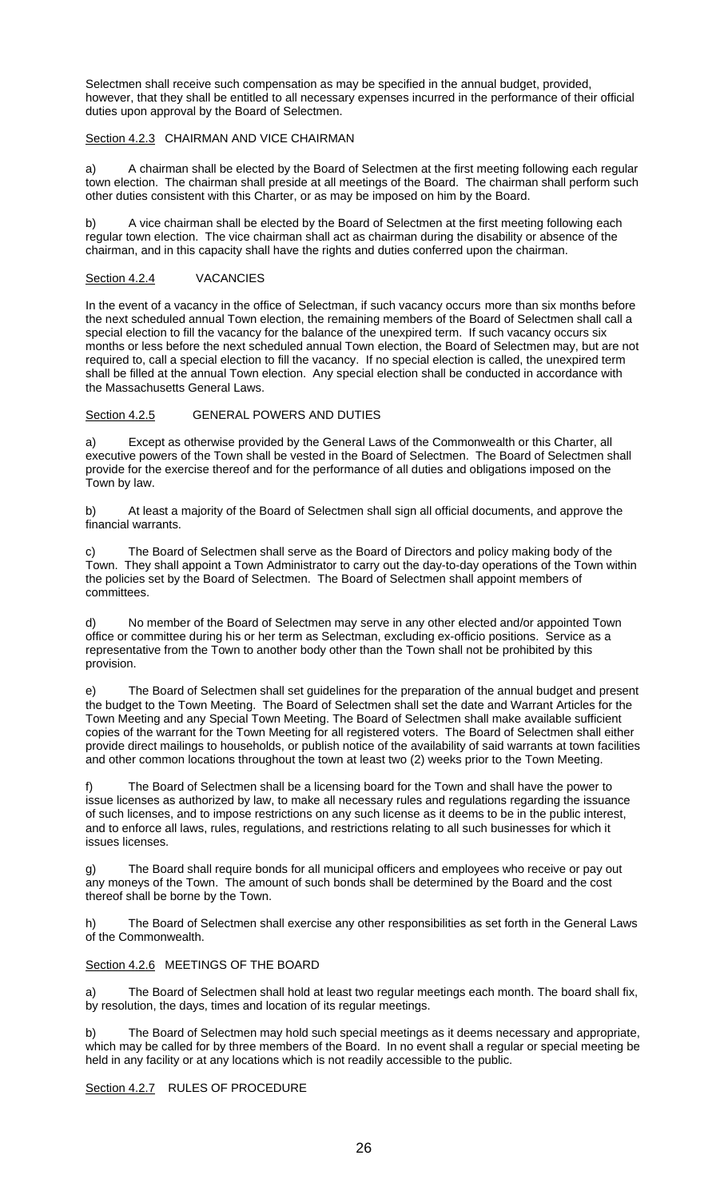Selectmen shall receive such compensation as may be specified in the annual budget, provided, however, that they shall be entitled to all necessary expenses incurred in the performance of their official duties upon approval by the Board of Selectmen.

# Section 4.2.3 CHAIRMAN AND VICE CHAIRMAN

a) A chairman shall be elected by the Board of Selectmen at the first meeting following each regular town election. The chairman shall preside at all meetings of the Board. The chairman shall perform such other duties consistent with this Charter, or as may be imposed on him by the Board.

A vice chairman shall be elected by the Board of Selectmen at the first meeting following each regular town election. The vice chairman shall act as chairman during the disability or absence of the chairman, and in this capacity shall have the rights and duties conferred upon the chairman.

# Section 4.2.4 VACANCIES

In the event of a vacancy in the office of Selectman, if such vacancy occurs more than six months before the next scheduled annual Town election, the remaining members of the Board of Selectmen shall call a special election to fill the vacancy for the balance of the unexpired term. If such vacancy occurs six months or less before the next scheduled annual Town election, the Board of Selectmen may, but are not required to, call a special election to fill the vacancy. If no special election is called, the unexpired term shall be filled at the annual Town election. Any special election shall be conducted in accordance with the Massachusetts General Laws.

# Section 4.2.5 GENERAL POWERS AND DUTIES

a) Except as otherwise provided by the General Laws of the Commonwealth or this Charter, all executive powers of the Town shall be vested in the Board of Selectmen. The Board of Selectmen shall provide for the exercise thereof and for the performance of all duties and obligations imposed on the Town by law.

b) At least a majority of the Board of Selectmen shall sign all official documents, and approve the financial warrants.

The Board of Selectmen shall serve as the Board of Directors and policy making body of the Town. They shall appoint a Town Administrator to carry out the day-to-day operations of the Town within the policies set by the Board of Selectmen. The Board of Selectmen shall appoint members of committees.

d) No member of the Board of Selectmen may serve in any other elected and/or appointed Town office or committee during his or her term as Selectman, excluding ex-officio positions. Service as a representative from the Town to another body other than the Town shall not be prohibited by this provision.

e) The Board of Selectmen shall set guidelines for the preparation of the annual budget and present the budget to the Town Meeting. The Board of Selectmen shall set the date and Warrant Articles for the Town Meeting and any Special Town Meeting. The Board of Selectmen shall make available sufficient copies of the warrant for the Town Meeting for all registered voters. The Board of Selectmen shall either provide direct mailings to households, or publish notice of the availability of said warrants at town facilities and other common locations throughout the town at least two (2) weeks prior to the Town Meeting.

The Board of Selectmen shall be a licensing board for the Town and shall have the power to issue licenses as authorized by law, to make all necessary rules and regulations regarding the issuance of such licenses, and to impose restrictions on any such license as it deems to be in the public interest, and to enforce all laws, rules, regulations, and restrictions relating to all such businesses for which it issues licenses.

g) The Board shall require bonds for all municipal officers and employees who receive or pay out any moneys of the Town. The amount of such bonds shall be determined by the Board and the cost thereof shall be borne by the Town.

h) The Board of Selectmen shall exercise any other responsibilities as set forth in the General Laws of the Commonwealth.

### Section 4.2.6 MEETINGS OF THE BOARD

a) The Board of Selectmen shall hold at least two regular meetings each month. The board shall fix, by resolution, the days, times and location of its regular meetings.

b) The Board of Selectmen may hold such special meetings as it deems necessary and appropriate, which may be called for by three members of the Board. In no event shall a regular or special meeting be held in any facility or at any locations which is not readily accessible to the public.

Section 4.2.7 RULES OF PROCEDURE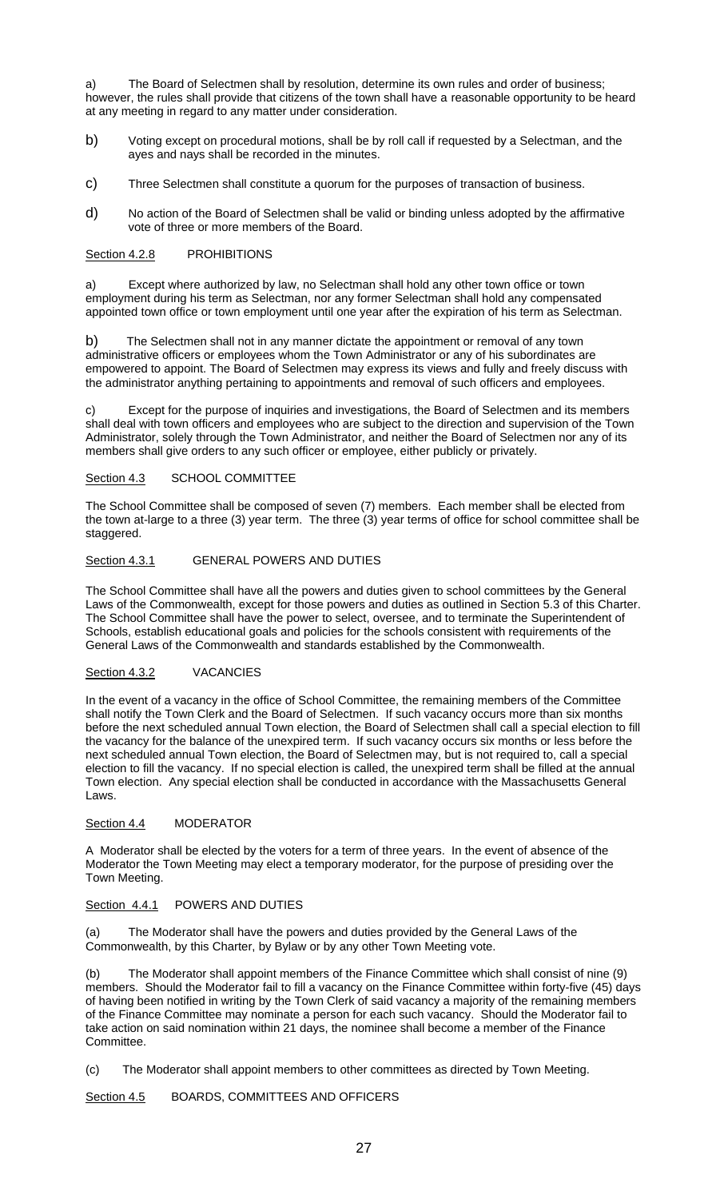a) The Board of Selectmen shall by resolution, determine its own rules and order of business; however, the rules shall provide that citizens of the town shall have a reasonable opportunity to be heard at any meeting in regard to any matter under consideration.

- b) Voting except on procedural motions, shall be by roll call if requested by a Selectman, and the ayes and nays shall be recorded in the minutes.
- c) Three Selectmen shall constitute a quorum for the purposes of transaction of business.
- d) No action of the Board of Selectmen shall be valid or binding unless adopted by the affirmative vote of three or more members of the Board.

# Section 4.2.8 PROHIBITIONS

a) Except where authorized by law, no Selectman shall hold any other town office or town employment during his term as Selectman, nor any former Selectman shall hold any compensated appointed town office or town employment until one year after the expiration of his term as Selectman.

b) The Selectmen shall not in any manner dictate the appointment or removal of any town administrative officers or employees whom the Town Administrator or any of his subordinates are empowered to appoint. The Board of Selectmen may express its views and fully and freely discuss with the administrator anything pertaining to appointments and removal of such officers and employees.

c) Except for the purpose of inquiries and investigations, the Board of Selectmen and its members shall deal with town officers and employees who are subject to the direction and supervision of the Town Administrator, solely through the Town Administrator, and neither the Board of Selectmen nor any of its members shall give orders to any such officer or employee, either publicly or privately.

# Section 4.3 SCHOOL COMMITTEE

The School Committee shall be composed of seven (7) members. Each member shall be elected from the town at-large to a three (3) year term. The three (3) year terms of office for school committee shall be staggered.

# Section 4.3.1 GENERAL POWERS AND DUTIES

The School Committee shall have all the powers and duties given to school committees by the General Laws of the Commonwealth, except for those powers and duties as outlined in Section 5.3 of this Charter. The School Committee shall have the power to select, oversee, and to terminate the Superintendent of Schools, establish educational goals and policies for the schools consistent with requirements of the General Laws of the Commonwealth and standards established by the Commonwealth.

# Section 4.3.2 VACANCIES

In the event of a vacancy in the office of School Committee, the remaining members of the Committee shall notify the Town Clerk and the Board of Selectmen. If such vacancy occurs more than six months before the next scheduled annual Town election, the Board of Selectmen shall call a special election to fill the vacancy for the balance of the unexpired term. If such vacancy occurs six months or less before the next scheduled annual Town election, the Board of Selectmen may, but is not required to, call a special election to fill the vacancy. If no special election is called, the unexpired term shall be filled at the annual Town election. Any special election shall be conducted in accordance with the Massachusetts General Laws.

### Section 4.4 MODERATOR

A Moderator shall be elected by the voters for a term of three years. In the event of absence of the Moderator the Town Meeting may elect a temporary moderator, for the purpose of presiding over the Town Meeting.

# Section 4.4.1 POWERS AND DUTIES

(a) The Moderator shall have the powers and duties provided by the General Laws of the Commonwealth, by this Charter, by Bylaw or by any other Town Meeting vote.

(b) The Moderator shall appoint members of the Finance Committee which shall consist of nine (9) members. Should the Moderator fail to fill a vacancy on the Finance Committee within forty-five (45) days of having been notified in writing by the Town Clerk of said vacancy a majority of the remaining members of the Finance Committee may nominate a person for each such vacancy. Should the Moderator fail to take action on said nomination within 21 days, the nominee shall become a member of the Finance Committee.

(c) The Moderator shall appoint members to other committees as directed by Town Meeting.

Section 4.5 BOARDS, COMMITTEES AND OFFICERS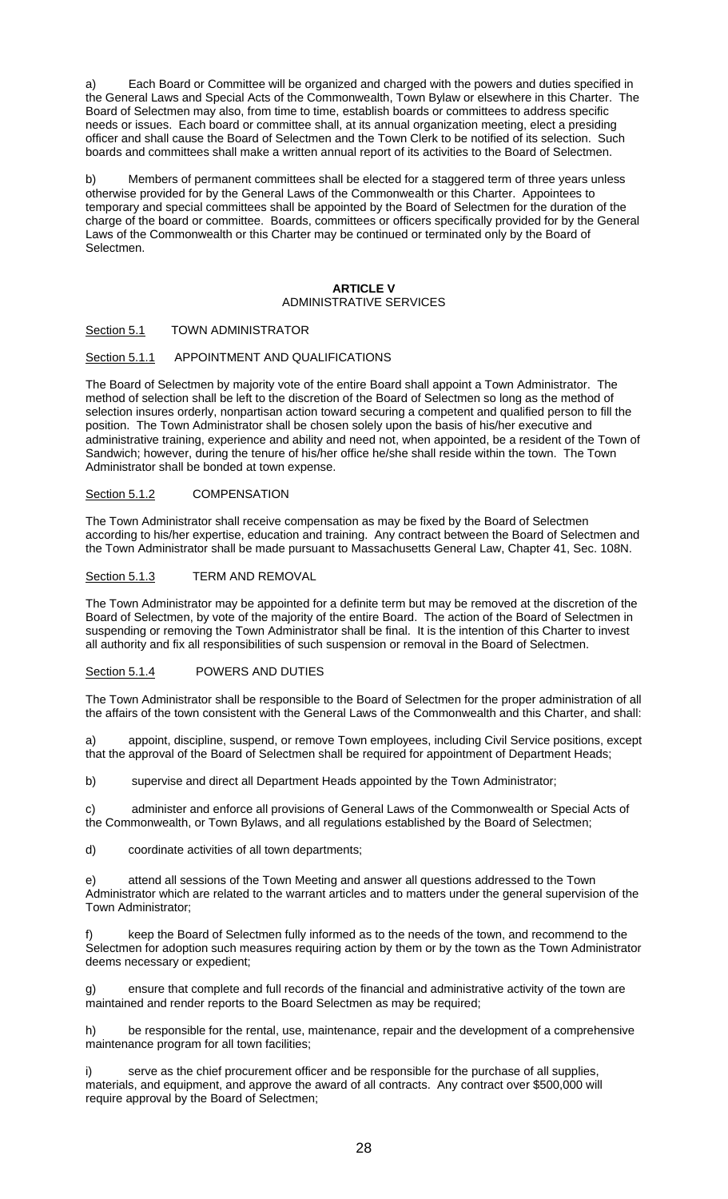a) Each Board or Committee will be organized and charged with the powers and duties specified in the General Laws and Special Acts of the Commonwealth, Town Bylaw or elsewhere in this Charter. The Board of Selectmen may also, from time to time, establish boards or committees to address specific needs or issues. Each board or committee shall, at its annual organization meeting, elect a presiding officer and shall cause the Board of Selectmen and the Town Clerk to be notified of its selection. Such boards and committees shall make a written annual report of its activities to the Board of Selectmen.

Members of permanent committees shall be elected for a staggered term of three years unless otherwise provided for by the General Laws of the Commonwealth or this Charter. Appointees to temporary and special committees shall be appointed by the Board of Selectmen for the duration of the charge of the board or committee. Boards, committees or officers specifically provided for by the General Laws of the Commonwealth or this Charter may be continued or terminated only by the Board of Selectmen.

### **ARTICLE V**  ADMINISTRATIVE SERVICES

# Section 5.1 TOWN ADMINISTRATOR

# Section 5.1.1 APPOINTMENT AND QUALIFICATIONS

The Board of Selectmen by majority vote of the entire Board shall appoint a Town Administrator. The method of selection shall be left to the discretion of the Board of Selectmen so long as the method of selection insures orderly, nonpartisan action toward securing a competent and qualified person to fill the position. The Town Administrator shall be chosen solely upon the basis of his/her executive and administrative training, experience and ability and need not, when appointed, be a resident of the Town of Sandwich; however, during the tenure of his/her office he/she shall reside within the town. The Town Administrator shall be bonded at town expense.

# Section 5.1.2 COMPENSATION

The Town Administrator shall receive compensation as may be fixed by the Board of Selectmen according to his/her expertise, education and training. Any contract between the Board of Selectmen and the Town Administrator shall be made pursuant to Massachusetts General Law, Chapter 41, Sec. 108N.

### Section 5.1.3 TERM AND REMOVAL

The Town Administrator may be appointed for a definite term but may be removed at the discretion of the Board of Selectmen, by vote of the majority of the entire Board. The action of the Board of Selectmen in suspending or removing the Town Administrator shall be final. It is the intention of this Charter to invest all authority and fix all responsibilities of such suspension or removal in the Board of Selectmen.

# Section 5.1.4 POWERS AND DUTIES

The Town Administrator shall be responsible to the Board of Selectmen for the proper administration of all the affairs of the town consistent with the General Laws of the Commonwealth and this Charter, and shall:

a) appoint, discipline, suspend, or remove Town employees, including Civil Service positions, except that the approval of the Board of Selectmen shall be required for appointment of Department Heads;

b) supervise and direct all Department Heads appointed by the Town Administrator;

c) administer and enforce all provisions of General Laws of the Commonwealth or Special Acts of the Commonwealth, or Town Bylaws, and all regulations established by the Board of Selectmen;

d) coordinate activities of all town departments;

e) attend all sessions of the Town Meeting and answer all questions addressed to the Town Administrator which are related to the warrant articles and to matters under the general supervision of the Town Administrator;

keep the Board of Selectmen fully informed as to the needs of the town, and recommend to the Selectmen for adoption such measures requiring action by them or by the town as the Town Administrator deems necessary or expedient;

g) ensure that complete and full records of the financial and administrative activity of the town are maintained and render reports to the Board Selectmen as may be required;

h) be responsible for the rental, use, maintenance, repair and the development of a comprehensive maintenance program for all town facilities;

serve as the chief procurement officer and be responsible for the purchase of all supplies, materials, and equipment, and approve the award of all contracts. Any contract over \$500,000 will require approval by the Board of Selectmen;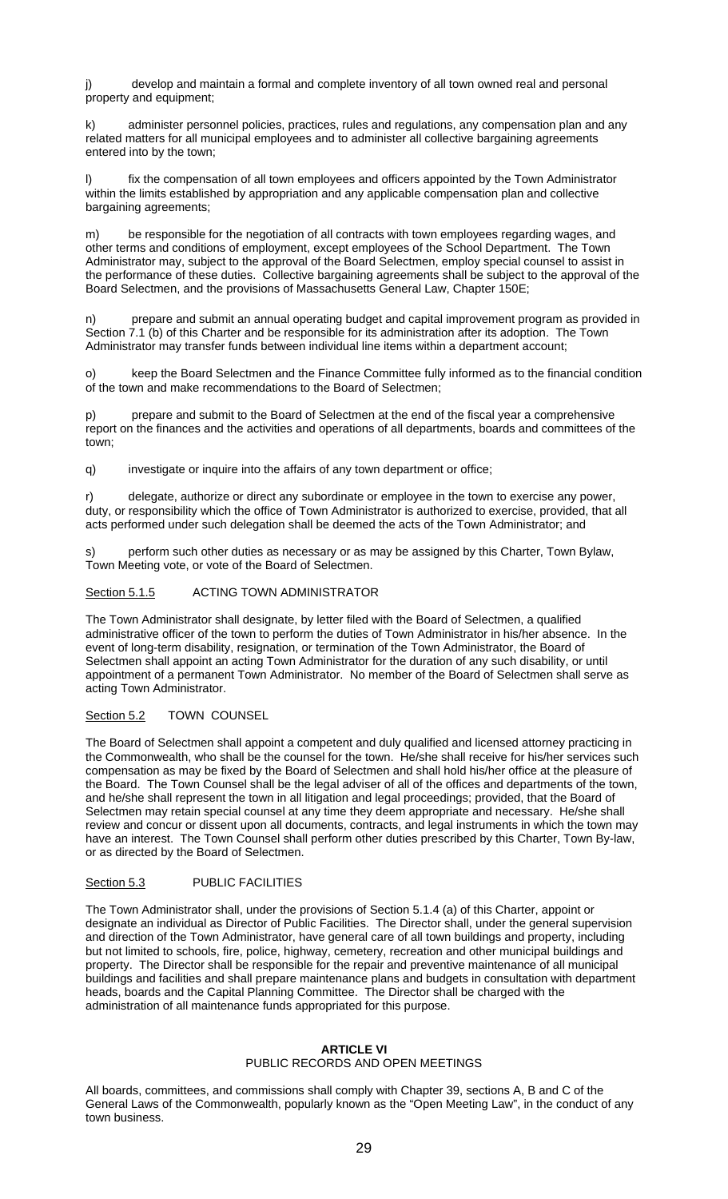j) develop and maintain a formal and complete inventory of all town owned real and personal property and equipment;

k) administer personnel policies, practices, rules and regulations, any compensation plan and any related matters for all municipal employees and to administer all collective bargaining agreements entered into by the town;

fix the compensation of all town employees and officers appointed by the Town Administrator within the limits established by appropriation and any applicable compensation plan and collective bargaining agreements;

m) be responsible for the negotiation of all contracts with town employees regarding wages, and other terms and conditions of employment, except employees of the School Department. The Town Administrator may, subject to the approval of the Board Selectmen, employ special counsel to assist in the performance of these duties. Collective bargaining agreements shall be subject to the approval of the Board Selectmen, and the provisions of Massachusetts General Law, Chapter 150E;

prepare and submit an annual operating budget and capital improvement program as provided in Section 7.1 (b) of this Charter and be responsible for its administration after its adoption. The Town Administrator may transfer funds between individual line items within a department account;

o) keep the Board Selectmen and the Finance Committee fully informed as to the financial condition of the town and make recommendations to the Board of Selectmen;

p) prepare and submit to the Board of Selectmen at the end of the fiscal year a comprehensive report on the finances and the activities and operations of all departments, boards and committees of the town;

q) investigate or inquire into the affairs of any town department or office;

r) delegate, authorize or direct any subordinate or employee in the town to exercise any power, duty, or responsibility which the office of Town Administrator is authorized to exercise, provided, that all acts performed under such delegation shall be deemed the acts of the Town Administrator; and

s) perform such other duties as necessary or as may be assigned by this Charter, Town Bylaw, Town Meeting vote, or vote of the Board of Selectmen.

# Section 5.1.5 ACTING TOWN ADMINISTRATOR

The Town Administrator shall designate, by letter filed with the Board of Selectmen, a qualified administrative officer of the town to perform the duties of Town Administrator in his/her absence. In the event of long-term disability, resignation, or termination of the Town Administrator, the Board of Selectmen shall appoint an acting Town Administrator for the duration of any such disability, or until appointment of a permanent Town Administrator. No member of the Board of Selectmen shall serve as acting Town Administrator.

Section 5.2 TOWN COUNSEL

The Board of Selectmen shall appoint a competent and duly qualified and licensed attorney practicing in the Commonwealth, who shall be the counsel for the town. He/she shall receive for his/her services such compensation as may be fixed by the Board of Selectmen and shall hold his/her office at the pleasure of the Board. The Town Counsel shall be the legal adviser of all of the offices and departments of the town, and he/she shall represent the town in all litigation and legal proceedings; provided, that the Board of Selectmen may retain special counsel at any time they deem appropriate and necessary. He/she shall review and concur or dissent upon all documents, contracts, and legal instruments in which the town may have an interest. The Town Counsel shall perform other duties prescribed by this Charter, Town By-law, or as directed by the Board of Selectmen.

Section 5.3 PUBLIC FACILITIES

The Town Administrator shall, under the provisions of Section 5.1.4 (a) of this Charter, appoint or designate an individual as Director of Public Facilities. The Director shall, under the general supervision and direction of the Town Administrator, have general care of all town buildings and property, including but not limited to schools, fire, police, highway, cemetery, recreation and other municipal buildings and property. The Director shall be responsible for the repair and preventive maintenance of all municipal buildings and facilities and shall prepare maintenance plans and budgets in consultation with department heads, boards and the Capital Planning Committee. The Director shall be charged with the administration of all maintenance funds appropriated for this purpose.

# **ARTICLE VI**

# PUBLIC RECORDS AND OPEN MEETINGS

All boards, committees, and commissions shall comply with Chapter 39, sections A, B and C of the General Laws of the Commonwealth, popularly known as the "Open Meeting Law", in the conduct of any town business.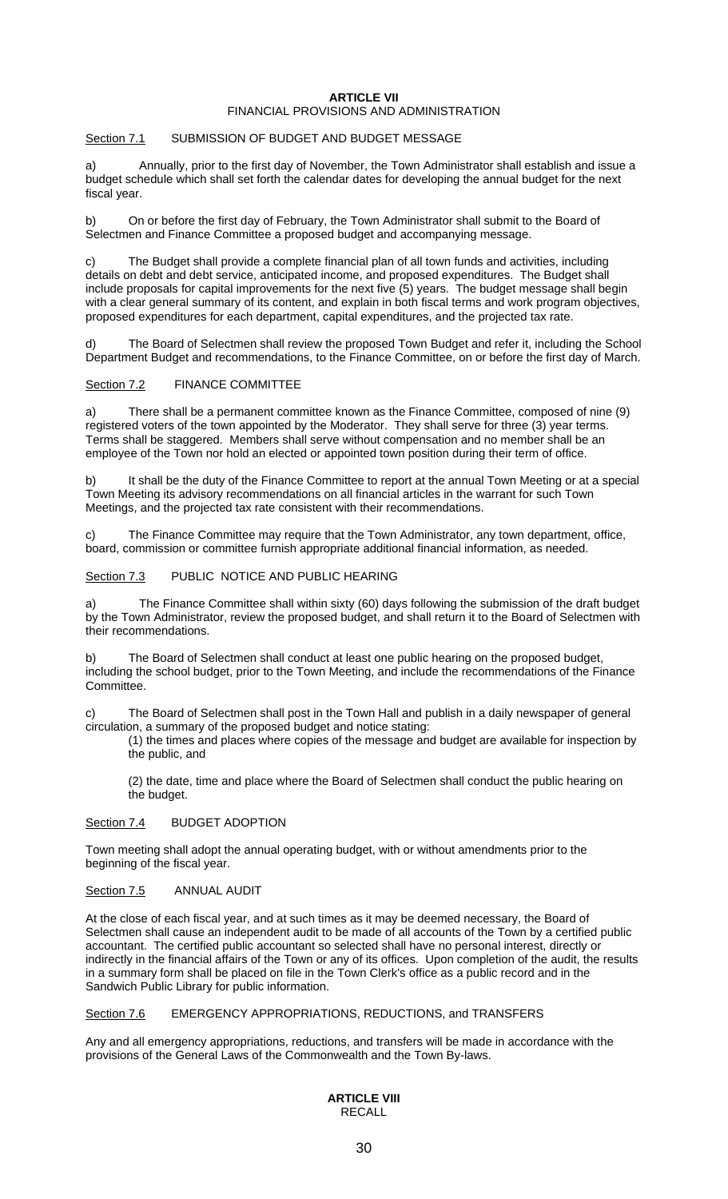### **ARTICLE VII**  FINANCIAL PROVISIONS AND ADMINISTRATION

# Section 7.1 SUBMISSION OF BUDGET AND BUDGET MESSAGE

Annually, prior to the first day of November, the Town Administrator shall establish and issue a budget schedule which shall set forth the calendar dates for developing the annual budget for the next fiscal year.

b) On or before the first day of February, the Town Administrator shall submit to the Board of Selectmen and Finance Committee a proposed budget and accompanying message.

c) The Budget shall provide a complete financial plan of all town funds and activities, including details on debt and debt service, anticipated income, and proposed expenditures. The Budget shall include proposals for capital improvements for the next five (5) years. The budget message shall begin with a clear general summary of its content, and explain in both fiscal terms and work program objectives, proposed expenditures for each department, capital expenditures, and the projected tax rate.

The Board of Selectmen shall review the proposed Town Budget and refer it, including the School Department Budget and recommendations, to the Finance Committee, on or before the first day of March.

# Section 7.2 FINANCE COMMITTEE

a) There shall be a permanent committee known as the Finance Committee, composed of nine (9) registered voters of the town appointed by the Moderator. They shall serve for three (3) year terms. Terms shall be staggered. Members shall serve without compensation and no member shall be an employee of the Town nor hold an elected or appointed town position during their term of office.

b) It shall be the duty of the Finance Committee to report at the annual Town Meeting or at a special Town Meeting its advisory recommendations on all financial articles in the warrant for such Town Meetings, and the projected tax rate consistent with their recommendations.

c) The Finance Committee may require that the Town Administrator, any town department, office, board, commission or committee furnish appropriate additional financial information, as needed.

Section 7.3 PUBLIC NOTICE AND PUBLIC HEARING

a) The Finance Committee shall within sixty (60) days following the submission of the draft budget by the Town Administrator, review the proposed budget, and shall return it to the Board of Selectmen with their recommendations.

b) The Board of Selectmen shall conduct at least one public hearing on the proposed budget, including the school budget, prior to the Town Meeting, and include the recommendations of the Finance Committee.

c) The Board of Selectmen shall post in the Town Hall and publish in a daily newspaper of general circulation, a summary of the proposed budget and notice stating:

(1) the times and places where copies of the message and budget are available for inspection by the public, and

(2) the date, time and place where the Board of Selectmen shall conduct the public hearing on the budget.

# Section 7.4 BUDGET ADOPTION

Town meeting shall adopt the annual operating budget, with or without amendments prior to the beginning of the fiscal year.

# Section 7.5 ANNUAL AUDIT

At the close of each fiscal year, and at such times as it may be deemed necessary, the Board of Selectmen shall cause an independent audit to be made of all accounts of the Town by a certified public accountant. The certified public accountant so selected shall have no personal interest, directly or indirectly in the financial affairs of the Town or any of its offices. Upon completion of the audit, the results in a summary form shall be placed on file in the Town Clerk's office as a public record and in the Sandwich Public Library for public information.

# Section 7.6 EMERGENCY APPROPRIATIONS, REDUCTIONS, and TRANSFERS

Any and all emergency appropriations, reductions, and transfers will be made in accordance with the provisions of the General Laws of the Commonwealth and the Town By-laws.

# **ARTICLE VIII**  RECALL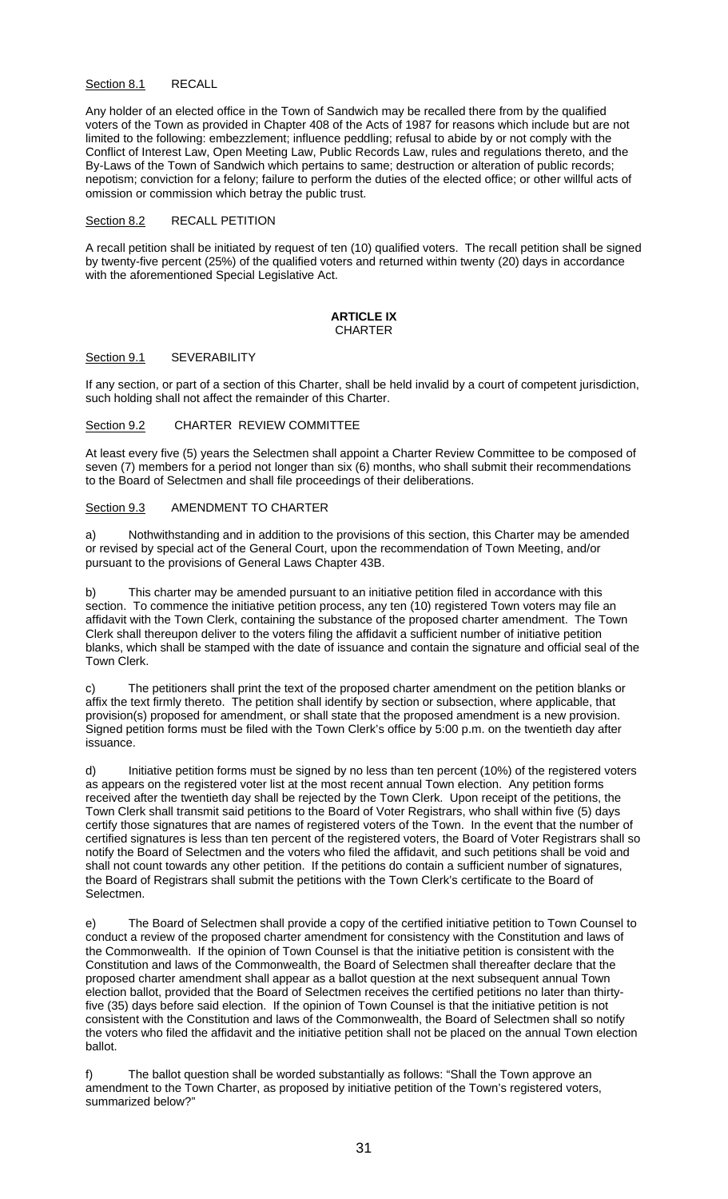# Section 8.1 RECALL

Any holder of an elected office in the Town of Sandwich may be recalled there from by the qualified voters of the Town as provided in Chapter 408 of the Acts of 1987 for reasons which include but are not limited to the following: embezzlement; influence peddling; refusal to abide by or not comply with the Conflict of Interest Law, Open Meeting Law, Public Records Law, rules and regulations thereto, and the By-Laws of the Town of Sandwich which pertains to same; destruction or alteration of public records; nepotism; conviction for a felony; failure to perform the duties of the elected office; or other willful acts of omission or commission which betray the public trust.

#### Section 8.2 RECALL PETITION

A recall petition shall be initiated by request of ten (10) qualified voters. The recall petition shall be signed by twenty-five percent (25%) of the qualified voters and returned within twenty (20) days in accordance with the aforementioned Special Legislative Act.

### **ARTICLE IX CHARTER**

#### Section 9.1 SEVERABILITY

If any section, or part of a section of this Charter, shall be held invalid by a court of competent jurisdiction, such holding shall not affect the remainder of this Charter.

### Section 9.2 CHARTER REVIEW COMMITTEE

At least every five (5) years the Selectmen shall appoint a Charter Review Committee to be composed of seven (7) members for a period not longer than six (6) months, who shall submit their recommendations to the Board of Selectmen and shall file proceedings of their deliberations.

### Section 9.3 AMENDMENT TO CHARTER

a) Nothwithstanding and in addition to the provisions of this section, this Charter may be amended or revised by special act of the General Court, upon the recommendation of Town Meeting, and/or pursuant to the provisions of General Laws Chapter 43B.

b) This charter may be amended pursuant to an initiative petition filed in accordance with this section. To commence the initiative petition process, any ten (10) registered Town voters may file an affidavit with the Town Clerk, containing the substance of the proposed charter amendment. The Town Clerk shall thereupon deliver to the voters filing the affidavit a sufficient number of initiative petition blanks, which shall be stamped with the date of issuance and contain the signature and official seal of the Town Clerk.

c) The petitioners shall print the text of the proposed charter amendment on the petition blanks or affix the text firmly thereto. The petition shall identify by section or subsection, where applicable, that provision(s) proposed for amendment, or shall state that the proposed amendment is a new provision. Signed petition forms must be filed with the Town Clerk's office by 5:00 p.m. on the twentieth day after issuance.

d) Initiative petition forms must be signed by no less than ten percent (10%) of the registered voters as appears on the registered voter list at the most recent annual Town election. Any petition forms received after the twentieth day shall be rejected by the Town Clerk. Upon receipt of the petitions, the Town Clerk shall transmit said petitions to the Board of Voter Registrars, who shall within five (5) days certify those signatures that are names of registered voters of the Town. In the event that the number of certified signatures is less than ten percent of the registered voters, the Board of Voter Registrars shall so notify the Board of Selectmen and the voters who filed the affidavit, and such petitions shall be void and shall not count towards any other petition. If the petitions do contain a sufficient number of signatures, the Board of Registrars shall submit the petitions with the Town Clerk's certificate to the Board of Selectmen.

e) The Board of Selectmen shall provide a copy of the certified initiative petition to Town Counsel to conduct a review of the proposed charter amendment for consistency with the Constitution and laws of the Commonwealth. If the opinion of Town Counsel is that the initiative petition is consistent with the Constitution and laws of the Commonwealth, the Board of Selectmen shall thereafter declare that the proposed charter amendment shall appear as a ballot question at the next subsequent annual Town election ballot, provided that the Board of Selectmen receives the certified petitions no later than thirtyfive (35) days before said election. If the opinion of Town Counsel is that the initiative petition is not consistent with the Constitution and laws of the Commonwealth, the Board of Selectmen shall so notify the voters who filed the affidavit and the initiative petition shall not be placed on the annual Town election ballot.

f) The ballot question shall be worded substantially as follows: "Shall the Town approve an amendment to the Town Charter, as proposed by initiative petition of the Town's registered voters, summarized below?"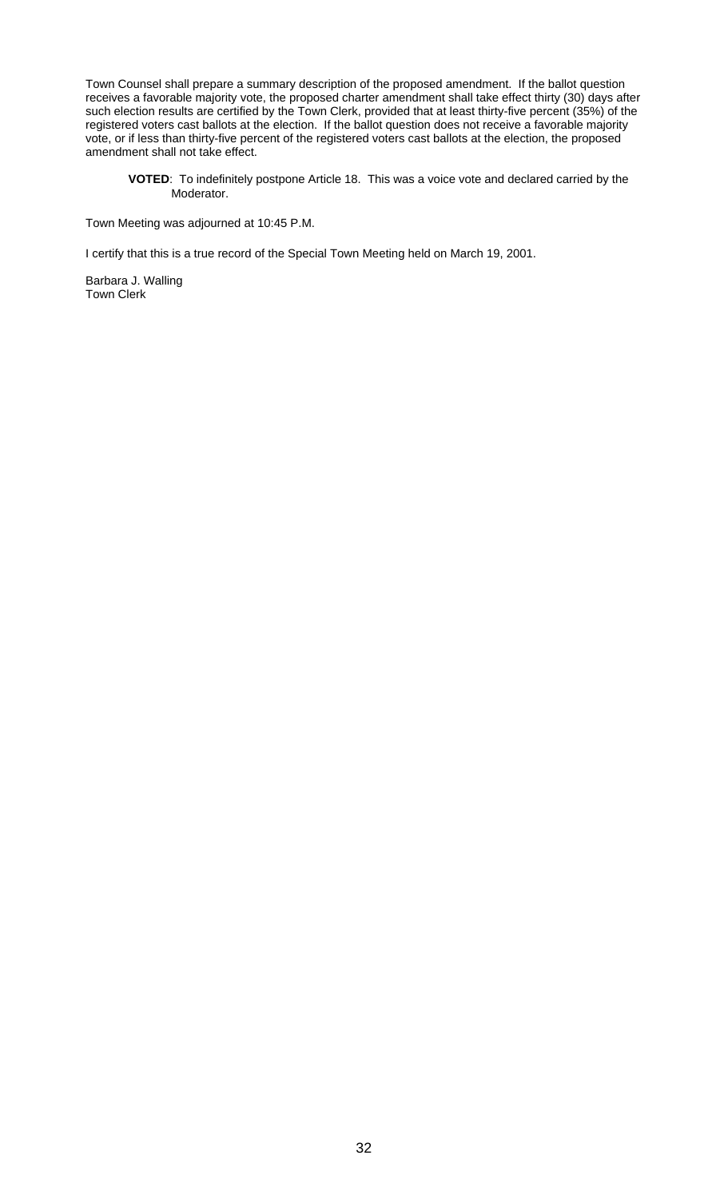Town Counsel shall prepare a summary description of the proposed amendment. If the ballot question receives a favorable majority vote, the proposed charter amendment shall take effect thirty (30) days after such election results are certified by the Town Clerk, provided that at least thirty-five percent (35%) of the registered voters cast ballots at the election. If the ballot question does not receive a favorable majority vote, or if less than thirty-five percent of the registered voters cast ballots at the election, the proposed amendment shall not take effect.

**VOTED**: To indefinitely postpone Article 18. This was a voice vote and declared carried by the Moderator.

Town Meeting was adjourned at 10:45 P.M.

I certify that this is a true record of the Special Town Meeting held on March 19, 2001.

Barbara J. Walling Town Clerk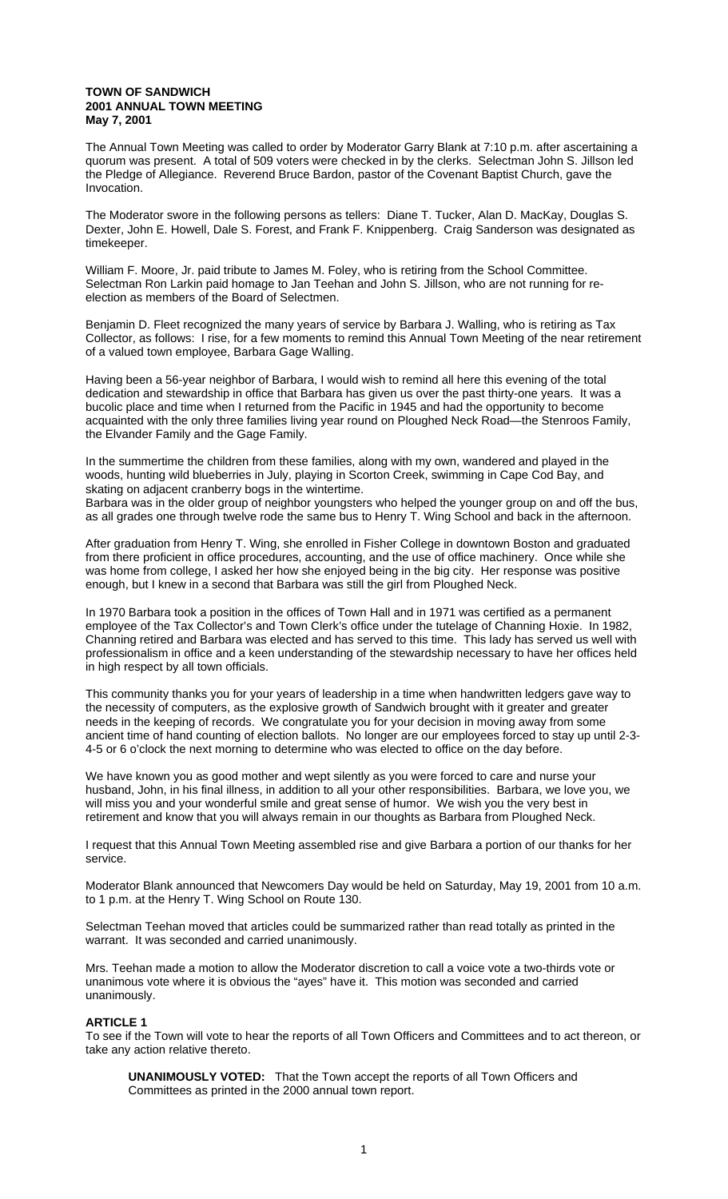#### **TOWN OF SANDWICH 2001 ANNUAL TOWN MEETING May 7, 2001**

The Annual Town Meeting was called to order by Moderator Garry Blank at 7:10 p.m. after ascertaining a quorum was present. A total of 509 voters were checked in by the clerks. Selectman John S. Jillson led the Pledge of Allegiance. Reverend Bruce Bardon, pastor of the Covenant Baptist Church, gave the Invocation.

The Moderator swore in the following persons as tellers: Diane T. Tucker, Alan D. MacKay, Douglas S. Dexter, John E. Howell, Dale S. Forest, and Frank F. Knippenberg. Craig Sanderson was designated as timekeeper.

William F. Moore, Jr. paid tribute to James M. Foley, who is retiring from the School Committee. Selectman Ron Larkin paid homage to Jan Teehan and John S. Jillson, who are not running for reelection as members of the Board of Selectmen.

Benjamin D. Fleet recognized the many years of service by Barbara J. Walling, who is retiring as Tax Collector, as follows: I rise, for a few moments to remind this Annual Town Meeting of the near retirement of a valued town employee, Barbara Gage Walling.

Having been a 56-year neighbor of Barbara, I would wish to remind all here this evening of the total dedication and stewardship in office that Barbara has given us over the past thirty-one years. It was a bucolic place and time when I returned from the Pacific in 1945 and had the opportunity to become acquainted with the only three families living year round on Ploughed Neck Road—the Stenroos Family, the Elvander Family and the Gage Family.

In the summertime the children from these families, along with my own, wandered and played in the woods, hunting wild blueberries in July, playing in Scorton Creek, swimming in Cape Cod Bay, and skating on adjacent cranberry bogs in the wintertime. Barbara was in the older group of neighbor youngsters who helped the younger group on and off the bus,

as all grades one through twelve rode the same bus to Henry T. Wing School and back in the afternoon.

After graduation from Henry T. Wing, she enrolled in Fisher College in downtown Boston and graduated from there proficient in office procedures, accounting, and the use of office machinery. Once while she was home from college, I asked her how she enjoyed being in the big city. Her response was positive enough, but I knew in a second that Barbara was still the girl from Ploughed Neck.

In 1970 Barbara took a position in the offices of Town Hall and in 1971 was certified as a permanent employee of the Tax Collector's and Town Clerk's office under the tutelage of Channing Hoxie. In 1982, Channing retired and Barbara was elected and has served to this time. This lady has served us well with professionalism in office and a keen understanding of the stewardship necessary to have her offices held in high respect by all town officials.

This community thanks you for your years of leadership in a time when handwritten ledgers gave way to the necessity of computers, as the explosive growth of Sandwich brought with it greater and greater needs in the keeping of records. We congratulate you for your decision in moving away from some ancient time of hand counting of election ballots. No longer are our employees forced to stay up until 2-3- 4-5 or 6 o'clock the next morning to determine who was elected to office on the day before.

We have known you as good mother and wept silently as you were forced to care and nurse your husband, John, in his final illness, in addition to all your other responsibilities. Barbara, we love you, we will miss you and your wonderful smile and great sense of humor. We wish you the very best in retirement and know that you will always remain in our thoughts as Barbara from Ploughed Neck.

I request that this Annual Town Meeting assembled rise and give Barbara a portion of our thanks for her service.

Moderator Blank announced that Newcomers Day would be held on Saturday, May 19, 2001 from 10 a.m. to 1 p.m. at the Henry T. Wing School on Route 130.

Selectman Teehan moved that articles could be summarized rather than read totally as printed in the warrant. It was seconded and carried unanimously.

Mrs. Teehan made a motion to allow the Moderator discretion to call a voice vote a two-thirds vote or unanimous vote where it is obvious the "ayes" have it. This motion was seconded and carried unanimously.

### **ARTICLE 1**

To see if the Town will vote to hear the reports of all Town Officers and Committees and to act thereon, or take any action relative thereto.

**UNANIMOUSLY VOTED:** That the Town accept the reports of all Town Officers and Committees as printed in the 2000 annual town report.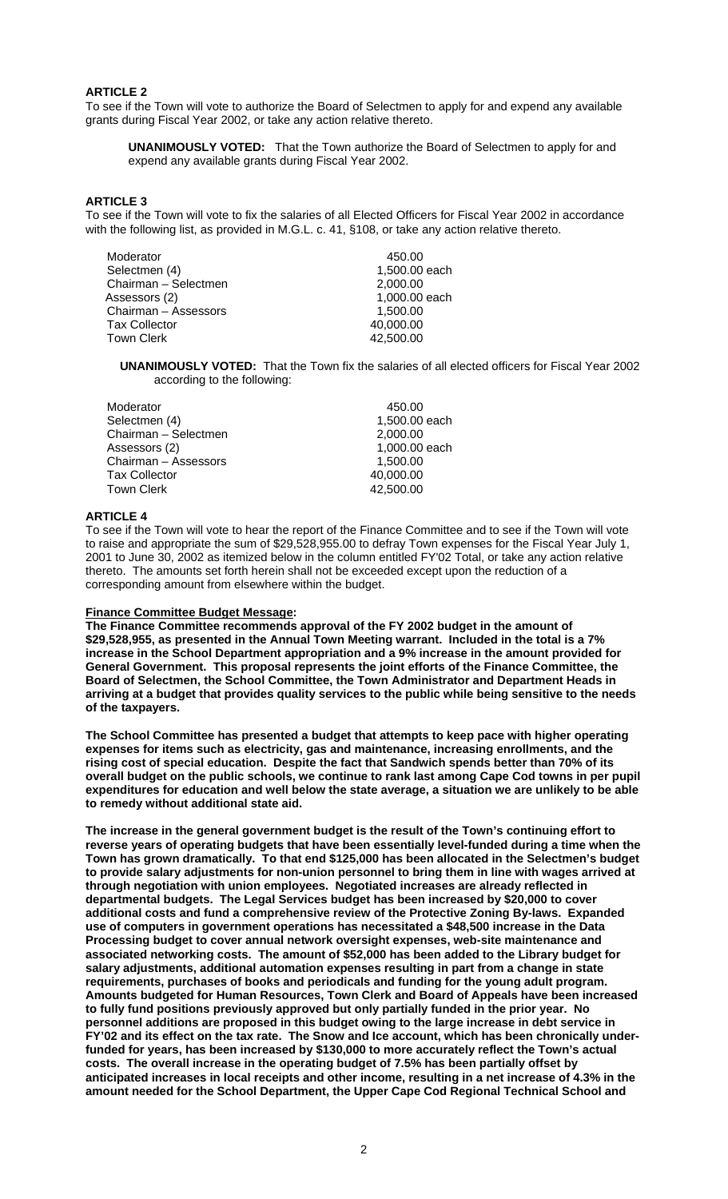# **ARTICLE 2**

To see if the Town will vote to authorize the Board of Selectmen to apply for and expend any available grants during Fiscal Year 2002, or take any action relative thereto.

**UNANIMOUSLY VOTED:** That the Town authorize the Board of Selectmen to apply for and expend any available grants during Fiscal Year 2002.

# **ARTICLE 3**

To see if the Town will vote to fix the salaries of all Elected Officers for Fiscal Year 2002 in accordance with the following list, as provided in M.G.L. c. 41, §108, or take any action relative thereto.

| Moderator            | 450.00        |
|----------------------|---------------|
| Selectmen (4)        | 1,500.00 each |
| Chairman - Selectmen | 2,000.00      |
| Assessors (2)        | 1,000.00 each |
| Chairman - Assessors | 1,500.00      |
| <b>Tax Collector</b> | 40,000.00     |
| <b>Town Clerk</b>    | 42,500.00     |
|                      |               |

**UNANIMOUSLY VOTED:** That the Town fix the salaries of all elected officers for Fiscal Year 2002 according to the following:

| Moderator            | 450.00        |
|----------------------|---------------|
| Selectmen (4)        | 1,500.00 each |
| Chairman - Selectmen | 2,000.00      |
| Assessors (2)        | 1,000.00 each |
| Chairman - Assessors | 1.500.00      |
| <b>Tax Collector</b> | 40,000.00     |
| <b>Town Clerk</b>    | 42,500.00     |
|                      |               |

# **ARTICLE 4**

To see if the Town will vote to hear the report of the Finance Committee and to see if the Town will vote to raise and appropriate the sum of \$29,528,955.00 to defray Town expenses for the Fiscal Year July 1, 2001 to June 30, 2002 as itemized below in the column entitled FY'02 Total, or take any action relative thereto. The amounts set forth herein shall not be exceeded except upon the reduction of a corresponding amount from elsewhere within the budget.

### **Finance Committee Budget Message:**

**The Finance Committee recommends approval of the FY 2002 budget in the amount of \$29,528,955, as presented in the Annual Town Meeting warrant. Included in the total is a 7% increase in the School Department appropriation and a 9% increase in the amount provided for General Government. This proposal represents the joint efforts of the Finance Committee, the Board of Selectmen, the School Committee, the Town Administrator and Department Heads in arriving at a budget that provides quality services to the public while being sensitive to the needs of the taxpayers.** 

**The School Committee has presented a budget that attempts to keep pace with higher operating expenses for items such as electricity, gas and maintenance, increasing enrollments, and the rising cost of special education. Despite the fact that Sandwich spends better than 70% of its overall budget on the public schools, we continue to rank last among Cape Cod towns in per pupil expenditures for education and well below the state average, a situation we are unlikely to be able to remedy without additional state aid.** 

**The increase in the general government budget is the result of the Town's continuing effort to reverse years of operating budgets that have been essentially level-funded during a time when the Town has grown dramatically. To that end \$125,000 has been allocated in the Selectmen's budget to provide salary adjustments for non-union personnel to bring them in line with wages arrived at through negotiation with union employees. Negotiated increases are already reflected in departmental budgets. The Legal Services budget has been increased by \$20,000 to cover additional costs and fund a comprehensive review of the Protective Zoning By-laws. Expanded use of computers in government operations has necessitated a \$48,500 increase in the Data Processing budget to cover annual network oversight expenses, web-site maintenance and associated networking costs. The amount of \$52,000 has been added to the Library budget for salary adjustments, additional automation expenses resulting in part from a change in state requirements, purchases of books and periodicals and funding for the young adult program. Amounts budgeted for Human Resources, Town Clerk and Board of Appeals have been increased to fully fund positions previously approved but only partially funded in the prior year. No personnel additions are proposed in this budget owing to the large increase in debt service in FY'02 and its effect on the tax rate. The Snow and Ice account, which has been chronically underfunded for years, has been increased by \$130,000 to more accurately reflect the Town's actual costs. The overall increase in the operating budget of 7.5% has been partially offset by anticipated increases in local receipts and other income, resulting in a net increase of 4.3% in the amount needed for the School Department, the Upper Cape Cod Regional Technical School and**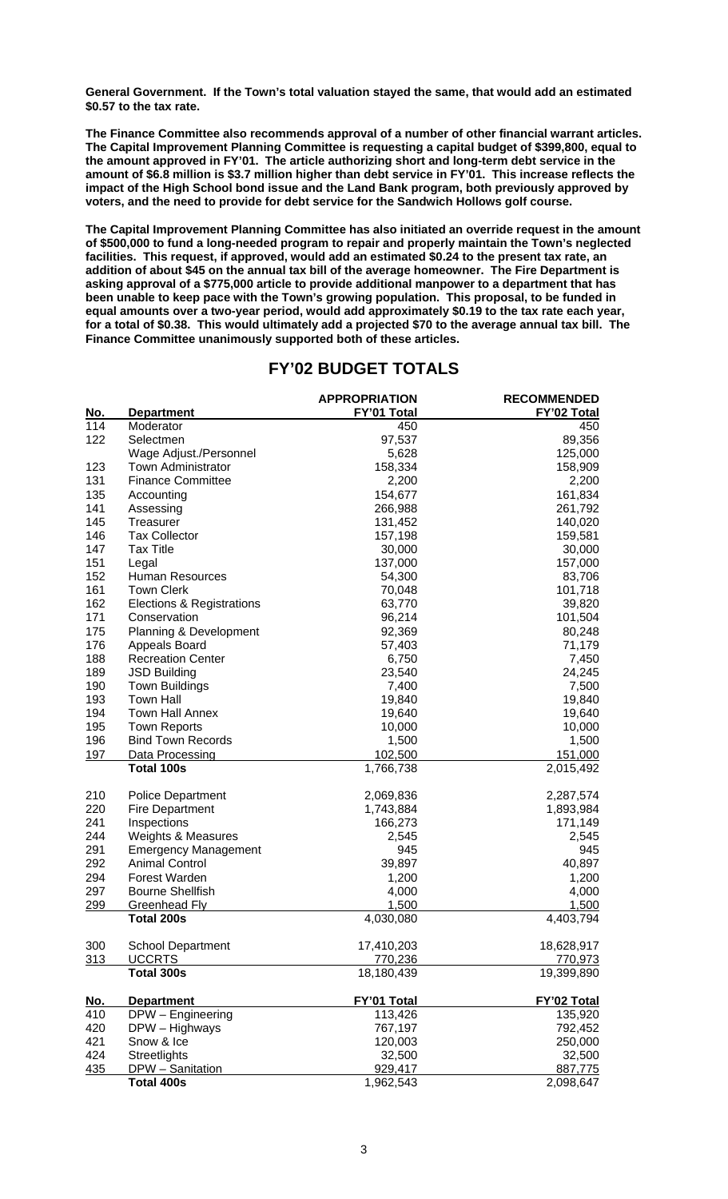**General Government. If the Town's total valuation stayed the same, that would add an estimated \$0.57 to the tax rate.** 

**The Finance Committee also recommends approval of a number of other financial warrant articles. The Capital Improvement Planning Committee is requesting a capital budget of \$399,800, equal to the amount approved in FY'01. The article authorizing short and long-term debt service in the amount of \$6.8 million is \$3.7 million higher than debt service in FY'01. This increase reflects the impact of the High School bond issue and the Land Bank program, both previously approved by voters, and the need to provide for debt service for the Sandwich Hollows golf course.** 

**The Capital Improvement Planning Committee has also initiated an override request in the amount of \$500,000 to fund a long-needed program to repair and properly maintain the Town's neglected facilities. This request, if approved, would add an estimated \$0.24 to the present tax rate, an addition of about \$45 on the annual tax bill of the average homeowner. The Fire Department is asking approval of a \$775,000 article to provide additional manpower to a department that has been unable to keep pace with the Town's growing population. This proposal, to be funded in equal amounts over a two-year period, would add approximately \$0.19 to the tax rate each year, for a total of \$0.38. This would ultimately add a projected \$70 to the average annual tax bill. The Finance Committee unanimously supported both of these articles.**

# **FY'02 BUDGET TOTALS**

| <u>No.</u> | <b>Department</b>               | <b>APPROPRIATION</b><br>FY'01 Total | <b>RECOMMENDED</b><br>FY'02 Total |
|------------|---------------------------------|-------------------------------------|-----------------------------------|
| 114        | Moderator                       | 450                                 | 450                               |
| 122        | Selectmen                       | 97,537                              | 89,356                            |
|            | Wage Adjust./Personnel          | 5,628                               | 125,000                           |
| 123        | <b>Town Administrator</b>       | 158,334                             | 158,909                           |
| 131        | <b>Finance Committee</b>        | 2,200                               | 2,200                             |
| 135        | Accounting                      | 154,677                             | 161,834                           |
| 141        | Assessing                       | 266,988                             | 261,792                           |
| 145        | Treasurer                       | 131,452                             | 140,020                           |
| 146        | <b>Tax Collector</b>            | 157,198                             | 159,581                           |
| 147        | <b>Tax Title</b>                | 30,000                              | 30,000                            |
| 151        |                                 | 137,000                             |                                   |
| 152        | Legal<br><b>Human Resources</b> |                                     | 157,000                           |
|            |                                 | 54,300                              | 83,706                            |
| 161        | <b>Town Clerk</b>               | 70,048                              | 101,718                           |
| 162        | Elections & Registrations       | 63,770                              | 39,820                            |
| 171        | Conservation                    | 96,214                              | 101,504                           |
| 175        | Planning & Development          | 92,369                              | 80,248                            |
| 176        | Appeals Board                   | 57,403                              | 71,179                            |
| 188        | <b>Recreation Center</b>        | 6,750                               | 7,450                             |
| 189        | <b>JSD Building</b>             | 23,540                              | 24,245                            |
| 190        | <b>Town Buildings</b>           | 7,400                               | 7,500                             |
| 193        | <b>Town Hall</b>                | 19,840                              | 19,840                            |
| 194        | <b>Town Hall Annex</b>          | 19,640                              | 19,640                            |
| 195        | <b>Town Reports</b>             | 10,000                              | 10,000                            |
| 196        | <b>Bind Town Records</b>        | 1,500                               | 1,500                             |
| 197        | Data Processing                 | 102,500                             | 151,000                           |
|            | <b>Total 100s</b>               | 1,766,738                           | 2,015,492                         |
| 210        | Police Department               | 2,069,836                           | 2,287,574                         |
| 220        | <b>Fire Department</b>          | 1,743,884                           | 1,893,984                         |
| 241        | Inspections                     | 166,273                             | 171,149                           |
| 244        | Weights & Measures              | 2,545                               | 2,545                             |
| 291        | <b>Emergency Management</b>     | 945                                 | 945                               |
| 292        | <b>Animal Control</b>           | 39,897                              | 40,897                            |
| 294        | Forest Warden                   | 1,200                               | 1,200                             |
| 297        | <b>Bourne Shellfish</b>         | 4,000                               | 4,000                             |
| 299        | <b>Greenhead Fly</b>            | 1,500                               | 1,500                             |
|            | Total 200s                      | 4,030,080                           | 4,403,794                         |
| 300        | <b>School Department</b>        | 17,410,203                          | 18,628,917                        |
| 313        | <b>UCCRTS</b>                   | 770,236                             | 770,973                           |
|            | Total 300s                      | 18,180,439                          | 19,399,890                        |
| <u>No.</u> | <b>Department</b>               | FY'01 Total                         | FY'02 Total                       |
| 410        | DPW - Engineering               | 113,426                             | 135,920                           |
| 420        | DPW - Highways                  | 767,197                             | 792,452                           |
| 421        | Snow & Ice                      | 120,003                             | 250,000                           |
| 424        | Streetlights                    | 32,500                              | 32,500                            |
| 435        | DPW - Sanitation                | 929,417                             | 887,775                           |
|            | Total 400s                      | 1,962,543                           | 2,098,647                         |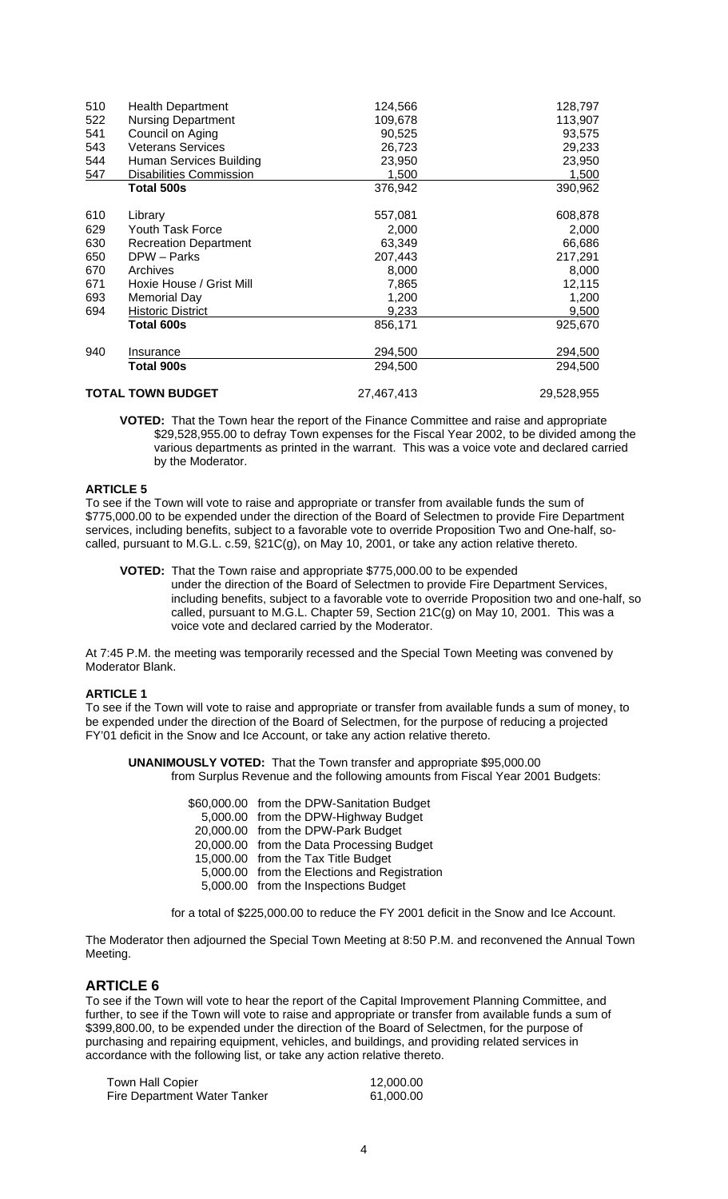| 510 | <b>Health Department</b>       | 124,566    | 128,797      |
|-----|--------------------------------|------------|--------------|
| 522 | <b>Nursing Department</b>      | 109,678    | 113,907      |
| 541 | Council on Aging               | 90,525     | 93,575       |
| 543 | <b>Veterans Services</b>       | 26,723     | 29,233       |
| 544 | Human Services Building        | 23,950     | 23,950       |
| 547 | <b>Disabilities Commission</b> | 1,500      | <u>1,500</u> |
|     | Total 500s                     | 376,942    | 390,962      |
| 610 | Library                        | 557,081    | 608,878      |
| 629 | Youth Task Force               | 2,000      | 2,000        |
| 630 | <b>Recreation Department</b>   | 63,349     | 66,686       |
| 650 | DPW - Parks                    | 207,443    | 217,291      |
| 670 | Archives                       | 8,000      | 8,000        |
| 671 | Hoxie House / Grist Mill       | 7,865      | 12,115       |
| 693 | Memorial Day                   | 1,200      | 1,200        |
| 694 | Historic District              | 9,233      | 9,500        |
|     | Total 600s                     | 856,171    | 925,670      |
| 940 | Insurance                      | 294,500    | 294,500      |
|     | Total 900s                     | 294,500    | 294,500      |
|     | <b>TOTAL TOWN BUDGET</b>       | 27,467,413 | 29,528,955   |

**VOTED:** That the Town hear the report of the Finance Committee and raise and appropriate \$29,528,955.00 to defray Town expenses for the Fiscal Year 2002, to be divided among the various departments as printed in the warrant. This was a voice vote and declared carried by the Moderator.

# **ARTICLE 5**

To see if the Town will vote to raise and appropriate or transfer from available funds the sum of \$775,000.00 to be expended under the direction of the Board of Selectmen to provide Fire Department services, including benefits, subject to a favorable vote to override Proposition Two and One-half, socalled, pursuant to M.G.L. c.59, §21C(g), on May 10, 2001, or take any action relative thereto.

 **VOTED:** That the Town raise and appropriate \$775,000.00 to be expended under the direction of the Board of Selectmen to provide Fire Department Services, including benefits, subject to a favorable vote to override Proposition two and one-half, so called, pursuant to M.G.L. Chapter 59, Section 21C(g) on May 10, 2001. This was a voice vote and declared carried by the Moderator.

At 7:45 P.M. the meeting was temporarily recessed and the Special Town Meeting was convened by Moderator Blank.

# **ARTICLE 1**

To see if the Town will vote to raise and appropriate or transfer from available funds a sum of money, to be expended under the direction of the Board of Selectmen, for the purpose of reducing a projected FY'01 deficit in the Snow and Ice Account, or take any action relative thereto.

**UNANIMOUSLY VOTED:** That the Town transfer and appropriate \$95,000.00 from Surplus Revenue and the following amounts from Fiscal Year 2001 Budgets:

| \$60,000.00 from the DPW-Sanitation Budget   |
|----------------------------------------------|
| 5,000.00 from the DPW-Highway Budget         |
| 20,000.00 from the DPW-Park Budget           |
| 20,000.00 from the Data Processing Budget    |
| 15,000.00 from the Tax Title Budget          |
| 5,000.00 from the Elections and Registration |
| 5,000.00 from the Inspections Budget         |
|                                              |

for a total of \$225,000.00 to reduce the FY 2001 deficit in the Snow and Ice Account.

The Moderator then adjourned the Special Town Meeting at 8:50 P.M. and reconvened the Annual Town Meeting.

# **ARTICLE 6**

To see if the Town will vote to hear the report of the Capital Improvement Planning Committee, and further, to see if the Town will vote to raise and appropriate or transfer from available funds a sum of \$399,800.00, to be expended under the direction of the Board of Selectmen, for the purpose of purchasing and repairing equipment, vehicles, and buildings, and providing related services in accordance with the following list, or take any action relative thereto.

| <b>Town Hall Copier</b>      | 12,000.00 |
|------------------------------|-----------|
| Fire Department Water Tanker | 61,000.00 |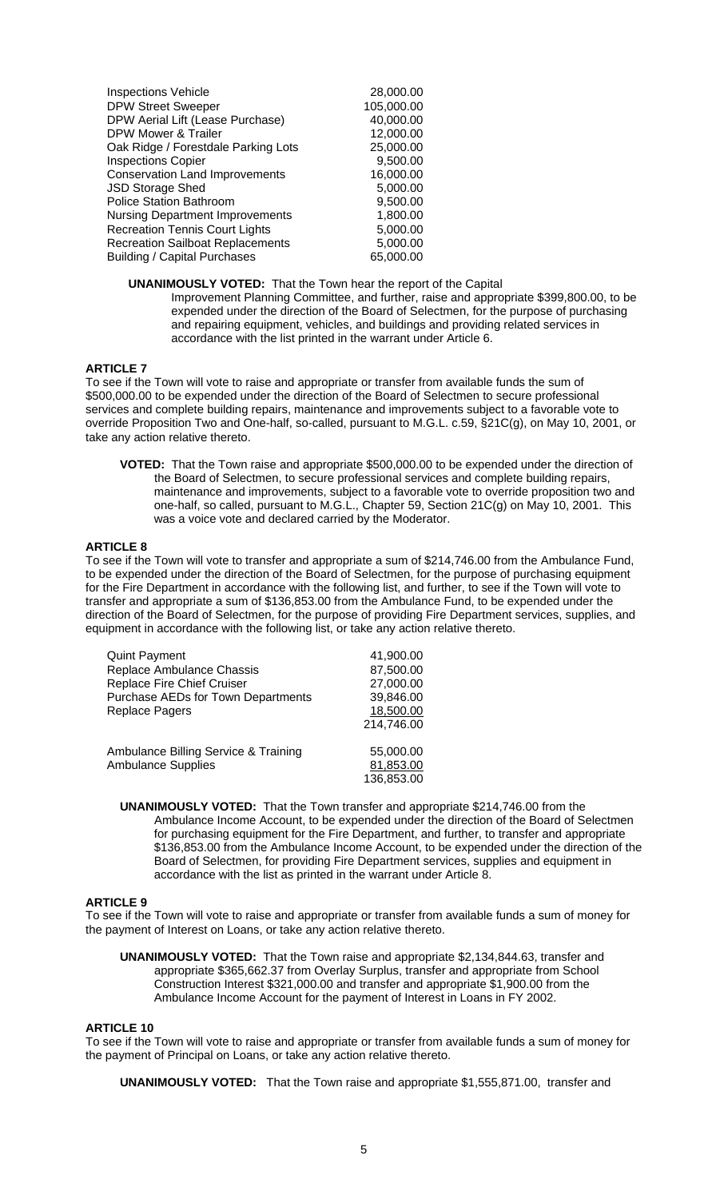| <b>Inspections Vehicle</b>              | 28,000.00  |
|-----------------------------------------|------------|
| <b>DPW Street Sweeper</b>               | 105,000.00 |
| DPW Aerial Lift (Lease Purchase)        | 40,000.00  |
| DPW Mower & Trailer                     | 12,000.00  |
| Oak Ridge / Forestdale Parking Lots     | 25,000.00  |
| <b>Inspections Copier</b>               | 9,500.00   |
| <b>Conservation Land Improvements</b>   | 16,000.00  |
| <b>JSD Storage Shed</b>                 | 5,000.00   |
| <b>Police Station Bathroom</b>          | 9,500.00   |
| <b>Nursing Department Improvements</b>  | 1,800.00   |
| <b>Recreation Tennis Court Lights</b>   | 5,000.00   |
| <b>Recreation Sailboat Replacements</b> | 5,000.00   |
| <b>Building / Capital Purchases</b>     | 65,000.00  |
|                                         |            |

**UNANIMOUSLY VOTED:** That the Town hear the report of the Capital Improvement Planning Committee, and further, raise and appropriate \$399,800.00, to be expended under the direction of the Board of Selectmen, for the purpose of purchasing and repairing equipment, vehicles, and buildings and providing related services in accordance with the list printed in the warrant under Article 6.

## **ARTICLE 7**

To see if the Town will vote to raise and appropriate or transfer from available funds the sum of \$500,000.00 to be expended under the direction of the Board of Selectmen to secure professional services and complete building repairs, maintenance and improvements subject to a favorable vote to override Proposition Two and One-half, so-called, pursuant to M.G.L. c.59, §21C(g), on May 10, 2001, or take any action relative thereto.

**VOTED:** That the Town raise and appropriate \$500,000.00 to be expended under the direction of the Board of Selectmen, to secure professional services and complete building repairs, maintenance and improvements, subject to a favorable vote to override proposition two and one-half, so called, pursuant to M.G.L., Chapter 59, Section 21C(g) on May 10, 2001. This was a voice vote and declared carried by the Moderator.

## **ARTICLE 8**

To see if the Town will vote to transfer and appropriate a sum of \$214,746.00 from the Ambulance Fund, to be expended under the direction of the Board of Selectmen, for the purpose of purchasing equipment for the Fire Department in accordance with the following list, and further, to see if the Town will vote to transfer and appropriate a sum of \$136,853.00 from the Ambulance Fund, to be expended under the direction of the Board of Selectmen, for the purpose of providing Fire Department services, supplies, and equipment in accordance with the following list, or take any action relative thereto.

| <b>Quint Payment</b>                 | 41,900.00  |
|--------------------------------------|------------|
| Replace Ambulance Chassis            | 87,500.00  |
| Replace Fire Chief Cruiser           | 27,000.00  |
| Purchase AEDs for Town Departments   | 39,846.00  |
| <b>Replace Pagers</b>                | 18,500.00  |
|                                      | 214,746.00 |
|                                      |            |
| Ambulance Billing Service & Training | 55,000.00  |
| <b>Ambulance Supplies</b>            | 81,853.00  |
|                                      | 136.853.00 |

**UNANIMOUSLY VOTED:** That the Town transfer and appropriate \$214,746.00 from the Ambulance Income Account, to be expended under the direction of the Board of Selectmen for purchasing equipment for the Fire Department, and further, to transfer and appropriate \$136,853.00 from the Ambulance Income Account, to be expended under the direction of the Board of Selectmen, for providing Fire Department services, supplies and equipment in accordance with the list as printed in the warrant under Article 8.

#### **ARTICLE 9**

To see if the Town will vote to raise and appropriate or transfer from available funds a sum of money for the payment of Interest on Loans, or take any action relative thereto.

**UNANIMOUSLY VOTED:** That the Town raise and appropriate \$2,134,844.63, transfer and appropriate \$365,662.37 from Overlay Surplus, transfer and appropriate from School Construction Interest \$321,000.00 and transfer and appropriate \$1,900.00 from the Ambulance Income Account for the payment of Interest in Loans in FY 2002.

#### **ARTICLE 10**

To see if the Town will vote to raise and appropriate or transfer from available funds a sum of money for the payment of Principal on Loans, or take any action relative thereto.

**UNANIMOUSLY VOTED:** That the Town raise and appropriate \$1,555,871.00, transfer and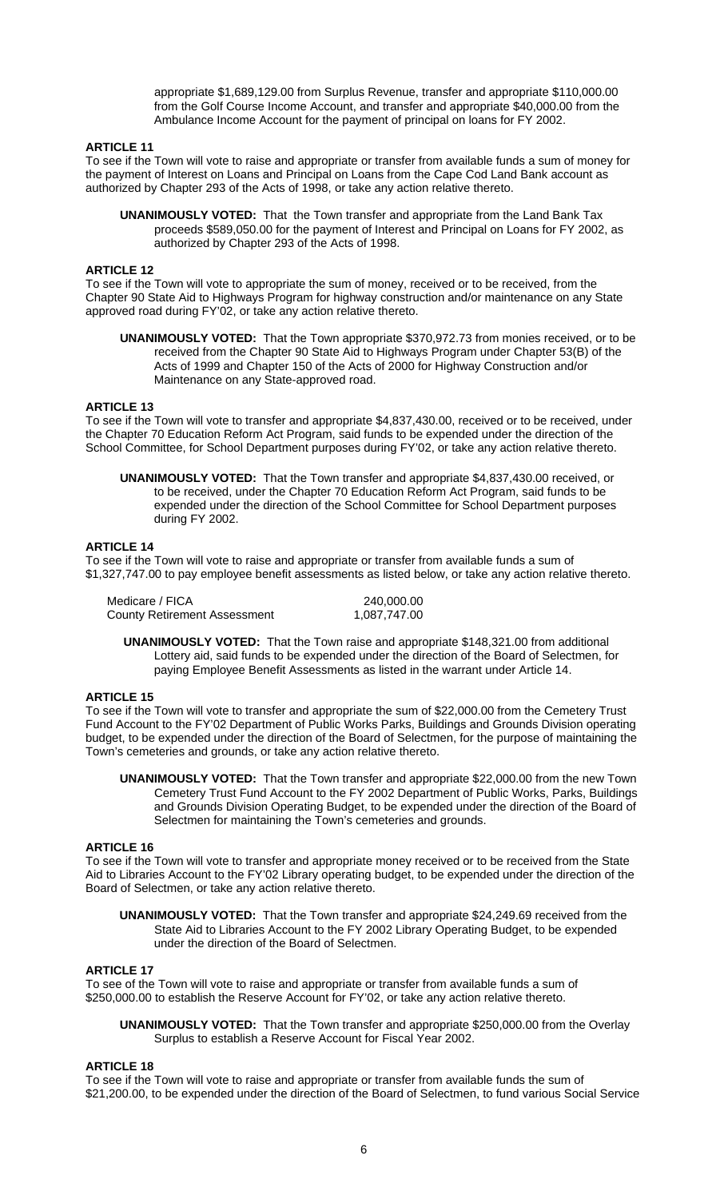appropriate \$1,689,129.00 from Surplus Revenue, transfer and appropriate \$110,000.00 from the Golf Course Income Account, and transfer and appropriate \$40,000.00 from the Ambulance Income Account for the payment of principal on loans for FY 2002.

## **ARTICLE 11**

To see if the Town will vote to raise and appropriate or transfer from available funds a sum of money for the payment of Interest on Loans and Principal on Loans from the Cape Cod Land Bank account as authorized by Chapter 293 of the Acts of 1998, or take any action relative thereto.

 **UNANIMOUSLY VOTED:** That the Town transfer and appropriate from the Land Bank Tax proceeds \$589,050.00 for the payment of Interest and Principal on Loans for FY 2002, as authorized by Chapter 293 of the Acts of 1998.

## **ARTICLE 12**

To see if the Town will vote to appropriate the sum of money, received or to be received, from the Chapter 90 State Aid to Highways Program for highway construction and/or maintenance on any State approved road during FY'02, or take any action relative thereto.

**UNANIMOUSLY VOTED:** That the Town appropriate \$370,972.73 from monies received, or to be received from the Chapter 90 State Aid to Highways Program under Chapter 53(B) of the Acts of 1999 and Chapter 150 of the Acts of 2000 for Highway Construction and/or Maintenance on any State-approved road.

## **ARTICLE 13**

To see if the Town will vote to transfer and appropriate \$4,837,430.00, received or to be received, under the Chapter 70 Education Reform Act Program, said funds to be expended under the direction of the School Committee, for School Department purposes during FY'02, or take any action relative thereto.

 **UNANIMOUSLY VOTED:** That the Town transfer and appropriate \$4,837,430.00 received, or to be received, under the Chapter 70 Education Reform Act Program, said funds to be expended under the direction of the School Committee for School Department purposes during FY 2002.

## **ARTICLE 14**

To see if the Town will vote to raise and appropriate or transfer from available funds a sum of \$1,327,747.00 to pay employee benefit assessments as listed below, or take any action relative thereto.

| Medicare / FICA                     | 240,000.00   |
|-------------------------------------|--------------|
| <b>County Retirement Assessment</b> | 1,087,747.00 |

 **UNANIMOUSLY VOTED:** That the Town raise and appropriate \$148,321.00 from additional Lottery aid, said funds to be expended under the direction of the Board of Selectmen, for paying Employee Benefit Assessments as listed in the warrant under Article 14.

#### **ARTICLE 15**

To see if the Town will vote to transfer and appropriate the sum of \$22,000.00 from the Cemetery Trust Fund Account to the FY'02 Department of Public Works Parks, Buildings and Grounds Division operating budget, to be expended under the direction of the Board of Selectmen, for the purpose of maintaining the Town's cemeteries and grounds, or take any action relative thereto.

**UNANIMOUSLY VOTED:** That the Town transfer and appropriate \$22,000.00 from the new Town Cemetery Trust Fund Account to the FY 2002 Department of Public Works, Parks, Buildings and Grounds Division Operating Budget, to be expended under the direction of the Board of Selectmen for maintaining the Town's cemeteries and grounds.

#### **ARTICLE 16**

To see if the Town will vote to transfer and appropriate money received or to be received from the State Aid to Libraries Account to the FY'02 Library operating budget, to be expended under the direction of the Board of Selectmen, or take any action relative thereto.

**UNANIMOUSLY VOTED:** That the Town transfer and appropriate \$24,249.69 received from the State Aid to Libraries Account to the FY 2002 Library Operating Budget, to be expended under the direction of the Board of Selectmen.

#### **ARTICLE 17**

To see of the Town will vote to raise and appropriate or transfer from available funds a sum of \$250,000.00 to establish the Reserve Account for FY'02, or take any action relative thereto.

**UNANIMOUSLY VOTED:** That the Town transfer and appropriate \$250,000.00 from the Overlay Surplus to establish a Reserve Account for Fiscal Year 2002.

#### **ARTICLE 18**

To see if the Town will vote to raise and appropriate or transfer from available funds the sum of \$21,200.00, to be expended under the direction of the Board of Selectmen, to fund various Social Service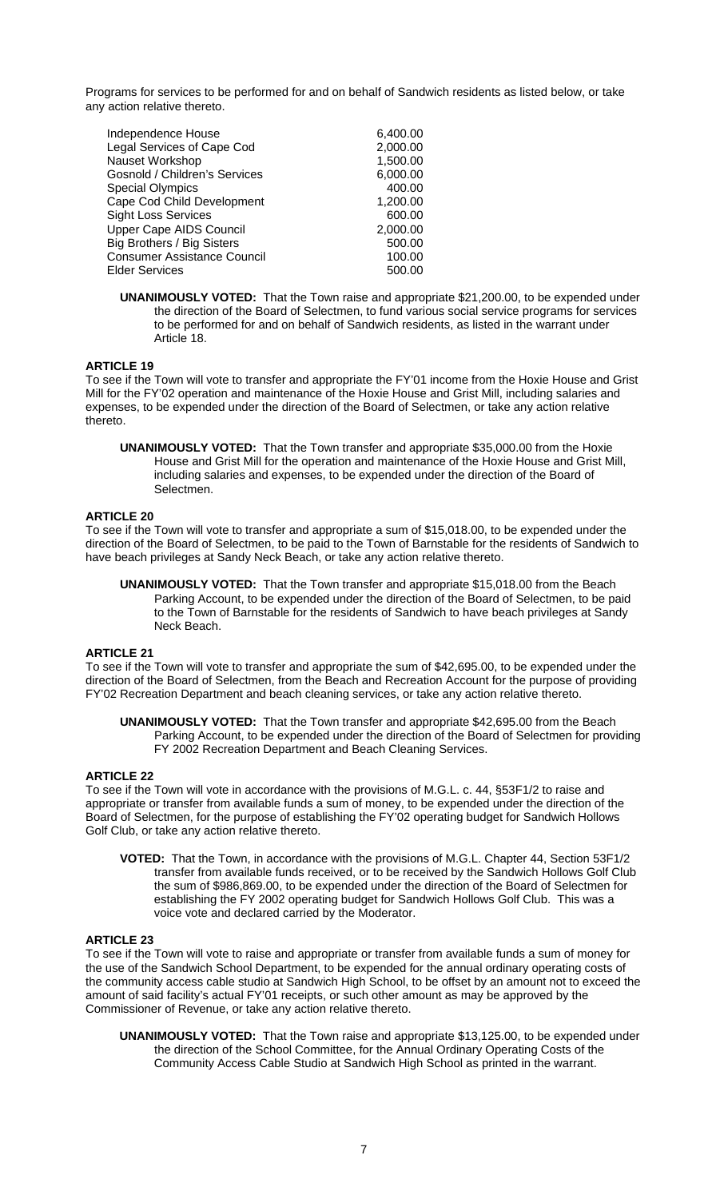Programs for services to be performed for and on behalf of Sandwich residents as listed below, or take any action relative thereto.

| Independence House                 | 6,400.00 |
|------------------------------------|----------|
| Legal Services of Cape Cod         | 2,000.00 |
| Nauset Workshop                    | 1,500.00 |
| Gosnold / Children's Services      | 6,000.00 |
| <b>Special Olympics</b>            | 400.00   |
| Cape Cod Child Development         | 1,200.00 |
| <b>Sight Loss Services</b>         | 600.00   |
| <b>Upper Cape AIDS Council</b>     | 2,000.00 |
| Big Brothers / Big Sisters         | 500.00   |
| <b>Consumer Assistance Council</b> | 100.00   |
| <b>Elder Services</b>              | 500.00   |
|                                    |          |

**UNANIMOUSLY VOTED:** That the Town raise and appropriate \$21,200.00, to be expended under the direction of the Board of Selectmen, to fund various social service programs for services to be performed for and on behalf of Sandwich residents, as listed in the warrant under Article 18.

## **ARTICLE 19**

To see if the Town will vote to transfer and appropriate the FY'01 income from the Hoxie House and Grist Mill for the FY'02 operation and maintenance of the Hoxie House and Grist Mill, including salaries and expenses, to be expended under the direction of the Board of Selectmen, or take any action relative thereto.

**UNANIMOUSLY VOTED:** That the Town transfer and appropriate \$35,000.00 from the Hoxie House and Grist Mill for the operation and maintenance of the Hoxie House and Grist Mill, including salaries and expenses, to be expended under the direction of the Board of Selectmen.

## **ARTICLE 20**

To see if the Town will vote to transfer and appropriate a sum of \$15,018.00, to be expended under the direction of the Board of Selectmen, to be paid to the Town of Barnstable for the residents of Sandwich to have beach privileges at Sandy Neck Beach, or take any action relative thereto.

**UNANIMOUSLY VOTED:** That the Town transfer and appropriate \$15,018.00 from the Beach Parking Account, to be expended under the direction of the Board of Selectmen, to be paid to the Town of Barnstable for the residents of Sandwich to have beach privileges at Sandy Neck Beach.

## **ARTICLE 21**

To see if the Town will vote to transfer and appropriate the sum of \$42,695.00, to be expended under the direction of the Board of Selectmen, from the Beach and Recreation Account for the purpose of providing FY'02 Recreation Department and beach cleaning services, or take any action relative thereto.

**UNANIMOUSLY VOTED:** That the Town transfer and appropriate \$42,695.00 from the Beach Parking Account, to be expended under the direction of the Board of Selectmen for providing FY 2002 Recreation Department and Beach Cleaning Services.

#### **ARTICLE 22**

To see if the Town will vote in accordance with the provisions of M.G.L. c. 44, §53F1/2 to raise and appropriate or transfer from available funds a sum of money, to be expended under the direction of the Board of Selectmen, for the purpose of establishing the FY'02 operating budget for Sandwich Hollows Golf Club, or take any action relative thereto.

**VOTED:** That the Town, in accordance with the provisions of M.G.L. Chapter 44, Section 53F1/2 transfer from available funds received, or to be received by the Sandwich Hollows Golf Club the sum of \$986,869.00, to be expended under the direction of the Board of Selectmen for establishing the FY 2002 operating budget for Sandwich Hollows Golf Club. This was a voice vote and declared carried by the Moderator.

#### **ARTICLE 23**

To see if the Town will vote to raise and appropriate or transfer from available funds a sum of money for the use of the Sandwich School Department, to be expended for the annual ordinary operating costs of the community access cable studio at Sandwich High School, to be offset by an amount not to exceed the amount of said facility's actual FY'01 receipts, or such other amount as may be approved by the Commissioner of Revenue, or take any action relative thereto.

**UNANIMOUSLY VOTED:** That the Town raise and appropriate \$13,125.00, to be expended under the direction of the School Committee, for the Annual Ordinary Operating Costs of the Community Access Cable Studio at Sandwich High School as printed in the warrant.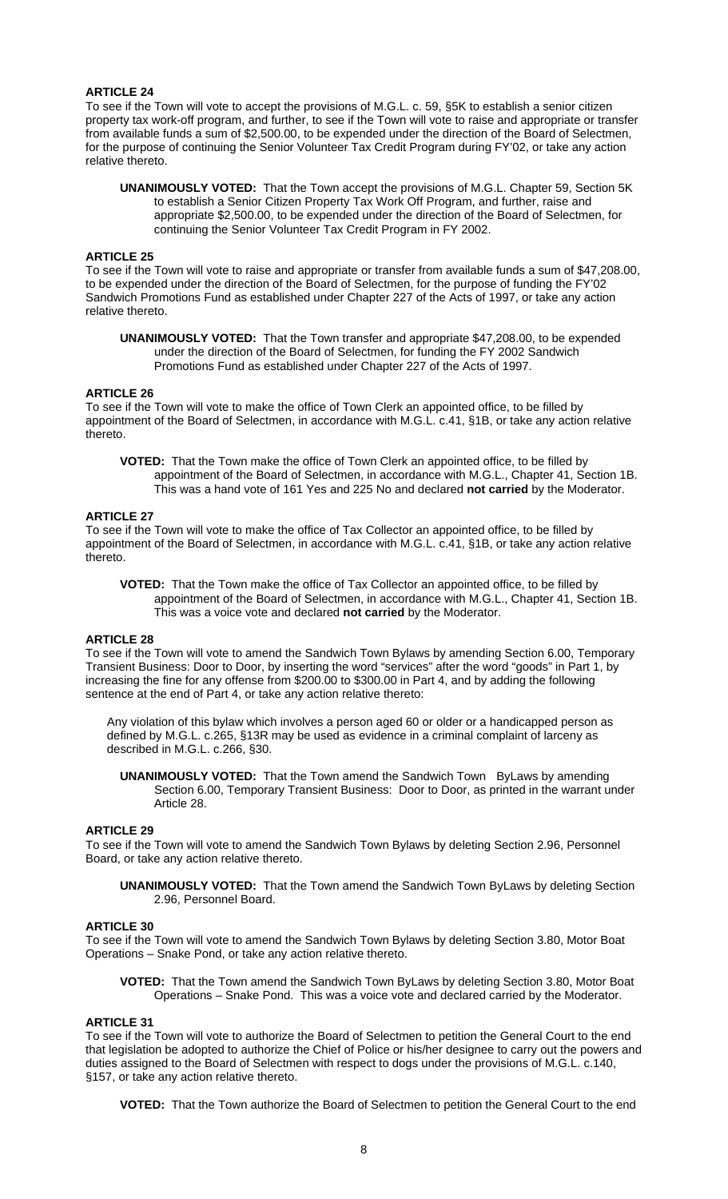## **ARTICLE 24**

To see if the Town will vote to accept the provisions of M.G.L. c. 59, §5K to establish a senior citizen property tax work-off program, and further, to see if the Town will vote to raise and appropriate or transfer from available funds a sum of \$2,500.00, to be expended under the direction of the Board of Selectmen, for the purpose of continuing the Senior Volunteer Tax Credit Program during FY'02, or take any action relative thereto.

**UNANIMOUSLY VOTED:** That the Town accept the provisions of M.G.L. Chapter 59, Section 5K to establish a Senior Citizen Property Tax Work Off Program, and further, raise and appropriate \$2,500.00, to be expended under the direction of the Board of Selectmen, for continuing the Senior Volunteer Tax Credit Program in FY 2002.

#### **ARTICLE 25**

To see if the Town will vote to raise and appropriate or transfer from available funds a sum of \$47,208.00, to be expended under the direction of the Board of Selectmen, for the purpose of funding the FY'02 Sandwich Promotions Fund as established under Chapter 227 of the Acts of 1997, or take any action relative thereto.

**UNANIMOUSLY VOTED:** That the Town transfer and appropriate \$47,208.00, to be expended under the direction of the Board of Selectmen, for funding the FY 2002 Sandwich Promotions Fund as established under Chapter 227 of the Acts of 1997.

### **ARTICLE 26**

To see if the Town will vote to make the office of Town Clerk an appointed office, to be filled by appointment of the Board of Selectmen, in accordance with M.G.L. c.41, §1B, or take any action relative thereto.

**VOTED:** That the Town make the office of Town Clerk an appointed office, to be filled by appointment of the Board of Selectmen, in accordance with M.G.L., Chapter 41, Section 1B. This was a hand vote of 161 Yes and 225 No and declared **not carried** by the Moderator.

#### **ARTICLE 27**

To see if the Town will vote to make the office of Tax Collector an appointed office, to be filled by appointment of the Board of Selectmen, in accordance with M.G.L. c.41, §1B, or take any action relative thereto.

 **VOTED:** That the Town make the office of Tax Collector an appointed office, to be filled by appointment of the Board of Selectmen, in accordance with M.G.L., Chapter 41, Section 1B. This was a voice vote and declared **not carried** by the Moderator.

#### **ARTICLE 28**

To see if the Town will vote to amend the Sandwich Town Bylaws by amending Section 6.00, Temporary Transient Business: Door to Door, by inserting the word "services" after the word "goods" in Part 1, by increasing the fine for any offense from \$200.00 to \$300.00 in Part 4, and by adding the following sentence at the end of Part 4, or take any action relative thereto:

Any violation of this bylaw which involves a person aged 60 or older or a handicapped person as defined by M.G.L. c.265, §13R may be used as evidence in a criminal complaint of larceny as described in M.G.L. c.266, §30.

**UNANIMOUSLY VOTED:** That the Town amend the Sandwich Town ByLaws by amending Section 6.00, Temporary Transient Business: Door to Door, as printed in the warrant under Article 28.

#### **ARTICLE 29**

To see if the Town will vote to amend the Sandwich Town Bylaws by deleting Section 2.96, Personnel Board, or take any action relative thereto.

**UNANIMOUSLY VOTED:** That the Town amend the Sandwich Town ByLaws by deleting Section 2.96, Personnel Board.

#### **ARTICLE 30**

To see if the Town will vote to amend the Sandwich Town Bylaws by deleting Section 3.80, Motor Boat Operations – Snake Pond, or take any action relative thereto.

 **VOTED:** That the Town amend the Sandwich Town ByLaws by deleting Section 3.80, Motor Boat Operations – Snake Pond. This was a voice vote and declared carried by the Moderator.

#### **ARTICLE 31**

To see if the Town will vote to authorize the Board of Selectmen to petition the General Court to the end that legislation be adopted to authorize the Chief of Police or his/her designee to carry out the powers and duties assigned to the Board of Selectmen with respect to dogs under the provisions of M.G.L. c.140, §157, or take any action relative thereto.

**VOTED:** That the Town authorize the Board of Selectmen to petition the General Court to the end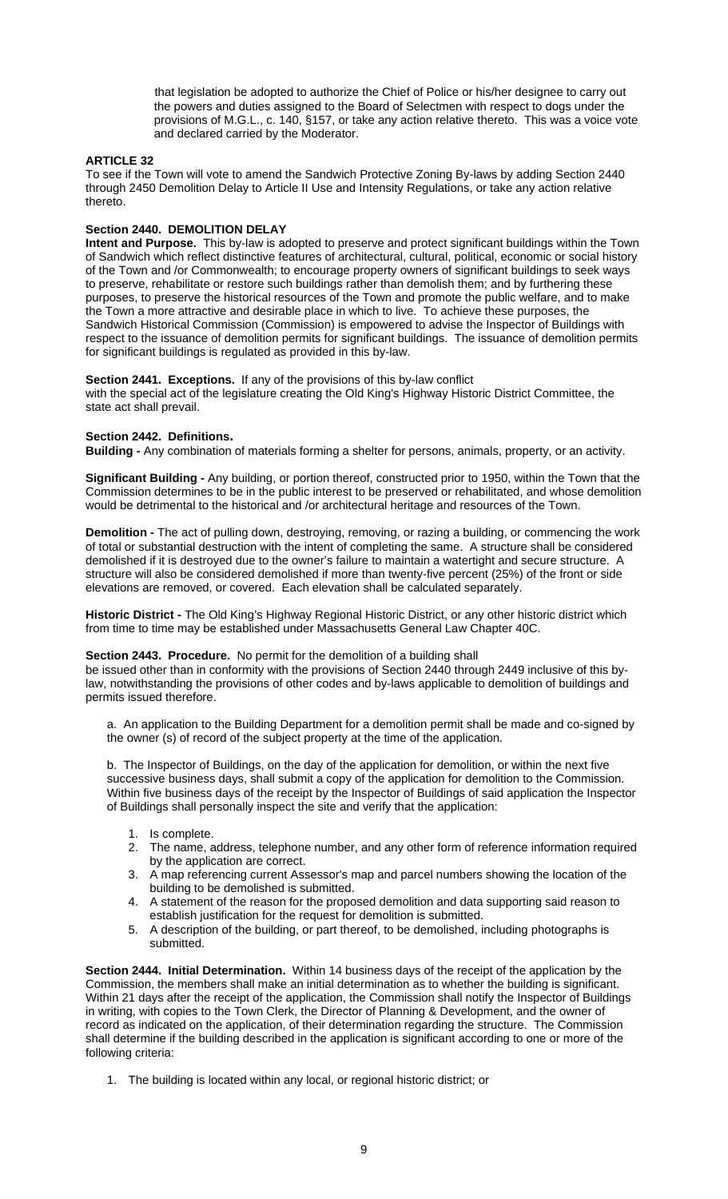that legislation be adopted to authorize the Chief of Police or his/her designee to carry out the powers and duties assigned to the Board of Selectmen with respect to dogs under the provisions of M.G.L., c. 140, §157, or take any action relative thereto. This was a voice vote and declared carried by the Moderator.

## **ARTICLE 32**

To see if the Town will vote to amend the Sandwich Protective Zoning By-laws by adding Section 2440 through 2450 Demolition Delay to Article II Use and Intensity Regulations, or take any action relative thereto.

## **Section 2440. DEMOLITION DELAY**

**Intent and Purpose.** This by-law is adopted to preserve and protect significant buildings within the Town of Sandwich which reflect distinctive features of architectural, cultural, political, economic or social history of the Town and /or Commonwealth; to encourage property owners of significant buildings to seek ways to preserve, rehabilitate or restore such buildings rather than demolish them; and by furthering these purposes, to preserve the historical resources of the Town and promote the public welfare, and to make the Town a more attractive and desirable place in which to live. To achieve these purposes, the Sandwich Historical Commission (Commission) is empowered to advise the Inspector of Buildings with respect to the issuance of demolition permits for significant buildings. The issuance of demolition permits for significant buildings is regulated as provided in this by-law.

# **Section 2441. Exceptions.** If any of the provisions of this by-law conflict

with the special act of the legislature creating the Old King's Highway Historic District Committee, the state act shall prevail.

**Section 2442. Definitions.**<br>**Building -** Any combination of materials forming a shelter for persons, animals, property, or an activity.

**Significant Building -** Any building, or portion thereof, constructed prior to 1950, within the Town that the Commission determines to be in the public interest to be preserved or rehabilitated, and whose demolition would be detrimental to the historical and /or architectural heritage and resources of the Town.

**Demolition -** The act of pulling down, destroying, removing, or razing a building, or commencing the work of total or substantial destruction with the intent of completing the same. A structure shall be considered demolished if it is destroyed due to the owner's failure to maintain a watertight and secure structure. A structure will also be considered demolished if more than twenty-five percent (25%) of the front or side elevations are removed, or covered. Each elevation shall be calculated separately.

**Historic District -** The Old King's Highway Regional Historic District, or any other historic district which from time to time may be established under Massachusetts General Law Chapter 40C.

## **Section 2443. Procedure.** No permit for the demolition of a building shall

be issued other than in conformity with the provisions of Section 2440 through 2449 inclusive of this bylaw, notwithstanding the provisions of other codes and by-laws applicable to demolition of buildings and permits issued therefore.

a. An application to the Building Department for a demolition permit shall be made and co-signed by the owner (s) of record of the subject property at the time of the application.

b. The Inspector of Buildings, on the day of the application for demolition, or within the next five successive business days, shall submit a copy of the application for demolition to the Commission. Within five business days of the receipt by the Inspector of Buildings of said application the Inspector of Buildings shall personally inspect the site and verify that the application:

- 1. Is complete.
- 2. The name, address, telephone number, and any other form of reference information required by the application are correct.
- 3. A map referencing current Assessor's map and parcel numbers showing the location of the building to be demolished is submitted.
- 4. A statement of the reason for the proposed demolition and data supporting said reason to establish justification for the request for demolition is submitted.
- 5. A description of the building, or part thereof, to be demolished, including photographs is submitted.

**Section 2444. Initial Determination.** Within 14 business days of the receipt of the application by the Commission, the members shall make an initial determination as to whether the building is significant. Within 21 days after the receipt of the application, the Commission shall notify the Inspector of Buildings in writing, with copies to the Town Clerk, the Director of Planning & Development, and the owner of record as indicated on the application, of their determination regarding the structure. The Commission shall determine if the building described in the application is significant according to one or more of the following criteria:

1. The building is located within any local, or regional historic district; or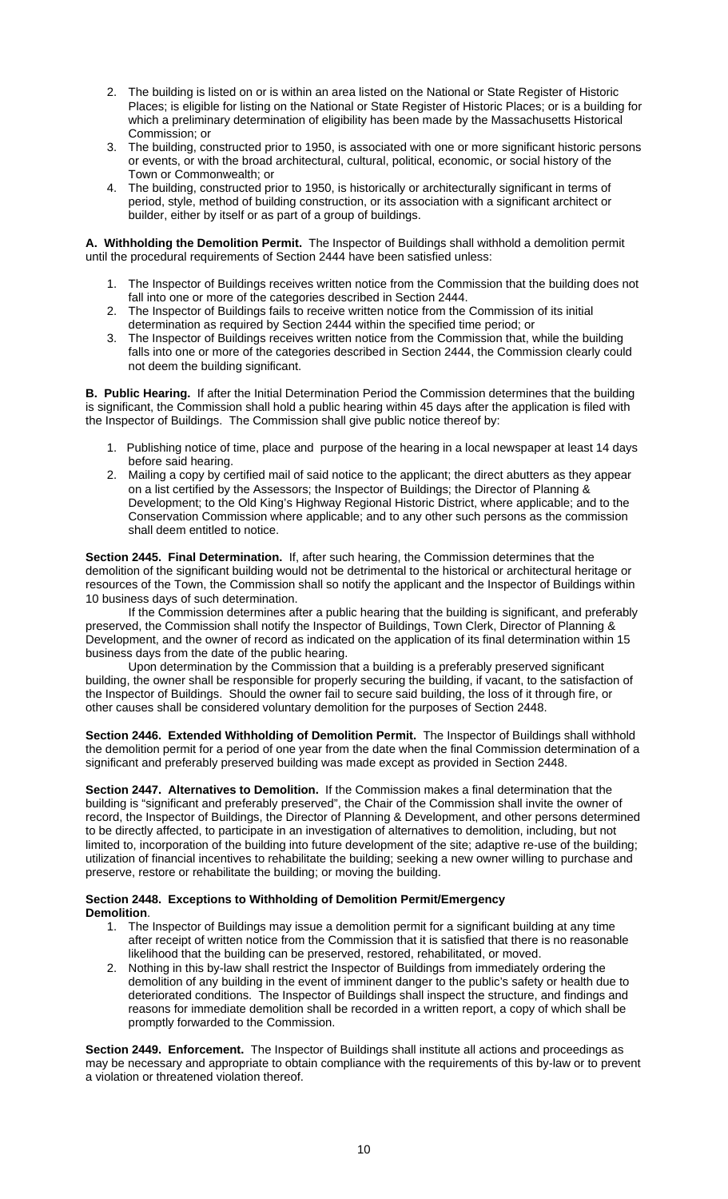- 2. The building is listed on or is within an area listed on the National or State Register of Historic Places; is eligible for listing on the National or State Register of Historic Places; or is a building for which a preliminary determination of eligibility has been made by the Massachusetts Historical Commission; or
- 3. The building, constructed prior to 1950, is associated with one or more significant historic persons or events, or with the broad architectural, cultural, political, economic, or social history of the Town or Commonwealth; or
- 4. The building, constructed prior to 1950, is historically or architecturally significant in terms of period, style, method of building construction, or its association with a significant architect or builder, either by itself or as part of a group of buildings.

**A. Withholding the Demolition Permit.** The Inspector of Buildings shall withhold a demolition permit until the procedural requirements of Section 2444 have been satisfied unless:

- 1. The Inspector of Buildings receives written notice from the Commission that the building does not fall into one or more of the categories described in Section 2444.
- 2. The Inspector of Buildings fails to receive written notice from the Commission of its initial determination as required by Section 2444 within the specified time period; or
- 3. The Inspector of Buildings receives written notice from the Commission that, while the building falls into one or more of the categories described in Section 2444, the Commission clearly could not deem the building significant.

**B. Public Hearing.** If after the Initial Determination Period the Commission determines that the building is significant, the Commission shall hold a public hearing within 45 days after the application is filed with the Inspector of Buildings. The Commission shall give public notice thereof by:

- 1. Publishing notice of time, place and purpose of the hearing in a local newspaper at least 14 days before said hearing.
- 2. Mailing a copy by certified mail of said notice to the applicant; the direct abutters as they appear on a list certified by the Assessors; the Inspector of Buildings; the Director of Planning & Development; to the Old King's Highway Regional Historic District, where applicable; and to the Conservation Commission where applicable; and to any other such persons as the commission shall deem entitled to notice.

**Section 2445. Final Determination.** If, after such hearing, the Commission determines that the demolition of the significant building would not be detrimental to the historical or architectural heritage or resources of the Town, the Commission shall so notify the applicant and the Inspector of Buildings within 10 business days of such determination.

If the Commission determines after a public hearing that the building is significant, and preferably preserved, the Commission shall notify the Inspector of Buildings, Town Clerk, Director of Planning & Development, and the owner of record as indicated on the application of its final determination within 15 business days from the date of the public hearing.

Upon determination by the Commission that a building is a preferably preserved significant building, the owner shall be responsible for properly securing the building, if vacant, to the satisfaction of the Inspector of Buildings. Should the owner fail to secure said building, the loss of it through fire, or other causes shall be considered voluntary demolition for the purposes of Section 2448.

**Section 2446. Extended Withholding of Demolition Permit.** The Inspector of Buildings shall withhold the demolition permit for a period of one year from the date when the final Commission determination of a significant and preferably preserved building was made except as provided in Section 2448.

**Section 2447. Alternatives to Demolition.** If the Commission makes a final determination that the building is "significant and preferably preserved", the Chair of the Commission shall invite the owner of record, the Inspector of Buildings, the Director of Planning & Development, and other persons determined to be directly affected, to participate in an investigation of alternatives to demolition, including, but not limited to, incorporation of the building into future development of the site; adaptive re-use of the building; utilization of financial incentives to rehabilitate the building; seeking a new owner willing to purchase and preserve, restore or rehabilitate the building; or moving the building.

## **Section 2448. Exceptions to Withholding of Demolition Permit/Emergency Demolition**.

- 1. The Inspector of Buildings may issue a demolition permit for a significant building at any time after receipt of written notice from the Commission that it is satisfied that there is no reasonable likelihood that the building can be preserved, restored, rehabilitated, or moved.
- 2. Nothing in this by-law shall restrict the Inspector of Buildings from immediately ordering the demolition of any building in the event of imminent danger to the public's safety or health due to deteriorated conditions. The Inspector of Buildings shall inspect the structure, and findings and reasons for immediate demolition shall be recorded in a written report, a copy of which shall be promptly forwarded to the Commission.

**Section 2449. Enforcement.** The Inspector of Buildings shall institute all actions and proceedings as may be necessary and appropriate to obtain compliance with the requirements of this by-law or to prevent a violation or threatened violation thereof.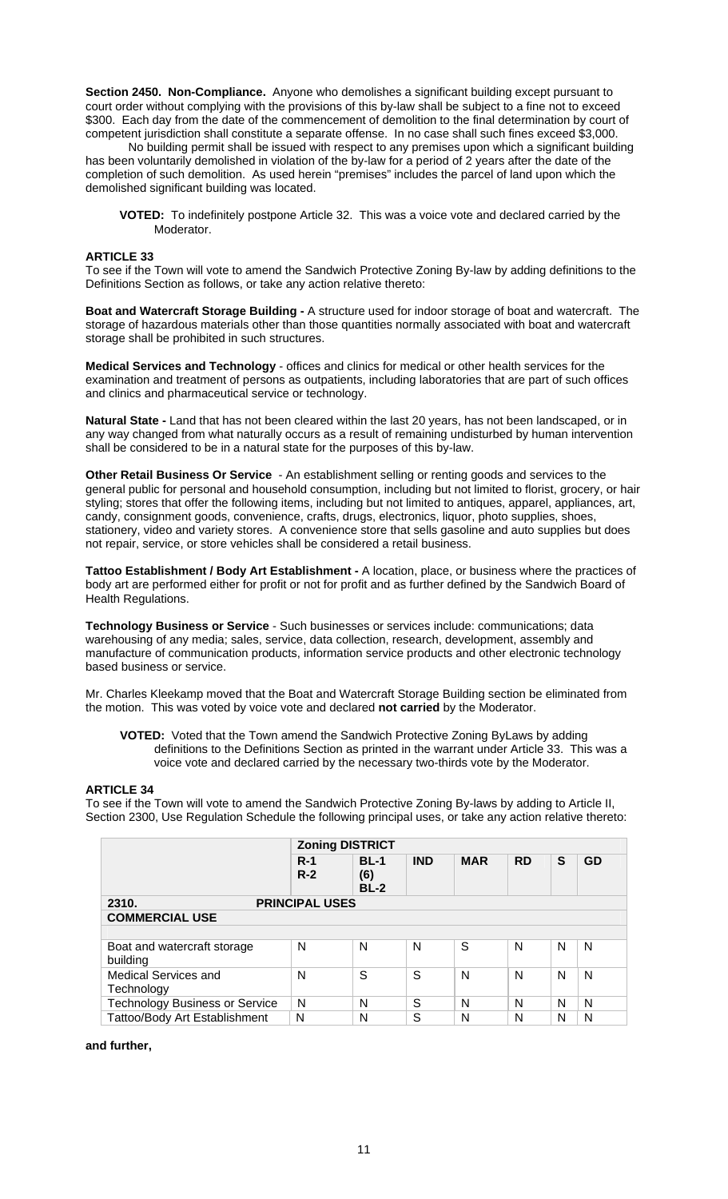**Section 2450. Non-Compliance.** Anyone who demolishes a significant building except pursuant to court order without complying with the provisions of this by-law shall be subject to a fine not to exceed \$300. Each day from the date of the commencement of demolition to the final determination by court of competent jurisdiction shall constitute a separate offense. In no case shall such fines exceed \$3,000.

No building permit shall be issued with respect to any premises upon which a significant building has been voluntarily demolished in violation of the by-law for a period of 2 years after the date of the completion of such demolition. As used herein "premises" includes the parcel of land upon which the demolished significant building was located.

**VOTED:** To indefinitely postpone Article 32. This was a voice vote and declared carried by the Moderator.

## **ARTICLE 33**

To see if the Town will vote to amend the Sandwich Protective Zoning By-law by adding definitions to the Definitions Section as follows, or take any action relative thereto:

**Boat and Watercraft Storage Building -** A structure used for indoor storage of boat and watercraft. The storage of hazardous materials other than those quantities normally associated with boat and watercraft storage shall be prohibited in such structures.

**Medical Services and Technology** - offices and clinics for medical or other health services for the examination and treatment of persons as outpatients, including laboratories that are part of such offices and clinics and pharmaceutical service or technology.

**Natural State -** Land that has not been cleared within the last 20 years, has not been landscaped, or in any way changed from what naturally occurs as a result of remaining undisturbed by human intervention shall be considered to be in a natural state for the purposes of this by-law.

**Other Retail Business Or Service** - An establishment selling or renting goods and services to the general public for personal and household consumption, including but not limited to florist, grocery, or hair styling; stores that offer the following items, including but not limited to antiques, apparel, appliances, art, candy, consignment goods, convenience, crafts, drugs, electronics, liquor, photo supplies, shoes, stationery, video and variety stores. A convenience store that sells gasoline and auto supplies but does not repair, service, or store vehicles shall be considered a retail business.

**Tattoo Establishment / Body Art Establishment -** A location, place, or business where the practices of body art are performed either for profit or not for profit and as further defined by the Sandwich Board of Health Regulations.

**Technology Business or Service** - Such businesses or services include: communications; data warehousing of any media; sales, service, data collection, research, development, assembly and manufacture of communication products, information service products and other electronic technology based business or service.

Mr. Charles Kleekamp moved that the Boat and Watercraft Storage Building section be eliminated from the motion. This was voted by voice vote and declared **not carried** by the Moderator.

 **VOTED:** Voted that the Town amend the Sandwich Protective Zoning ByLaws by adding definitions to the Definitions Section as printed in the warrant under Article 33. This was a voice vote and declared carried by the necessary two-thirds vote by the Moderator.

#### **ARTICLE 34**

To see if the Town will vote to amend the Sandwich Protective Zoning By-laws by adding to Article II, Section 2300, Use Regulation Schedule the following principal uses, or take any action relative thereto:

|                                         | <b>Zoning DISTRICT</b> |                              |            |            |           |   |           |  |  |
|-----------------------------------------|------------------------|------------------------------|------------|------------|-----------|---|-----------|--|--|
|                                         | $R-1$<br>$R-2$         | <b>BL-1</b><br>(6)<br>$BL-2$ | <b>IND</b> | <b>MAR</b> | <b>RD</b> | S | <b>GD</b> |  |  |
| <b>PRINCIPAL USES</b><br>2310.          |                        |                              |            |            |           |   |           |  |  |
| <b>COMMERCIAL USE</b>                   |                        |                              |            |            |           |   |           |  |  |
|                                         |                        |                              |            |            |           |   |           |  |  |
| Boat and watercraft storage<br>building | N                      | N                            | N          | S          | N         | N | N         |  |  |
| Medical Services and                    | N                      | S                            | S          | N          | N         | N | N         |  |  |
| Technology                              |                        |                              |            |            |           |   |           |  |  |
| <b>Technology Business or Service</b>   | N                      | N                            | S          | N          | N         | N | N         |  |  |
| Tattoo/Body Art Establishment           | N                      | N                            | S          | N          | N         | N | N         |  |  |

**and further,**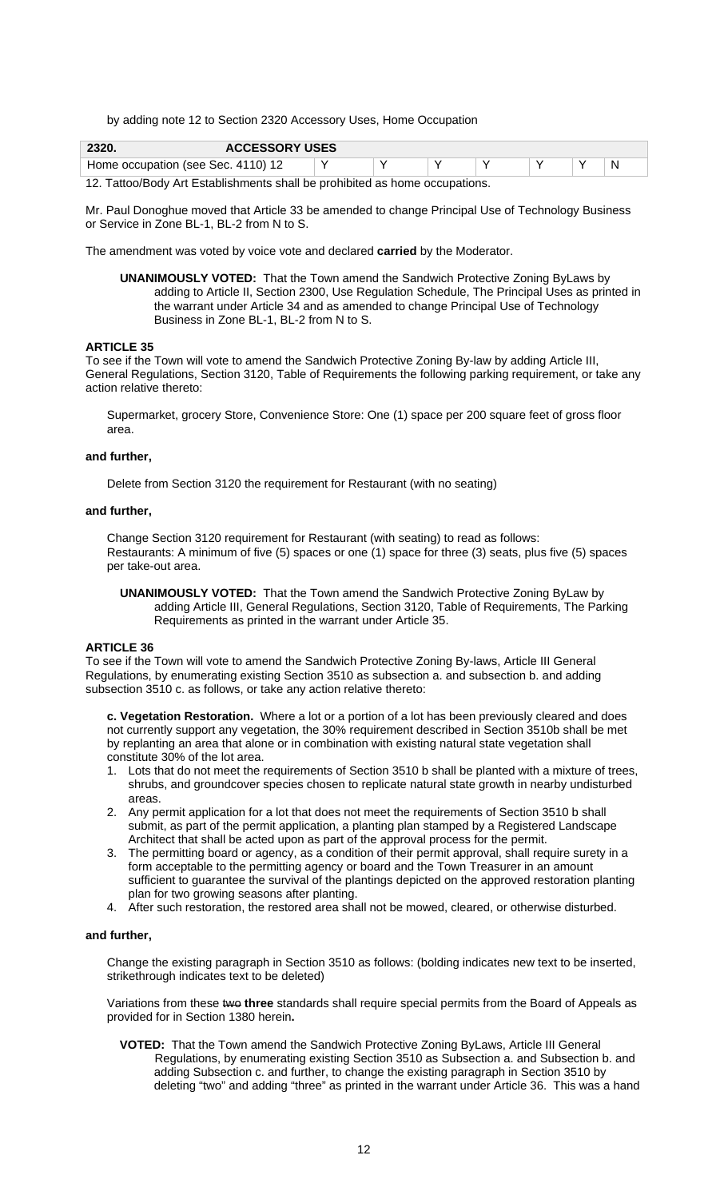by adding note 12 to Section 2320 Accessory Uses, Home Occupation

| 2320.                              | <b>ACCESSORY USES</b> |  |  |  |  |
|------------------------------------|-----------------------|--|--|--|--|
| Home occupation (see Sec. 4110) 12 |                       |  |  |  |  |

12. Tattoo/Body Art Establishments shall be prohibited as home occupations.

Mr. Paul Donoghue moved that Article 33 be amended to change Principal Use of Technology Business or Service in Zone BL-1, BL-2 from N to S.

The amendment was voted by voice vote and declared **carried** by the Moderator.

**UNANIMOUSLY VOTED:** That the Town amend the Sandwich Protective Zoning ByLaws by adding to Article II, Section 2300, Use Regulation Schedule, The Principal Uses as printed in the warrant under Article 34 and as amended to change Principal Use of Technology Business in Zone BL-1, BL-2 from N to S.

#### **ARTICLE 35**

To see if the Town will vote to amend the Sandwich Protective Zoning By-law by adding Article III, General Regulations, Section 3120, Table of Requirements the following parking requirement, or take any action relative thereto:

Supermarket, grocery Store, Convenience Store: One (1) space per 200 square feet of gross floor area.

#### **and further,**

Delete from Section 3120 the requirement for Restaurant (with no seating)

#### **and further,**

Change Section 3120 requirement for Restaurant (with seating) to read as follows: Restaurants: A minimum of five (5) spaces or one (1) space for three (3) seats, plus five (5) spaces per take-out area.

 **UNANIMOUSLY VOTED:** That the Town amend the Sandwich Protective Zoning ByLaw by adding Article III, General Regulations, Section 3120, Table of Requirements, The Parking Requirements as printed in the warrant under Article 35.

#### **ARTICLE 36**

To see if the Town will vote to amend the Sandwich Protective Zoning By-laws, Article III General Regulations, by enumerating existing Section 3510 as subsection a. and subsection b. and adding subsection 3510 c. as follows, or take any action relative thereto:

**c. Vegetation Restoration.** Where a lot or a portion of a lot has been previously cleared and does not currently support any vegetation, the 30% requirement described in Section 3510b shall be met by replanting an area that alone or in combination with existing natural state vegetation shall constitute 30% of the lot area.

- 1. Lots that do not meet the requirements of Section 3510 b shall be planted with a mixture of trees, shrubs, and groundcover species chosen to replicate natural state growth in nearby undisturbed areas.
- 2. Any permit application for a lot that does not meet the requirements of Section 3510 b shall submit, as part of the permit application, a planting plan stamped by a Registered Landscape Architect that shall be acted upon as part of the approval process for the permit.
- 3. The permitting board or agency, as a condition of their permit approval, shall require surety in a form acceptable to the permitting agency or board and the Town Treasurer in an amount sufficient to guarantee the survival of the plantings depicted on the approved restoration planting plan for two growing seasons after planting.
- 4. After such restoration, the restored area shall not be mowed, cleared, or otherwise disturbed.

#### **and further,**

Change the existing paragraph in Section 3510 as follows: (bolding indicates new text to be inserted, strikethrough indicates text to be deleted)

Variations from these two three standards shall require special permits from the Board of Appeals as provided for in Section 1380 herein**.** 

**VOTED:** That the Town amend the Sandwich Protective Zoning ByLaws, Article III General Regulations, by enumerating existing Section 3510 as Subsection a. and Subsection b. and adding Subsection c. and further, to change the existing paragraph in Section 3510 by deleting "two" and adding "three" as printed in the warrant under Article 36. This was a hand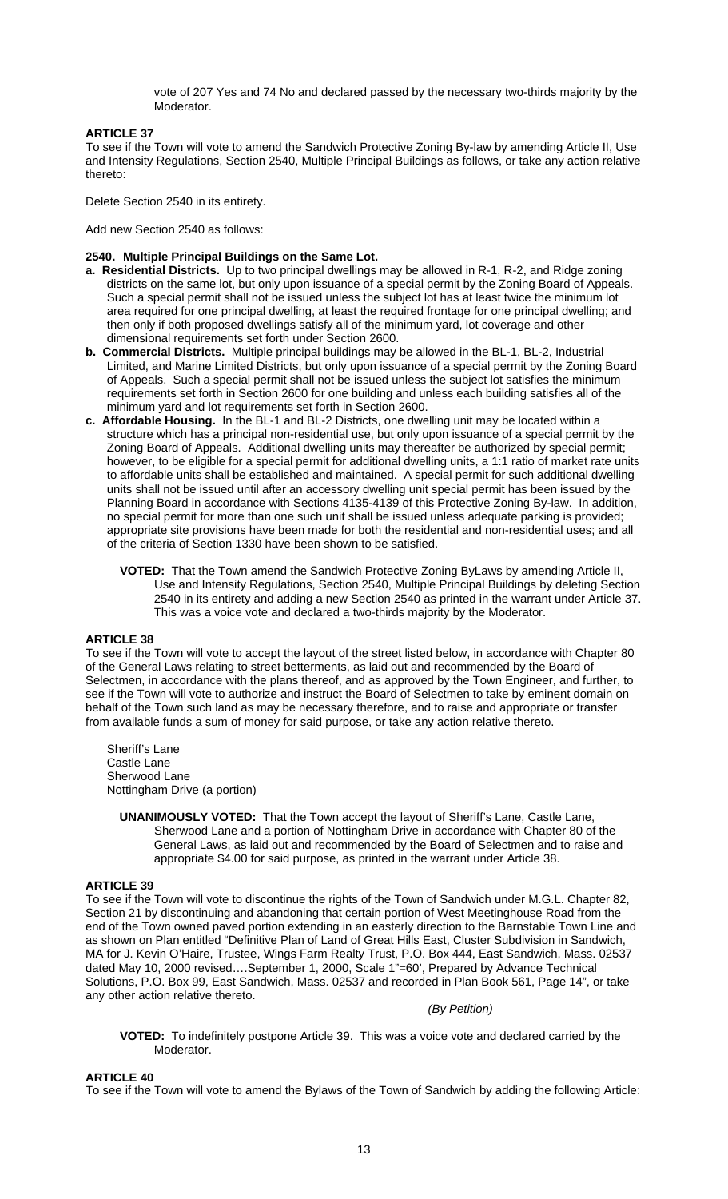vote of 207 Yes and 74 No and declared passed by the necessary two-thirds majority by the Moderator.

## **ARTICLE 37**

To see if the Town will vote to amend the Sandwich Protective Zoning By-law by amending Article II, Use and Intensity Regulations, Section 2540, Multiple Principal Buildings as follows, or take any action relative thereto:

Delete Section 2540 in its entirety.

Add new Section 2540 as follows:

#### **2540. Multiple Principal Buildings on the Same Lot.**

- **a. Residential Districts.** Up to two principal dwellings may be allowed in R-1, R-2, and Ridge zoning districts on the same lot, but only upon issuance of a special permit by the Zoning Board of Appeals. Such a special permit shall not be issued unless the subject lot has at least twice the minimum lot area required for one principal dwelling, at least the required frontage for one principal dwelling; and then only if both proposed dwellings satisfy all of the minimum yard, lot coverage and other dimensional requirements set forth under Section 2600.
- **b. Commercial Districts.** Multiple principal buildings may be allowed in the BL-1, BL-2, Industrial Limited, and Marine Limited Districts, but only upon issuance of a special permit by the Zoning Board of Appeals. Such a special permit shall not be issued unless the subject lot satisfies the minimum requirements set forth in Section 2600 for one building and unless each building satisfies all of the minimum yard and lot requirements set forth in Section 2600.
- **c. Affordable Housing.** In the BL-1 and BL-2 Districts, one dwelling unit may be located within a structure which has a principal non-residential use, but only upon issuance of a special permit by the Zoning Board of Appeals. Additional dwelling units may thereafter be authorized by special permit; however, to be eligible for a special permit for additional dwelling units, a 1:1 ratio of market rate units to affordable units shall be established and maintained. A special permit for such additional dwelling units shall not be issued until after an accessory dwelling unit special permit has been issued by the Planning Board in accordance with Sections 4135-4139 of this Protective Zoning By-law. In addition, no special permit for more than one such unit shall be issued unless adequate parking is provided; appropriate site provisions have been made for both the residential and non-residential uses; and all of the criteria of Section 1330 have been shown to be satisfied.
	- **VOTED:** That the Town amend the Sandwich Protective Zoning ByLaws by amending Article II, Use and Intensity Regulations, Section 2540, Multiple Principal Buildings by deleting Section 2540 in its entirety and adding a new Section 2540 as printed in the warrant under Article 37. This was a voice vote and declared a two-thirds majority by the Moderator.

#### **ARTICLE 38**

To see if the Town will vote to accept the layout of the street listed below, in accordance with Chapter 80 of the General Laws relating to street betterments, as laid out and recommended by the Board of Selectmen, in accordance with the plans thereof, and as approved by the Town Engineer, and further, to see if the Town will vote to authorize and instruct the Board of Selectmen to take by eminent domain on behalf of the Town such land as may be necessary therefore, and to raise and appropriate or transfer from available funds a sum of money for said purpose, or take any action relative thereto.

 Sheriff's Lane Castle Lane Sherwood Lane Nottingham Drive (a portion)

**UNANIMOUSLY VOTED:** That the Town accept the layout of Sheriff's Lane, Castle Lane, Sherwood Lane and a portion of Nottingham Drive in accordance with Chapter 80 of the General Laws, as laid out and recommended by the Board of Selectmen and to raise and appropriate \$4.00 for said purpose, as printed in the warrant under Article 38.

## **ARTICLE 39**

To see if the Town will vote to discontinue the rights of the Town of Sandwich under M.G.L. Chapter 82, Section 21 by discontinuing and abandoning that certain portion of West Meetinghouse Road from the end of the Town owned paved portion extending in an easterly direction to the Barnstable Town Line and as shown on Plan entitled "Definitive Plan of Land of Great Hills East, Cluster Subdivision in Sandwich, MA for J. Kevin O'Haire, Trustee, Wings Farm Realty Trust, P.O. Box 444, East Sandwich, Mass. 02537 dated May 10, 2000 revised….September 1, 2000, Scale 1"=60', Prepared by Advance Technical Solutions, P.O. Box 99, East Sandwich, Mass. 02537 and recorded in Plan Book 561, Page 14", or take any other action relative thereto.

#### *(By Petition)*

**VOTED:** To indefinitely postpone Article 39. This was a voice vote and declared carried by the Moderator.

**ARTICLE 40** 

To see if the Town will vote to amend the Bylaws of the Town of Sandwich by adding the following Article: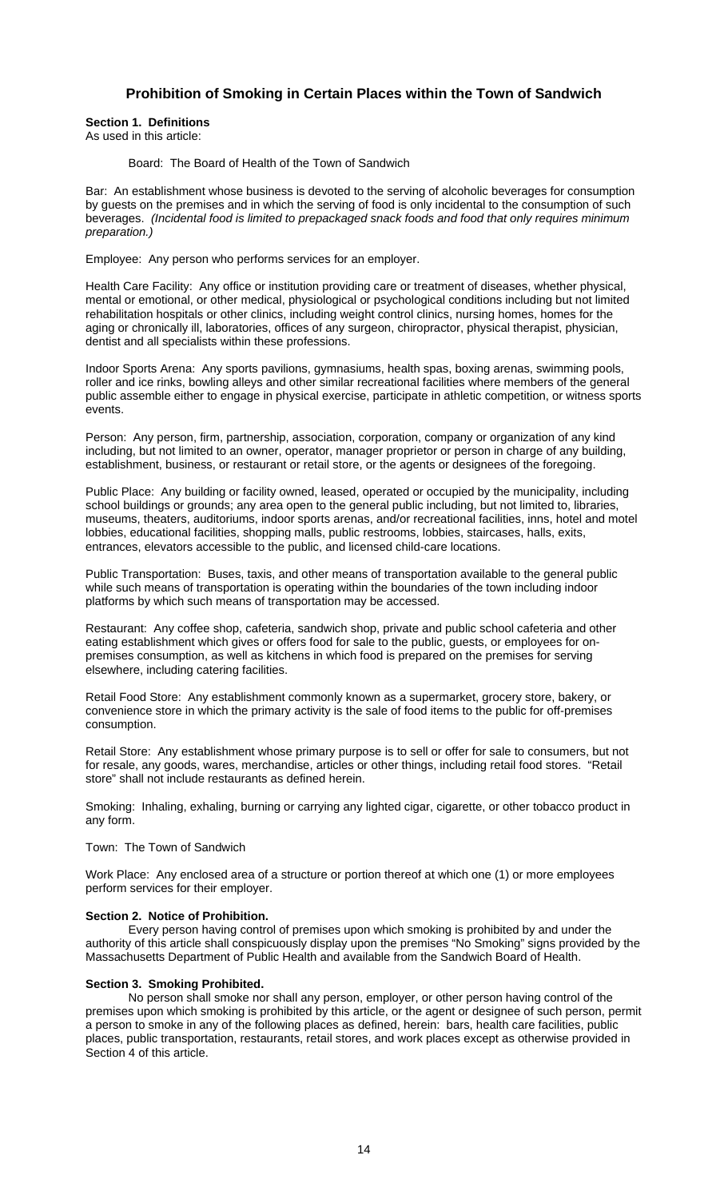# **Prohibition of Smoking in Certain Places within the Town of Sandwich**

**Section 1. Definitions**  As used in this article:

#### Board: The Board of Health of the Town of Sandwich

Bar: An establishment whose business is devoted to the serving of alcoholic beverages for consumption by guests on the premises and in which the serving of food is only incidental to the consumption of such beverages. *(Incidental food is limited to prepackaged snack foods and food that only requires minimum preparation.)* 

Employee: Any person who performs services for an employer.

Health Care Facility: Any office or institution providing care or treatment of diseases, whether physical, mental or emotional, or other medical, physiological or psychological conditions including but not limited rehabilitation hospitals or other clinics, including weight control clinics, nursing homes, homes for the aging or chronically ill, laboratories, offices of any surgeon, chiropractor, physical therapist, physician, dentist and all specialists within these professions.

Indoor Sports Arena: Any sports pavilions, gymnasiums, health spas, boxing arenas, swimming pools, roller and ice rinks, bowling alleys and other similar recreational facilities where members of the general public assemble either to engage in physical exercise, participate in athletic competition, or witness sports events.

Person: Any person, firm, partnership, association, corporation, company or organization of any kind including, but not limited to an owner, operator, manager proprietor or person in charge of any building, establishment, business, or restaurant or retail store, or the agents or designees of the foregoing.

Public Place: Any building or facility owned, leased, operated or occupied by the municipality, including school buildings or grounds; any area open to the general public including, but not limited to, libraries, museums, theaters, auditoriums, indoor sports arenas, and/or recreational facilities, inns, hotel and motel lobbies, educational facilities, shopping malls, public restrooms, lobbies, staircases, halls, exits, entrances, elevators accessible to the public, and licensed child-care locations.

Public Transportation: Buses, taxis, and other means of transportation available to the general public while such means of transportation is operating within the boundaries of the town including indoor platforms by which such means of transportation may be accessed.

Restaurant: Any coffee shop, cafeteria, sandwich shop, private and public school cafeteria and other eating establishment which gives or offers food for sale to the public, guests, or employees for onpremises consumption, as well as kitchens in which food is prepared on the premises for serving elsewhere, including catering facilities.

Retail Food Store: Any establishment commonly known as a supermarket, grocery store, bakery, or convenience store in which the primary activity is the sale of food items to the public for off-premises consumption.

Retail Store: Any establishment whose primary purpose is to sell or offer for sale to consumers, but not for resale, any goods, wares, merchandise, articles or other things, including retail food stores. "Retail store" shall not include restaurants as defined herein.

Smoking: Inhaling, exhaling, burning or carrying any lighted cigar, cigarette, or other tobacco product in any form.

#### Town: The Town of Sandwich

Work Place: Any enclosed area of a structure or portion thereof at which one (1) or more employees perform services for their employer.

#### **Section 2. Notice of Prohibition.**

Every person having control of premises upon which smoking is prohibited by and under the authority of this article shall conspicuously display upon the premises "No Smoking" signs provided by the Massachusetts Department of Public Health and available from the Sandwich Board of Health.

#### **Section 3. Smoking Prohibited.**

No person shall smoke nor shall any person, employer, or other person having control of the premises upon which smoking is prohibited by this article, or the agent or designee of such person, permit a person to smoke in any of the following places as defined, herein: bars, health care facilities, public places, public transportation, restaurants, retail stores, and work places except as otherwise provided in Section 4 of this article.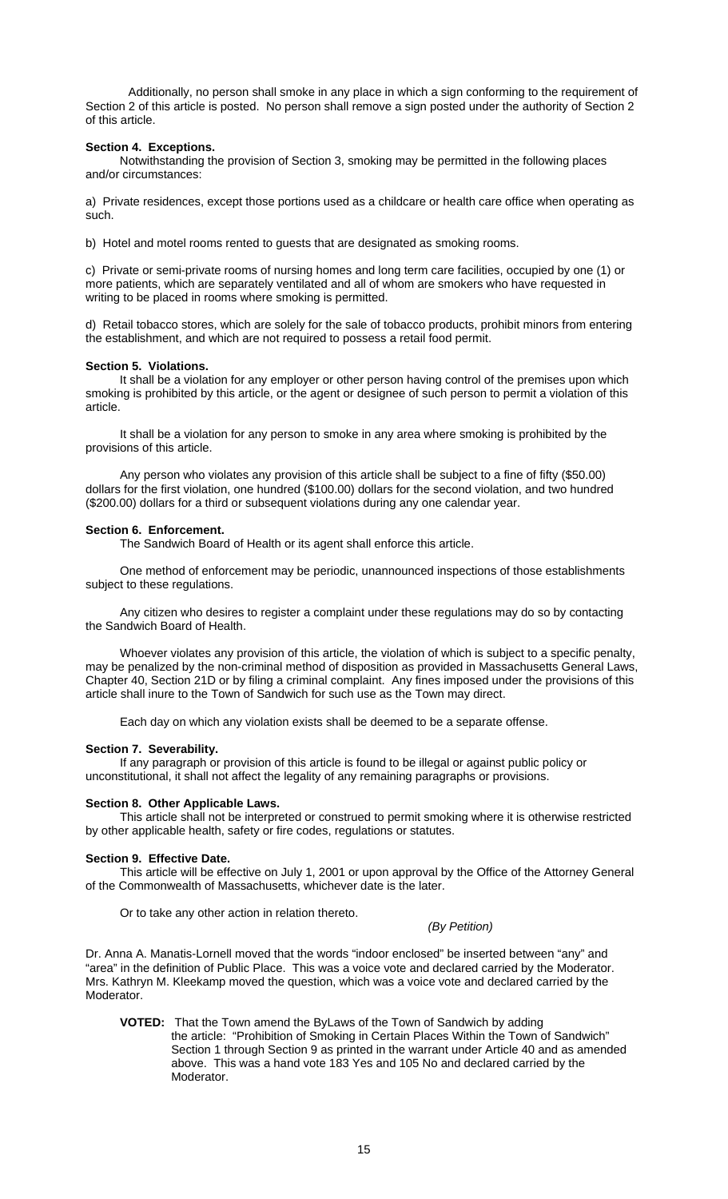Additionally, no person shall smoke in any place in which a sign conforming to the requirement of Section 2 of this article is posted. No person shall remove a sign posted under the authority of Section 2 of this article.

#### **Section 4. Exceptions.**

Notwithstanding the provision of Section 3, smoking may be permitted in the following places and/or circumstances:

a) Private residences, except those portions used as a childcare or health care office when operating as such.

b) Hotel and motel rooms rented to guests that are designated as smoking rooms.

c) Private or semi-private rooms of nursing homes and long term care facilities, occupied by one (1) or more patients, which are separately ventilated and all of whom are smokers who have requested in writing to be placed in rooms where smoking is permitted.

d) Retail tobacco stores, which are solely for the sale of tobacco products, prohibit minors from entering the establishment, and which are not required to possess a retail food permit.

## **Section 5. Violations.**

It shall be a violation for any employer or other person having control of the premises upon which smoking is prohibited by this article, or the agent or designee of such person to permit a violation of this article.

 It shall be a violation for any person to smoke in any area where smoking is prohibited by the provisions of this article.

 Any person who violates any provision of this article shall be subject to a fine of fifty (\$50.00) dollars for the first violation, one hundred (\$100.00) dollars for the second violation, and two hundred (\$200.00) dollars for a third or subsequent violations during any one calendar year.

## **Section 6. Enforcement.**

The Sandwich Board of Health or its agent shall enforce this article.

 One method of enforcement may be periodic, unannounced inspections of those establishments subject to these regulations.

 Any citizen who desires to register a complaint under these regulations may do so by contacting the Sandwich Board of Health.

 Whoever violates any provision of this article, the violation of which is subject to a specific penalty, may be penalized by the non-criminal method of disposition as provided in Massachusetts General Laws, Chapter 40, Section 21D or by filing a criminal complaint. Any fines imposed under the provisions of this article shall inure to the Town of Sandwich for such use as the Town may direct.

Each day on which any violation exists shall be deemed to be a separate offense.

## **Section 7. Severability.**

 If any paragraph or provision of this article is found to be illegal or against public policy or unconstitutional, it shall not affect the legality of any remaining paragraphs or provisions.

#### **Section 8. Other Applicable Laws.**

 This article shall not be interpreted or construed to permit smoking where it is otherwise restricted by other applicable health, safety or fire codes, regulations or statutes.

#### **Section 9. Effective Date.**

 This article will be effective on July 1, 2001 or upon approval by the Office of the Attorney General of the Commonwealth of Massachusetts, whichever date is the later.

Or to take any other action in relation thereto.

## *(By Petition)*

Dr. Anna A. Manatis-Lornell moved that the words "indoor enclosed" be inserted between "any" and "area" in the definition of Public Place. This was a voice vote and declared carried by the Moderator. Mrs. Kathryn M. Kleekamp moved the question, which was a voice vote and declared carried by the Moderator.

**VOTED:** That the Town amend the ByLaws of the Town of Sandwich by adding the article: "Prohibition of Smoking in Certain Places Within the Town of Sandwich" Section 1 through Section 9 as printed in the warrant under Article 40 and as amended above. This was a hand vote 183 Yes and 105 No and declared carried by the Moderator.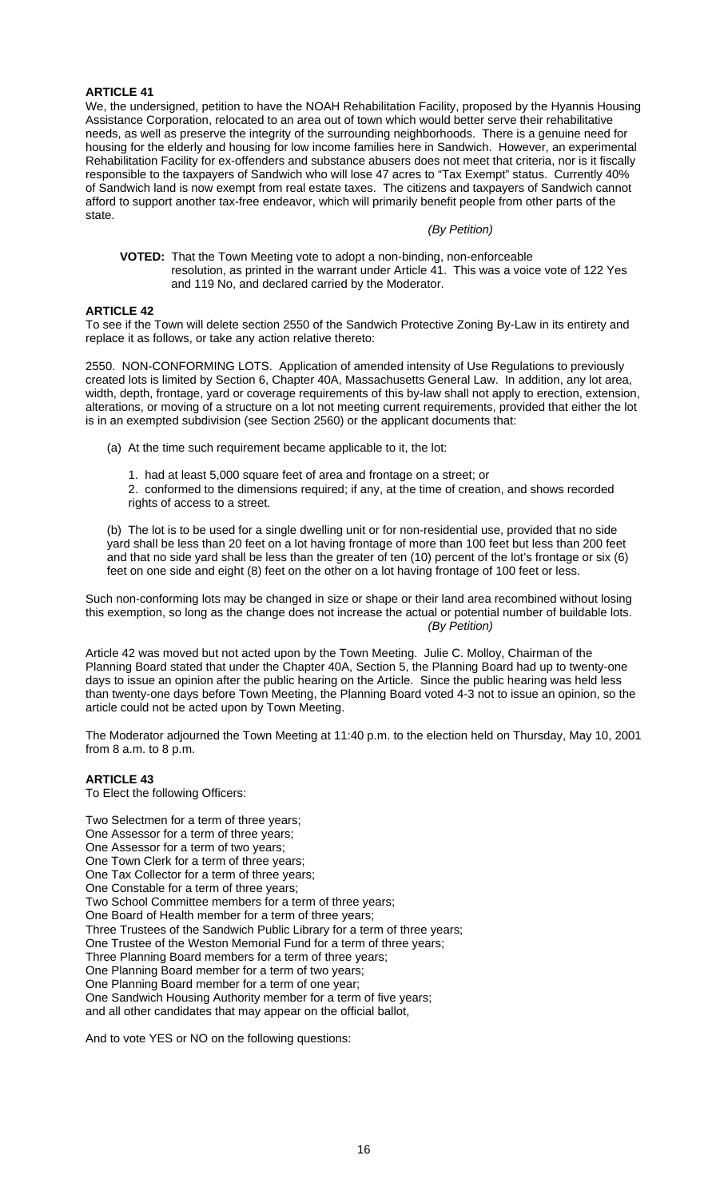## **ARTICLE 41**

We, the undersigned, petition to have the NOAH Rehabilitation Facility, proposed by the Hyannis Housing Assistance Corporation, relocated to an area out of town which would better serve their rehabilitative needs, as well as preserve the integrity of the surrounding neighborhoods. There is a genuine need for housing for the elderly and housing for low income families here in Sandwich. However, an experimental Rehabilitation Facility for ex-offenders and substance abusers does not meet that criteria, nor is it fiscally responsible to the taxpayers of Sandwich who will lose 47 acres to "Tax Exempt" status. Currently 40% of Sandwich land is now exempt from real estate taxes. The citizens and taxpayers of Sandwich cannot afford to support another tax-free endeavor, which will primarily benefit people from other parts of the state.

#### *(By Petition)*

 **VOTED:** That the Town Meeting vote to adopt a non-binding, non-enforceable resolution, as printed in the warrant under Article 41. This was a voice vote of 122 Yes and 119 No, and declared carried by the Moderator.

#### **ARTICLE 42**

To see if the Town will delete section 2550 of the Sandwich Protective Zoning By-Law in its entirety and replace it as follows, or take any action relative thereto:

2550. NON-CONFORMING LOTS. Application of amended intensity of Use Regulations to previously created lots is limited by Section 6, Chapter 40A, Massachusetts General Law. In addition, any lot area, width, depth, frontage, yard or coverage requirements of this by-law shall not apply to erection, extension, alterations, or moving of a structure on a lot not meeting current requirements, provided that either the lot is in an exempted subdivision (see Section 2560) or the applicant documents that:

- (a) At the time such requirement became applicable to it, the lot:
	- 1. had at least 5,000 square feet of area and frontage on a street; or

2. conformed to the dimensions required; if any, at the time of creation, and shows recorded rights of access to a street.

(b) The lot is to be used for a single dwelling unit or for non-residential use, provided that no side yard shall be less than 20 feet on a lot having frontage of more than 100 feet but less than 200 feet and that no side yard shall be less than the greater of ten (10) percent of the lot's frontage or six (6) feet on one side and eight (8) feet on the other on a lot having frontage of 100 feet or less.

Such non-conforming lots may be changed in size or shape or their land area recombined without losing this exemption, so long as the change does not increase the actual or potential number of buildable lots. *(By Petition)* 

Article 42 was moved but not acted upon by the Town Meeting. Julie C. Molloy, Chairman of the Planning Board stated that under the Chapter 40A, Section 5, the Planning Board had up to twenty-one days to issue an opinion after the public hearing on the Article. Since the public hearing was held less than twenty-one days before Town Meeting, the Planning Board voted 4-3 not to issue an opinion, so the article could not be acted upon by Town Meeting.

The Moderator adjourned the Town Meeting at 11:40 p.m. to the election held on Thursday, May 10, 2001 from 8 a.m. to 8 p.m.

#### **ARTICLE 43**

To Elect the following Officers:

Two Selectmen for a term of three years; One Assessor for a term of three years; One Assessor for a term of two years; One Town Clerk for a term of three years; One Tax Collector for a term of three years; One Constable for a term of three years; Two School Committee members for a term of three years; One Board of Health member for a term of three years; Three Trustees of the Sandwich Public Library for a term of three years; One Trustee of the Weston Memorial Fund for a term of three years; Three Planning Board members for a term of three years; One Planning Board member for a term of two years; One Planning Board member for a term of one year; One Sandwich Housing Authority member for a term of five years; and all other candidates that may appear on the official ballot,

And to vote YES or NO on the following questions: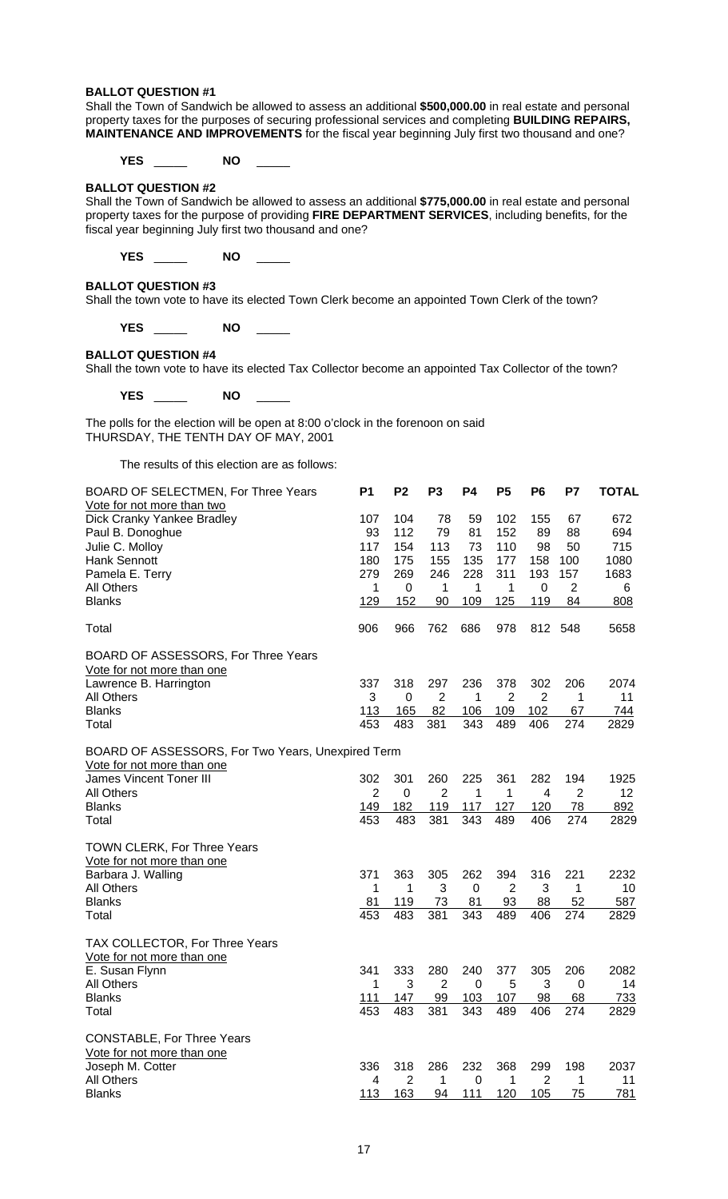#### **BALLOT QUESTION #1**

Shall the Town of Sandwich be allowed to assess an additional **\$500,000.00** in real estate and personal property taxes for the purposes of securing professional services and completing **BUILDING REPAIRS, MAINTENANCE AND IMPROVEMENTS** for the fiscal year beginning July first two thousand and one?

**YES** \_\_\_\_\_ **NO** \_\_\_\_\_

## **BALLOT QUESTION #2**

Shall the Town of Sandwich be allowed to assess an additional **\$775,000.00** in real estate and personal property taxes for the purpose of providing **FIRE DEPARTMENT SERVICES**, including benefits, for the fiscal year beginning July first two thousand and one?

**YES** \_\_\_\_\_ **NO** \_\_\_\_\_

#### **BALLOT QUESTION #3**

Shall the town vote to have its elected Town Clerk become an appointed Town Clerk of the town?

**YES** \_\_\_\_\_ **NO** \_\_\_\_\_

## **BALLOT QUESTION #4**

Shall the town vote to have its elected Tax Collector become an appointed Tax Collector of the town?

**YES** \_\_\_\_\_ **NO** \_\_\_\_\_

The polls for the election will be open at 8:00 o'clock in the forenoon on said THURSDAY, THE TENTH DAY OF MAY, 2001

The results of this election are as follows:

| BOARD OF SELECTMEN, For Three Years               | <b>P1</b>      | P <sub>2</sub> | P <sub>3</sub> | <b>P4</b> | P <sub>5</sub> | P6    | P7             | <b>TOTAL</b>    |
|---------------------------------------------------|----------------|----------------|----------------|-----------|----------------|-------|----------------|-----------------|
| Vote for not more than two                        |                |                |                |           |                |       |                |                 |
| Dick Cranky Yankee Bradley                        | 107            | 104            | 78             | 59        | 102            | 155   | 67             | 672             |
| Paul B. Donoghue                                  | 93             | 112            | 79             | 81        | 152            | 89    | 88             | 694             |
| Julie C. Molloy                                   | 117            | 154            | 113            | 73        | 110            | 98    | 50             | 715             |
| Hank Sennott                                      | 180            | 175            | 155            | 135       | 177            | 158   | 100            | 1080            |
| Pamela E. Terry                                   | 279            | 269            | 246            | 228       | 311            | 193   | 157            | 1683            |
| All Others                                        | 1              | 0              | 1              | 1         | 1              | 0     | 2              | 6               |
| <b>Blanks</b>                                     | 129            | 152            | 90             | 109       | 125            | 119   | 84             | 808             |
| Total                                             | 906            | 966            | 762            | 686       | 978            | 812 - | 548            | 5658            |
| BOARD OF ASSESSORS, For Three Years               |                |                |                |           |                |       |                |                 |
| Vote for not more than one                        |                |                |                |           |                |       |                |                 |
| Lawrence B. Harrington                            | 337            | 318            | 297            | 236       | 378            | 302   | 206            | 2074            |
| All Others                                        | 3              | 0              | 2              | 1         | $\overline{2}$ | 2     | 1              | 11              |
| <b>Blanks</b>                                     | 113            | 165            | 82             | 106       | 109            | 102   | 67             | 744             |
| Total                                             | 453            | 483            | 381            | 343       | 489            | 406   | 274            | 2829            |
| BOARD OF ASSESSORS, For Two Years, Unexpired Term |                |                |                |           |                |       |                |                 |
| Vote for not more than one                        |                |                |                |           |                |       |                |                 |
| James Vincent Toner III                           | 302            | 301            | 260            | 225       | 361            | 282   | 194            | 1925            |
| All Others                                        | $\overline{2}$ | 0              | $\overline{2}$ | 1         | 1              | 4     | $\overline{2}$ | 12 <sup>2</sup> |
| <b>Blanks</b>                                     | 149            | 182            | 119            | 117       | 127            | 120   | 78             | 892             |
| Total                                             | 453            | 483            | 381            | 343       | 489            | 406   | 274            | 2829            |
| TOWN CLERK, For Three Years                       |                |                |                |           |                |       |                |                 |
| Vote for not more than one                        |                |                |                |           |                |       |                |                 |
| Barbara J. Walling                                | 371            | 363            | 305            | 262       | 394            | 316   | 221            | 2232            |
| <b>All Others</b>                                 | 1              | 1              | 3              | 0         | 2              | 3     | 1              | 10              |
| <b>Blanks</b>                                     | 81             | 119            | 73             | 81        | 93             | 88    | 52             | 587             |
| Total                                             | 453            | 483            | 381            | 343       | 489            | 406   | 274            | 2829            |
| TAX COLLECTOR, For Three Years                    |                |                |                |           |                |       |                |                 |
| Vote for not more than one                        |                |                |                |           |                |       |                |                 |
| E. Susan Flynn                                    | 341            | 333            | 280            | 240       | 377            | 305   | 206            | 2082            |
| All Others                                        | 1              | 3              | 2              | 0         | 5              | 3     | $\Omega$       | 14              |
| <b>Blanks</b>                                     | 111            | 147            | 99             | 103       | 107            | 98    | 68             | 733             |
| Total                                             | 453            | 483            | 381            | 343       | 489            | 406   | 274            | 2829            |
| <b>CONSTABLE, For Three Years</b>                 |                |                |                |           |                |       |                |                 |
| Vote for not more than one                        |                |                |                |           |                |       |                |                 |
| Joseph M. Cotter                                  | 336            | 318            | 286            | 232       | 368            | 299   | 198            | 2037            |
| <b>All Others</b>                                 | 4              | 2              | 1              | 0         | 1              | 2     | 1              | 11              |
| <b>Blanks</b>                                     | 113            | 163            | 94             | 111       | 120            | 105   | 75             | 781             |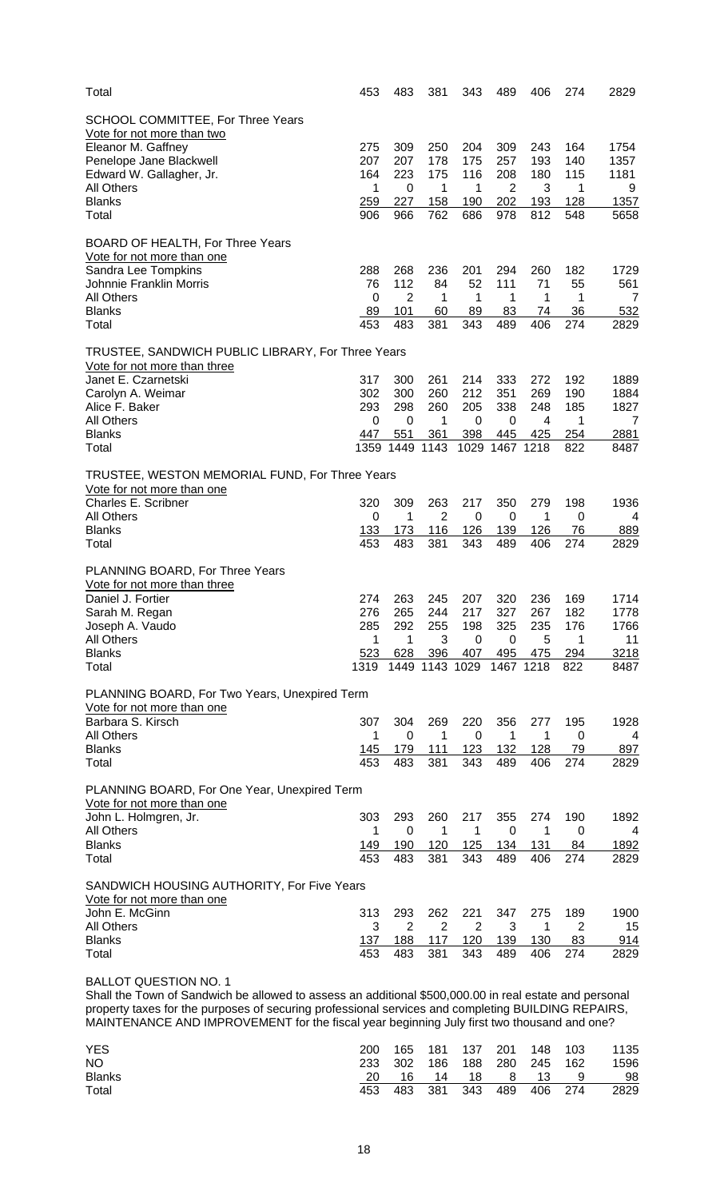| Total                                                                                                                                                                                                        | 453         | 483              | 381            | 343                   | 489         | 406         | 274        | 2829           |
|--------------------------------------------------------------------------------------------------------------------------------------------------------------------------------------------------------------|-------------|------------------|----------------|-----------------------|-------------|-------------|------------|----------------|
| SCHOOL COMMITTEE, For Three Years                                                                                                                                                                            |             |                  |                |                       |             |             |            |                |
| Vote for not more than two                                                                                                                                                                                   |             |                  |                |                       |             |             |            |                |
| Eleanor M. Gaffney                                                                                                                                                                                           | 275         | 309              | 250            | 204                   | 309         | 243         | 164        | 1754           |
| Penelope Jane Blackwell                                                                                                                                                                                      | 207         | 207              | 178            | 175                   | 257         | 193         | 140        | 1357           |
| Edward W. Gallagher, Jr.                                                                                                                                                                                     | 164         | 223              | 175            | 116                   | 208         | 180         | 115        | 1181           |
| <b>All Others</b>                                                                                                                                                                                            | 1           | 0                | 1              | 1                     | 2           | 3           | 1          | 9              |
| <b>Blanks</b>                                                                                                                                                                                                | 259         | 227              | 158            | 190                   | 202         | 193         | 128        | 1357           |
| Total                                                                                                                                                                                                        | 906         | 966              | 762            | 686                   | 978         | 812         | 548        | 5658           |
| BOARD OF HEALTH, For Three Years                                                                                                                                                                             |             |                  |                |                       |             |             |            |                |
| <u>Vote for not more than one</u>                                                                                                                                                                            |             |                  |                |                       |             |             |            |                |
| Sandra Lee Tompkins                                                                                                                                                                                          | 288         | 268              | 236            | 201                   | 294         | 260         | 182        | 1729           |
| Johnnie Franklin Morris                                                                                                                                                                                      | 76          | 112              | 84             | 52                    | 111         | 71          | 55         | 561            |
| <b>All Others</b>                                                                                                                                                                                            | 0           | $\overline{2}$   | 1              | 1                     | 1           | 1           | 1          | $\overline{7}$ |
| <b>Blanks</b>                                                                                                                                                                                                | 89          | 101              | 60             | 89                    | 83          | 74          | 36         | 532            |
| Total                                                                                                                                                                                                        | 453         | 483              | 381            | 343                   | 489         | 406         | 274        | 2829           |
| TRUSTEE, SANDWICH PUBLIC LIBRARY, For Three Years                                                                                                                                                            |             |                  |                |                       |             |             |            |                |
| Vote for not more than three                                                                                                                                                                                 |             |                  |                |                       |             |             |            |                |
| Janet E. Czarnetski                                                                                                                                                                                          | 317         | 300              | 261            | 214                   | 333         | 272         | 192        | 1889           |
| Carolyn A. Weimar                                                                                                                                                                                            | 302         | 300              | 260            | 212                   | 351         | 269         | 190        | 1884           |
| Alice F. Baker                                                                                                                                                                                               | 293         | 298              | 260            | 205                   | 338         | 248         | 185        | 1827           |
| <b>All Others</b>                                                                                                                                                                                            | $\Omega$    | 0                | 1              | 0                     | 0           | 4           | 1          | 7              |
| <b>Blanks</b><br>Total                                                                                                                                                                                       | 447<br>1359 | 551<br>1449 1143 | 361            | 398<br>1029           | 445<br>1467 | 425<br>1218 | 254<br>822 | 2881<br>8487   |
|                                                                                                                                                                                                              |             |                  |                |                       |             |             |            |                |
| TRUSTEE, WESTON MEMORIAL FUND, For Three Years                                                                                                                                                               |             |                  |                |                       |             |             |            |                |
| Vote for not more than one                                                                                                                                                                                   |             |                  |                |                       |             |             |            |                |
| Charles E. Scribner<br><b>All Others</b>                                                                                                                                                                     | 320<br>0    | 309<br>1         | 263<br>2       | 217<br>0              | 350         | 279<br>1    | 198<br>0   | 1936           |
| <b>Blanks</b>                                                                                                                                                                                                | <u>133</u>  | <u>173</u>       | 116            | 126                   | 0<br>139    | 126         | 76         | 4<br>889       |
| Total                                                                                                                                                                                                        | 453         | 483              | 381            | 343                   | 489         | 406         | 274        | 2829           |
|                                                                                                                                                                                                              |             |                  |                |                       |             |             |            |                |
| PLANNING BOARD, For Three Years                                                                                                                                                                              |             |                  |                |                       |             |             |            |                |
| Vote for not more than three<br>Daniel J. Fortier                                                                                                                                                            | 274         | 263              | 245            | 207                   | 320         | 236         | 169        | 1714           |
| Sarah M. Regan                                                                                                                                                                                               | 276         | 265              | 244            | 217                   | 327         | 267         | 182        | 1778           |
| Joseph A. Vaudo                                                                                                                                                                                              | 285         | 292              | 255            | 198                   | 325         | 235         | 176        | 1766           |
| <b>All Others</b>                                                                                                                                                                                            | 1           | 1                | 3              | 0                     | 0           | 5           | 1          | 11             |
| <b>Blanks</b>                                                                                                                                                                                                | 523         | 628              | 396            | 407                   | 495         | 475         | 294        | 3218           |
| Total                                                                                                                                                                                                        | 1319        | 1449 1143 1029   |                |                       | 1467 1218   |             | 822        | 8487           |
|                                                                                                                                                                                                              |             |                  |                |                       |             |             |            |                |
| PLANNING BOARD, For Two Years, Unexpired Term                                                                                                                                                                |             |                  |                |                       |             |             |            |                |
| Vote for not more than one<br>Barbara S. Kirsch                                                                                                                                                              | 307         | 304              | 269            | 220                   | 356         | 277         | 195        | 1928           |
| <b>All Others</b>                                                                                                                                                                                            | 1           | 0                | 1              | 0                     | 1           | 1           | 0          | 4              |
| <b>Blanks</b>                                                                                                                                                                                                | 145         | 179              | 111            | 123                   | 132         | 128         | 79         | 897            |
| Total                                                                                                                                                                                                        | 453         | 483              | 381            | 343                   | 489         | 406         | 274        | 2829           |
|                                                                                                                                                                                                              |             |                  |                |                       |             |             |            |                |
| PLANNING BOARD, For One Year, Unexpired Term                                                                                                                                                                 |             |                  |                |                       |             |             |            |                |
| Vote for not more than one                                                                                                                                                                                   | 303         | 293              | 260            |                       |             |             |            |                |
| John L. Holmgren, Jr.<br>All Others                                                                                                                                                                          | 1           | 0                | 1              | 217<br>1              | 355<br>0    | 274<br>1    | 190<br>0   | 1892<br>4      |
| <b>Blanks</b>                                                                                                                                                                                                | 149         | 190              | 120            | 125                   | 134         | 131         | 84         | 1892           |
| Total                                                                                                                                                                                                        | 453         | 483              | 381            | 343                   | 489         | 406         | 274        | 2829           |
|                                                                                                                                                                                                              |             |                  |                |                       |             |             |            |                |
| SANDWICH HOUSING AUTHORITY, For Five Years                                                                                                                                                                   |             |                  |                |                       |             |             |            |                |
| Vote for not more than one<br>John E. McGinn                                                                                                                                                                 | 313         |                  | 262            |                       | 347         | 275         |            | 1900           |
| <b>All Others</b>                                                                                                                                                                                            | 3           | 293<br>2         | $\overline{2}$ | 221<br>$\overline{2}$ | 3           | 1           | 189<br>2   | 15             |
| <b>Blanks</b>                                                                                                                                                                                                | 137         | 188              | 117            | 120                   | 139         | 130         | 83         | 914            |
| Total                                                                                                                                                                                                        | 453         | 483              | 381            | 343                   | 489         | 406         | 274        | 2829           |
|                                                                                                                                                                                                              |             |                  |                |                       |             |             |            |                |
| <b>BALLOT QUESTION NO. 1</b>                                                                                                                                                                                 |             |                  |                |                       |             |             |            |                |
| Shall the Town of Sandwich be allowed to assess an additional \$500,000.00 in real estate and personal<br>property taxes for the purposes of securing professional services and completing BUILDING REPAIRS, |             |                  |                |                       |             |             |            |                |

MAINTENANCE AND IMPROVEMENT for the fiscal year beginning July first two thousand and one?

| <b>YES</b>    | 200 | 165     |     | 181 137 201 |         | 148         | 103  | 1135 |
|---------------|-----|---------|-----|-------------|---------|-------------|------|------|
| <b>NO</b>     |     | 233 302 | 186 |             |         | 188 280 245 | -162 | 1596 |
| <b>Blanks</b> | 20. | 16.     | 14  | 18 -        | - 8 - 1 | -13         | -9   | 98   |
| Total         | 453 | 483 381 |     | 343         | 489     | 406 274     |      | 2829 |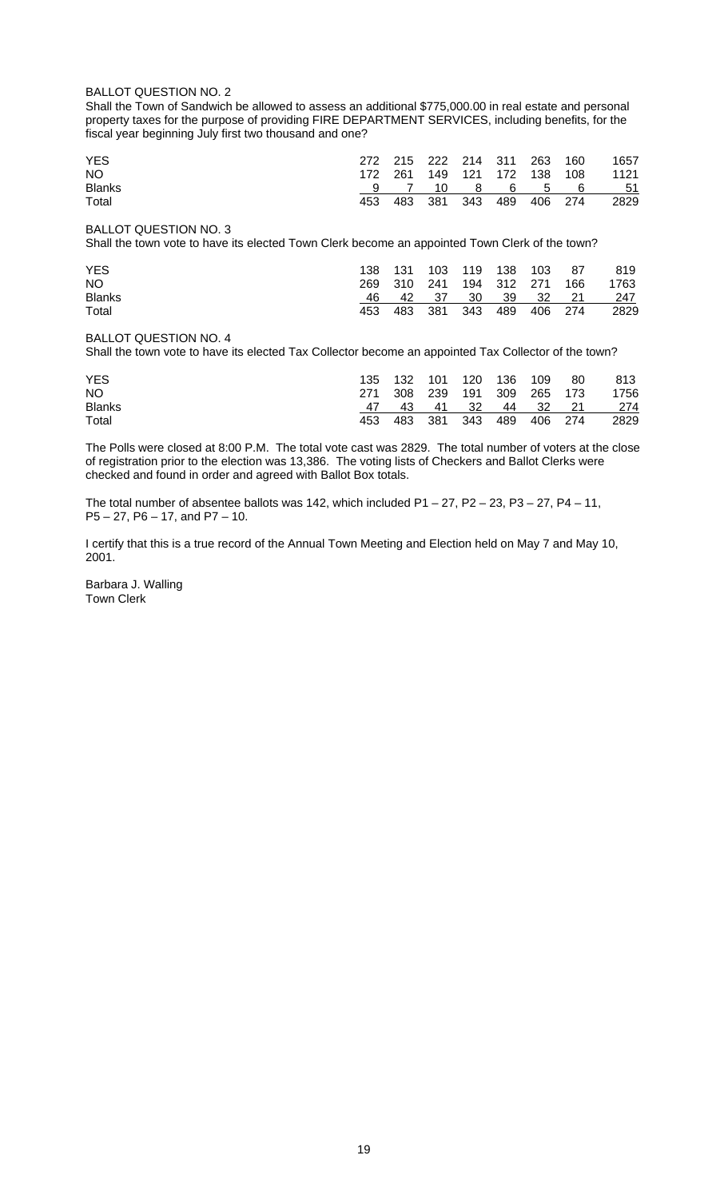## BALLOT QUESTION NO. 2

Shall the Town of Sandwich be allowed to assess an additional \$775,000.00 in real estate and personal property taxes for the purpose of providing FIRE DEPARTMENT SERVICES, including benefits, for the fiscal year beginning July first two thousand and one?

| <b>YES</b>    |     | 272 215 222 214 311 263 160 |              |                 |  |                                   | 1657           |
|---------------|-----|-----------------------------|--------------|-----------------|--|-----------------------------------|----------------|
| NO.           |     |                             |              |                 |  | 172  261  149  121  172  138  108 | 1121           |
| <b>Blanks</b> |     |                             | 7 10 8 6 5 6 |                 |  |                                   | 5 <sup>1</sup> |
| Total         | 453 |                             | 483 381      | 343 489 406 274 |  |                                   | 2829           |

BALLOT QUESTION NO. 3

Shall the town vote to have its elected Town Clerk become an appointed Town Clerk of the town?

| <b>YES</b>    |      | 138 131 103 119 138 103 |                   |  |                 | - 87 | 819  |
|---------------|------|-------------------------|-------------------|--|-----------------|------|------|
| NO.           |      | 269 310 241 194 312 271 |                   |  |                 | 166  | 1763 |
| <b>Blanks</b> | 46 — |                         | 42 37 30 39 32 21 |  |                 |      | -247 |
| Total         | 453. |                         | 483 381           |  | 343 489 406 274 |      | 2829 |

## BALLOT QUESTION NO. 4

Shall the town vote to have its elected Tax Collector become an appointed Tax Collector of the town?

| <b>YES</b>    |     | 135 132 101 120 136 109     |         |                    |             | - 80 | 813  |
|---------------|-----|-----------------------------|---------|--------------------|-------------|------|------|
| NO.           |     | 271 308 239 191 309 265 173 |         |                    |             |      | 1756 |
| <b>Blanks</b> |     |                             | 43 41   | $\cdot$ 32 $\cdot$ | 44 32 21    |      | 274  |
| Total         | 453 |                             | 483 381 | 343                | 489 406 274 |      | 2829 |

The Polls were closed at 8:00 P.M. The total vote cast was 2829. The total number of voters at the close of registration prior to the election was 13,386. The voting lists of Checkers and Ballot Clerks were checked and found in order and agreed with Ballot Box totals.

The total number of absentee ballots was 142, which included  $P1 - 27$ ,  $P2 - 23$ ,  $P3 - 27$ ,  $P4 - 11$ , P5 – 27, P6 – 17, and P7 – 10.

I certify that this is a true record of the Annual Town Meeting and Election held on May 7 and May 10, 2001.

Barbara J. Walling Town Clerk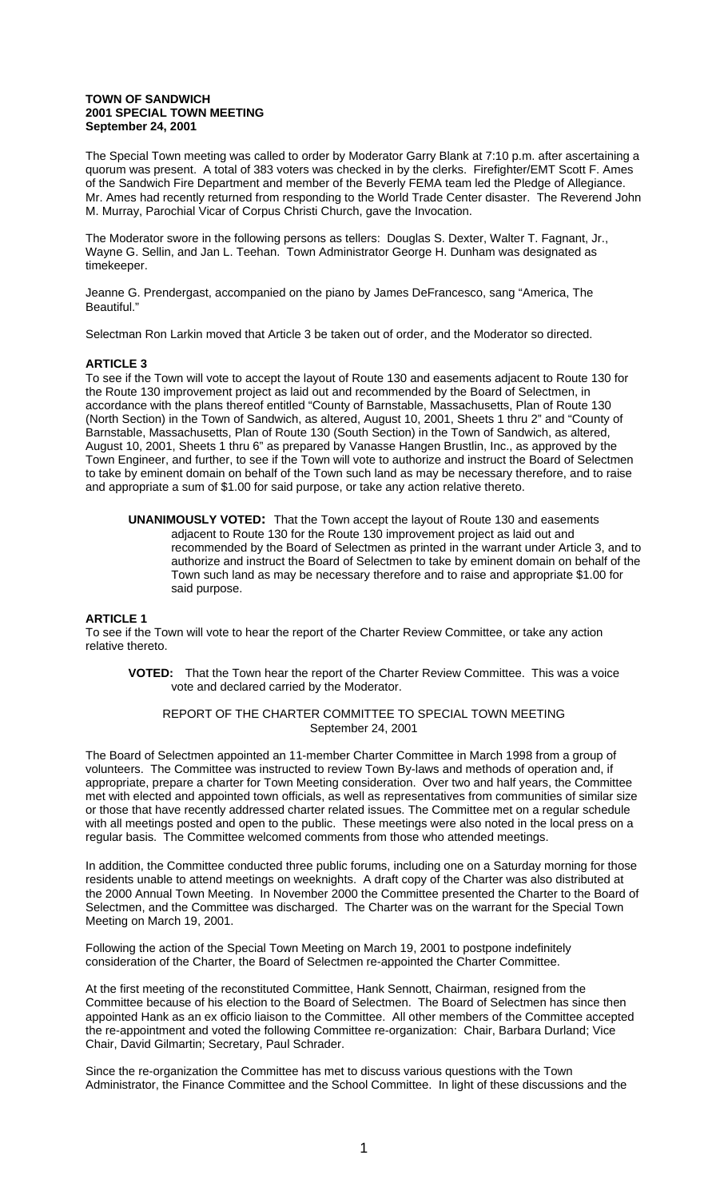#### **TOWN OF SANDWICH 2001 SPECIAL TOWN MEETING September 24, 2001**

The Special Town meeting was called to order by Moderator Garry Blank at 7:10 p.m. after ascertaining a quorum was present. A total of 383 voters was checked in by the clerks. Firefighter/EMT Scott F. Ames of the Sandwich Fire Department and member of the Beverly FEMA team led the Pledge of Allegiance. Mr. Ames had recently returned from responding to the World Trade Center disaster. The Reverend John M. Murray, Parochial Vicar of Corpus Christi Church, gave the Invocation.

The Moderator swore in the following persons as tellers: Douglas S. Dexter, Walter T. Fagnant, Jr., Wayne G. Sellin, and Jan L. Teehan. Town Administrator George H. Dunham was designated as timekeeper.

Jeanne G. Prendergast, accompanied on the piano by James DeFrancesco, sang "America, The Beautiful."

Selectman Ron Larkin moved that Article 3 be taken out of order, and the Moderator so directed.

## **ARTICLE 3**

To see if the Town will vote to accept the layout of Route 130 and easements adjacent to Route 130 for the Route 130 improvement project as laid out and recommended by the Board of Selectmen, in accordance with the plans thereof entitled "County of Barnstable, Massachusetts, Plan of Route 130 (North Section) in the Town of Sandwich, as altered, August 10, 2001, Sheets 1 thru 2" and "County of Barnstable, Massachusetts, Plan of Route 130 (South Section) in the Town of Sandwich, as altered, August 10, 2001, Sheets 1 thru 6" as prepared by Vanasse Hangen Brustlin, Inc., as approved by the Town Engineer, and further, to see if the Town will vote to authorize and instruct the Board of Selectmen to take by eminent domain on behalf of the Town such land as may be necessary therefore, and to raise and appropriate a sum of \$1.00 for said purpose, or take any action relative thereto.

**UNANIMOUSLY VOTED:** That the Town accept the layout of Route 130 and easements adjacent to Route 130 for the Route 130 improvement project as laid out and recommended by the Board of Selectmen as printed in the warrant under Article 3, and to authorize and instruct the Board of Selectmen to take by eminent domain on behalf of the Town such land as may be necessary therefore and to raise and appropriate \$1.00 for said purpose.

## **ARTICLE 1**

To see if the Town will vote to hear the report of the Charter Review Committee, or take any action relative thereto.

**VOTED:** That the Town hear the report of the Charter Review Committee. This was a voice vote and declared carried by the Moderator.

#### REPORT OF THE CHARTER COMMITTEE TO SPECIAL TOWN MEETING September 24, 2001

The Board of Selectmen appointed an 11-member Charter Committee in March 1998 from a group of volunteers. The Committee was instructed to review Town By-laws and methods of operation and, if appropriate, prepare a charter for Town Meeting consideration. Over two and half years, the Committee met with elected and appointed town officials, as well as representatives from communities of similar size or those that have recently addressed charter related issues. The Committee met on a regular schedule with all meetings posted and open to the public. These meetings were also noted in the local press on a regular basis. The Committee welcomed comments from those who attended meetings.

In addition, the Committee conducted three public forums, including one on a Saturday morning for those residents unable to attend meetings on weeknights. A draft copy of the Charter was also distributed at the 2000 Annual Town Meeting. In November 2000 the Committee presented the Charter to the Board of Selectmen, and the Committee was discharged. The Charter was on the warrant for the Special Town Meeting on March 19, 2001.

Following the action of the Special Town Meeting on March 19, 2001 to postpone indefinitely consideration of the Charter, the Board of Selectmen re-appointed the Charter Committee.

At the first meeting of the reconstituted Committee, Hank Sennott, Chairman, resigned from the Committee because of his election to the Board of Selectmen. The Board of Selectmen has since then appointed Hank as an ex officio liaison to the Committee. All other members of the Committee accepted the re-appointment and voted the following Committee re-organization: Chair, Barbara Durland; Vice Chair, David Gilmartin; Secretary, Paul Schrader.

Since the re-organization the Committee has met to discuss various questions with the Town Administrator, the Finance Committee and the School Committee. In light of these discussions and the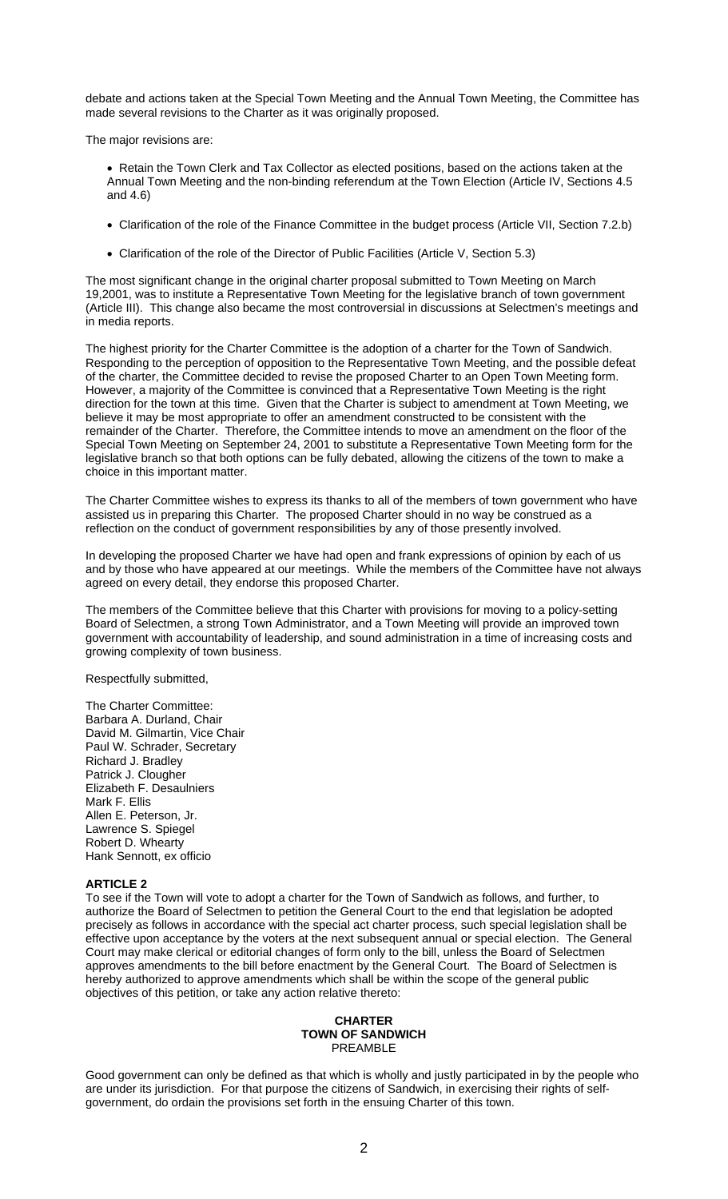debate and actions taken at the Special Town Meeting and the Annual Town Meeting, the Committee has made several revisions to the Charter as it was originally proposed.

The major revisions are:

- Retain the Town Clerk and Tax Collector as elected positions, based on the actions taken at the Annual Town Meeting and the non-binding referendum at the Town Election (Article IV, Sections 4.5 and 4.6)
- Clarification of the role of the Finance Committee in the budget process (Article VII, Section 7.2.b)
- Clarification of the role of the Director of Public Facilities (Article V, Section 5.3)

The most significant change in the original charter proposal submitted to Town Meeting on March 19,2001, was to institute a Representative Town Meeting for the legislative branch of town government (Article III). This change also became the most controversial in discussions at Selectmen's meetings and in media reports.

The highest priority for the Charter Committee is the adoption of a charter for the Town of Sandwich. Responding to the perception of opposition to the Representative Town Meeting, and the possible defeat of the charter, the Committee decided to revise the proposed Charter to an Open Town Meeting form. However, a majority of the Committee is convinced that a Representative Town Meeting is the right direction for the town at this time. Given that the Charter is subject to amendment at Town Meeting, we believe it may be most appropriate to offer an amendment constructed to be consistent with the remainder of the Charter. Therefore, the Committee intends to move an amendment on the floor of the Special Town Meeting on September 24, 2001 to substitute a Representative Town Meeting form for the legislative branch so that both options can be fully debated, allowing the citizens of the town to make a choice in this important matter.

The Charter Committee wishes to express its thanks to all of the members of town government who have assisted us in preparing this Charter. The proposed Charter should in no way be construed as a reflection on the conduct of government responsibilities by any of those presently involved.

In developing the proposed Charter we have had open and frank expressions of opinion by each of us and by those who have appeared at our meetings. While the members of the Committee have not always agreed on every detail, they endorse this proposed Charter.

The members of the Committee believe that this Charter with provisions for moving to a policy-setting Board of Selectmen, a strong Town Administrator, and a Town Meeting will provide an improved town government with accountability of leadership, and sound administration in a time of increasing costs and growing complexity of town business.

Respectfully submitted,

The Charter Committee: Barbara A. Durland, Chair David M. Gilmartin, Vice Chair Paul W. Schrader, Secretary Richard J. Bradley Patrick J. Clougher Elizabeth F. Desaulniers Mark F. Ellis Allen E. Peterson, Jr. Lawrence S. Spiegel Robert D. Whearty Hank Sennott, ex officio

## **ARTICLE 2**

To see if the Town will vote to adopt a charter for the Town of Sandwich as follows, and further, to authorize the Board of Selectmen to petition the General Court to the end that legislation be adopted precisely as follows in accordance with the special act charter process, such special legislation shall be effective upon acceptance by the voters at the next subsequent annual or special election. The General Court may make clerical or editorial changes of form only to the bill, unless the Board of Selectmen approves amendments to the bill before enactment by the General Court. The Board of Selectmen is hereby authorized to approve amendments which shall be within the scope of the general public objectives of this petition, or take any action relative thereto:

#### **CHARTER TOWN OF SANDWICH**  PREAMBLE

Good government can only be defined as that which is wholly and justly participated in by the people who are under its jurisdiction. For that purpose the citizens of Sandwich, in exercising their rights of selfgovernment, do ordain the provisions set forth in the ensuing Charter of this town.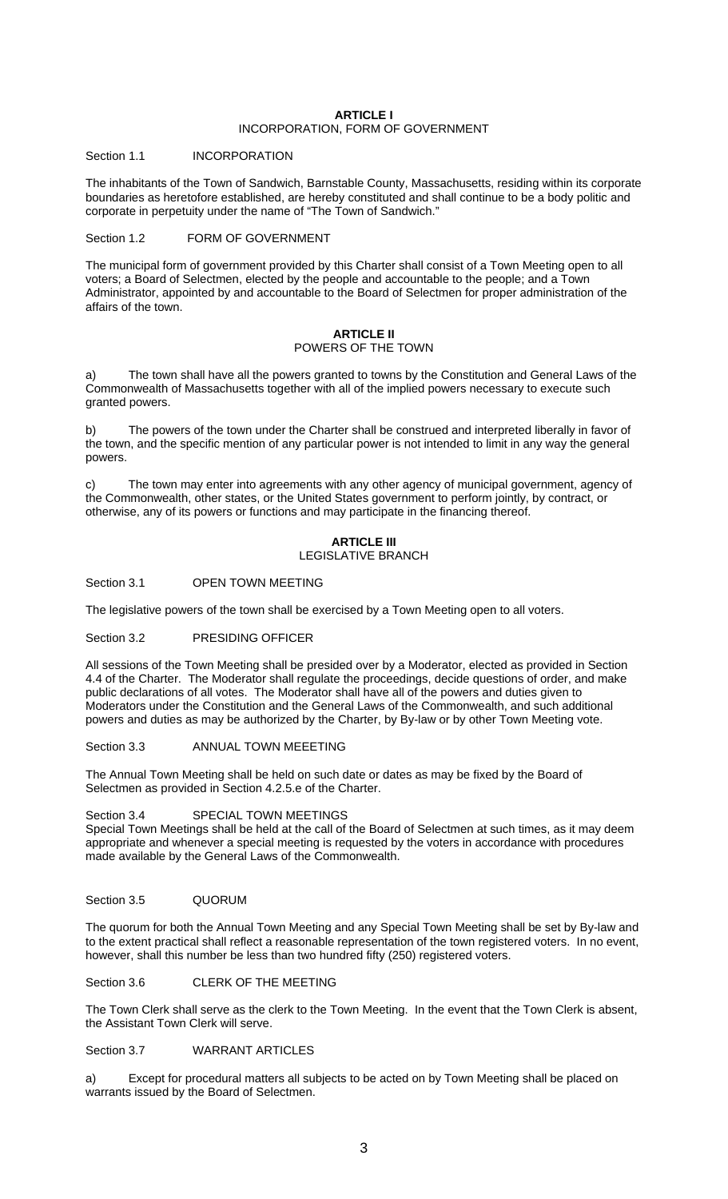#### **ARTICLE I**  INCORPORATION, FORM OF GOVERNMENT

## Section 1.1 **INCORPORATION**

The inhabitants of the Town of Sandwich, Barnstable County, Massachusetts, residing within its corporate boundaries as heretofore established, are hereby constituted and shall continue to be a body politic and corporate in perpetuity under the name of "The Town of Sandwich."

## Section 1.2 FORM OF GOVERNMENT

The municipal form of government provided by this Charter shall consist of a Town Meeting open to all voters; a Board of Selectmen, elected by the people and accountable to the people; and a Town Administrator, appointed by and accountable to the Board of Selectmen for proper administration of the affairs of the town.

## **ARTICLE II** POWERS OF THE TOWN

a) The town shall have all the powers granted to towns by the Constitution and General Laws of the Commonwealth of Massachusetts together with all of the implied powers necessary to execute such granted powers.

b) The powers of the town under the Charter shall be construed and interpreted liberally in favor of the town, and the specific mention of any particular power is not intended to limit in any way the general powers.

c) The town may enter into agreements with any other agency of municipal government, agency of the Commonwealth, other states, or the United States government to perform jointly, by contract, or otherwise, any of its powers or functions and may participate in the financing thereof.

#### **ARTICLE III** LEGISLATIVE BRANCH

## Section 3.1 OPEN TOWN MEETING

The legislative powers of the town shall be exercised by a Town Meeting open to all voters.

Section 3.2 PRESIDING OFFICER

All sessions of the Town Meeting shall be presided over by a Moderator, elected as provided in Section 4.4 of the Charter. The Moderator shall regulate the proceedings, decide questions of order, and make public declarations of all votes. The Moderator shall have all of the powers and duties given to Moderators under the Constitution and the General Laws of the Commonwealth, and such additional powers and duties as may be authorized by the Charter, by By-law or by other Town Meeting vote.

Section 3.3 ANNUAL TOWN MEEETING

The Annual Town Meeting shall be held on such date or dates as may be fixed by the Board of Selectmen as provided in Section 4.2.5.e of the Charter.

#### Section 3.4 SPECIAL TOWN MEETINGS

Special Town Meetings shall be held at the call of the Board of Selectmen at such times, as it may deem appropriate and whenever a special meeting is requested by the voters in accordance with procedures made available by the General Laws of the Commonwealth.

#### Section 3.5 QUORUM

The quorum for both the Annual Town Meeting and any Special Town Meeting shall be set by By-law and to the extent practical shall reflect a reasonable representation of the town registered voters. In no event, however, shall this number be less than two hundred fifty (250) registered voters.

Section 3.6 CLERK OF THE MEETING

The Town Clerk shall serve as the clerk to the Town Meeting. In the event that the Town Clerk is absent, the Assistant Town Clerk will serve.

Section 3.7 WARRANT ARTICLES

a) Except for procedural matters all subjects to be acted on by Town Meeting shall be placed on warrants issued by the Board of Selectmen.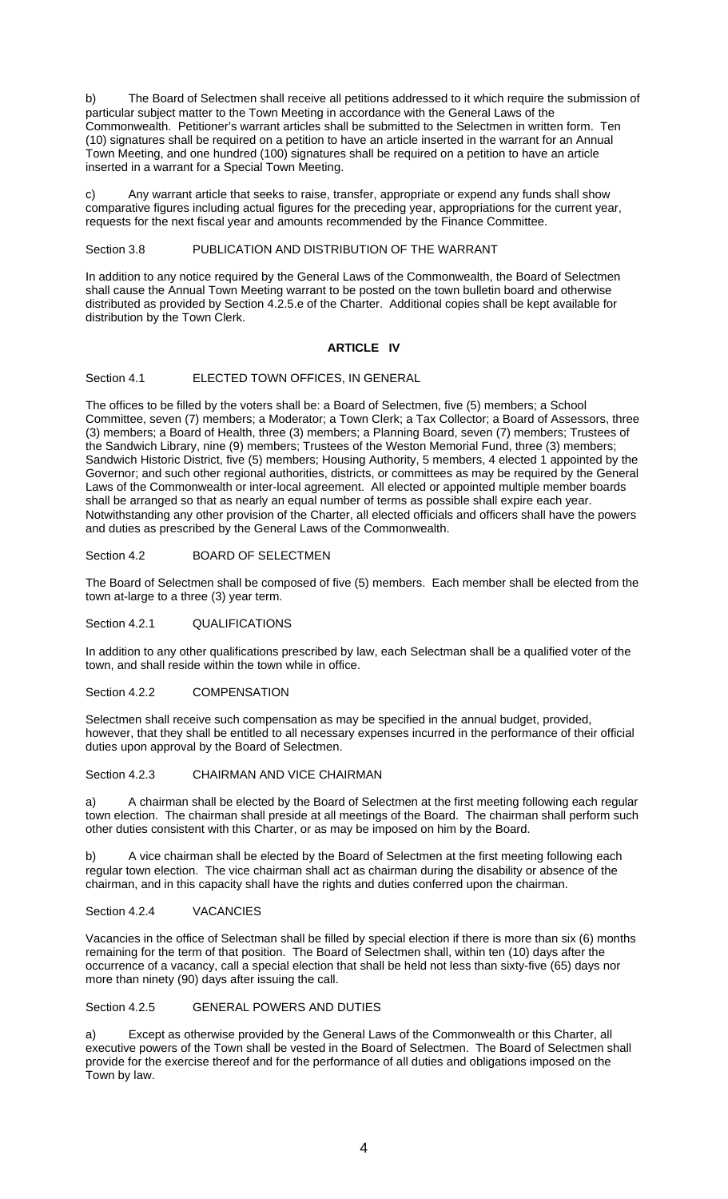b) The Board of Selectmen shall receive all petitions addressed to it which require the submission of particular subject matter to the Town Meeting in accordance with the General Laws of the Commonwealth. Petitioner's warrant articles shall be submitted to the Selectmen in written form. Ten (10) signatures shall be required on a petition to have an article inserted in the warrant for an Annual Town Meeting, and one hundred (100) signatures shall be required on a petition to have an article inserted in a warrant for a Special Town Meeting.

Any warrant article that seeks to raise, transfer, appropriate or expend any funds shall show comparative figures including actual figures for the preceding year, appropriations for the current year, requests for the next fiscal year and amounts recommended by the Finance Committee.

Section 3.8 PUBLICATION AND DISTRIBUTION OF THE WARRANT

In addition to any notice required by the General Laws of the Commonwealth, the Board of Selectmen shall cause the Annual Town Meeting warrant to be posted on the town bulletin board and otherwise distributed as provided by Section 4.2.5.e of the Charter. Additional copies shall be kept available for distribution by the Town Clerk.

## **ARTICLE IV**

Section 4.1 **ELECTED TOWN OFFICES, IN GENERAL** 

The offices to be filled by the voters shall be: a Board of Selectmen, five (5) members; a School Committee, seven (7) members; a Moderator; a Town Clerk; a Tax Collector; a Board of Assessors, three (3) members; a Board of Health, three (3) members; a Planning Board, seven (7) members; Trustees of the Sandwich Library, nine (9) members; Trustees of the Weston Memorial Fund, three (3) members; Sandwich Historic District, five (5) members; Housing Authority, 5 members, 4 elected 1 appointed by the Governor; and such other regional authorities, districts, or committees as may be required by the General Laws of the Commonwealth or inter-local agreement. All elected or appointed multiple member boards shall be arranged so that as nearly an equal number of terms as possible shall expire each year. Notwithstanding any other provision of the Charter, all elected officials and officers shall have the powers and duties as prescribed by the General Laws of the Commonwealth.

Section 4.2 **BOARD OF SELECTMEN** 

The Board of Selectmen shall be composed of five (5) members. Each member shall be elected from the town at-large to a three (3) year term.

Section 4.2.1 QUALIFICATIONS

In addition to any other qualifications prescribed by law, each Selectman shall be a qualified voter of the town, and shall reside within the town while in office.

Section 4.2.2 COMPENSATION

Selectmen shall receive such compensation as may be specified in the annual budget, provided, however, that they shall be entitled to all necessary expenses incurred in the performance of their official duties upon approval by the Board of Selectmen.

#### Section 4.2.3 CHAIRMAN AND VICE CHAIRMAN

a) A chairman shall be elected by the Board of Selectmen at the first meeting following each regular town election. The chairman shall preside at all meetings of the Board. The chairman shall perform such other duties consistent with this Charter, or as may be imposed on him by the Board.

b) A vice chairman shall be elected by the Board of Selectmen at the first meeting following each regular town election. The vice chairman shall act as chairman during the disability or absence of the chairman, and in this capacity shall have the rights and duties conferred upon the chairman.

Section 4.2.4 VACANCIES

Vacancies in the office of Selectman shall be filled by special election if there is more than six (6) months remaining for the term of that position. The Board of Selectmen shall, within ten (10) days after the occurrence of a vacancy, call a special election that shall be held not less than sixty-five (65) days nor more than ninety (90) days after issuing the call.

## Section 4.2.5 GENERAL POWERS AND DUTIES

a) Except as otherwise provided by the General Laws of the Commonwealth or this Charter, all executive powers of the Town shall be vested in the Board of Selectmen. The Board of Selectmen shall provide for the exercise thereof and for the performance of all duties and obligations imposed on the Town by law.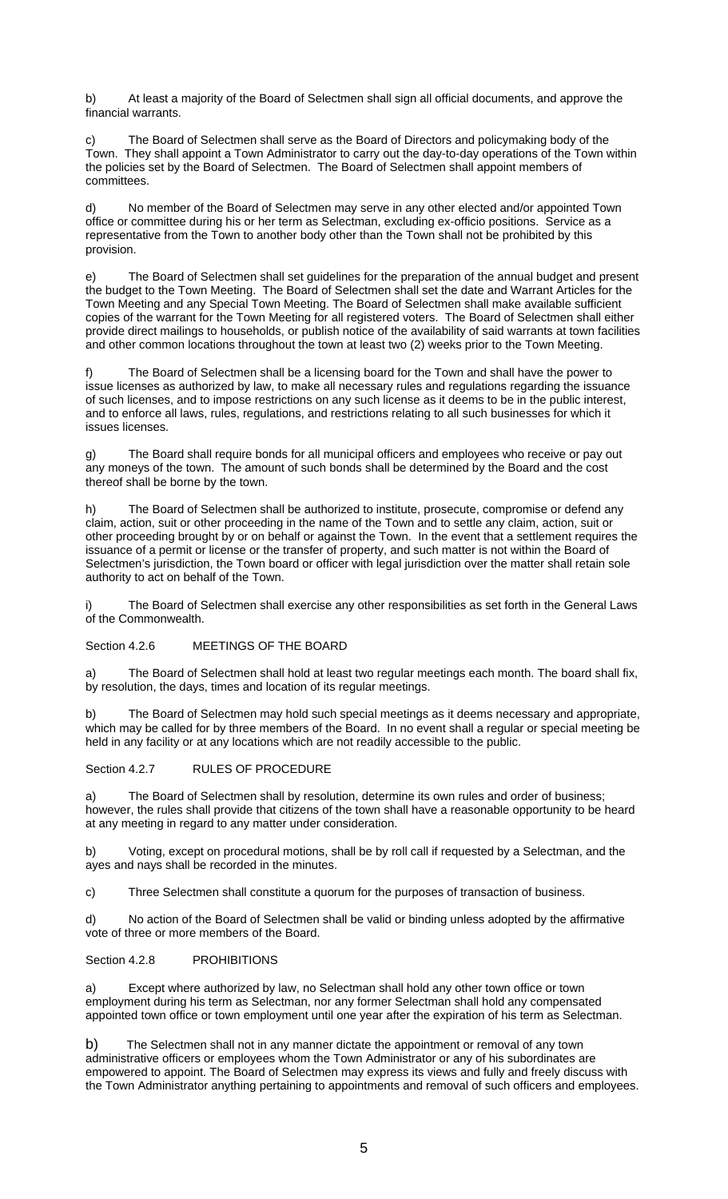b) At least a majority of the Board of Selectmen shall sign all official documents, and approve the financial warrants.

The Board of Selectmen shall serve as the Board of Directors and policymaking body of the Town. They shall appoint a Town Administrator to carry out the day-to-day operations of the Town within the policies set by the Board of Selectmen. The Board of Selectmen shall appoint members of committees.

d) No member of the Board of Selectmen may serve in any other elected and/or appointed Town office or committee during his or her term as Selectman, excluding ex-officio positions. Service as a representative from the Town to another body other than the Town shall not be prohibited by this provision.

e) The Board of Selectmen shall set guidelines for the preparation of the annual budget and present the budget to the Town Meeting. The Board of Selectmen shall set the date and Warrant Articles for the Town Meeting and any Special Town Meeting. The Board of Selectmen shall make available sufficient copies of the warrant for the Town Meeting for all registered voters. The Board of Selectmen shall either provide direct mailings to households, or publish notice of the availability of said warrants at town facilities and other common locations throughout the town at least two (2) weeks prior to the Town Meeting.

The Board of Selectmen shall be a licensing board for the Town and shall have the power to issue licenses as authorized by law, to make all necessary rules and regulations regarding the issuance of such licenses, and to impose restrictions on any such license as it deems to be in the public interest, and to enforce all laws, rules, regulations, and restrictions relating to all such businesses for which it issues licenses.

g) The Board shall require bonds for all municipal officers and employees who receive or pay out any moneys of the town. The amount of such bonds shall be determined by the Board and the cost thereof shall be borne by the town.

h) The Board of Selectmen shall be authorized to institute, prosecute, compromise or defend any claim, action, suit or other proceeding in the name of the Town and to settle any claim, action, suit or other proceeding brought by or on behalf or against the Town. In the event that a settlement requires the issuance of a permit or license or the transfer of property, and such matter is not within the Board of Selectmen's jurisdiction, the Town board or officer with legal jurisdiction over the matter shall retain sole authority to act on behalf of the Town.

The Board of Selectmen shall exercise any other responsibilities as set forth in the General Laws of the Commonwealth.

Section 4.2.6 MEETINGS OF THE BOARD

a) The Board of Selectmen shall hold at least two regular meetings each month. The board shall fix, by resolution, the days, times and location of its regular meetings.

b) The Board of Selectmen may hold such special meetings as it deems necessary and appropriate, which may be called for by three members of the Board. In no event shall a regular or special meeting be held in any facility or at any locations which are not readily accessible to the public.

Section 4.2.7 RULES OF PROCEDURE

a) The Board of Selectmen shall by resolution, determine its own rules and order of business; however, the rules shall provide that citizens of the town shall have a reasonable opportunity to be heard at any meeting in regard to any matter under consideration.

b) Voting, except on procedural motions, shall be by roll call if requested by a Selectman, and the ayes and nays shall be recorded in the minutes.

c) Three Selectmen shall constitute a quorum for the purposes of transaction of business.

d) No action of the Board of Selectmen shall be valid or binding unless adopted by the affirmative vote of three or more members of the Board.

## Section 4.2.8 PROHIBITIONS

a) Except where authorized by law, no Selectman shall hold any other town office or town employment during his term as Selectman, nor any former Selectman shall hold any compensated appointed town office or town employment until one year after the expiration of his term as Selectman.

b) The Selectmen shall not in any manner dictate the appointment or removal of any town administrative officers or employees whom the Town Administrator or any of his subordinates are empowered to appoint. The Board of Selectmen may express its views and fully and freely discuss with the Town Administrator anything pertaining to appointments and removal of such officers and employees.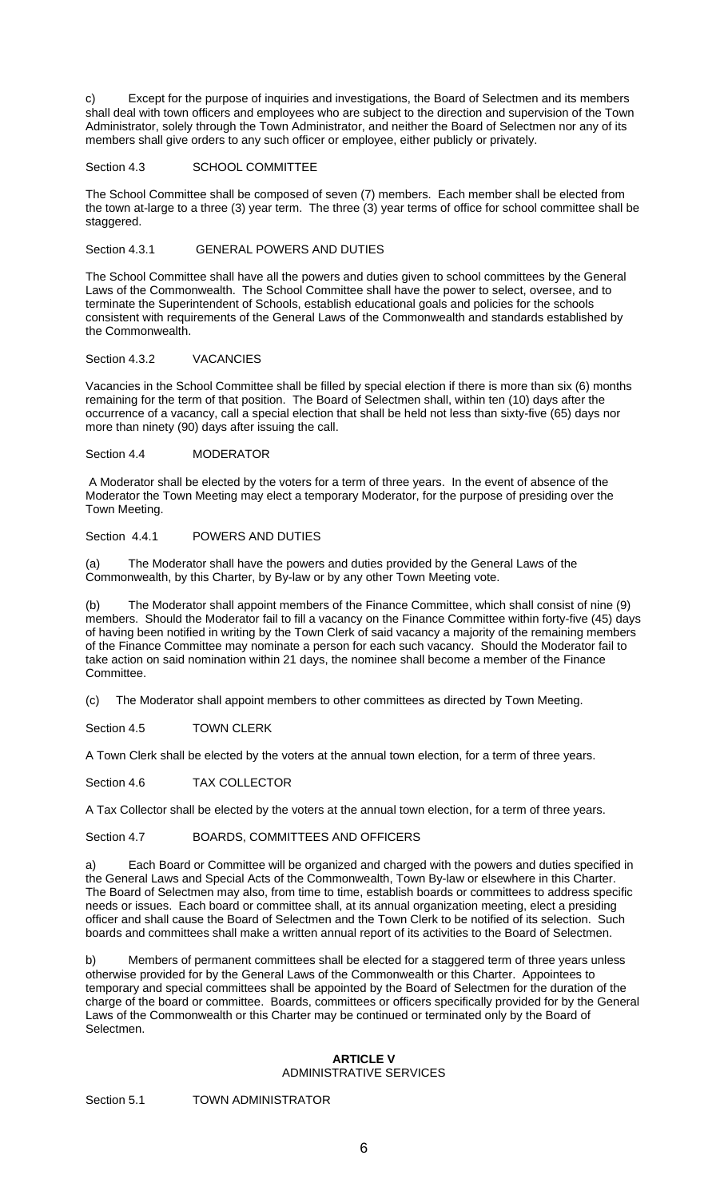c) Except for the purpose of inquiries and investigations, the Board of Selectmen and its members shall deal with town officers and employees who are subject to the direction and supervision of the Town Administrator, solely through the Town Administrator, and neither the Board of Selectmen nor any of its members shall give orders to any such officer or employee, either publicly or privately.

## Section 4.3 SCHOOL COMMITTEE

The School Committee shall be composed of seven (7) members. Each member shall be elected from the town at-large to a three (3) year term. The three (3) year terms of office for school committee shall be staggered.

#### Section 4.3.1 GENERAL POWERS AND DUTIES

The School Committee shall have all the powers and duties given to school committees by the General Laws of the Commonwealth. The School Committee shall have the power to select, oversee, and to terminate the Superintendent of Schools, establish educational goals and policies for the schools consistent with requirements of the General Laws of the Commonwealth and standards established by the Commonwealth.

## Section 4.3.2 VACANCIES

Vacancies in the School Committee shall be filled by special election if there is more than six (6) months remaining for the term of that position. The Board of Selectmen shall, within ten (10) days after the occurrence of a vacancy, call a special election that shall be held not less than sixty-five (65) days nor more than ninety (90) days after issuing the call.

#### Section 4.4 MODERATOR

 A Moderator shall be elected by the voters for a term of three years. In the event of absence of the Moderator the Town Meeting may elect a temporary Moderator, for the purpose of presiding over the Town Meeting.

## Section 4.4.1 POWERS AND DUTIES

(a) The Moderator shall have the powers and duties provided by the General Laws of the Commonwealth, by this Charter, by By-law or by any other Town Meeting vote.

(b) The Moderator shall appoint members of the Finance Committee, which shall consist of nine (9) members. Should the Moderator fail to fill a vacancy on the Finance Committee within forty-five (45) days of having been notified in writing by the Town Clerk of said vacancy a majority of the remaining members of the Finance Committee may nominate a person for each such vacancy. Should the Moderator fail to take action on said nomination within 21 days, the nominee shall become a member of the Finance Committee.

(c) The Moderator shall appoint members to other committees as directed by Town Meeting.

Section 4.5 TOWN CLERK

A Town Clerk shall be elected by the voters at the annual town election, for a term of three years.

Section 4.6 TAX COLLECTOR

A Tax Collector shall be elected by the voters at the annual town election, for a term of three years.

Section 4.7 BOARDS, COMMITTEES AND OFFICERS

a) Each Board or Committee will be organized and charged with the powers and duties specified in the General Laws and Special Acts of the Commonwealth, Town By-law or elsewhere in this Charter. The Board of Selectmen may also, from time to time, establish boards or committees to address specific needs or issues. Each board or committee shall, at its annual organization meeting, elect a presiding officer and shall cause the Board of Selectmen and the Town Clerk to be notified of its selection. Such boards and committees shall make a written annual report of its activities to the Board of Selectmen.

b) Members of permanent committees shall be elected for a staggered term of three years unless otherwise provided for by the General Laws of the Commonwealth or this Charter. Appointees to temporary and special committees shall be appointed by the Board of Selectmen for the duration of the charge of the board or committee. Boards, committees or officers specifically provided for by the General Laws of the Commonwealth or this Charter may be continued or terminated only by the Board of Selectmen.

# **ARTICLE V**

#### ADMINISTRATIVE SERVICES

Section 5.1 TOWN ADMINISTRATOR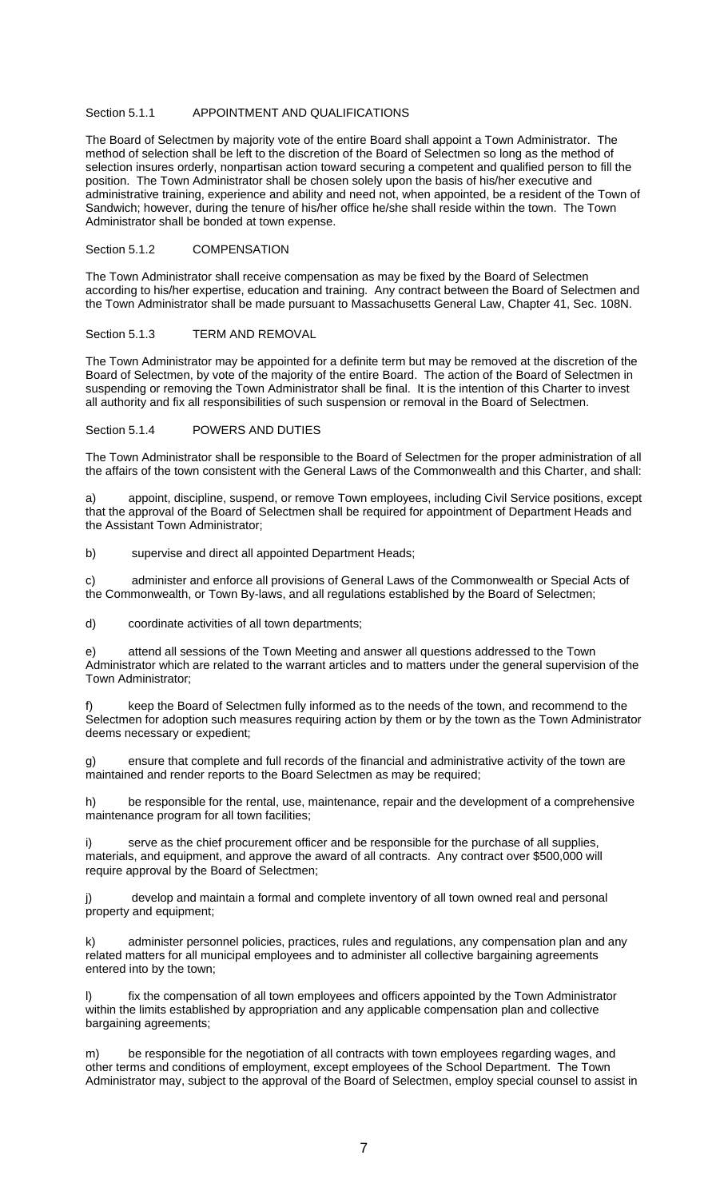## Section 5.1.1 APPOINTMENT AND QUALIFICATIONS

The Board of Selectmen by majority vote of the entire Board shall appoint a Town Administrator. The method of selection shall be left to the discretion of the Board of Selectmen so long as the method of selection insures orderly, nonpartisan action toward securing a competent and qualified person to fill the position. The Town Administrator shall be chosen solely upon the basis of his/her executive and administrative training, experience and ability and need not, when appointed, be a resident of the Town of Sandwich; however, during the tenure of his/her office he/she shall reside within the town. The Town Administrator shall be bonded at town expense.

#### Section 5.1.2 COMPENSATION

The Town Administrator shall receive compensation as may be fixed by the Board of Selectmen according to his/her expertise, education and training. Any contract between the Board of Selectmen and the Town Administrator shall be made pursuant to Massachusetts General Law, Chapter 41, Sec. 108N.

#### Section 5.1.3 TERM AND REMOVAL

The Town Administrator may be appointed for a definite term but may be removed at the discretion of the Board of Selectmen, by vote of the majority of the entire Board. The action of the Board of Selectmen in suspending or removing the Town Administrator shall be final. It is the intention of this Charter to invest all authority and fix all responsibilities of such suspension or removal in the Board of Selectmen.

## Section 5.1.4 POWERS AND DUTIES

The Town Administrator shall be responsible to the Board of Selectmen for the proper administration of all the affairs of the town consistent with the General Laws of the Commonwealth and this Charter, and shall:

a) appoint, discipline, suspend, or remove Town employees, including Civil Service positions, except that the approval of the Board of Selectmen shall be required for appointment of Department Heads and the Assistant Town Administrator;

b) supervise and direct all appointed Department Heads;

c) administer and enforce all provisions of General Laws of the Commonwealth or Special Acts of the Commonwealth, or Town By-laws, and all regulations established by the Board of Selectmen;

d) coordinate activities of all town departments;

e) attend all sessions of the Town Meeting and answer all questions addressed to the Town Administrator which are related to the warrant articles and to matters under the general supervision of the Town Administrator;

keep the Board of Selectmen fully informed as to the needs of the town, and recommend to the Selectmen for adoption such measures requiring action by them or by the town as the Town Administrator deems necessary or expedient;

g) ensure that complete and full records of the financial and administrative activity of the town are maintained and render reports to the Board Selectmen as may be required;

h) be responsible for the rental, use, maintenance, repair and the development of a comprehensive maintenance program for all town facilities;

i) serve as the chief procurement officer and be responsible for the purchase of all supplies, materials, and equipment, and approve the award of all contracts. Any contract over \$500,000 will require approval by the Board of Selectmen;

develop and maintain a formal and complete inventory of all town owned real and personal property and equipment;

k) administer personnel policies, practices, rules and regulations, any compensation plan and any related matters for all municipal employees and to administer all collective bargaining agreements entered into by the town;

fix the compensation of all town employees and officers appointed by the Town Administrator within the limits established by appropriation and any applicable compensation plan and collective bargaining agreements;

m) be responsible for the negotiation of all contracts with town employees regarding wages, and other terms and conditions of employment, except employees of the School Department. The Town Administrator may, subject to the approval of the Board of Selectmen, employ special counsel to assist in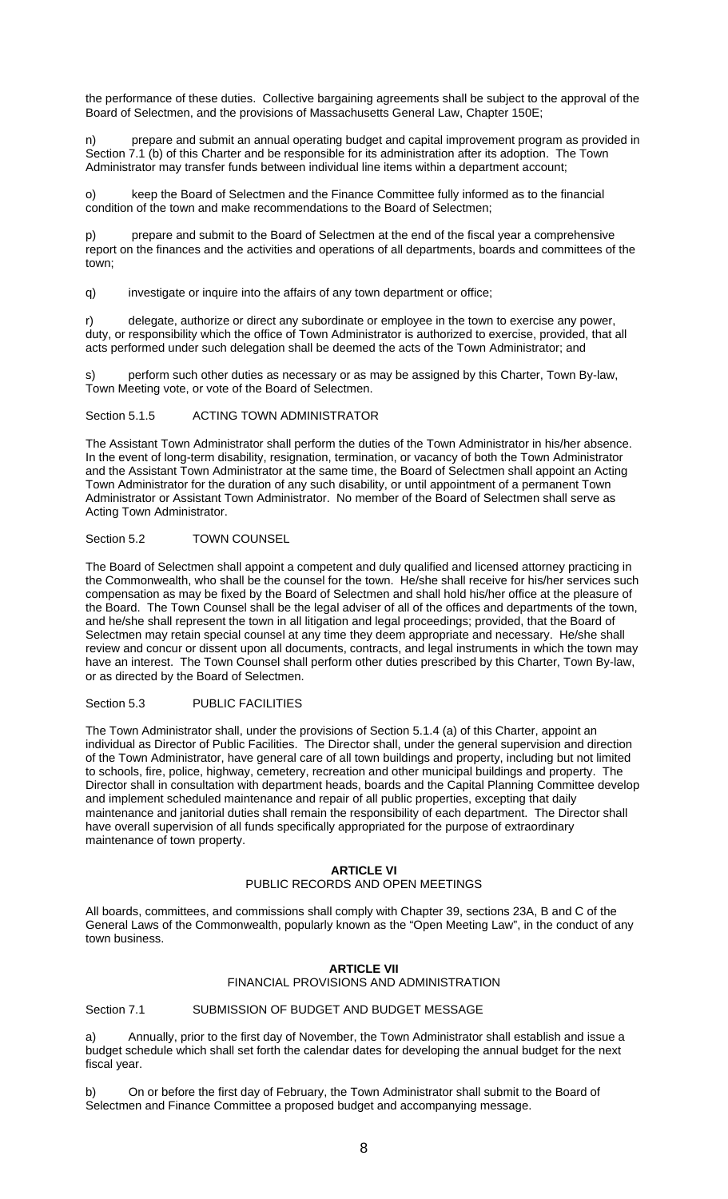the performance of these duties. Collective bargaining agreements shall be subject to the approval of the Board of Selectmen, and the provisions of Massachusetts General Law, Chapter 150E;

n) prepare and submit an annual operating budget and capital improvement program as provided in Section 7.1 (b) of this Charter and be responsible for its administration after its adoption. The Town Administrator may transfer funds between individual line items within a department account;

o) keep the Board of Selectmen and the Finance Committee fully informed as to the financial condition of the town and make recommendations to the Board of Selectmen;

p) prepare and submit to the Board of Selectmen at the end of the fiscal year a comprehensive report on the finances and the activities and operations of all departments, boards and committees of the town;

q) investigate or inquire into the affairs of any town department or office;

r) delegate, authorize or direct any subordinate or employee in the town to exercise any power, duty, or responsibility which the office of Town Administrator is authorized to exercise, provided, that all acts performed under such delegation shall be deemed the acts of the Town Administrator; and

perform such other duties as necessary or as may be assigned by this Charter, Town By-law, Town Meeting vote, or vote of the Board of Selectmen.

Section 5.1.5 ACTING TOWN ADMINISTRATOR

The Assistant Town Administrator shall perform the duties of the Town Administrator in his/her absence. In the event of long-term disability, resignation, termination, or vacancy of both the Town Administrator and the Assistant Town Administrator at the same time, the Board of Selectmen shall appoint an Acting Town Administrator for the duration of any such disability, or until appointment of a permanent Town Administrator or Assistant Town Administrator. No member of the Board of Selectmen shall serve as Acting Town Administrator.

## Section 5.2 TOWN COUNSEL

The Board of Selectmen shall appoint a competent and duly qualified and licensed attorney practicing in the Commonwealth, who shall be the counsel for the town. He/she shall receive for his/her services such compensation as may be fixed by the Board of Selectmen and shall hold his/her office at the pleasure of the Board. The Town Counsel shall be the legal adviser of all of the offices and departments of the town, and he/she shall represent the town in all litigation and legal proceedings; provided, that the Board of Selectmen may retain special counsel at any time they deem appropriate and necessary. He/she shall review and concur or dissent upon all documents, contracts, and legal instruments in which the town may have an interest. The Town Counsel shall perform other duties prescribed by this Charter, Town By-law, or as directed by the Board of Selectmen.

Section 5.3 PUBLIC FACILITIES

The Town Administrator shall, under the provisions of Section 5.1.4 (a) of this Charter, appoint an individual as Director of Public Facilities. The Director shall, under the general supervision and direction of the Town Administrator, have general care of all town buildings and property, including but not limited to schools, fire, police, highway, cemetery, recreation and other municipal buildings and property. The Director shall in consultation with department heads, boards and the Capital Planning Committee develop and implement scheduled maintenance and repair of all public properties, excepting that daily maintenance and janitorial duties shall remain the responsibility of each department. The Director shall have overall supervision of all funds specifically appropriated for the purpose of extraordinary maintenance of town property.

## **ARTICLE VI**

# PUBLIC RECORDS AND OPEN MEETINGS

All boards, committees, and commissions shall comply with Chapter 39, sections 23A, B and C of the General Laws of the Commonwealth, popularly known as the "Open Meeting Law", in the conduct of any town business.

## **ARTICLE VII**  FINANCIAL PROVISIONS AND ADMINISTRATION

Section 7.1 SUBMISSION OF BUDGET AND BUDGET MESSAGE

a) Annually, prior to the first day of November, the Town Administrator shall establish and issue a budget schedule which shall set forth the calendar dates for developing the annual budget for the next fiscal year.

b) On or before the first day of February, the Town Administrator shall submit to the Board of Selectmen and Finance Committee a proposed budget and accompanying message.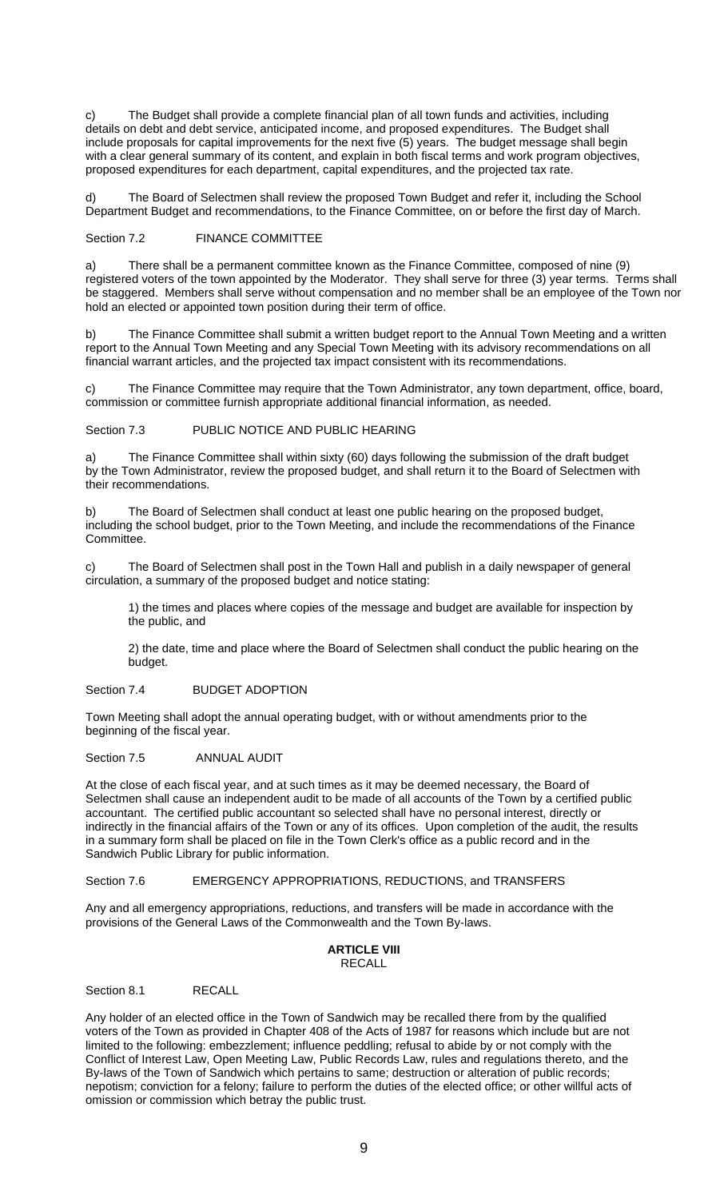c) The Budget shall provide a complete financial plan of all town funds and activities, including details on debt and debt service, anticipated income, and proposed expenditures. The Budget shall include proposals for capital improvements for the next five (5) years. The budget message shall begin with a clear general summary of its content, and explain in both fiscal terms and work program objectives, proposed expenditures for each department, capital expenditures, and the projected tax rate.

d) The Board of Selectmen shall review the proposed Town Budget and refer it, including the School Department Budget and recommendations, to the Finance Committee, on or before the first day of March.

Section 7.2 FINANCE COMMITTEE

a) There shall be a permanent committee known as the Finance Committee, composed of nine (9) registered voters of the town appointed by the Moderator. They shall serve for three (3) year terms. Terms shall be staggered. Members shall serve without compensation and no member shall be an employee of the Town nor hold an elected or appointed town position during their term of office.

b) The Finance Committee shall submit a written budget report to the Annual Town Meeting and a written report to the Annual Town Meeting and any Special Town Meeting with its advisory recommendations on all financial warrant articles, and the projected tax impact consistent with its recommendations.

c) The Finance Committee may require that the Town Administrator, any town department, office, board, commission or committee furnish appropriate additional financial information, as needed.

Section 7.3 PUBLIC NOTICE AND PUBLIC HEARING

a) The Finance Committee shall within sixty (60) days following the submission of the draft budget by the Town Administrator, review the proposed budget, and shall return it to the Board of Selectmen with their recommendations.

b) The Board of Selectmen shall conduct at least one public hearing on the proposed budget, including the school budget, prior to the Town Meeting, and include the recommendations of the Finance Committee.

c) The Board of Selectmen shall post in the Town Hall and publish in a daily newspaper of general circulation, a summary of the proposed budget and notice stating:

1) the times and places where copies of the message and budget are available for inspection by the public, and

2) the date, time and place where the Board of Selectmen shall conduct the public hearing on the budget.

Section 7.4 BUDGET ADOPTION

Town Meeting shall adopt the annual operating budget, with or without amendments prior to the beginning of the fiscal year.

#### Section 7.5 ANNUAL AUDIT

At the close of each fiscal year, and at such times as it may be deemed necessary, the Board of Selectmen shall cause an independent audit to be made of all accounts of the Town by a certified public accountant. The certified public accountant so selected shall have no personal interest, directly or indirectly in the financial affairs of the Town or any of its offices. Upon completion of the audit, the results in a summary form shall be placed on file in the Town Clerk's office as a public record and in the Sandwich Public Library for public information.

Section 7.6 **EMERGENCY APPROPRIATIONS, REDUCTIONS, and TRANSFERS** 

Any and all emergency appropriations, reductions, and transfers will be made in accordance with the provisions of the General Laws of the Commonwealth and the Town By-laws.

#### **ARTICLE VIII**  RECALL

Section 8.1 RECALL

Any holder of an elected office in the Town of Sandwich may be recalled there from by the qualified voters of the Town as provided in Chapter 408 of the Acts of 1987 for reasons which include but are not limited to the following: embezzlement; influence peddling; refusal to abide by or not comply with the Conflict of Interest Law, Open Meeting Law, Public Records Law, rules and regulations thereto, and the By-laws of the Town of Sandwich which pertains to same; destruction or alteration of public records; nepotism; conviction for a felony; failure to perform the duties of the elected office; or other willful acts of omission or commission which betray the public trust.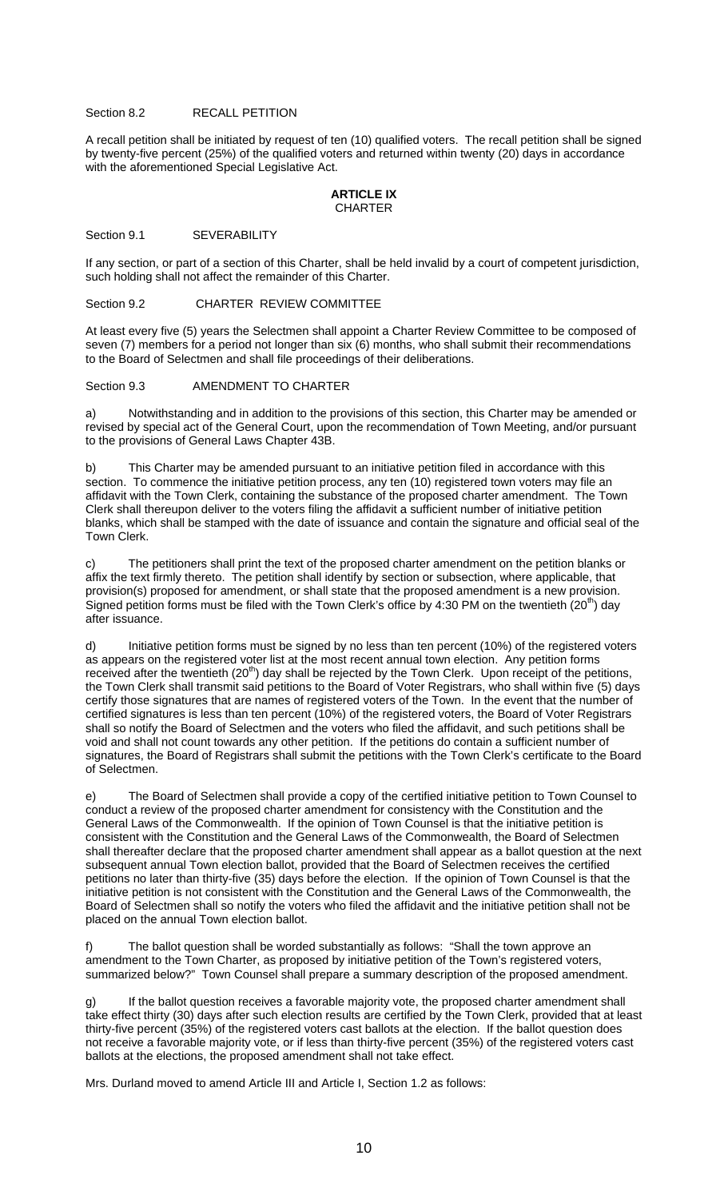#### Section 8.2 RECALL PETITION

A recall petition shall be initiated by request of ten (10) qualified voters. The recall petition shall be signed by twenty-five percent (25%) of the qualified voters and returned within twenty (20) days in accordance with the aforementioned Special Legislative Act.

#### **ARTICLE IX CHARTER**

#### Section 9.1 SEVERABILITY

If any section, or part of a section of this Charter, shall be held invalid by a court of competent jurisdiction, such holding shall not affect the remainder of this Charter.

#### Section 9.2 CHARTER REVIEW COMMITTEE

At least every five (5) years the Selectmen shall appoint a Charter Review Committee to be composed of seven (7) members for a period not longer than six (6) months, who shall submit their recommendations to the Board of Selectmen and shall file proceedings of their deliberations.

#### Section 9.3 AMENDMENT TO CHARTER

a) Notwithstanding and in addition to the provisions of this section, this Charter may be amended or revised by special act of the General Court, upon the recommendation of Town Meeting, and/or pursuant to the provisions of General Laws Chapter 43B.

b) This Charter may be amended pursuant to an initiative petition filed in accordance with this section. To commence the initiative petition process, any ten (10) registered town voters may file an affidavit with the Town Clerk, containing the substance of the proposed charter amendment. The Town Clerk shall thereupon deliver to the voters filing the affidavit a sufficient number of initiative petition blanks, which shall be stamped with the date of issuance and contain the signature and official seal of the Town Clerk.

c) The petitioners shall print the text of the proposed charter amendment on the petition blanks or affix the text firmly thereto. The petition shall identify by section or subsection, where applicable, that provision(s) proposed for amendment, or shall state that the proposed amendment is a new provision. Signed petition forms must be filed with the Town Clerk's office by 4:30 PM on the twentieth  $(20<sup>th</sup>)$  day after issuance.

d) Initiative petition forms must be signed by no less than ten percent (10%) of the registered voters as appears on the registered voter list at the most recent annual town election. Any petition forms received after the twentieth (20<sup>th</sup>) day shall be rejected by the Town Clerk. Upon receipt of the petitions, the Town Clerk shall transmit said petitions to the Board of Voter Registrars, who shall within five (5) days certify those signatures that are names of registered voters of the Town. In the event that the number of certified signatures is less than ten percent (10%) of the registered voters, the Board of Voter Registrars shall so notify the Board of Selectmen and the voters who filed the affidavit, and such petitions shall be void and shall not count towards any other petition. If the petitions do contain a sufficient number of signatures, the Board of Registrars shall submit the petitions with the Town Clerk's certificate to the Board of Selectmen.

e) The Board of Selectmen shall provide a copy of the certified initiative petition to Town Counsel to conduct a review of the proposed charter amendment for consistency with the Constitution and the General Laws of the Commonwealth. If the opinion of Town Counsel is that the initiative petition is consistent with the Constitution and the General Laws of the Commonwealth, the Board of Selectmen shall thereafter declare that the proposed charter amendment shall appear as a ballot question at the next subsequent annual Town election ballot, provided that the Board of Selectmen receives the certified petitions no later than thirty-five (35) days before the election. If the opinion of Town Counsel is that the initiative petition is not consistent with the Constitution and the General Laws of the Commonwealth, the Board of Selectmen shall so notify the voters who filed the affidavit and the initiative petition shall not be placed on the annual Town election ballot.

f) The ballot question shall be worded substantially as follows: "Shall the town approve an amendment to the Town Charter, as proposed by initiative petition of the Town's registered voters, summarized below?" Town Counsel shall prepare a summary description of the proposed amendment.

g) If the ballot question receives a favorable majority vote, the proposed charter amendment shall take effect thirty (30) days after such election results are certified by the Town Clerk, provided that at least thirty-five percent (35%) of the registered voters cast ballots at the election. If the ballot question does not receive a favorable majority vote, or if less than thirty-five percent (35%) of the registered voters cast ballots at the elections, the proposed amendment shall not take effect.

Mrs. Durland moved to amend Article III and Article I, Section 1.2 as follows: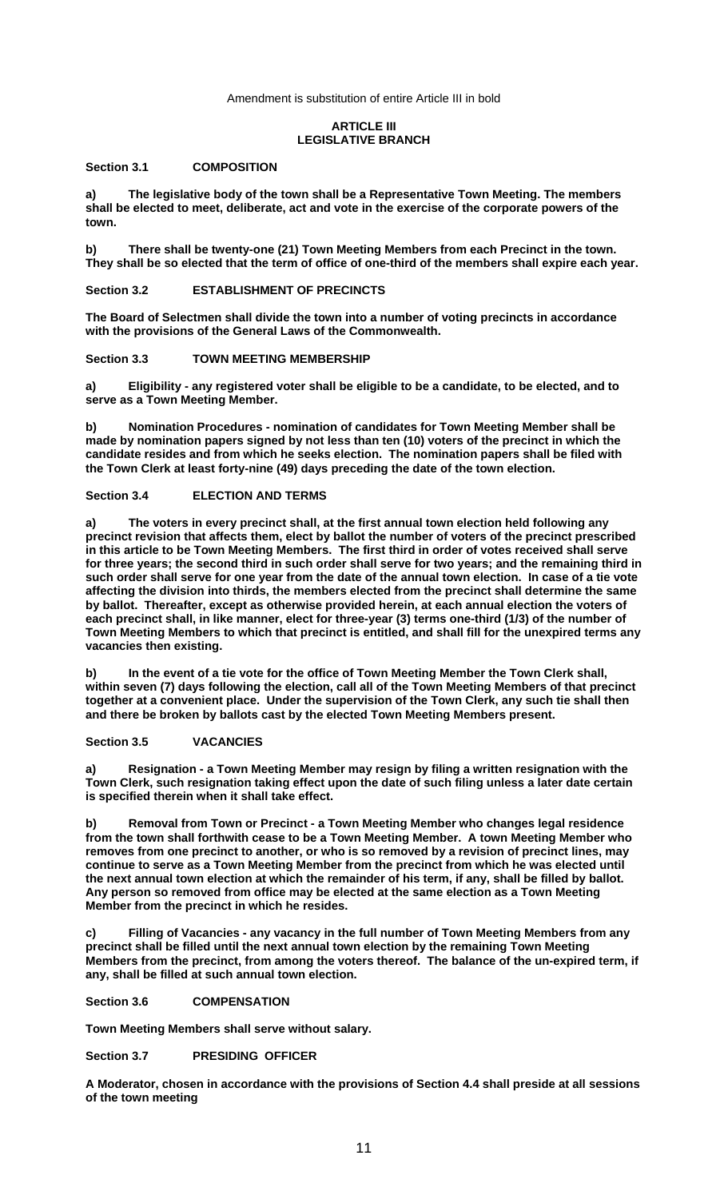Amendment is substitution of entire Article III in bold

## **ARTICLE III LEGISLATIVE BRANCH**

## **Section 3.1 COMPOSITION**

**a) The legislative body of the town shall be a Representative Town Meeting. The members shall be elected to meet, deliberate, act and vote in the exercise of the corporate powers of the town.** 

**b) There shall be twenty-one (21) Town Meeting Members from each Precinct in the town. They shall be so elected that the term of office of one-third of the members shall expire each year.** 

**Section 3.2 ESTABLISHMENT OF PRECINCTS** 

**The Board of Selectmen shall divide the town into a number of voting precincts in accordance with the provisions of the General Laws of the Commonwealth.** 

**Section 3.3 TOWN MEETING MEMBERSHIP** 

**a) Eligibility - any registered voter shall be eligible to be a candidate, to be elected, and to serve as a Town Meeting Member.** 

**b) Nomination Procedures - nomination of candidates for Town Meeting Member shall be made by nomination papers signed by not less than ten (10) voters of the precinct in which the candidate resides and from which he seeks election. The nomination papers shall be filed with the Town Clerk at least forty-nine (49) days preceding the date of the town election.** 

## **Section 3.4 ELECTION AND TERMS**

**a) The voters in every precinct shall, at the first annual town election held following any precinct revision that affects them, elect by ballot the number of voters of the precinct prescribed in this article to be Town Meeting Members. The first third in order of votes received shall serve for three years; the second third in such order shall serve for two years; and the remaining third in such order shall serve for one year from the date of the annual town election. In case of a tie vote affecting the division into thirds, the members elected from the precinct shall determine the same by ballot. Thereafter, except as otherwise provided herein, at each annual election the voters of each precinct shall, in like manner, elect for three-year (3) terms one-third (1/3) of the number of Town Meeting Members to which that precinct is entitled, and shall fill for the unexpired terms any vacancies then existing.** 

**b) In the event of a tie vote for the office of Town Meeting Member the Town Clerk shall, within seven (7) days following the election, call all of the Town Meeting Members of that precinct together at a convenient place. Under the supervision of the Town Clerk, any such tie shall then and there be broken by ballots cast by the elected Town Meeting Members present.** 

#### **Section 3.5 VACANCIES**

**a) Resignation - a Town Meeting Member may resign by filing a written resignation with the Town Clerk, such resignation taking effect upon the date of such filing unless a later date certain is specified therein when it shall take effect.** 

**b) Removal from Town or Precinct - a Town Meeting Member who changes legal residence from the town shall forthwith cease to be a Town Meeting Member. A town Meeting Member who removes from one precinct to another, or who is so removed by a revision of precinct lines, may continue to serve as a Town Meeting Member from the precinct from which he was elected until the next annual town election at which the remainder of his term, if any, shall be filled by ballot. Any person so removed from office may be elected at the same election as a Town Meeting Member from the precinct in which he resides.** 

**c) Filling of Vacancies - any vacancy in the full number of Town Meeting Members from any precinct shall be filled until the next annual town election by the remaining Town Meeting Members from the precinct, from among the voters thereof. The balance of the un-expired term, if any, shall be filled at such annual town election.** 

## **Section 3.6 COMPENSATION**

**Town Meeting Members shall serve without salary.** 

## **Section 3.7 PRESIDING OFFICER**

**A Moderator, chosen in accordance with the provisions of Section 4.4 shall preside at all sessions of the town meeting**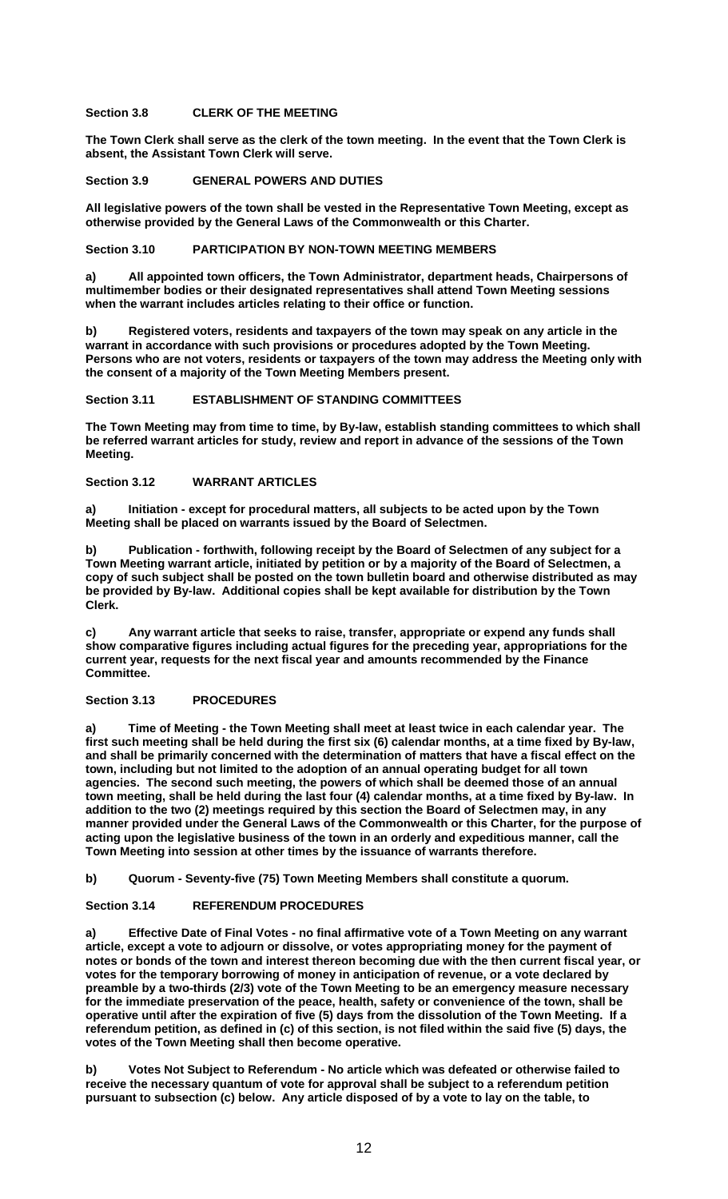## **Section 3.8 CLERK OF THE MEETING**

**The Town Clerk shall serve as the clerk of the town meeting. In the event that the Town Clerk is absent, the Assistant Town Clerk will serve.** 

## **Section 3.9 GENERAL POWERS AND DUTIES**

**All legislative powers of the town shall be vested in the Representative Town Meeting, except as otherwise provided by the General Laws of the Commonwealth or this Charter.** 

#### **Section 3.10 PARTICIPATION BY NON-TOWN MEETING MEMBERS**

**a) All appointed town officers, the Town Administrator, department heads, Chairpersons of multimember bodies or their designated representatives shall attend Town Meeting sessions when the warrant includes articles relating to their office or function.** 

**b) Registered voters, residents and taxpayers of the town may speak on any article in the warrant in accordance with such provisions or procedures adopted by the Town Meeting. Persons who are not voters, residents or taxpayers of the town may address the Meeting only with the consent of a majority of the Town Meeting Members present.** 

## **Section 3.11 ESTABLISHMENT OF STANDING COMMITTEES**

**The Town Meeting may from time to time, by By-law, establish standing committees to which shall be referred warrant articles for study, review and report in advance of the sessions of the Town Meeting.** 

# **Section 3.12 WARRANT ARTICLES**

**a) Initiation - except for procedural matters, all subjects to be acted upon by the Town Meeting shall be placed on warrants issued by the Board of Selectmen.** 

**b) Publication - forthwith, following receipt by the Board of Selectmen of any subject for a Town Meeting warrant article, initiated by petition or by a majority of the Board of Selectmen, a copy of such subject shall be posted on the town bulletin board and otherwise distributed as may be provided by By-law. Additional copies shall be kept available for distribution by the Town Clerk.** 

**c) Any warrant article that seeks to raise, transfer, appropriate or expend any funds shall show comparative figures including actual figures for the preceding year, appropriations for the current year, requests for the next fiscal year and amounts recommended by the Finance Committee.** 

#### **Section 3.13 PROCEDURES**

**a) Time of Meeting - the Town Meeting shall meet at least twice in each calendar year. The first such meeting shall be held during the first six (6) calendar months, at a time fixed by By-law, and shall be primarily concerned with the determination of matters that have a fiscal effect on the town, including but not limited to the adoption of an annual operating budget for all town agencies. The second such meeting, the powers of which shall be deemed those of an annual town meeting, shall be held during the last four (4) calendar months, at a time fixed by By-law. In addition to the two (2) meetings required by this section the Board of Selectmen may, in any manner provided under the General Laws of the Commonwealth or this Charter, for the purpose of acting upon the legislative business of the town in an orderly and expeditious manner, call the Town Meeting into session at other times by the issuance of warrants therefore.** 

**b) Quorum - Seventy-five (75) Town Meeting Members shall constitute a quorum.** 

**Section 3.14 REFERENDUM PROCEDURES** 

**a) Effective Date of Final Votes - no final affirmative vote of a Town Meeting on any warrant article, except a vote to adjourn or dissolve, or votes appropriating money for the payment of notes or bonds of the town and interest thereon becoming due with the then current fiscal year, or votes for the temporary borrowing of money in anticipation of revenue, or a vote declared by preamble by a two-thirds (2/3) vote of the Town Meeting to be an emergency measure necessary for the immediate preservation of the peace, health, safety or convenience of the town, shall be operative until after the expiration of five (5) days from the dissolution of the Town Meeting. If a referendum petition, as defined in (c) of this section, is not filed within the said five (5) days, the votes of the Town Meeting shall then become operative.** 

**b) Votes Not Subject to Referendum - No article which was defeated or otherwise failed to receive the necessary quantum of vote for approval shall be subject to a referendum petition pursuant to subsection (c) below. Any article disposed of by a vote to lay on the table, to**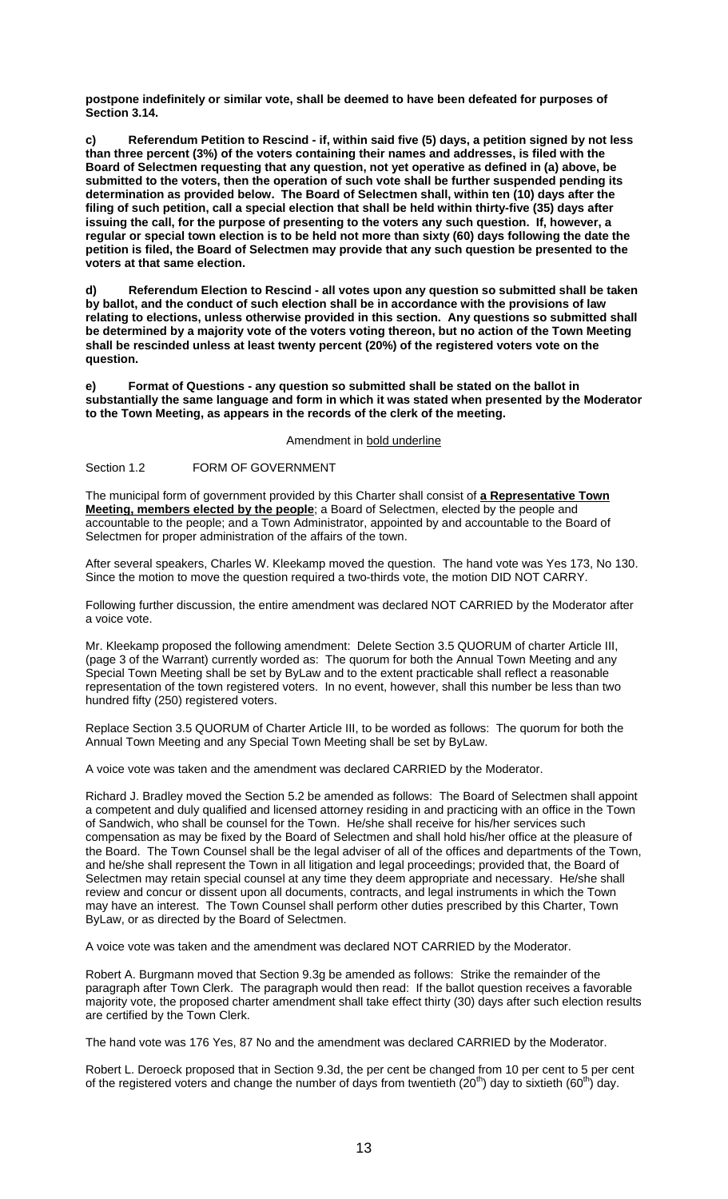**postpone indefinitely or similar vote, shall be deemed to have been defeated for purposes of Section 3.14.** 

**c) Referendum Petition to Rescind - if, within said five (5) days, a petition signed by not less than three percent (3%) of the voters containing their names and addresses, is filed with the Board of Selectmen requesting that any question, not yet operative as defined in (a) above, be submitted to the voters, then the operation of such vote shall be further suspended pending its determination as provided below. The Board of Selectmen shall, within ten (10) days after the filing of such petition, call a special election that shall be held within thirty-five (35) days after issuing the call, for the purpose of presenting to the voters any such question. If, however, a regular or special town election is to be held not more than sixty (60) days following the date the petition is filed, the Board of Selectmen may provide that any such question be presented to the voters at that same election.** 

**d) Referendum Election to Rescind - all votes upon any question so submitted shall be taken by ballot, and the conduct of such election shall be in accordance with the provisions of law relating to elections, unless otherwise provided in this section. Any questions so submitted shall be determined by a majority vote of the voters voting thereon, but no action of the Town Meeting shall be rescinded unless at least twenty percent (20%) of the registered voters vote on the question.** 

**e) Format of Questions - any question so submitted shall be stated on the ballot in substantially the same language and form in which it was stated when presented by the Moderator to the Town Meeting, as appears in the records of the clerk of the meeting.** 

Amendment in bold underline

Section 1.2 FORM OF GOVERNMENT

The municipal form of government provided by this Charter shall consist of **a Representative Town Meeting, members elected by the people**; a Board of Selectmen, elected by the people and accountable to the people; and a Town Administrator, appointed by and accountable to the Board of Selectmen for proper administration of the affairs of the town.

After several speakers, Charles W. Kleekamp moved the question. The hand vote was Yes 173, No 130. Since the motion to move the question required a two-thirds vote, the motion DID NOT CARRY.

Following further discussion, the entire amendment was declared NOT CARRIED by the Moderator after a voice vote.

Mr. Kleekamp proposed the following amendment: Delete Section 3.5 QUORUM of charter Article III, (page 3 of the Warrant) currently worded as: The quorum for both the Annual Town Meeting and any Special Town Meeting shall be set by ByLaw and to the extent practicable shall reflect a reasonable representation of the town registered voters. In no event, however, shall this number be less than two hundred fifty (250) registered voters.

Replace Section 3.5 QUORUM of Charter Article III, to be worded as follows: The quorum for both the Annual Town Meeting and any Special Town Meeting shall be set by ByLaw.

A voice vote was taken and the amendment was declared CARRIED by the Moderator.

Richard J. Bradley moved the Section 5.2 be amended as follows: The Board of Selectmen shall appoint a competent and duly qualified and licensed attorney residing in and practicing with an office in the Town of Sandwich, who shall be counsel for the Town. He/she shall receive for his/her services such compensation as may be fixed by the Board of Selectmen and shall hold his/her office at the pleasure of the Board. The Town Counsel shall be the legal adviser of all of the offices and departments of the Town, and he/she shall represent the Town in all litigation and legal proceedings; provided that, the Board of Selectmen may retain special counsel at any time they deem appropriate and necessary. He/she shall review and concur or dissent upon all documents, contracts, and legal instruments in which the Town may have an interest. The Town Counsel shall perform other duties prescribed by this Charter, Town ByLaw, or as directed by the Board of Selectmen.

A voice vote was taken and the amendment was declared NOT CARRIED by the Moderator.

Robert A. Burgmann moved that Section 9.3g be amended as follows: Strike the remainder of the paragraph after Town Clerk. The paragraph would then read: If the ballot question receives a favorable majority vote, the proposed charter amendment shall take effect thirty (30) days after such election results are certified by the Town Clerk.

The hand vote was 176 Yes, 87 No and the amendment was declared CARRIED by the Moderator.

Robert L. Deroeck proposed that in Section 9.3d, the per cent be changed from 10 per cent to 5 per cent of the registered voters and change the number of days from twentieth  $(20<sup>th</sup>)$  day to sixtieth  $(60<sup>th</sup>)$  day.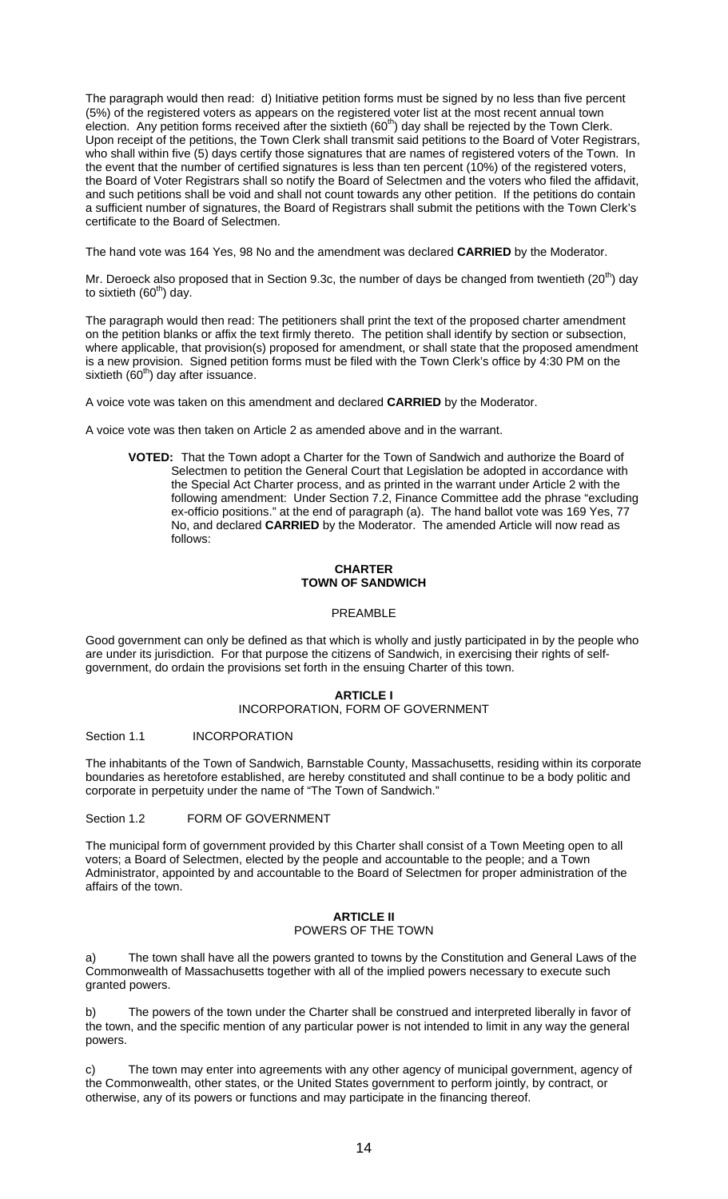The paragraph would then read: d) Initiative petition forms must be signed by no less than five percent (5%) of the registered voters as appears on the registered voter list at the most recent annual town election. Any petition forms received after the sixtieth (60<sup>th</sup>) day shall be rejected by the Town Clerk. Upon receipt of the petitions, the Town Clerk shall transmit said petitions to the Board of Voter Registrars, who shall within five (5) days certify those signatures that are names of registered voters of the Town. In the event that the number of certified signatures is less than ten percent (10%) of the registered voters, the Board of Voter Registrars shall so notify the Board of Selectmen and the voters who filed the affidavit, and such petitions shall be void and shall not count towards any other petition. If the petitions do contain a sufficient number of signatures, the Board of Registrars shall submit the petitions with the Town Clerk's certificate to the Board of Selectmen.

The hand vote was 164 Yes, 98 No and the amendment was declared **CARRIED** by the Moderator.

Mr. Deroeck also proposed that in Section 9.3c, the number of days be changed from twentieth (20<sup>th</sup>) day to sixtieth  $(60<sup>th</sup>)$  day.

The paragraph would then read: The petitioners shall print the text of the proposed charter amendment on the petition blanks or affix the text firmly thereto. The petition shall identify by section or subsection, where applicable, that provision(s) proposed for amendment, or shall state that the proposed amendment is a new provision. Signed petition forms must be filed with the Town Clerk's office by 4:30 PM on the sixtieth  $(60<sup>th</sup>)$  day after issuance.

A voice vote was taken on this amendment and declared **CARRIED** by the Moderator.

A voice vote was then taken on Article 2 as amended above and in the warrant.

**VOTED:** That the Town adopt a Charter for the Town of Sandwich and authorize the Board of Selectmen to petition the General Court that Legislation be adopted in accordance with the Special Act Charter process, and as printed in the warrant under Article 2 with the following amendment: Under Section 7.2, Finance Committee add the phrase "excluding ex-officio positions." at the end of paragraph (a). The hand ballot vote was 169 Yes, 77 No, and declared **CARRIED** by the Moderator. The amended Article will now read as follows:

## **CHARTER TOWN OF SANDWICH**

## PREAMBLE

Good government can only be defined as that which is wholly and justly participated in by the people who are under its jurisdiction. For that purpose the citizens of Sandwich, in exercising their rights of selfgovernment, do ordain the provisions set forth in the ensuing Charter of this town.

## **ARTICLE I**

## INCORPORATION, FORM OF GOVERNMENT

#### Section 1.1 **INCORPORATION**

The inhabitants of the Town of Sandwich, Barnstable County, Massachusetts, residing within its corporate boundaries as heretofore established, are hereby constituted and shall continue to be a body politic and corporate in perpetuity under the name of "The Town of Sandwich."

Section 1.2 FORM OF GOVERNMENT

The municipal form of government provided by this Charter shall consist of a Town Meeting open to all voters; a Board of Selectmen, elected by the people and accountable to the people; and a Town Administrator, appointed by and accountable to the Board of Selectmen for proper administration of the affairs of the town.

## **ARTICLE II**  POWERS OF THE TOWN

The town shall have all the powers granted to towns by the Constitution and General Laws of the Commonwealth of Massachusetts together with all of the implied powers necessary to execute such granted powers.

b) The powers of the town under the Charter shall be construed and interpreted liberally in favor of the town, and the specific mention of any particular power is not intended to limit in any way the general powers.

The town may enter into agreements with any other agency of municipal government, agency of the Commonwealth, other states, or the United States government to perform jointly, by contract, or otherwise, any of its powers or functions and may participate in the financing thereof.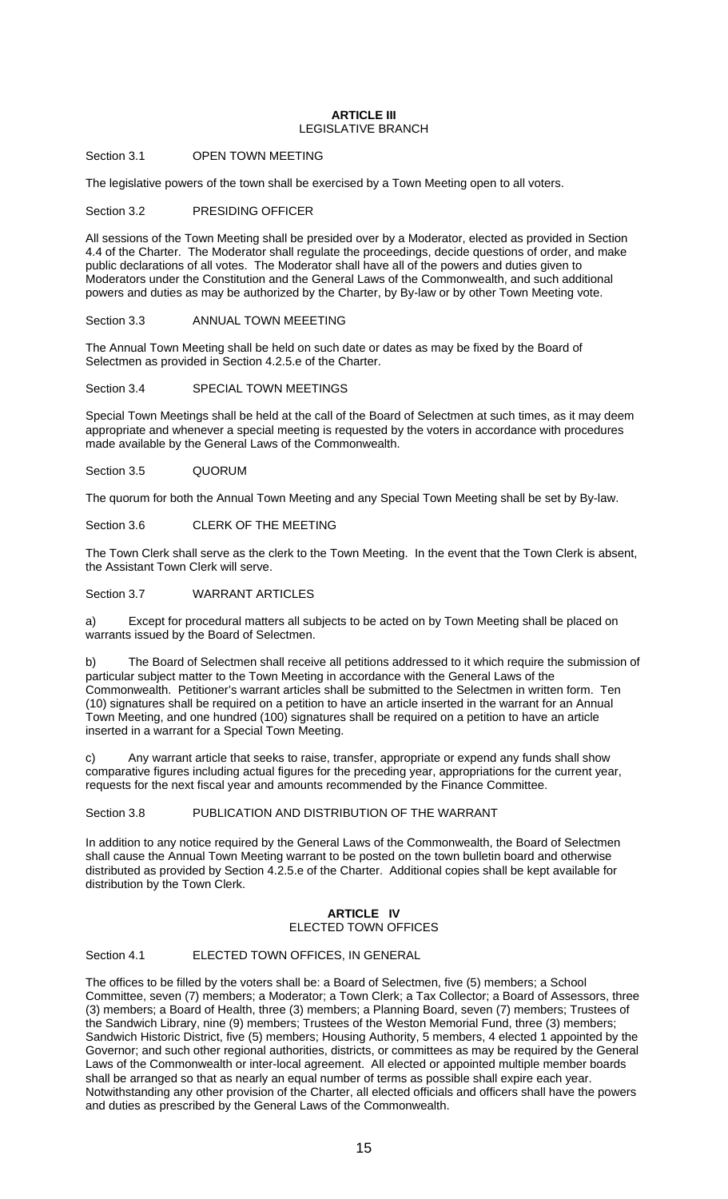#### **ARTICLE III**  LEGISLATIVE BRANCH

## Section 3.1 OPEN TOWN MEETING

The legislative powers of the town shall be exercised by a Town Meeting open to all voters.

Section 3.2 PRESIDING OFFICER

All sessions of the Town Meeting shall be presided over by a Moderator, elected as provided in Section 4.4 of the Charter. The Moderator shall regulate the proceedings, decide questions of order, and make public declarations of all votes. The Moderator shall have all of the powers and duties given to Moderators under the Constitution and the General Laws of the Commonwealth, and such additional powers and duties as may be authorized by the Charter, by By-law or by other Town Meeting vote.

## Section 3.3 ANNUAL TOWN MEEETING

The Annual Town Meeting shall be held on such date or dates as may be fixed by the Board of Selectmen as provided in Section 4.2.5.e of the Charter.

## Section 3.4 SPECIAL TOWN MEETINGS

Special Town Meetings shall be held at the call of the Board of Selectmen at such times, as it may deem appropriate and whenever a special meeting is requested by the voters in accordance with procedures made available by the General Laws of the Commonwealth.

Section 3.5 QUORUM

The quorum for both the Annual Town Meeting and any Special Town Meeting shall be set by By-law.

Section 3.6 CLERK OF THE MEETING

The Town Clerk shall serve as the clerk to the Town Meeting. In the event that the Town Clerk is absent, the Assistant Town Clerk will serve.

Section 3.7 WARRANT ARTICLES

a) Except for procedural matters all subjects to be acted on by Town Meeting shall be placed on warrants issued by the Board of Selectmen.

b) The Board of Selectmen shall receive all petitions addressed to it which require the submission of particular subject matter to the Town Meeting in accordance with the General Laws of the Commonwealth. Petitioner's warrant articles shall be submitted to the Selectmen in written form. Ten (10) signatures shall be required on a petition to have an article inserted in the warrant for an Annual Town Meeting, and one hundred (100) signatures shall be required on a petition to have an article inserted in a warrant for a Special Town Meeting.

c) Any warrant article that seeks to raise, transfer, appropriate or expend any funds shall show comparative figures including actual figures for the preceding year, appropriations for the current year, requests for the next fiscal year and amounts recommended by the Finance Committee.

Section 3.8 PUBLICATION AND DISTRIBUTION OF THE WARRANT

In addition to any notice required by the General Laws of the Commonwealth, the Board of Selectmen shall cause the Annual Town Meeting warrant to be posted on the town bulletin board and otherwise distributed as provided by Section 4.2.5.e of the Charter. Additional copies shall be kept available for distribution by the Town Clerk.

## **ARTICLE IV**  ELECTED TOWN OFFICES

#### Section 4.1 **ELECTED TOWN OFFICES, IN GENERAL**

The offices to be filled by the voters shall be: a Board of Selectmen, five (5) members; a School Committee, seven (7) members; a Moderator; a Town Clerk; a Tax Collector; a Board of Assessors, three (3) members; a Board of Health, three (3) members; a Planning Board, seven (7) members; Trustees of the Sandwich Library, nine (9) members; Trustees of the Weston Memorial Fund, three (3) members; Sandwich Historic District, five (5) members; Housing Authority, 5 members, 4 elected 1 appointed by the Governor; and such other regional authorities, districts, or committees as may be required by the General Laws of the Commonwealth or inter-local agreement. All elected or appointed multiple member boards shall be arranged so that as nearly an equal number of terms as possible shall expire each year. Notwithstanding any other provision of the Charter, all elected officials and officers shall have the powers and duties as prescribed by the General Laws of the Commonwealth.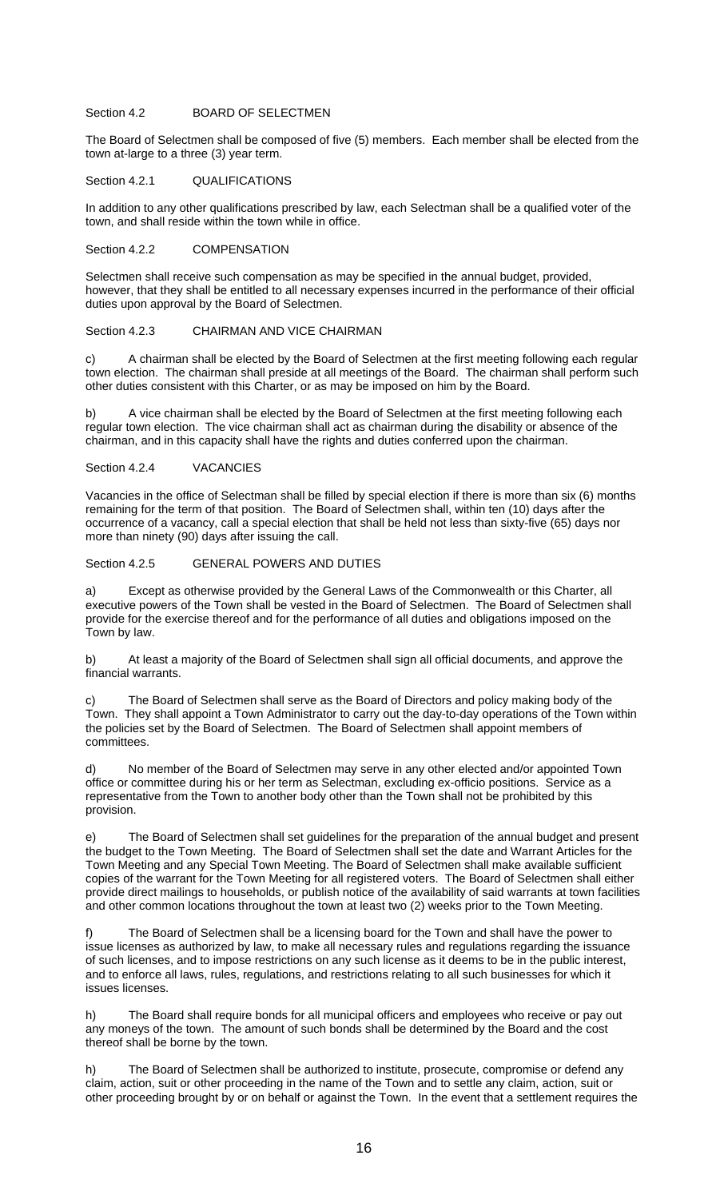## Section 4.2 BOARD OF SELECTMEN

The Board of Selectmen shall be composed of five (5) members. Each member shall be elected from the town at-large to a three (3) year term.

#### Section 4.2.1 QUALIFICATIONS

In addition to any other qualifications prescribed by law, each Selectman shall be a qualified voter of the town, and shall reside within the town while in office.

#### Section 4.2.2 COMPENSATION

Selectmen shall receive such compensation as may be specified in the annual budget, provided, however, that they shall be entitled to all necessary expenses incurred in the performance of their official duties upon approval by the Board of Selectmen.

## Section 4.2.3 CHAIRMAN AND VICE CHAIRMAN

c) A chairman shall be elected by the Board of Selectmen at the first meeting following each regular town election. The chairman shall preside at all meetings of the Board. The chairman shall perform such other duties consistent with this Charter, or as may be imposed on him by the Board.

b) A vice chairman shall be elected by the Board of Selectmen at the first meeting following each regular town election. The vice chairman shall act as chairman during the disability or absence of the chairman, and in this capacity shall have the rights and duties conferred upon the chairman.

## Section 4.2.4 VACANCIES

Vacancies in the office of Selectman shall be filled by special election if there is more than six (6) months remaining for the term of that position. The Board of Selectmen shall, within ten (10) days after the occurrence of a vacancy, call a special election that shall be held not less than sixty-five (65) days nor more than ninety (90) days after issuing the call.

## Section 4.2.5 GENERAL POWERS AND DUTIES

a) Except as otherwise provided by the General Laws of the Commonwealth or this Charter, all executive powers of the Town shall be vested in the Board of Selectmen. The Board of Selectmen shall provide for the exercise thereof and for the performance of all duties and obligations imposed on the Town by law.

b) At least a majority of the Board of Selectmen shall sign all official documents, and approve the financial warrants.

The Board of Selectmen shall serve as the Board of Directors and policy making body of the Town. They shall appoint a Town Administrator to carry out the day-to-day operations of the Town within the policies set by the Board of Selectmen. The Board of Selectmen shall appoint members of committees.

d) No member of the Board of Selectmen may serve in any other elected and/or appointed Town office or committee during his or her term as Selectman, excluding ex-officio positions. Service as a representative from the Town to another body other than the Town shall not be prohibited by this provision.

e) The Board of Selectmen shall set guidelines for the preparation of the annual budget and present the budget to the Town Meeting. The Board of Selectmen shall set the date and Warrant Articles for the Town Meeting and any Special Town Meeting. The Board of Selectmen shall make available sufficient copies of the warrant for the Town Meeting for all registered voters. The Board of Selectmen shall either provide direct mailings to households, or publish notice of the availability of said warrants at town facilities and other common locations throughout the town at least two (2) weeks prior to the Town Meeting.

f) The Board of Selectmen shall be a licensing board for the Town and shall have the power to issue licenses as authorized by law, to make all necessary rules and regulations regarding the issuance of such licenses, and to impose restrictions on any such license as it deems to be in the public interest, and to enforce all laws, rules, regulations, and restrictions relating to all such businesses for which it issues licenses.

h) The Board shall require bonds for all municipal officers and employees who receive or pay out any moneys of the town. The amount of such bonds shall be determined by the Board and the cost thereof shall be borne by the town.

h) The Board of Selectmen shall be authorized to institute, prosecute, compromise or defend any claim, action, suit or other proceeding in the name of the Town and to settle any claim, action, suit or other proceeding brought by or on behalf or against the Town. In the event that a settlement requires the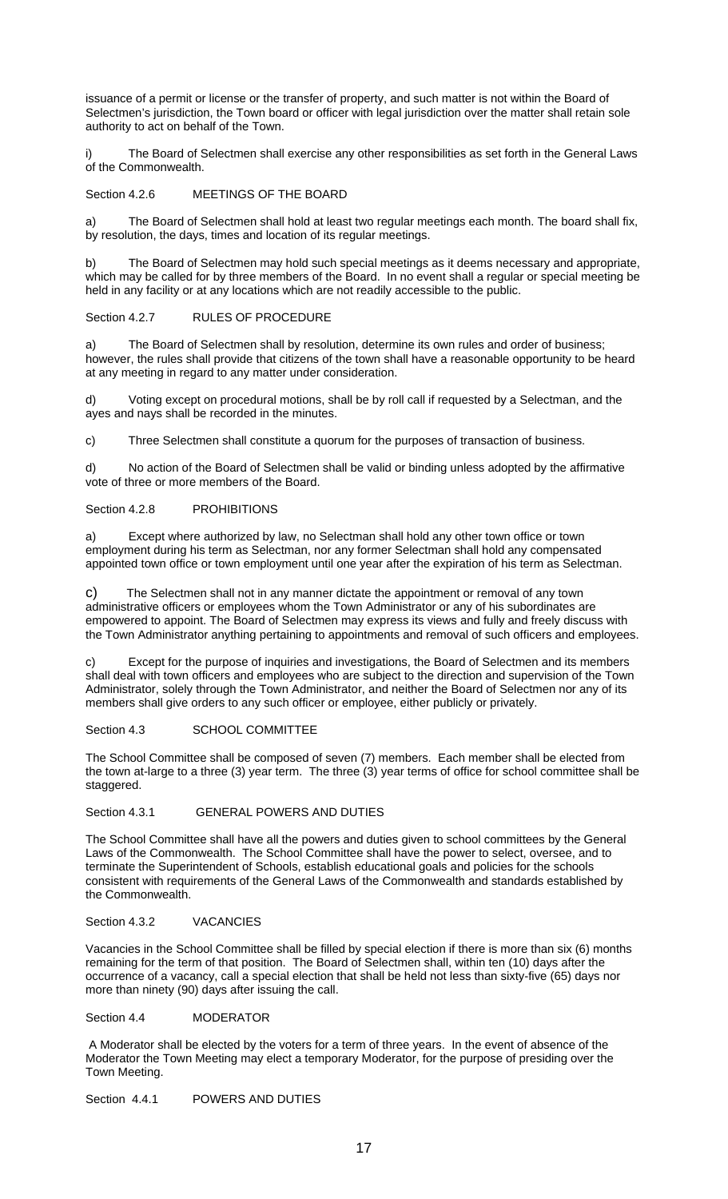issuance of a permit or license or the transfer of property, and such matter is not within the Board of Selectmen's jurisdiction, the Town board or officer with legal jurisdiction over the matter shall retain sole authority to act on behalf of the Town.

The Board of Selectmen shall exercise any other responsibilities as set forth in the General Laws of the Commonwealth.

Section 4.2.6 MEETINGS OF THE BOARD

a) The Board of Selectmen shall hold at least two regular meetings each month. The board shall fix, by resolution, the days, times and location of its regular meetings.

b) The Board of Selectmen may hold such special meetings as it deems necessary and appropriate, which may be called for by three members of the Board. In no event shall a regular or special meeting be held in any facility or at any locations which are not readily accessible to the public.

## Section 4.2.7 RULES OF PROCEDURE

a) The Board of Selectmen shall by resolution, determine its own rules and order of business; however, the rules shall provide that citizens of the town shall have a reasonable opportunity to be heard at any meeting in regard to any matter under consideration.

d) Voting except on procedural motions, shall be by roll call if requested by a Selectman, and the ayes and nays shall be recorded in the minutes.

c) Three Selectmen shall constitute a quorum for the purposes of transaction of business.

d) No action of the Board of Selectmen shall be valid or binding unless adopted by the affirmative vote of three or more members of the Board.

## Section 4.2.8 PROHIBITIONS

a) Except where authorized by law, no Selectman shall hold any other town office or town employment during his term as Selectman, nor any former Selectman shall hold any compensated appointed town office or town employment until one year after the expiration of his term as Selectman.

c) The Selectmen shall not in any manner dictate the appointment or removal of any town administrative officers or employees whom the Town Administrator or any of his subordinates are empowered to appoint. The Board of Selectmen may express its views and fully and freely discuss with the Town Administrator anything pertaining to appointments and removal of such officers and employees.

Except for the purpose of inquiries and investigations, the Board of Selectmen and its members shall deal with town officers and employees who are subject to the direction and supervision of the Town Administrator, solely through the Town Administrator, and neither the Board of Selectmen nor any of its members shall give orders to any such officer or employee, either publicly or privately.

Section 4.3 SCHOOL COMMITTEE

The School Committee shall be composed of seven (7) members. Each member shall be elected from the town at-large to a three (3) year term. The three (3) year terms of office for school committee shall be staggered.

## Section 4.3.1 GENERAL POWERS AND DUTIES

The School Committee shall have all the powers and duties given to school committees by the General Laws of the Commonwealth. The School Committee shall have the power to select, oversee, and to terminate the Superintendent of Schools, establish educational goals and policies for the schools consistent with requirements of the General Laws of the Commonwealth and standards established by the Commonwealth.

## Section 4.3.2 VACANCIES

Vacancies in the School Committee shall be filled by special election if there is more than six (6) months remaining for the term of that position. The Board of Selectmen shall, within ten (10) days after the occurrence of a vacancy, call a special election that shall be held not less than sixty-five (65) days nor more than ninety (90) days after issuing the call.

Section 4.4 **MODERATOR** 

 A Moderator shall be elected by the voters for a term of three years. In the event of absence of the Moderator the Town Meeting may elect a temporary Moderator, for the purpose of presiding over the Town Meeting.

Section 4.4.1 POWERS AND DUTIES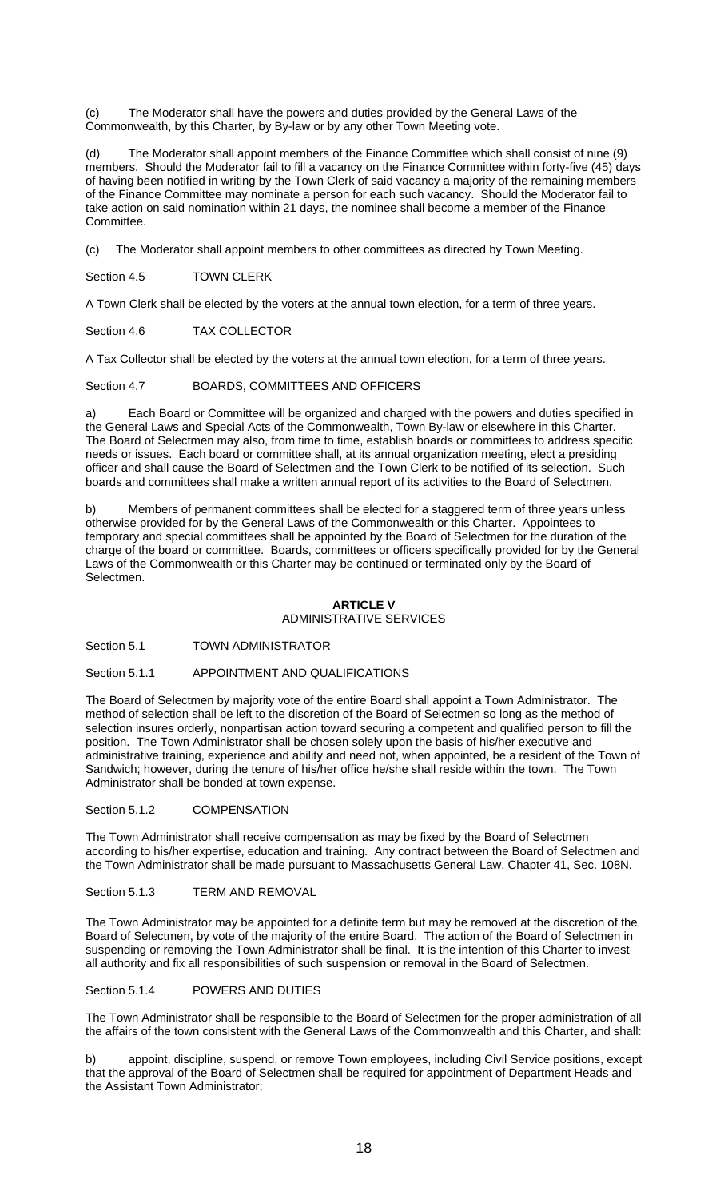(c) The Moderator shall have the powers and duties provided by the General Laws of the Commonwealth, by this Charter, by By-law or by any other Town Meeting vote.

(d) The Moderator shall appoint members of the Finance Committee which shall consist of nine (9) members. Should the Moderator fail to fill a vacancy on the Finance Committee within forty-five (45) days of having been notified in writing by the Town Clerk of said vacancy a majority of the remaining members of the Finance Committee may nominate a person for each such vacancy. Should the Moderator fail to take action on said nomination within 21 days, the nominee shall become a member of the Finance Committee.

(c) The Moderator shall appoint members to other committees as directed by Town Meeting.

Section 4.5 TOWN CLERK

A Town Clerk shall be elected by the voters at the annual town election, for a term of three years.

Section 4.6 TAX COLLECTOR

A Tax Collector shall be elected by the voters at the annual town election, for a term of three years.

Section 4.7 BOARDS, COMMITTEES AND OFFICERS

a) Each Board or Committee will be organized and charged with the powers and duties specified in the General Laws and Special Acts of the Commonwealth, Town By-law or elsewhere in this Charter. The Board of Selectmen may also, from time to time, establish boards or committees to address specific needs or issues. Each board or committee shall, at its annual organization meeting, elect a presiding officer and shall cause the Board of Selectmen and the Town Clerk to be notified of its selection. Such boards and committees shall make a written annual report of its activities to the Board of Selectmen.

b) Members of permanent committees shall be elected for a staggered term of three years unless otherwise provided for by the General Laws of the Commonwealth or this Charter. Appointees to temporary and special committees shall be appointed by the Board of Selectmen for the duration of the charge of the board or committee. Boards, committees or officers specifically provided for by the General Laws of the Commonwealth or this Charter may be continued or terminated only by the Board of Selectmen.

## **ARTICLE V**  ADMINISTRATIVE SERVICES

Section 5.1 TOWN ADMINISTRATOR

## Section 5.1.1 APPOINTMENT AND QUALIFICATIONS

The Board of Selectmen by majority vote of the entire Board shall appoint a Town Administrator. The method of selection shall be left to the discretion of the Board of Selectmen so long as the method of selection insures orderly, nonpartisan action toward securing a competent and qualified person to fill the position. The Town Administrator shall be chosen solely upon the basis of his/her executive and administrative training, experience and ability and need not, when appointed, be a resident of the Town of Sandwich; however, during the tenure of his/her office he/she shall reside within the town. The Town Administrator shall be bonded at town expense.

#### Section 5.1.2 COMPENSATION

The Town Administrator shall receive compensation as may be fixed by the Board of Selectmen according to his/her expertise, education and training. Any contract between the Board of Selectmen and the Town Administrator shall be made pursuant to Massachusetts General Law, Chapter 41, Sec. 108N.

Section 5.1.3 TERM AND REMOVAL

The Town Administrator may be appointed for a definite term but may be removed at the discretion of the Board of Selectmen, by vote of the majority of the entire Board. The action of the Board of Selectmen in suspending or removing the Town Administrator shall be final. It is the intention of this Charter to invest all authority and fix all responsibilities of such suspension or removal in the Board of Selectmen.

Section 5.1.4 POWERS AND DUTIES

The Town Administrator shall be responsible to the Board of Selectmen for the proper administration of all the affairs of the town consistent with the General Laws of the Commonwealth and this Charter, and shall:

b) appoint, discipline, suspend, or remove Town employees, including Civil Service positions, except that the approval of the Board of Selectmen shall be required for appointment of Department Heads and the Assistant Town Administrator;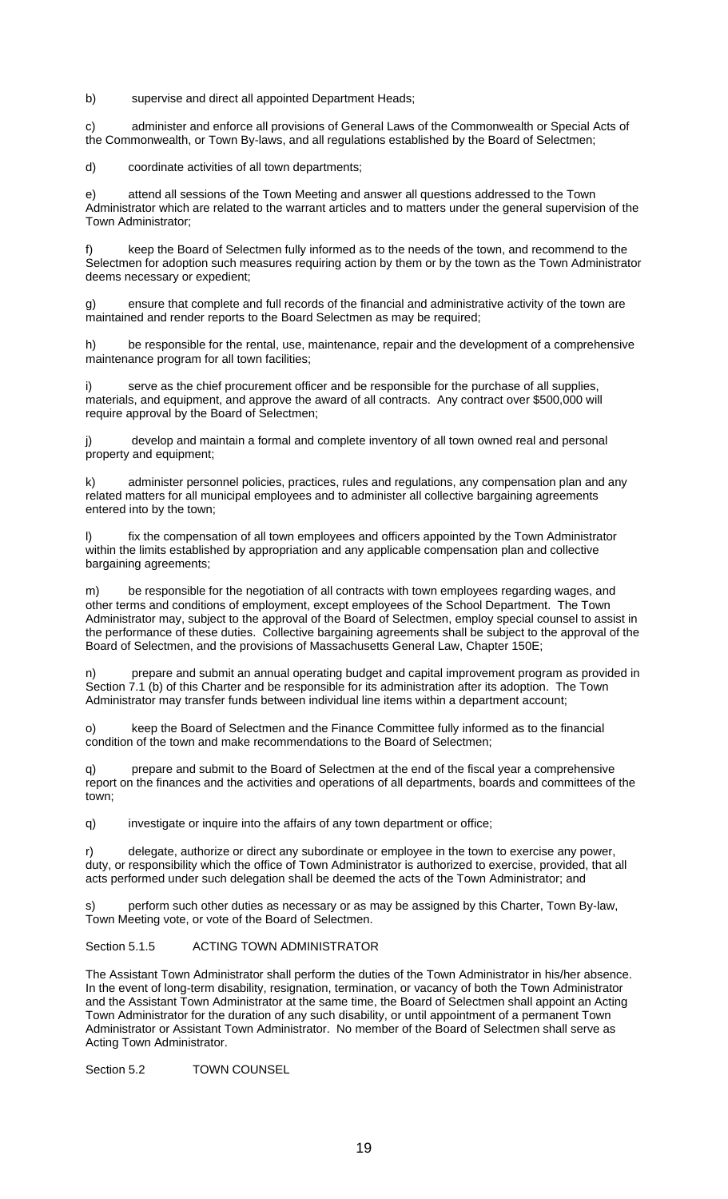b) supervise and direct all appointed Department Heads;

c) administer and enforce all provisions of General Laws of the Commonwealth or Special Acts of the Commonwealth, or Town By-laws, and all regulations established by the Board of Selectmen;

d) coordinate activities of all town departments;

attend all sessions of the Town Meeting and answer all questions addressed to the Town Administrator which are related to the warrant articles and to matters under the general supervision of the Town Administrator;

f) keep the Board of Selectmen fully informed as to the needs of the town, and recommend to the Selectmen for adoption such measures requiring action by them or by the town as the Town Administrator deems necessary or expedient;

g) ensure that complete and full records of the financial and administrative activity of the town are maintained and render reports to the Board Selectmen as may be required;

h) be responsible for the rental, use, maintenance, repair and the development of a comprehensive maintenance program for all town facilities;

serve as the chief procurement officer and be responsible for the purchase of all supplies, materials, and equipment, and approve the award of all contracts. Any contract over \$500,000 will require approval by the Board of Selectmen;

j) develop and maintain a formal and complete inventory of all town owned real and personal property and equipment;

administer personnel policies, practices, rules and regulations, any compensation plan and any related matters for all municipal employees and to administer all collective bargaining agreements entered into by the town;

l) fix the compensation of all town employees and officers appointed by the Town Administrator within the limits established by appropriation and any applicable compensation plan and collective bargaining agreements;

m) be responsible for the negotiation of all contracts with town employees regarding wages, and other terms and conditions of employment, except employees of the School Department. The Town Administrator may, subject to the approval of the Board of Selectmen, employ special counsel to assist in the performance of these duties. Collective bargaining agreements shall be subject to the approval of the Board of Selectmen, and the provisions of Massachusetts General Law, Chapter 150E;

n) prepare and submit an annual operating budget and capital improvement program as provided in Section 7.1 (b) of this Charter and be responsible for its administration after its adoption. The Town Administrator may transfer funds between individual line items within a department account;

o) keep the Board of Selectmen and the Finance Committee fully informed as to the financial condition of the town and make recommendations to the Board of Selectmen;

prepare and submit to the Board of Selectmen at the end of the fiscal year a comprehensive report on the finances and the activities and operations of all departments, boards and committees of the town;

q) investigate or inquire into the affairs of any town department or office;

delegate, authorize or direct any subordinate or employee in the town to exercise any power, duty, or responsibility which the office of Town Administrator is authorized to exercise, provided, that all acts performed under such delegation shall be deemed the acts of the Town Administrator; and

perform such other duties as necessary or as may be assigned by this Charter, Town By-law, Town Meeting vote, or vote of the Board of Selectmen.

## Section 5.1.5 ACTING TOWN ADMINISTRATOR

The Assistant Town Administrator shall perform the duties of the Town Administrator in his/her absence. In the event of long-term disability, resignation, termination, or vacancy of both the Town Administrator and the Assistant Town Administrator at the same time, the Board of Selectmen shall appoint an Acting Town Administrator for the duration of any such disability, or until appointment of a permanent Town Administrator or Assistant Town Administrator. No member of the Board of Selectmen shall serve as Acting Town Administrator.

Section 5.2 TOWN COUNSEL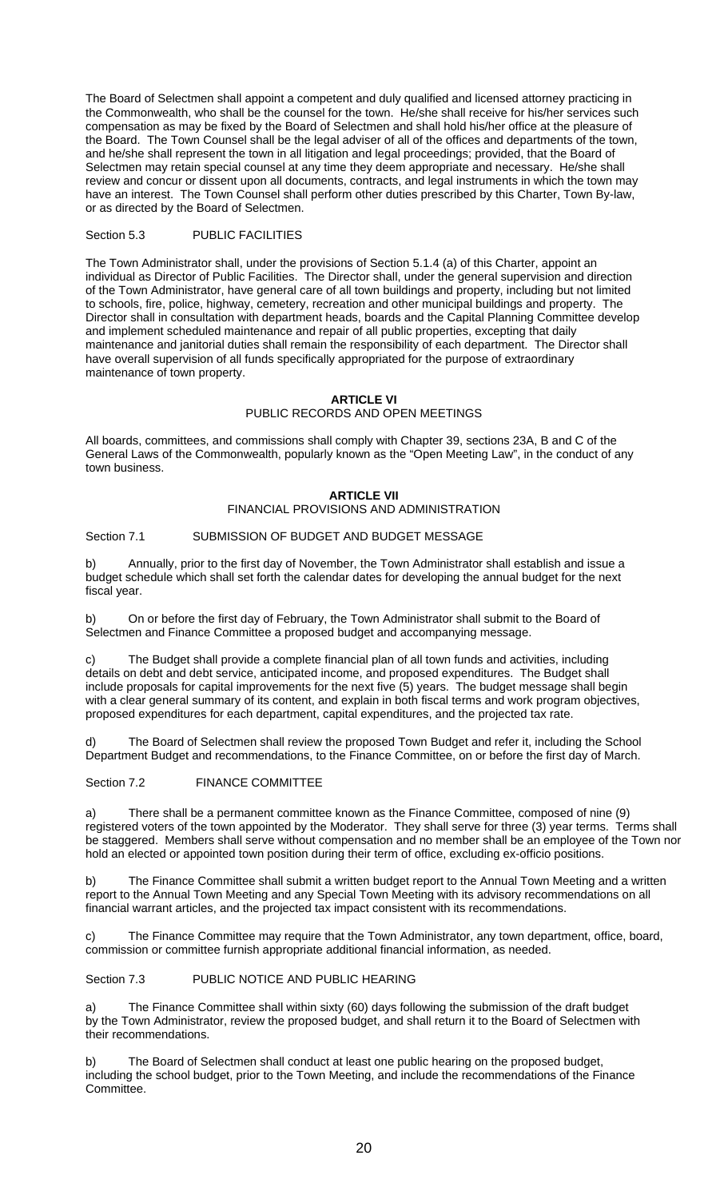The Board of Selectmen shall appoint a competent and duly qualified and licensed attorney practicing in the Commonwealth, who shall be the counsel for the town. He/she shall receive for his/her services such compensation as may be fixed by the Board of Selectmen and shall hold his/her office at the pleasure of the Board. The Town Counsel shall be the legal adviser of all of the offices and departments of the town, and he/she shall represent the town in all litigation and legal proceedings; provided, that the Board of Selectmen may retain special counsel at any time they deem appropriate and necessary. He/she shall review and concur or dissent upon all documents, contracts, and legal instruments in which the town may have an interest. The Town Counsel shall perform other duties prescribed by this Charter, Town By-law, or as directed by the Board of Selectmen.

## Section 5.3 PUBLIC FACILITIES

The Town Administrator shall, under the provisions of Section 5.1.4 (a) of this Charter, appoint an individual as Director of Public Facilities. The Director shall, under the general supervision and direction of the Town Administrator, have general care of all town buildings and property, including but not limited to schools, fire, police, highway, cemetery, recreation and other municipal buildings and property. The Director shall in consultation with department heads, boards and the Capital Planning Committee develop and implement scheduled maintenance and repair of all public properties, excepting that daily maintenance and janitorial duties shall remain the responsibility of each department. The Director shall have overall supervision of all funds specifically appropriated for the purpose of extraordinary maintenance of town property.

#### **ARTICLE VI**  PUBLIC RECORDS AND OPEN MEETINGS

All boards, committees, and commissions shall comply with Chapter 39, sections 23A, B and C of the General Laws of the Commonwealth, popularly known as the "Open Meeting Law", in the conduct of any town business.

# **ARTICLE VII**

# FINANCIAL PROVISIONS AND ADMINISTRATION

## Section 7.1 SUBMISSION OF BUDGET AND BUDGET MESSAGE

b) Annually, prior to the first day of November, the Town Administrator shall establish and issue a budget schedule which shall set forth the calendar dates for developing the annual budget for the next fiscal year.

b) On or before the first day of February, the Town Administrator shall submit to the Board of Selectmen and Finance Committee a proposed budget and accompanying message.

c) The Budget shall provide a complete financial plan of all town funds and activities, including details on debt and debt service, anticipated income, and proposed expenditures. The Budget shall include proposals for capital improvements for the next five (5) years. The budget message shall begin with a clear general summary of its content, and explain in both fiscal terms and work program objectives, proposed expenditures for each department, capital expenditures, and the projected tax rate.

d) The Board of Selectmen shall review the proposed Town Budget and refer it, including the School Department Budget and recommendations, to the Finance Committee, on or before the first day of March.

#### Section 7.2 FINANCE COMMITTEE

a) There shall be a permanent committee known as the Finance Committee, composed of nine (9) registered voters of the town appointed by the Moderator. They shall serve for three (3) year terms. Terms shall be staggered. Members shall serve without compensation and no member shall be an employee of the Town nor hold an elected or appointed town position during their term of office, excluding ex-officio positions.

b) The Finance Committee shall submit a written budget report to the Annual Town Meeting and a written report to the Annual Town Meeting and any Special Town Meeting with its advisory recommendations on all financial warrant articles, and the projected tax impact consistent with its recommendations.

c) The Finance Committee may require that the Town Administrator, any town department, office, board, commission or committee furnish appropriate additional financial information, as needed.

Section 7.3 PUBLIC NOTICE AND PUBLIC HEARING

a) The Finance Committee shall within sixty (60) days following the submission of the draft budget by the Town Administrator, review the proposed budget, and shall return it to the Board of Selectmen with their recommendations.

b) The Board of Selectmen shall conduct at least one public hearing on the proposed budget, including the school budget, prior to the Town Meeting, and include the recommendations of the Finance Committee.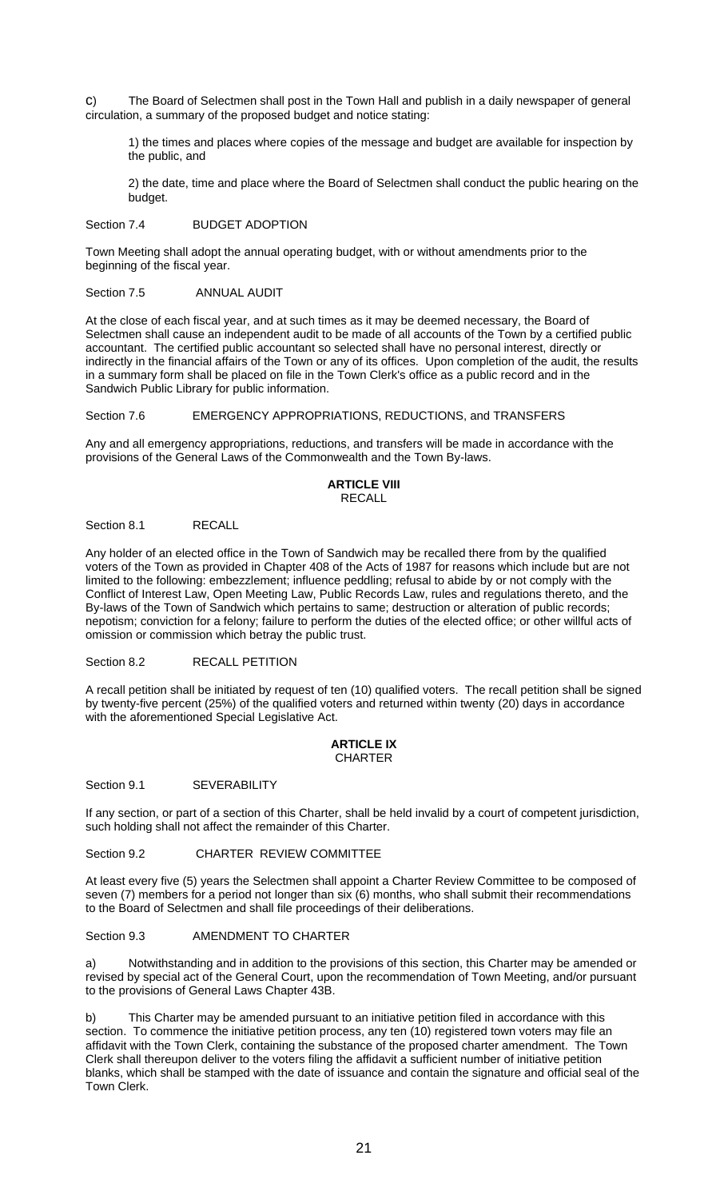c) The Board of Selectmen shall post in the Town Hall and publish in a daily newspaper of general circulation, a summary of the proposed budget and notice stating:

1) the times and places where copies of the message and budget are available for inspection by the public, and

2) the date, time and place where the Board of Selectmen shall conduct the public hearing on the budget.

Section 7.4 BUDGET ADOPTION

Town Meeting shall adopt the annual operating budget, with or without amendments prior to the beginning of the fiscal year.

Section 7.5 ANNUAL AUDIT

At the close of each fiscal year, and at such times as it may be deemed necessary, the Board of Selectmen shall cause an independent audit to be made of all accounts of the Town by a certified public accountant. The certified public accountant so selected shall have no personal interest, directly or indirectly in the financial affairs of the Town or any of its offices. Upon completion of the audit, the results in a summary form shall be placed on file in the Town Clerk's office as a public record and in the Sandwich Public Library for public information.

Section 7.6 **EMERGENCY APPROPRIATIONS, REDUCTIONS, and TRANSFERS** 

Any and all emergency appropriations, reductions, and transfers will be made in accordance with the provisions of the General Laws of the Commonwealth and the Town By-laws.

#### **ARTICLE VIII**  RECALL

Section 8.1 RECALL

Any holder of an elected office in the Town of Sandwich may be recalled there from by the qualified voters of the Town as provided in Chapter 408 of the Acts of 1987 for reasons which include but are not limited to the following: embezzlement; influence peddling; refusal to abide by or not comply with the Conflict of Interest Law, Open Meeting Law, Public Records Law, rules and regulations thereto, and the By-laws of the Town of Sandwich which pertains to same; destruction or alteration of public records; nepotism; conviction for a felony; failure to perform the duties of the elected office; or other willful acts of omission or commission which betray the public trust.

Section 8.2 RECALL PETITION

A recall petition shall be initiated by request of ten (10) qualified voters. The recall petition shall be signed by twenty-five percent (25%) of the qualified voters and returned within twenty (20) days in accordance with the aforementioned Special Legislative Act.

#### **ARTICLE IX**  CHARTER

Section 9.1 SEVERABILITY

If any section, or part of a section of this Charter, shall be held invalid by a court of competent jurisdiction, such holding shall not affect the remainder of this Charter.

Section 9.2 CHARTER REVIEW COMMITTEE

At least every five (5) years the Selectmen shall appoint a Charter Review Committee to be composed of seven (7) members for a period not longer than six (6) months, who shall submit their recommendations to the Board of Selectmen and shall file proceedings of their deliberations.

Section 9.3 AMENDMENT TO CHARTER

Notwithstanding and in addition to the provisions of this section, this Charter may be amended or revised by special act of the General Court, upon the recommendation of Town Meeting, and/or pursuant to the provisions of General Laws Chapter 43B.

b) This Charter may be amended pursuant to an initiative petition filed in accordance with this section. To commence the initiative petition process, any ten (10) registered town voters may file an affidavit with the Town Clerk, containing the substance of the proposed charter amendment. The Town Clerk shall thereupon deliver to the voters filing the affidavit a sufficient number of initiative petition blanks, which shall be stamped with the date of issuance and contain the signature and official seal of the Town Clerk.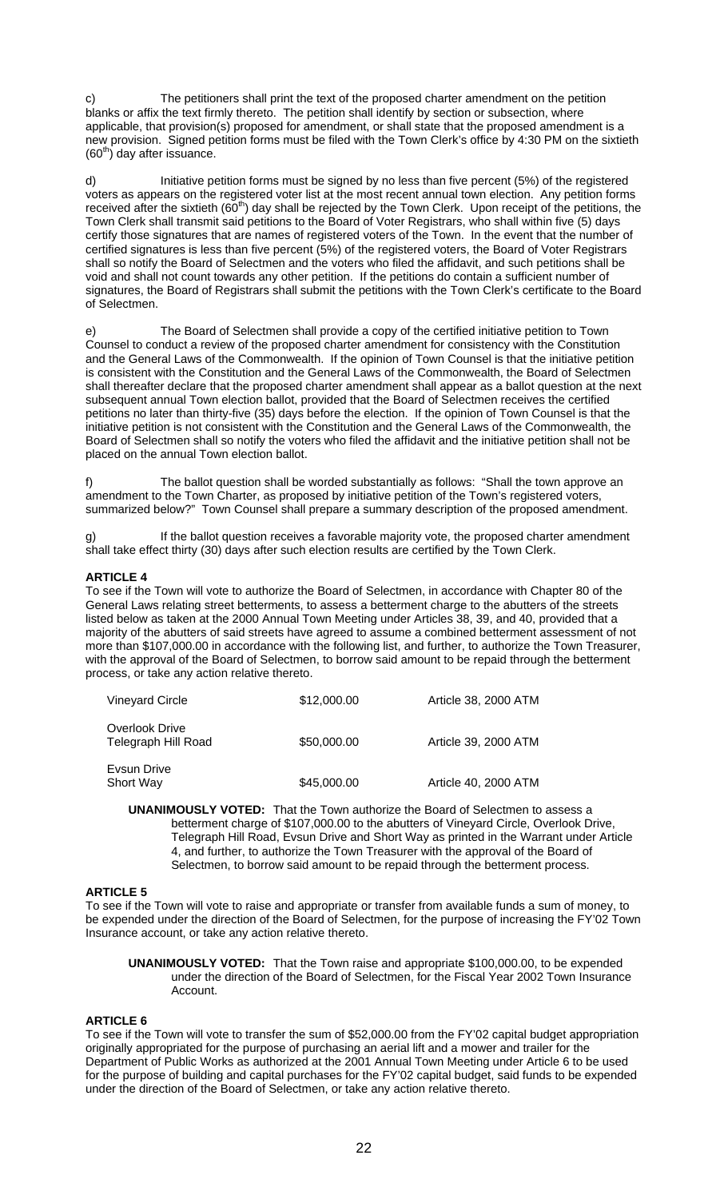The petitioners shall print the text of the proposed charter amendment on the petition blanks or affix the text firmly thereto. The petition shall identify by section or subsection, where applicable, that provision(s) proposed for amendment, or shall state that the proposed amendment is a new provision. Signed petition forms must be filed with the Town Clerk's office by 4:30 PM on the sixtieth  $(60<sup>th</sup>)$  day after issuance.

d) Initiative petition forms must be signed by no less than five percent (5%) of the registered voters as appears on the registered voter list at the most recent annual town election. Any petition forms received after the sixtieth (60<sup>th</sup>) day shall be rejected by the Town Clerk. Upon receipt of the petitions, the Town Clerk shall transmit said petitions to the Board of Voter Registrars, who shall within five (5) days certify those signatures that are names of registered voters of the Town. In the event that the number of certified signatures is less than five percent (5%) of the registered voters, the Board of Voter Registrars shall so notify the Board of Selectmen and the voters who filed the affidavit, and such petitions shall be void and shall not count towards any other petition. If the petitions do contain a sufficient number of signatures, the Board of Registrars shall submit the petitions with the Town Clerk's certificate to the Board of Selectmen.

e) The Board of Selectmen shall provide a copy of the certified initiative petition to Town Counsel to conduct a review of the proposed charter amendment for consistency with the Constitution and the General Laws of the Commonwealth. If the opinion of Town Counsel is that the initiative petition is consistent with the Constitution and the General Laws of the Commonwealth, the Board of Selectmen shall thereafter declare that the proposed charter amendment shall appear as a ballot question at the next subsequent annual Town election ballot, provided that the Board of Selectmen receives the certified petitions no later than thirty-five (35) days before the election. If the opinion of Town Counsel is that the initiative petition is not consistent with the Constitution and the General Laws of the Commonwealth, the Board of Selectmen shall so notify the voters who filed the affidavit and the initiative petition shall not be placed on the annual Town election ballot.

f) The ballot question shall be worded substantially as follows: "Shall the town approve an amendment to the Town Charter, as proposed by initiative petition of the Town's registered voters, summarized below?" Town Counsel shall prepare a summary description of the proposed amendment.

g) If the ballot question receives a favorable majority vote, the proposed charter amendment shall take effect thirty (30) days after such election results are certified by the Town Clerk.

# **ARTICLE 4**

To see if the Town will vote to authorize the Board of Selectmen, in accordance with Chapter 80 of the General Laws relating street betterments, to assess a betterment charge to the abutters of the streets listed below as taken at the 2000 Annual Town Meeting under Articles 38, 39, and 40, provided that a majority of the abutters of said streets have agreed to assume a combined betterment assessment of not more than \$107,000.00 in accordance with the following list, and further, to authorize the Town Treasurer, with the approval of the Board of Selectmen, to borrow said amount to be repaid through the betterment process, or take any action relative thereto.

| <b>Vineyard Circle</b>                | \$12,000.00 | Article 38, 2000 ATM |  |  |
|---------------------------------------|-------------|----------------------|--|--|
| Overlook Drive<br>Telegraph Hill Road | \$50,000.00 | Article 39, 2000 ATM |  |  |
| Evsun Drive<br>Short Way              | \$45,000.00 | Article 40, 2000 ATM |  |  |

**UNANIMOUSLY VOTED:** That the Town authorize the Board of Selectmen to assess a betterment charge of \$107,000.00 to the abutters of Vineyard Circle, Overlook Drive, Telegraph Hill Road, Evsun Drive and Short Way as printed in the Warrant under Article 4, and further, to authorize the Town Treasurer with the approval of the Board of Selectmen, to borrow said amount to be repaid through the betterment process.

#### **ARTICLE 5**

To see if the Town will vote to raise and appropriate or transfer from available funds a sum of money, to be expended under the direction of the Board of Selectmen, for the purpose of increasing the FY'02 Town Insurance account, or take any action relative thereto.

**UNANIMOUSLY VOTED:** That the Town raise and appropriate \$100,000.00, to be expended under the direction of the Board of Selectmen, for the Fiscal Year 2002 Town Insurance Account.

# **ARTICLE 6**

To see if the Town will vote to transfer the sum of \$52,000.00 from the FY'02 capital budget appropriation originally appropriated for the purpose of purchasing an aerial lift and a mower and trailer for the Department of Public Works as authorized at the 2001 Annual Town Meeting under Article 6 to be used for the purpose of building and capital purchases for the FY'02 capital budget, said funds to be expended under the direction of the Board of Selectmen, or take any action relative thereto.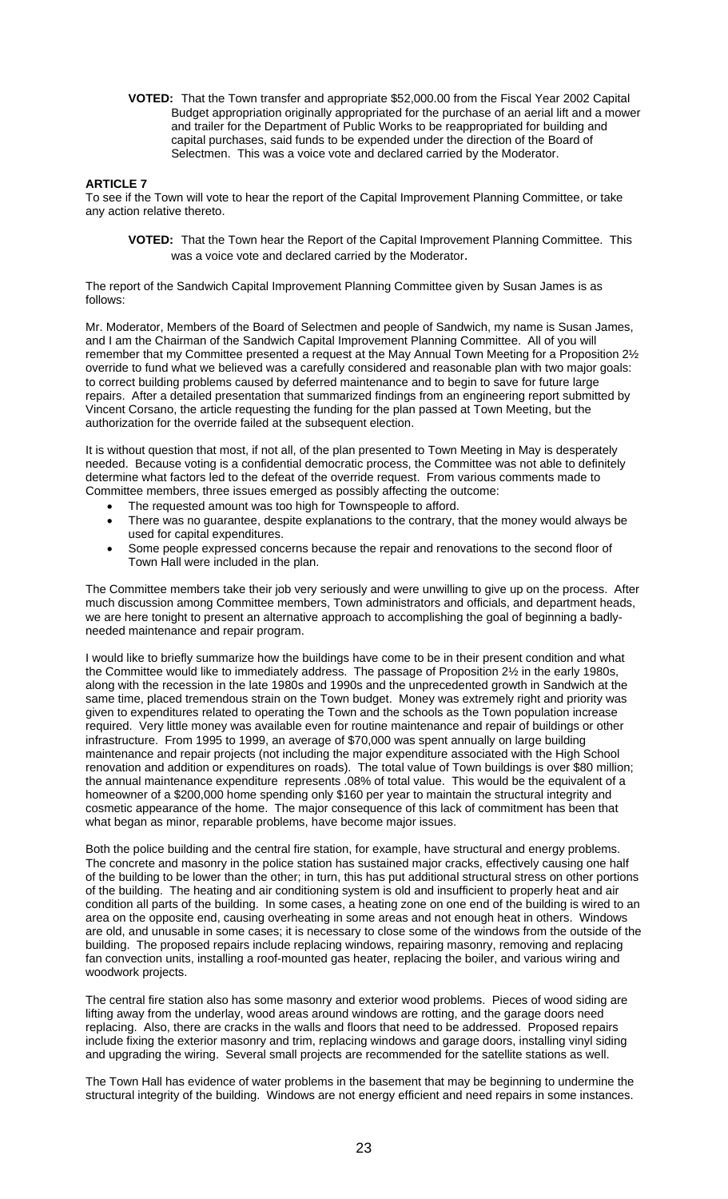**VOTED:** That the Town transfer and appropriate \$52,000.00 from the Fiscal Year 2002 Capital Budget appropriation originally appropriated for the purchase of an aerial lift and a mower and trailer for the Department of Public Works to be reappropriated for building and capital purchases, said funds to be expended under the direction of the Board of Selectmen. This was a voice vote and declared carried by the Moderator.

#### **ARTICLE 7**

To see if the Town will vote to hear the report of the Capital Improvement Planning Committee, or take any action relative thereto.

**VOTED:** That the Town hear the Report of the Capital Improvement Planning Committee. This was a voice vote and declared carried by the Moderator.

The report of the Sandwich Capital Improvement Planning Committee given by Susan James is as follows:

Mr. Moderator, Members of the Board of Selectmen and people of Sandwich, my name is Susan James, and I am the Chairman of the Sandwich Capital Improvement Planning Committee. All of you will remember that my Committee presented a request at the May Annual Town Meeting for a Proposition 2½ override to fund what we believed was a carefully considered and reasonable plan with two major goals: to correct building problems caused by deferred maintenance and to begin to save for future large repairs. After a detailed presentation that summarized findings from an engineering report submitted by Vincent Corsano, the article requesting the funding for the plan passed at Town Meeting, but the authorization for the override failed at the subsequent election.

It is without question that most, if not all, of the plan presented to Town Meeting in May is desperately needed. Because voting is a confidential democratic process, the Committee was not able to definitely determine what factors led to the defeat of the override request. From various comments made to Committee members, three issues emerged as possibly affecting the outcome:

- The requested amount was too high for Townspeople to afford.
- There was no guarantee, despite explanations to the contrary, that the money would always be used for capital expenditures.
- Some people expressed concerns because the repair and renovations to the second floor of Town Hall were included in the plan.

The Committee members take their job very seriously and were unwilling to give up on the process. After much discussion among Committee members, Town administrators and officials, and department heads, we are here tonight to present an alternative approach to accomplishing the goal of beginning a badlyneeded maintenance and repair program.

I would like to briefly summarize how the buildings have come to be in their present condition and what the Committee would like to immediately address. The passage of Proposition 2½ in the early 1980s, along with the recession in the late 1980s and 1990s and the unprecedented growth in Sandwich at the same time, placed tremendous strain on the Town budget. Money was extremely right and priority was given to expenditures related to operating the Town and the schools as the Town population increase required. Very little money was available even for routine maintenance and repair of buildings or other infrastructure. From 1995 to 1999, an average of \$70,000 was spent annually on large building maintenance and repair projects (not including the major expenditure associated with the High School renovation and addition or expenditures on roads). The total value of Town buildings is over \$80 million; the annual maintenance expenditure represents .08% of total value. This would be the equivalent of a homeowner of a \$200,000 home spending only \$160 per year to maintain the structural integrity and cosmetic appearance of the home. The major consequence of this lack of commitment has been that what began as minor, reparable problems, have become major issues.

Both the police building and the central fire station, for example, have structural and energy problems. The concrete and masonry in the police station has sustained major cracks, effectively causing one half of the building to be lower than the other; in turn, this has put additional structural stress on other portions of the building. The heating and air conditioning system is old and insufficient to properly heat and air condition all parts of the building. In some cases, a heating zone on one end of the building is wired to an area on the opposite end, causing overheating in some areas and not enough heat in others. Windows are old, and unusable in some cases; it is necessary to close some of the windows from the outside of the building. The proposed repairs include replacing windows, repairing masonry, removing and replacing fan convection units, installing a roof-mounted gas heater, replacing the boiler, and various wiring and woodwork projects.

The central fire station also has some masonry and exterior wood problems. Pieces of wood siding are lifting away from the underlay, wood areas around windows are rotting, and the garage doors need replacing. Also, there are cracks in the walls and floors that need to be addressed. Proposed repairs include fixing the exterior masonry and trim, replacing windows and garage doors, installing vinyl siding and upgrading the wiring. Several small projects are recommended for the satellite stations as well.

The Town Hall has evidence of water problems in the basement that may be beginning to undermine the structural integrity of the building. Windows are not energy efficient and need repairs in some instances.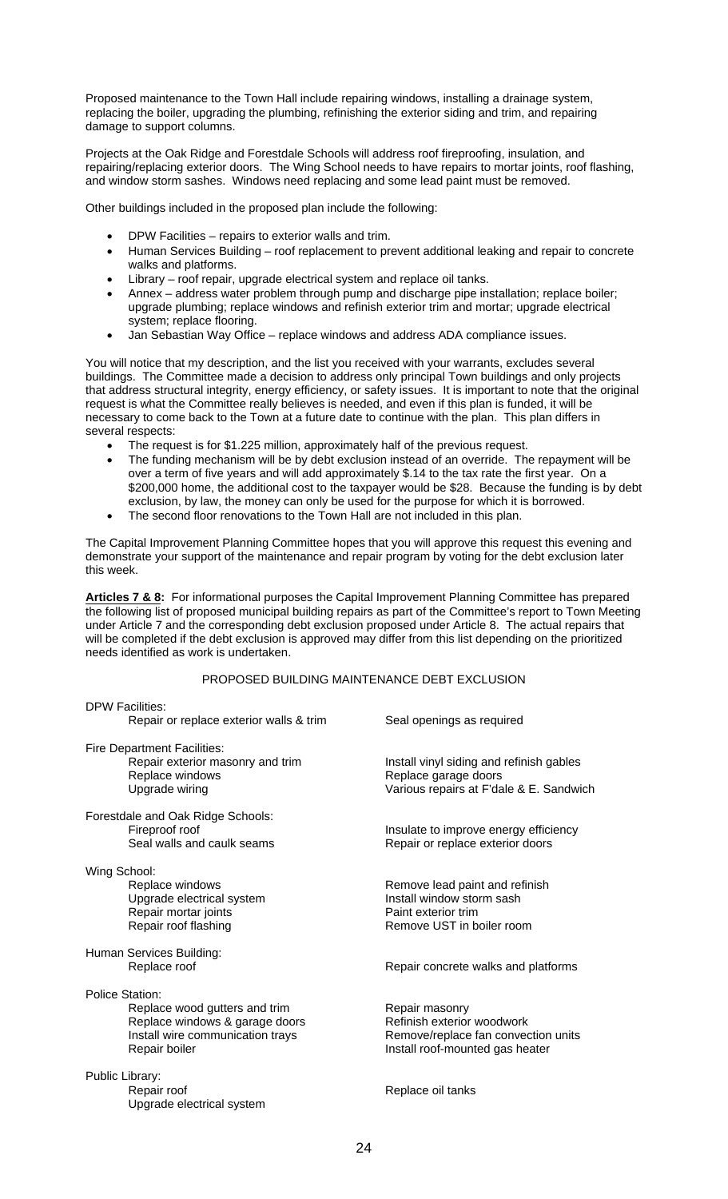Proposed maintenance to the Town Hall include repairing windows, installing a drainage system, replacing the boiler, upgrading the plumbing, refinishing the exterior siding and trim, and repairing damage to support columns.

Projects at the Oak Ridge and Forestdale Schools will address roof fireproofing, insulation, and repairing/replacing exterior doors. The Wing School needs to have repairs to mortar joints, roof flashing, and window storm sashes. Windows need replacing and some lead paint must be removed.

Other buildings included in the proposed plan include the following:

- DPW Facilities repairs to exterior walls and trim.
- Human Services Building roof replacement to prevent additional leaking and repair to concrete walks and platforms.
- Library roof repair, upgrade electrical system and replace oil tanks.
- Annex address water problem through pump and discharge pipe installation; replace boiler; upgrade plumbing; replace windows and refinish exterior trim and mortar; upgrade electrical system; replace flooring.
- Jan Sebastian Way Office replace windows and address ADA compliance issues.

You will notice that my description, and the list you received with your warrants, excludes several buildings. The Committee made a decision to address only principal Town buildings and only projects that address structural integrity, energy efficiency, or safety issues. It is important to note that the original request is what the Committee really believes is needed, and even if this plan is funded, it will be necessary to come back to the Town at a future date to continue with the plan. This plan differs in several respects:

- The request is for \$1.225 million, approximately half of the previous request.
- The funding mechanism will be by debt exclusion instead of an override. The repayment will be over a term of five years and will add approximately \$.14 to the tax rate the first year. On a \$200,000 home, the additional cost to the taxpayer would be \$28. Because the funding is by debt exclusion, by law, the money can only be used for the purpose for which it is borrowed.
- The second floor renovations to the Town Hall are not included in this plan.

The Capital Improvement Planning Committee hopes that you will approve this request this evening and demonstrate your support of the maintenance and repair program by voting for the debt exclusion later this week.

Articles 7 & 8: For informational purposes the Capital Improvement Planning Committee has prepared the following list of proposed municipal building repairs as part of the Committee's report to Town Meeting under Article 7 and the corresponding debt exclusion proposed under Article 8. The actual repairs that will be completed if the debt exclusion is approved may differ from this list depending on the prioritized needs identified as work is undertaken.

#### PROPOSED BUILDING MAINTENANCE DEBT EXCLUSION

| <b>DPW Facilities:</b><br>Repair or replace exterior walls & trim                                                                              | Seal openings as required                                                                                              |
|------------------------------------------------------------------------------------------------------------------------------------------------|------------------------------------------------------------------------------------------------------------------------|
|                                                                                                                                                |                                                                                                                        |
| <b>Fire Department Facilities:</b><br>Repair exterior masonry and trim<br>Replace windows<br>Upgrade wiring                                    | Install vinyl siding and refinish gables<br>Replace garage doors<br>Various repairs at F'dale & E. Sandwich            |
| Forestdale and Oak Ridge Schools:<br>Fireproof roof<br>Seal walls and caulk seams                                                              | Insulate to improve energy efficiency<br>Repair or replace exterior doors                                              |
| Wing School:<br>Replace windows<br>Upgrade electrical system<br>Repair mortar joints<br>Repair roof flashing                                   | Remove lead paint and refinish<br>Install window storm sash<br>Paint exterior trim<br>Remove UST in boiler room        |
| Human Services Building:<br>Replace roof                                                                                                       | Repair concrete walks and platforms                                                                                    |
| <b>Police Station:</b><br>Replace wood gutters and trim<br>Replace windows & garage doors<br>Install wire communication trays<br>Repair boiler | Repair masonry<br>Refinish exterior woodwork<br>Remove/replace fan convection units<br>Install roof-mounted gas heater |
| Public Library:<br>Repair roof<br>Upgrade electrical system                                                                                    | Replace oil tanks                                                                                                      |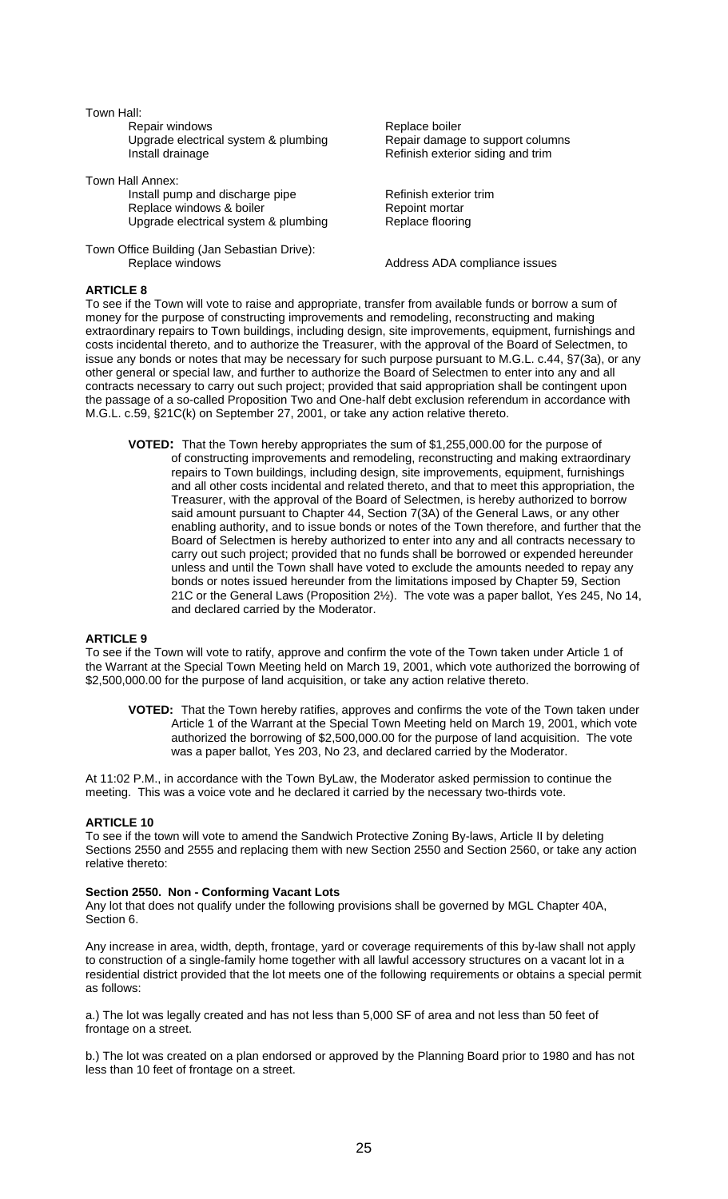Town Hall:

Repair windows **Replace boiler** Upgrade electrical system & plumbing Repair damage to support columns<br>Install drainage loss and the Refinish exterior siding and trim

Town Hall Annex:

Install pump and discharge pipe<br>
Replace windows & boiler
Replace windows & boiler
Bepoint mortar
less Replace windows & boiler Upgrade electrical system & plumbing Replace flooring

Town Office Building (Jan Sebastian Drive): Replace windows **Address ADA** compliance issues

Refinish exterior siding and trim

# **ARTICLE 8**

To see if the Town will vote to raise and appropriate, transfer from available funds or borrow a sum of money for the purpose of constructing improvements and remodeling, reconstructing and making extraordinary repairs to Town buildings, including design, site improvements, equipment, furnishings and costs incidental thereto, and to authorize the Treasurer, with the approval of the Board of Selectmen, to issue any bonds or notes that may be necessary for such purpose pursuant to M.G.L. c.44, §7(3a), or any other general or special law, and further to authorize the Board of Selectmen to enter into any and all contracts necessary to carry out such project; provided that said appropriation shall be contingent upon the passage of a so-called Proposition Two and One-half debt exclusion referendum in accordance with M.G.L. c.59, §21C(k) on September 27, 2001, or take any action relative thereto.

**VOTED:** That the Town hereby appropriates the sum of \$1,255,000.00 for the purpose of of constructing improvements and remodeling, reconstructing and making extraordinary repairs to Town buildings, including design, site improvements, equipment, furnishings and all other costs incidental and related thereto, and that to meet this appropriation, the Treasurer, with the approval of the Board of Selectmen, is hereby authorized to borrow said amount pursuant to Chapter 44, Section 7(3A) of the General Laws, or any other enabling authority, and to issue bonds or notes of the Town therefore, and further that the Board of Selectmen is hereby authorized to enter into any and all contracts necessary to carry out such project; provided that no funds shall be borrowed or expended hereunder unless and until the Town shall have voted to exclude the amounts needed to repay any bonds or notes issued hereunder from the limitations imposed by Chapter 59, Section 21C or the General Laws (Proposition 2½). The vote was a paper ballot, Yes 245, No 14, and declared carried by the Moderator.

# **ARTICLE 9**

To see if the Town will vote to ratify, approve and confirm the vote of the Town taken under Article 1 of the Warrant at the Special Town Meeting held on March 19, 2001, which vote authorized the borrowing of \$2,500,000.00 for the purpose of land acquisition, or take any action relative thereto.

**VOTED:** That the Town hereby ratifies, approves and confirms the vote of the Town taken under Article 1 of the Warrant at the Special Town Meeting held on March 19, 2001, which vote authorized the borrowing of \$2,500,000.00 for the purpose of land acquisition. The vote was a paper ballot, Yes 203, No 23, and declared carried by the Moderator.

At 11:02 P.M., in accordance with the Town ByLaw, the Moderator asked permission to continue the meeting. This was a voice vote and he declared it carried by the necessary two-thirds vote.

# **ARTICLE 10**

To see if the town will vote to amend the Sandwich Protective Zoning By-laws, Article II by deleting Sections 2550 and 2555 and replacing them with new Section 2550 and Section 2560, or take any action relative thereto:

#### **Section 2550. Non - Conforming Vacant Lots**

Any lot that does not qualify under the following provisions shall be governed by MGL Chapter 40A, Section 6.

Any increase in area, width, depth, frontage, yard or coverage requirements of this by-law shall not apply to construction of a single-family home together with all lawful accessory structures on a vacant lot in a residential district provided that the lot meets one of the following requirements or obtains a special permit as follows:

a.) The lot was legally created and has not less than 5,000 SF of area and not less than 50 feet of frontage on a street.

b.) The lot was created on a plan endorsed or approved by the Planning Board prior to 1980 and has not less than 10 feet of frontage on a street.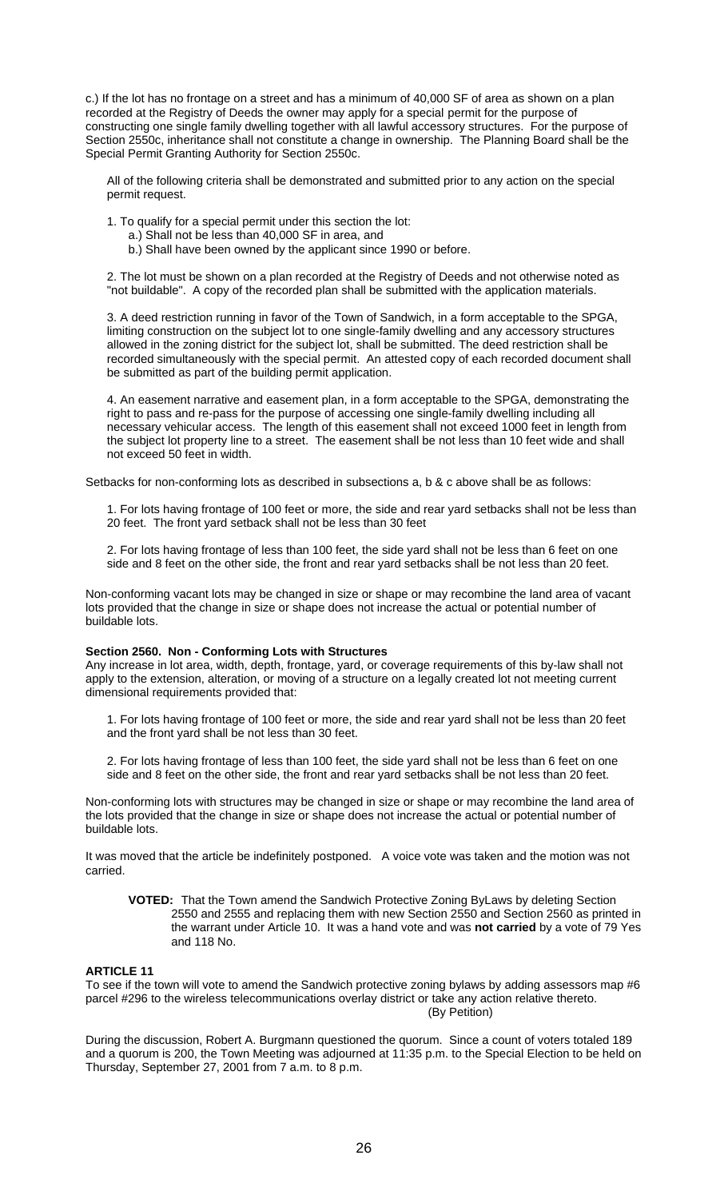c.) If the lot has no frontage on a street and has a minimum of 40,000 SF of area as shown on a plan recorded at the Registry of Deeds the owner may apply for a special permit for the purpose of constructing one single family dwelling together with all lawful accessory structures. For the purpose of Section 2550c, inheritance shall not constitute a change in ownership. The Planning Board shall be the Special Permit Granting Authority for Section 2550c.

All of the following criteria shall be demonstrated and submitted prior to any action on the special permit request.

1. To qualify for a special permit under this section the lot:

- a.) Shall not be less than 40,000 SF in area, and
- b.) Shall have been owned by the applicant since 1990 or before.

2. The lot must be shown on a plan recorded at the Registry of Deeds and not otherwise noted as "not buildable". A copy of the recorded plan shall be submitted with the application materials.

3. A deed restriction running in favor of the Town of Sandwich, in a form acceptable to the SPGA, limiting construction on the subject lot to one single-family dwelling and any accessory structures allowed in the zoning district for the subject lot, shall be submitted. The deed restriction shall be recorded simultaneously with the special permit. An attested copy of each recorded document shall be submitted as part of the building permit application.

4. An easement narrative and easement plan, in a form acceptable to the SPGA, demonstrating the right to pass and re-pass for the purpose of accessing one single-family dwelling including all necessary vehicular access. The length of this easement shall not exceed 1000 feet in length from the subject lot property line to a street. The easement shall be not less than 10 feet wide and shall not exceed 50 feet in width.

Setbacks for non-conforming lots as described in subsections a, b & c above shall be as follows:

1. For lots having frontage of 100 feet or more, the side and rear yard setbacks shall not be less than 20 feet. The front yard setback shall not be less than 30 feet

2. For lots having frontage of less than 100 feet, the side yard shall not be less than 6 feet on one side and 8 feet on the other side, the front and rear yard setbacks shall be not less than 20 feet.

Non-conforming vacant lots may be changed in size or shape or may recombine the land area of vacant lots provided that the change in size or shape does not increase the actual or potential number of buildable lots.

#### **Section 2560. Non - Conforming Lots with Structures**

Any increase in lot area, width, depth, frontage, yard, or coverage requirements of this by-law shall not apply to the extension, alteration, or moving of a structure on a legally created lot not meeting current dimensional requirements provided that:

1. For lots having frontage of 100 feet or more, the side and rear yard shall not be less than 20 feet and the front yard shall be not less than 30 feet.

2. For lots having frontage of less than 100 feet, the side yard shall not be less than 6 feet on one side and 8 feet on the other side, the front and rear yard setbacks shall be not less than 20 feet.

Non-conforming lots with structures may be changed in size or shape or may recombine the land area of the lots provided that the change in size or shape does not increase the actual or potential number of buildable lots.

It was moved that the article be indefinitely postponed. A voice vote was taken and the motion was not carried.

**VOTED:** That the Town amend the Sandwich Protective Zoning ByLaws by deleting Section 2550 and 2555 and replacing them with new Section 2550 and Section 2560 as printed in the warrant under Article 10. It was a hand vote and was **not carried** by a vote of 79 Yes and 118 No.

# **ARTICLE 11**

To see if the town will vote to amend the Sandwich protective zoning bylaws by adding assessors map #6 parcel #296 to the wireless telecommunications overlay district or take any action relative thereto. (By Petition)

During the discussion, Robert A. Burgmann questioned the quorum. Since a count of voters totaled 189 and a quorum is 200, the Town Meeting was adjourned at 11:35 p.m. to the Special Election to be held on Thursday, September 27, 2001 from 7 a.m. to 8 p.m.